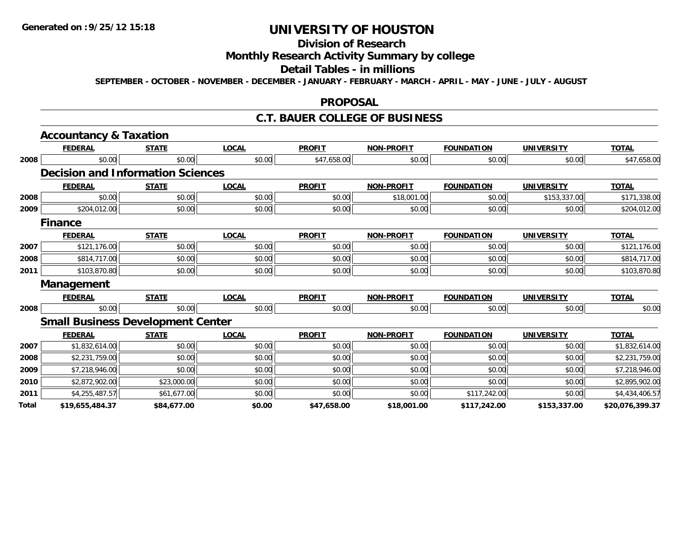# **Division of Research**

# **Monthly Research Activity Summary by college**

#### **Detail Tables - in millions**

**SEPTEMBER - OCTOBER - NOVEMBER - DECEMBER - JANUARY - FEBRUARY - MARCH - APRIL - MAY - JUNE - JULY - AUGUST**

### **PROPOSAL**

### **C.T. BAUER COLLEGE OF BUSINESS**

|       | <b>Accountancy &amp; Taxation</b>        |              |              |               |                   |                   |                   |                 |
|-------|------------------------------------------|--------------|--------------|---------------|-------------------|-------------------|-------------------|-----------------|
|       | <b>FEDERAL</b>                           | <b>STATE</b> | <b>LOCAL</b> | <b>PROFIT</b> | <b>NON-PROFIT</b> | <b>FOUNDATION</b> | <b>UNIVERSITY</b> | <b>TOTAL</b>    |
| 2008  | \$0.00                                   | \$0.00       | \$0.00       | \$47,658.00   | \$0.00            | \$0.00            | \$0.00            | \$47,658.00     |
|       | <b>Decision and Information Sciences</b> |              |              |               |                   |                   |                   |                 |
|       | <b>FEDERAL</b>                           | <b>STATE</b> | <b>LOCAL</b> | <b>PROFIT</b> | <b>NON-PROFIT</b> | <b>FOUNDATION</b> | <b>UNIVERSITY</b> | <b>TOTAL</b>    |
| 2008  | \$0.00                                   | \$0.00       | \$0.00       | \$0.00        | \$18,001.00       | \$0.00            | \$153,337.00      | \$171,338.00    |
| 2009  | \$204,012.00                             | \$0.00       | \$0.00       | \$0.00        | \$0.00            | \$0.00            | \$0.00            | \$204,012.00    |
|       | <b>Finance</b>                           |              |              |               |                   |                   |                   |                 |
|       | <b>FEDERAL</b>                           | <b>STATE</b> | <b>LOCAL</b> | <b>PROFIT</b> | <b>NON-PROFIT</b> | <b>FOUNDATION</b> | <b>UNIVERSITY</b> | <b>TOTAL</b>    |
| 2007  | \$121,176.00                             | \$0.00       | \$0.00       | \$0.00        | \$0.00            | \$0.00            | \$0.00            | \$121,176.00    |
| 2008  | \$814,717.00                             | \$0.00       | \$0.00       | \$0.00        | \$0.00            | \$0.00            | \$0.00            | \$814,717.00    |
| 2011  | \$103,870.80                             | \$0.00       | \$0.00       | \$0.00        | \$0.00            | \$0.00            | \$0.00            | \$103,870.80    |
|       | Management                               |              |              |               |                   |                   |                   |                 |
|       | <b>FEDERAL</b>                           | <b>STATE</b> | <b>LOCAL</b> | <b>PROFIT</b> | <b>NON-PROFIT</b> | <b>FOUNDATION</b> | <b>UNIVERSITY</b> | <b>TOTAL</b>    |
| 2008  | \$0.00                                   | \$0.00       | \$0.00       | \$0.00        | \$0.00            | \$0.00            | \$0.00            | \$0.00          |
|       | <b>Small Business Development Center</b> |              |              |               |                   |                   |                   |                 |
|       | <b>FEDERAL</b>                           | <b>STATE</b> | <b>LOCAL</b> | <b>PROFIT</b> | <b>NON-PROFIT</b> | <b>FOUNDATION</b> | <b>UNIVERSITY</b> | <b>TOTAL</b>    |
| 2007  | \$1,832,614.00                           | \$0.00       | \$0.00       | \$0.00        | \$0.00            | \$0.00            | \$0.00            | \$1,832,614.00  |
| 2008  | \$2,231,759.00                           | \$0.00       | \$0.00       | \$0.00        | \$0.00            | \$0.00            | \$0.00            | \$2,231,759.00  |
| 2009  | \$7,218,946.00                           | \$0.00       | \$0.00       | \$0.00        | \$0.00            | \$0.00            | \$0.00            | \$7,218,946.00  |
| 2010  | \$2,872,902.00                           | \$23,000.00  | \$0.00       | \$0.00        | \$0.00            | \$0.00            | \$0.00            | \$2,895,902.00  |
| 2011  | \$4,255,487.57                           | \$61,677.00  | \$0.00       | \$0.00        | \$0.00            | \$117,242.00      | \$0.00            | \$4,434,406.57  |
| Total | \$19,655,484.37                          | \$84,677.00  | \$0.00       | \$47,658.00   | \$18,001.00       | \$117,242.00      | \$153,337.00      | \$20,076,399.37 |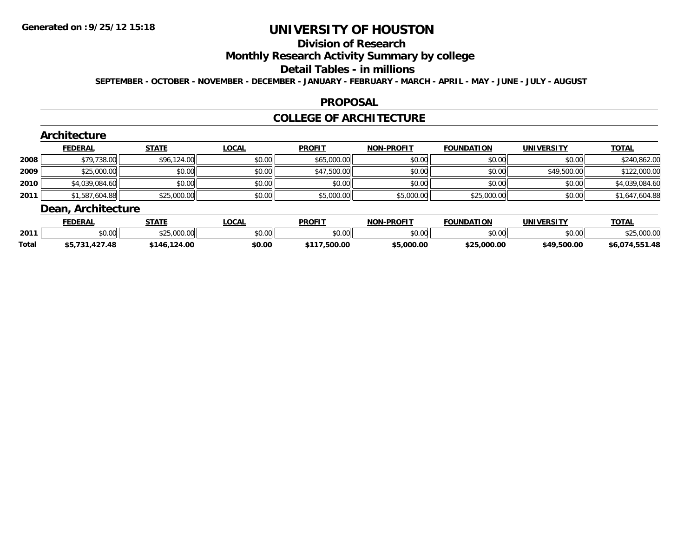#### **Division of Research**

# **Monthly Research Activity Summary by college**

#### **Detail Tables - in millions**

**SEPTEMBER - OCTOBER - NOVEMBER - DECEMBER - JANUARY - FEBRUARY - MARCH - APRIL - MAY - JUNE - JULY - AUGUST**

### **PROPOSAL**

### **COLLEGE OF ARCHITECTURE**

|      | <b>FEDERAL</b> | <b>STATE</b> | <b>LOCAL</b> | <b>PROFIT</b> | <b>NON-PROFIT</b> | <b>FOUNDATION</b> | <b>UNIVERSITY</b> | <b>TOTAL</b>   |
|------|----------------|--------------|--------------|---------------|-------------------|-------------------|-------------------|----------------|
| 2008 | \$79,738.00    | \$96,124.00  | \$0.00       | \$65,000.00   | \$0.00            | \$0.00            | \$0.00            | \$240,862.00   |
| 2009 | \$25,000.00    | \$0.00       | \$0.00       | \$47,500.00   | \$0.00            | \$0.00            | \$49,500.00       | \$122,000.00   |
| 2010 | \$4,039,084.60 | \$0.00       | \$0.00       | \$0.00        | \$0.00            | \$0.00            | \$0.00            | \$4,039,084.60 |
| 2011 | \$1,587,604.88 | \$25,000.00  | \$0.00       | \$5,000.00    | \$5,000.00        | \$25,000.00       | \$0.00            | \$1,647,604.88 |

|              | <b>FEDERAL</b>            | <b>STATE</b>       | <b>.OCAL</b> | <b>PROFIT</b> | <b>NON-PROFIT</b> | <b>FOUNDATION</b> | UNIVERSITY  | <b>TOTAL</b>       |
|--------------|---------------------------|--------------------|--------------|---------------|-------------------|-------------------|-------------|--------------------|
| 2011         | \$0.00                    | \$25,000.00        | \$0.00       | \$0.00        | \$0.00            | \$0.00            | \$0.00      | 000<br>.uuu.u      |
| <b>Total</b> | t5 721<br>427.48<br>,,, , | .124.00<br>$*146.$ | \$0.00       | 500.00!       | \$5,000.00        | \$25,000.00       | \$49,500.00 | .551.48<br>\$6,074 |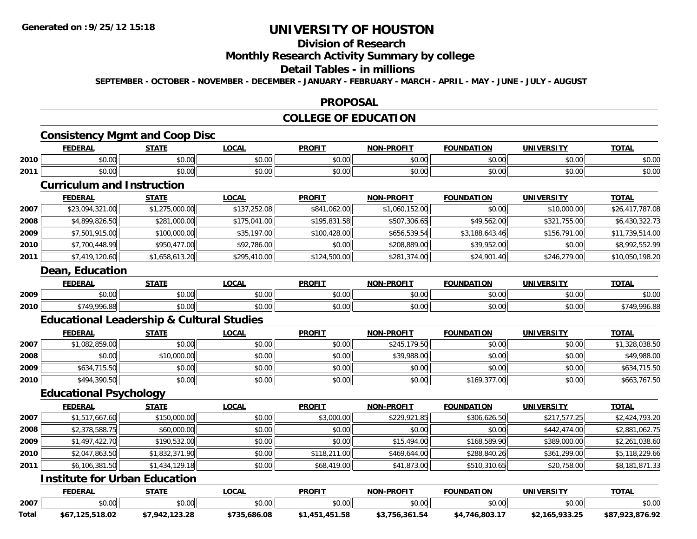# **Division of Research**

### **Monthly Research Activity Summary by college**

### **Detail Tables - in millions**

**SEPTEMBER - OCTOBER - NOVEMBER - DECEMBER - JANUARY - FEBRUARY - MARCH - APRIL - MAY - JUNE - JULY - AUGUST**

### **PROPOSAL**

## **COLLEGE OF EDUCATION**

## **Consistency Mgmt and Coop Disc**

|      | <b>FEDERAL</b>          | CTATI                                                      | 001<br>.UCAI       | <b>PROFIT</b>                         | -PROFIT<br>NON- | <b>FOUNDATION</b> | <b>IINIVEDSITV</b> | <b>TOTAL</b>           |
|------|-------------------------|------------------------------------------------------------|--------------------|---------------------------------------|-----------------|-------------------|--------------------|------------------------|
| 2010 | 0000<br>,uu             | ሖ ヘ<br>ט.ט                                                 | $\sim$ 00<br>JU.UU | $\sim$ $\sim$<br>JU.UU                | 0000<br>vv.vv   | 0000<br>.JU.UU    | 0000<br>JU.UU      | $\sim$ $\sim$<br>DU.UU |
| 2011 | 0 <sub>0</sub><br>DU.UU | $\mathfrak{g} \cap \mathfrak{g} \cap \mathfrak{g}$<br>JU.U | 0.00<br>vv.vv      | $\overline{a}$ $\overline{a}$<br>JU.V | 0000<br>vu.vu   | 0000              | 0000<br>PO.OO      | $\sim$ $\sim$<br>ง∪.∪บ |

### **Curriculum and Instruction**

|        | <b>FEDERAL</b>  | <u>STATE</u>   | <u>LOCAL</u> | <b>PROFIT</b> | <b>NON-PROFIT</b> | <b>FOUNDATION</b> | <b>UNIVERSITY</b> | <b>TOTAL</b>    |
|--------|-----------------|----------------|--------------|---------------|-------------------|-------------------|-------------------|-----------------|
| 2007   | \$23,094,321.00 | \$1,275,000.00 | \$137,252.08 | \$841,062.00  | \$1,060,152.00    | \$0.00            | \$10,000.00       | \$26,417,787.08 |
| 2008   | \$4,899,826.50  | \$281,000.00   | \$175,041.00 | \$195,831.58  | \$507,306.65      | \$49,562.00       | \$321,755.00      | \$6,430,322.73  |
| 2009   | \$7,501,915.00  | \$100,000.00   | \$35,197.00  | \$100,428.00  | \$656,539.54      | \$3,188,643.46    | \$156,791.00      | \$11,739,514.00 |
| ا 2010 | \$7,700,448.99  | \$950,477.00   | \$92,786.00  | \$0.00        | \$208,889.00      | \$39,952.00       | \$0.00            | \$8,992,552.99  |
| 2011   | \$7,419,120.60  | \$1,658,613.20 | \$295,410.00 | \$124,500.00  | \$281,374.00      | \$24,901.40       | \$246,279.00      | \$10,050,198.20 |
|        | Dean, Education |                |              |               |                   |                   |                   |                 |

|      | <b>FEDERA</b>        | <b>CTATE</b>    | <b>OCAL</b> | <b>DDAEIT</b><br><b>RUI</b> | <b>LDDOEIT</b><br>NON | <b>FOUNDATION</b>  | 11111111001717         | <b>TOTAL</b>           |
|------|----------------------|-----------------|-------------|-----------------------------|-----------------------|--------------------|------------------------|------------------------|
| 2009 | $\sim$ 00<br>וטטוע   | 0.00<br>wu.uu   | \$0.00      | 0.00<br>JU.UU               | $\sim$ $\sim$<br>0.00 | $\sim$ 00<br>JU.UU | $\sim$ $\sim$<br>40.00 | $\sim$ $\sim$<br>DU.UG |
| 2010 | $\sim$ $\sim$<br>110 | 0.00<br>- JU.UU | \$0.00      | 0000<br>JU.UU               | \$0.00                | ሐሴ ሰሰ<br>JU.UU     | 0.00<br>vv.vv          | ററ                     |

## **Educational Leadership & Cultural Studies**

|      | <b>FEDERAL</b> | <b>STATE</b> | <u>LOCAL</u> | <b>PROFIT</b> | <b>NON-PROFIT</b> | <b>FOUNDATION</b> | UNIVERSITY | <b>TOTAL</b>   |
|------|----------------|--------------|--------------|---------------|-------------------|-------------------|------------|----------------|
| 2007 | \$1,082,859.00 | \$0.00       | \$0.00       | \$0.00        | \$245,179.50      | \$0.00            | \$0.00     | \$1,328,038.50 |
| 2008 | \$0.00         | \$10,000.00  | \$0.00       | \$0.00        | \$39,988.00       | \$0.00            | \$0.00     | \$49,988.00    |
| 2009 | \$634,715.50   | \$0.00       | \$0.00       | \$0.00        | \$0.00            | \$0.00            | \$0.00     | \$634,715.50   |
| 2010 | \$494,390.50   | \$0.00       | \$0.00       | \$0.00        | \$0.00            | \$169,377.00      | \$0.00     | \$663,767.50   |

# **Educational Psychology**

|      | <b>FEDERAL</b> | <b>STATE</b>   | <b>LOCAL</b> | <b>PROFIT</b> | <b>NON-PROFIT</b> | <b>FOUNDATION</b> | <b>UNIVERSITY</b> | <b>TOTAL</b>   |
|------|----------------|----------------|--------------|---------------|-------------------|-------------------|-------------------|----------------|
| 2007 | \$1,517,667.60 | \$150,000.00   | \$0.00       | \$3,000.00    | \$229,921.85      | \$306,626.50      | \$217,577.25      | \$2,424,793.20 |
| 2008 | \$2,378,588.75 | \$60,000.00    | \$0.00       | \$0.00        | \$0.00            | \$0.00            | \$442,474.00      | \$2,881,062.75 |
| 2009 | \$1,497,422.70 | \$190,532.00   | \$0.00       | \$0.00        | \$15,494.00       | \$168,589.90      | \$389,000.00      | \$2,261,038.60 |
| 2010 | \$2,047,863.50 | \$1,832,371.90 | \$0.00       | \$118,211.00  | \$469,644,00      | \$288,840.26      | \$361,299.00      | \$5,118,229.66 |
| 2011 | \$6,106,381.50 | \$1,434,129.18 | \$0.00       | \$68,419.00   | \$41,873.00       | \$510,310.65      | \$20,758.00       | \$8,181,871.33 |

### **Institute for Urban Education**

|       | <b>FEDERAL</b>      | <b>STATE</b>   | ∟OCAI          | <b>PROFIT</b> | <b>NON-PROFIT</b> | <b>FOUNDATION</b>         | UNIVERSITY           | TOTAL           |
|-------|---------------------|----------------|----------------|---------------|-------------------|---------------------------|----------------------|-----------------|
| 2007  | ልስ ሰሰ<br>.          | \$0.00         | ሶስ ሰሰ<br>DU.UU | \$0.00        | nn on<br>DU.UU    | \$0.00                    | 0.00<br>JU.UU        | \$0.00          |
| Total | ,125,518.02<br>\$67 | \$7,942,123.28 | \$735.686.08   | 451.58<br>451 | \$3.756.361.54    | $+746.803.1$ <sup>-</sup> | <b>*2,165,933.25</b> | \$87,923,876.92 |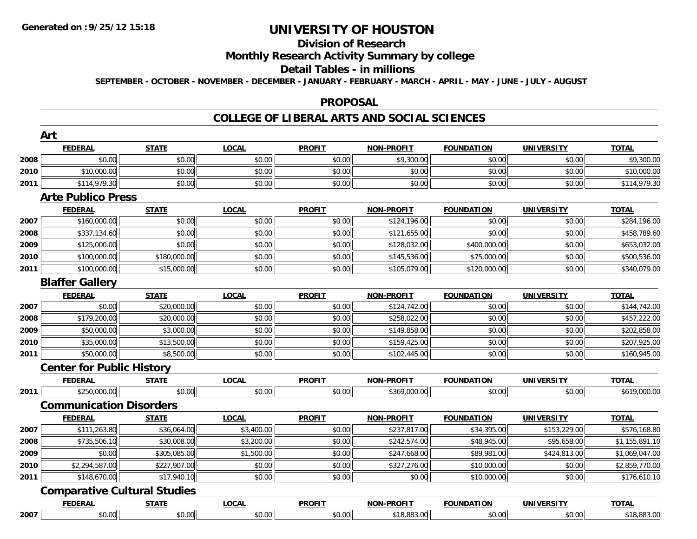# **Division of Research**

# **Monthly Research Activity Summary by college**

#### **Detail Tables - in millions**

**SEPTEMBER - OCTOBER - NOVEMBER - DECEMBER - JANUARY - FEBRUARY - MARCH - APRIL - MAY - JUNE - JULY - AUGUST**

### **PROPOSAL**

### **COLLEGE OF LIBERAL ARTS AND SOCIAL SCIENCES**

|      | Art                                 |              |              |               |                   |                   |                   |                |
|------|-------------------------------------|--------------|--------------|---------------|-------------------|-------------------|-------------------|----------------|
|      | <b>FEDERAL</b>                      | <b>STATE</b> | <b>LOCAL</b> | <b>PROFIT</b> | <b>NON-PROFIT</b> | <b>FOUNDATION</b> | <b>UNIVERSITY</b> | <b>TOTAL</b>   |
| 2008 | \$0.00                              | \$0.00       | \$0.00       | \$0.00        | \$9,300.00        | \$0.00            | \$0.00            | \$9,300.00     |
| 2010 | \$10,000.00                         | \$0.00       | \$0.00       | \$0.00        | \$0.00            | \$0.00            | \$0.00            | \$10,000.00    |
| 2011 | \$114,979.30                        | \$0.00       | \$0.00       | \$0.00        | \$0.00            | \$0.00            | \$0.00            | \$114,979.30   |
|      | <b>Arte Publico Press</b>           |              |              |               |                   |                   |                   |                |
|      | <b>FEDERAL</b>                      | <b>STATE</b> | <b>LOCAL</b> | <b>PROFIT</b> | <b>NON-PROFIT</b> | <b>FOUNDATION</b> | <b>UNIVERSITY</b> | <b>TOTAL</b>   |
| 2007 | \$160,000.00                        | \$0.00       | \$0.00       | \$0.00        | \$124,196.00      | \$0.00            | \$0.00            | \$284,196.00   |
| 2008 | \$337,134.60                        | \$0.00       | \$0.00       | \$0.00        | \$121,655.00      | \$0.00            | \$0.00            | \$458,789.60   |
| 2009 | \$125,000.00                        | \$0.00       | \$0.00       | \$0.00        | \$128,032.00      | \$400,000.00      | \$0.00            | \$653,032.00   |
| 2010 | \$100,000.00                        | \$180,000.00 | \$0.00       | \$0.00        | \$145,536.00      | \$75,000.00       | \$0.00            | \$500,536.00   |
| 2011 | \$100,000.00                        | \$15,000.00  | \$0.00       | \$0.00        | \$105,079.00      | \$120,000.00      | \$0.00            | \$340,079.00   |
|      | <b>Blaffer Gallery</b>              |              |              |               |                   |                   |                   |                |
|      | <b>FEDERAL</b>                      | <b>STATE</b> | <b>LOCAL</b> | <b>PROFIT</b> | <b>NON-PROFIT</b> | <b>FOUNDATION</b> | <b>UNIVERSITY</b> | <b>TOTAL</b>   |
| 2007 | \$0.00                              | \$20,000.00  | \$0.00       | \$0.00        | \$124,742.00      | \$0.00            | \$0.00            | \$144,742.00   |
| 2008 | \$179,200.00                        | \$20,000.00  | \$0.00       | \$0.00        | \$258,022.00      | \$0.00            | \$0.00            | \$457,222.00   |
| 2009 | \$50,000.00                         | \$3,000.00   | \$0.00       | \$0.00        | \$149,858.00      | \$0.00            | \$0.00            | \$202,858.00   |
| 2010 | \$35,000.00                         | \$13,500.00  | \$0.00       | \$0.00        | \$159,425.00      | \$0.00            | \$0.00            | \$207,925.00   |
| 2011 | \$50,000.00                         | \$8,500.00   | \$0.00       | \$0.00        | \$102,445.00      | \$0.00            | \$0.00            | \$160,945.00   |
|      | <b>Center for Public History</b>    |              |              |               |                   |                   |                   |                |
|      | <b>FEDERAL</b>                      | <b>STATE</b> | <b>LOCAL</b> | <b>PROFIT</b> | <b>NON-PROFIT</b> | <b>FOUNDATION</b> | <b>UNIVERSITY</b> | <b>TOTAL</b>   |
| 2011 | \$250,000.00                        | \$0.00       | \$0.00       | \$0.00        | \$369,000.00      | \$0.00            | \$0.00            | \$619,000.00   |
|      | <b>Communication Disorders</b>      |              |              |               |                   |                   |                   |                |
|      | <b>FEDERAL</b>                      | <b>STATE</b> | <b>LOCAL</b> | <b>PROFIT</b> | <b>NON-PROFIT</b> | <b>FOUNDATION</b> | <b>UNIVERSITY</b> | <b>TOTAL</b>   |
| 2007 | \$111,263.80                        | \$36,064.00  | \$3,400.00   | \$0.00        | \$237,817.00      | \$34,395.00       | \$153,229.00      | \$576,168.80   |
| 2008 | \$735,506.10                        | \$30,008.00  | \$3,200.00   | \$0.00        | \$242,574.00      | \$48,945.00       | \$95,658.00       | \$1,155,891.10 |
| 2009 | \$0.00                              | \$305,085.00 | \$1,500.00   | \$0.00        | \$247,668.00      | \$89,981.00       | \$424,813.00      | \$1,069,047.00 |
| 2010 | \$2,294,587.00                      | \$227,907.00 | \$0.00       | \$0.00        | \$327,276.00      | \$10,000.00       | \$0.00            | \$2,859,770.00 |
| 2011 | \$148,670.00                        | \$17,940.10  | \$0.00       | \$0.00        | \$0.00            | \$10,000.00       | \$0.00            | \$176,610.10   |
|      | <b>Comparative Cultural Studies</b> |              |              |               |                   |                   |                   |                |
|      | <b>FEDERAL</b>                      | <b>STATE</b> | <b>LOCAL</b> | <b>PROFIT</b> | <b>NON-PROFIT</b> | <b>FOUNDATION</b> | <b>UNIVERSITY</b> | <b>TOTAL</b>   |
| 2007 | \$0.00                              | \$0.00       | \$0.00       | \$0.00        | \$18,883.00       | \$0.00            | \$0.00            | \$18,883.00    |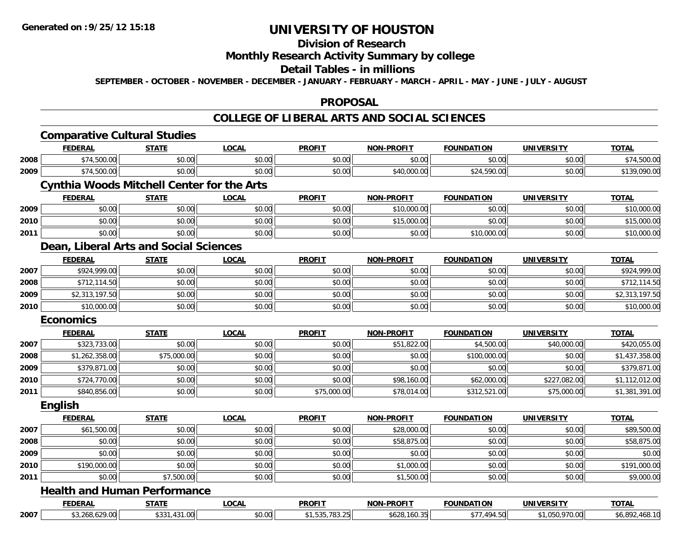#### **Division of Research**

## **Monthly Research Activity Summary by college**

#### **Detail Tables - in millions**

**SEPTEMBER - OCTOBER - NOVEMBER - DECEMBER - JANUARY - FEBRUARY - MARCH - APRIL - MAY - JUNE - JULY - AUGUST**

#### **PROPOSAL**

### **COLLEGE OF LIBERAL ARTS AND SOCIAL SCIENCES**

|      | <b>Comparative Cultural Studies</b>               |              |              |                |                   |                   |                   |                |
|------|---------------------------------------------------|--------------|--------------|----------------|-------------------|-------------------|-------------------|----------------|
|      | <b>FEDERAL</b>                                    | <b>STATE</b> | <b>LOCAL</b> | <b>PROFIT</b>  | <b>NON-PROFIT</b> | <b>FOUNDATION</b> | <b>UNIVERSITY</b> | <b>TOTAL</b>   |
| 2008 | \$74,500.00                                       | \$0.00       | \$0.00       | \$0.00         | \$0.00            | \$0.00            | \$0.00            | \$74,500.00    |
| 2009 | \$74,500.00                                       | \$0.00       | \$0.00       | \$0.00         | \$40,000.00       | \$24,590.00       | \$0.00            | \$139,090.00   |
|      | <b>Cynthia Woods Mitchell Center for the Arts</b> |              |              |                |                   |                   |                   |                |
|      | <b>FEDERAL</b>                                    | <b>STATE</b> | <b>LOCAL</b> | <b>PROFIT</b>  | <b>NON-PROFIT</b> | <b>FOUNDATION</b> | <b>UNIVERSITY</b> | <b>TOTAL</b>   |
| 2009 | \$0.00                                            | \$0.00       | \$0.00       | \$0.00         | \$10,000.00       | \$0.00            | \$0.00            | \$10,000.00    |
| 2010 | \$0.00                                            | \$0.00       | \$0.00       | \$0.00         | \$15,000.00       | \$0.00            | \$0.00            | \$15,000.00    |
| 2011 | \$0.00                                            | \$0.00       | \$0.00       | \$0.00         | \$0.00            | \$10,000.00       | \$0.00            | \$10,000.00    |
|      | Dean, Liberal Arts and Social Sciences            |              |              |                |                   |                   |                   |                |
|      | <b>FEDERAL</b>                                    | <b>STATE</b> | <b>LOCAL</b> | <b>PROFIT</b>  | <b>NON-PROFIT</b> | <b>FOUNDATION</b> | <b>UNIVERSITY</b> | <b>TOTAL</b>   |
| 2007 | \$924,999.00                                      | \$0.00       | \$0.00       | \$0.00         | \$0.00            | \$0.00            | \$0.00            | \$924,999.00   |
| 2008 | \$712,114.50                                      | \$0.00       | \$0.00       | \$0.00         | \$0.00            | \$0.00            | \$0.00            | \$712,114.50   |
| 2009 | \$2,313,197.50                                    | \$0.00       | \$0.00       | \$0.00         | \$0.00            | \$0.00            | \$0.00            | \$2,313,197.50 |
| 2010 | \$10,000.00                                       | \$0.00       | \$0.00       | \$0.00         | \$0.00            | \$0.00            | \$0.00            | \$10,000.00    |
|      | <b>Economics</b>                                  |              |              |                |                   |                   |                   |                |
|      | <b>FEDERAL</b>                                    | <b>STATE</b> | <b>LOCAL</b> | <b>PROFIT</b>  | <b>NON-PROFIT</b> | <b>FOUNDATION</b> | <b>UNIVERSITY</b> | <b>TOTAL</b>   |
| 2007 | \$323,733.00                                      | \$0.00       | \$0.00       | \$0.00         | \$51,822.00       | \$4,500.00        | \$40,000.00       | \$420,055.00   |
| 2008 | \$1,262,358.00                                    | \$75,000.00  | \$0.00       | \$0.00         | \$0.00            | \$100,000.00      | \$0.00            | \$1,437,358.00 |
| 2009 | \$379,871.00                                      | \$0.00       | \$0.00       | \$0.00         | \$0.00            | \$0.00            | \$0.00            | \$379,871.00   |
| 2010 | \$724,770.00                                      | \$0.00       | \$0.00       | \$0.00         | \$98,160.00       | \$62,000.00       | \$227,082.00      | \$1,112,012.00 |
| 2011 | \$840,856.00                                      | \$0.00       | \$0.00       | \$75,000.00    | \$78,014.00       | \$312,521.00      | \$75,000.00       | \$1,381,391.00 |
|      | <b>English</b>                                    |              |              |                |                   |                   |                   |                |
|      | <b>FEDERAL</b>                                    | <b>STATE</b> | LOCAL        | <b>PROFIT</b>  | <b>NON-PROFIT</b> | <b>FOUNDATION</b> | <b>UNIVERSITY</b> | <b>TOTAL</b>   |
| 2007 | \$61,500.00                                       | \$0.00       | \$0.00       | \$0.00         | \$28,000.00       | \$0.00            | \$0.00            | \$89,500.00    |
| 2008 | \$0.00                                            | \$0.00       | \$0.00       | \$0.00         | \$58,875.00       | \$0.00            | \$0.00            | \$58,875.00    |
| 2009 | \$0.00                                            | \$0.00       | \$0.00       | \$0.00         | \$0.00            | \$0.00            | \$0.00            | \$0.00         |
| 2010 | \$190,000.00                                      | \$0.00       | \$0.00       | \$0.00         | \$1,000.00        | \$0.00            | \$0.00            | \$191,000.00   |
| 2011 | \$0.00                                            | \$7,500.00   | \$0.00       | \$0.00         | \$1,500.00        | \$0.00            | \$0.00            | \$9,000.00     |
|      | <b>Health and Human Performance</b>               |              |              |                |                   |                   |                   |                |
|      | <b>FEDERAL</b>                                    | <b>STATE</b> | <b>LOCAL</b> | <b>PROFIT</b>  | <b>NON-PROFIT</b> | <b>FOUNDATION</b> | <b>UNIVERSITY</b> | <b>TOTAL</b>   |
| 2007 | \$3,268,629.00                                    | \$331,431.00 | \$0.00       | \$1,535,783.25 | \$628,160.35      | \$77,494.50       | \$1,050,970.00    | \$6,892,468.10 |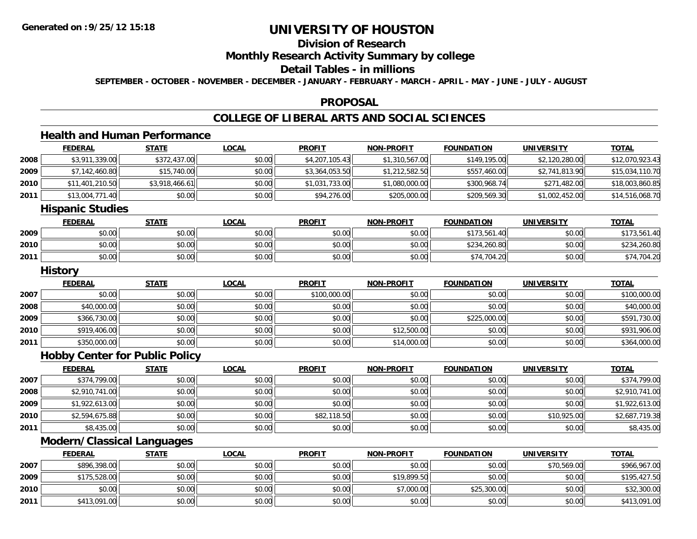**2010**

**2011**

# **UNIVERSITY OF HOUSTON**

## **Division of Research**

## **Monthly Research Activity Summary by college**

### **Detail Tables - in millions**

**SEPTEMBER - OCTOBER - NOVEMBER - DECEMBER - JANUARY - FEBRUARY - MARCH - APRIL - MAY - JUNE - JULY - AUGUST**

### **PROPOSAL**

# **COLLEGE OF LIBERAL ARTS AND SOCIAL SCIENCES**

# **Health and Human Performance**

|      | <b>FEDERAL</b>                        | <b>STATE</b>   | <b>LOCAL</b> | <b>PROFIT</b>  | <b>NON-PROFIT</b> | <b>FOUNDATION</b> | <b>UNIVERSITY</b> | <b>TOTAL</b>    |
|------|---------------------------------------|----------------|--------------|----------------|-------------------|-------------------|-------------------|-----------------|
| 2008 | \$3,911,339.00                        | \$372,437.00   | \$0.00       | \$4,207,105.43 | \$1,310,567.00    | \$149,195.00      | \$2,120,280.00    | \$12,070,923.43 |
| 2009 | \$7,142,460.80                        | \$15,740.00    | \$0.00       | \$3,364,053.50 | \$1,212,582.50    | \$557,460.00      | \$2,741,813.90    | \$15,034,110.70 |
| 2010 | \$11,401,210.50                       | \$3,918,466.61 | \$0.00       | \$1,031,733.00 | \$1,080,000.00    | \$300,968.74      | \$271,482.00      | \$18,003,860.85 |
| 2011 | \$13,004,771.40                       | \$0.00         | \$0.00       | \$94,276.00    | \$205,000.00      | \$209,569.30      | \$1,002,452.00    | \$14,516,068.70 |
|      | <b>Hispanic Studies</b>               |                |              |                |                   |                   |                   |                 |
|      | <b>FEDERAL</b>                        | <b>STATE</b>   | <b>LOCAL</b> | <b>PROFIT</b>  | <b>NON-PROFIT</b> | <b>FOUNDATION</b> | <b>UNIVERSITY</b> | <b>TOTAL</b>    |
| 2009 | \$0.00                                | \$0.00         | \$0.00       | \$0.00         | \$0.00            | \$173,561.40      | \$0.00            | \$173,561.40    |
| 2010 | \$0.00                                | \$0.00         | \$0.00       | \$0.00         | \$0.00            | \$234,260.80      | \$0.00            | \$234,260.80    |
| 2011 | \$0.00                                | \$0.00         | \$0.00       | \$0.00         | \$0.00            | \$74,704.20       | \$0.00            | \$74,704.20     |
|      | <b>History</b>                        |                |              |                |                   |                   |                   |                 |
|      | <b>FEDERAL</b>                        | <b>STATE</b>   | <b>LOCAL</b> | <b>PROFIT</b>  | <b>NON-PROFIT</b> | <b>FOUNDATION</b> | <b>UNIVERSITY</b> | <b>TOTAL</b>    |
| 2007 | \$0.00                                | \$0.00         | \$0.00       | \$100,000.00   | \$0.00            | \$0.00            | \$0.00            | \$100,000.00    |
| 2008 | \$40,000.00                           | \$0.00         | \$0.00       | \$0.00         | \$0.00            | \$0.00            | \$0.00            | \$40,000.00     |
| 2009 | \$366,730.00                          | \$0.00         | \$0.00       | \$0.00         | \$0.00            | \$225,000.00      | \$0.00            | \$591,730.00    |
| 2010 | \$919,406.00                          | \$0.00         | \$0.00       | \$0.00         | \$12,500.00       | \$0.00            | \$0.00            | \$931,906.00    |
| 2011 | \$350,000.00                          | \$0.00         | \$0.00       | \$0.00         | \$14,000.00       | \$0.00            | \$0.00            | \$364,000.00    |
|      | <b>Hobby Center for Public Policy</b> |                |              |                |                   |                   |                   |                 |
|      | <b>FEDERAL</b>                        | <b>STATE</b>   | <b>LOCAL</b> | <b>PROFIT</b>  | <b>NON-PROFIT</b> | <b>FOUNDATION</b> | <b>UNIVERSITY</b> | <b>TOTAL</b>    |
| 2007 | \$374,799.00                          | \$0.00         | \$0.00       | \$0.00         | \$0.00            | \$0.00            | \$0.00            | \$374,799.00    |
| 2008 | \$2,910,741.00                        | \$0.00         | \$0.00       | \$0.00         | \$0.00            | \$0.00            | \$0.00            | \$2,910,741.00  |
| 2009 | \$1,922,613.00                        | \$0.00         | \$0.00       | \$0.00         | \$0.00            | \$0.00            | \$0.00            | \$1,922,613.00  |
| 2010 | \$2,594,675.88                        | \$0.00         | \$0.00       | \$82,118.50    | \$0.00            | \$0.00            | \$10,925.00       | \$2,687,719.38  |
| 2011 | \$8,435.00                            | \$0.00         | \$0.00       | \$0.00         | \$0.00            | \$0.00            | \$0.00            | \$8,435.00      |
|      | <b>Modern/Classical Languages</b>     |                |              |                |                   |                   |                   |                 |
|      | <b>FEDERAL</b>                        | <b>STATE</b>   | <b>LOCAL</b> | <b>PROFIT</b>  | <b>NON-PROFIT</b> | <b>FOUNDATION</b> | <b>UNIVERSITY</b> | <b>TOTAL</b>    |
| 2007 | \$896,398.00                          | \$0.00         | \$0.00       | \$0.00         | \$0.00            | \$0.00            | \$70,569.00       | \$966,967.00    |
| 2009 | \$175,528.00                          | \$0.00         | \$0.00       | \$0.00         | \$19,899.50       | \$0.00            | \$0.00            | \$195,427.50    |

\$0.00 \$0.00 \$0.00 \$0.00 \$7,000.00 \$25,300.00 \$0.00 \$32,300.00

1 \$413,091.00 \$0.00 \$0.00 \$0.00 \$0.00 \$0.00 \$0.00 \$0.00 \$0.00 \$0.00 \$0.00 \$0.00 \$0.00 \$113,091.00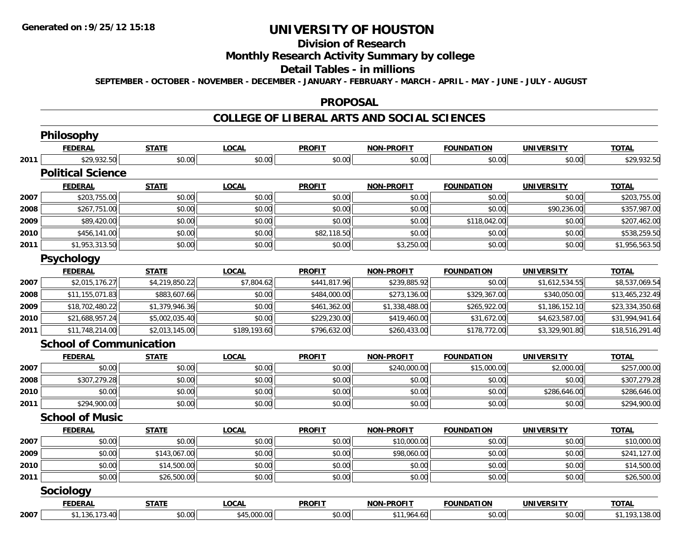#### **Division of Research**

## **Monthly Research Activity Summary by college**

#### **Detail Tables - in millions**

**SEPTEMBER - OCTOBER - NOVEMBER - DECEMBER - JANUARY - FEBRUARY - MARCH - APRIL - MAY - JUNE - JULY - AUGUST**

#### **PROPOSAL**

### **COLLEGE OF LIBERAL ARTS AND SOCIAL SCIENCES**

|      | Philosophy                     |                |              |               |                   |                   |                   |                 |
|------|--------------------------------|----------------|--------------|---------------|-------------------|-------------------|-------------------|-----------------|
|      | <b>FEDERAL</b>                 | <b>STATE</b>   | <b>LOCAL</b> | <b>PROFIT</b> | <b>NON-PROFIT</b> | <b>FOUNDATION</b> | <b>UNIVERSITY</b> | <b>TOTAL</b>    |
| 2011 | \$29,932.50                    | \$0.00         | \$0.00       | \$0.00        | \$0.00            | \$0.00            | \$0.00            | \$29,932.50     |
|      | <b>Political Science</b>       |                |              |               |                   |                   |                   |                 |
|      | <b>FEDERAL</b>                 | <b>STATE</b>   | <b>LOCAL</b> | <b>PROFIT</b> | <b>NON-PROFIT</b> | <b>FOUNDATION</b> | <b>UNIVERSITY</b> | <b>TOTAL</b>    |
| 2007 | \$203,755.00                   | \$0.00         | \$0.00       | \$0.00        | \$0.00            | \$0.00            | \$0.00            | \$203,755.00    |
| 2008 | \$267,751.00                   | \$0.00         | \$0.00       | \$0.00        | \$0.00            | \$0.00            | \$90,236.00       | \$357,987.00    |
| 2009 | \$89,420.00                    | \$0.00         | \$0.00       | \$0.00        | \$0.00            | \$118,042.00      | \$0.00            | \$207,462.00    |
| 2010 | $\overline{$456,141.00}$       | \$0.00         | \$0.00       | \$82,118.50   | \$0.00            | \$0.00            | \$0.00            | \$538,259.50    |
| 2011 | \$1,953,313.50                 | \$0.00         | \$0.00       | \$0.00        | \$3,250.00        | \$0.00            | \$0.00            | \$1,956,563.50  |
|      | <b>Psychology</b>              |                |              |               |                   |                   |                   |                 |
|      | <b>FEDERAL</b>                 | <b>STATE</b>   | <b>LOCAL</b> | <b>PROFIT</b> | <b>NON-PROFIT</b> | <b>FOUNDATION</b> | <b>UNIVERSITY</b> | <b>TOTAL</b>    |
| 2007 | \$2,015,176.27                 | \$4,219,850.22 | \$7,804.62   | \$441,817.96  | \$239,885.92      | \$0.00            | \$1,612,534.55    | \$8,537,069.54  |
| 2008 | \$11,155,071.83                | \$883,607.66   | \$0.00       | \$484,000.00  | \$273,136.00      | \$329,367.00      | \$340,050.00      | \$13,465,232.49 |
| 2009 | \$18,702,480.22                | \$1,379,946.36 | \$0.00       | \$461,362.00  | \$1,338,488.00    | \$265,922.00      | \$1,186,152.10    | \$23,334,350.68 |
| 2010 | \$21,688,957.24                | \$5,002,035.40 | \$0.00       | \$229,230.00  | \$419,460.00      | \$31,672.00       | \$4,623,587.00    | \$31,994,941.64 |
| 2011 | \$11,748,214.00                | \$2,013,145.00 | \$189,193.60 | \$796,632.00  | \$260,433.00      | \$178,772.00      | \$3,329,901.80    | \$18,516,291.40 |
|      | <b>School of Communication</b> |                |              |               |                   |                   |                   |                 |
|      | <b>FEDERAL</b>                 | <b>STATE</b>   | <b>LOCAL</b> | <b>PROFIT</b> | <b>NON-PROFIT</b> | <b>FOUNDATION</b> | <b>UNIVERSITY</b> | <b>TOTAL</b>    |
| 2007 | \$0.00                         | \$0.00         | \$0.00       | \$0.00        | \$240,000.00      | \$15,000.00       | \$2,000.00        | \$257,000.00    |
| 2008 | \$307,279.28                   | \$0.00         | \$0.00       | \$0.00        | \$0.00            | \$0.00            | \$0.00            | \$307,279.28    |
| 2010 | \$0.00                         | \$0.00         | \$0.00       | \$0.00        | \$0.00            | \$0.00            | \$286,646.00      | \$286,646.00    |
| 2011 | \$294,900.00                   | \$0.00         | \$0.00       | \$0.00        | \$0.00            | \$0.00            | \$0.00            | \$294,900.00    |
|      | <b>School of Music</b>         |                |              |               |                   |                   |                   |                 |
|      | <b>FEDERAL</b>                 | <b>STATE</b>   | <b>LOCAL</b> | <b>PROFIT</b> | <b>NON-PROFIT</b> | <b>FOUNDATION</b> | <b>UNIVERSITY</b> | <b>TOTAL</b>    |
| 2007 | \$0.00                         | \$0.00         | \$0.00       | \$0.00        | \$10,000.00       | \$0.00            | \$0.00            | \$10,000.00     |
| 2009 | \$0.00                         | \$143,067.00   | \$0.00       | \$0.00        | \$98,060.00       | \$0.00            | \$0.00            | \$241,127.00    |
| 2010 | \$0.00                         | \$14,500.00    | \$0.00       | \$0.00        | \$0.00            | \$0.00            | \$0.00            | \$14,500.00     |
| 2011 | \$0.00                         | \$26,500.00    | \$0.00       | \$0.00        | \$0.00            | \$0.00            | \$0.00            | \$26,500.00     |
|      | <b>Sociology</b>               |                |              |               |                   |                   |                   |                 |
|      | <b>FEDERAL</b>                 | <b>STATE</b>   | <b>LOCAL</b> | <b>PROFIT</b> | <b>NON-PROFIT</b> | <b>FOUNDATION</b> | <b>UNIVERSITY</b> | <b>TOTAL</b>    |
| 2007 | \$1,136,173.40                 | \$0.00         | \$45,000.00  | \$0.00        | \$11,964.60       | \$0.00            | \$0.00            | \$1,193,138.00  |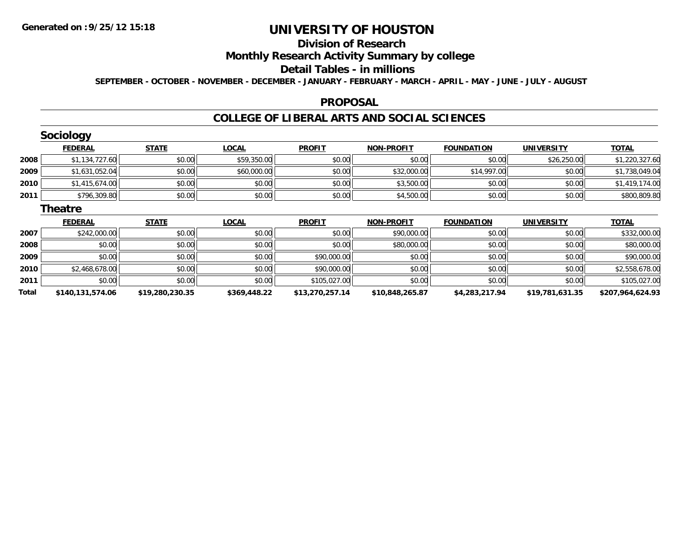# **Division of Research**

# **Monthly Research Activity Summary by college**

#### **Detail Tables - in millions**

**SEPTEMBER - OCTOBER - NOVEMBER - DECEMBER - JANUARY - FEBRUARY - MARCH - APRIL - MAY - JUNE - JULY - AUGUST**

### **PROPOSAL**

### **COLLEGE OF LIBERAL ARTS AND SOCIAL SCIENCES**

|       | <b>Sociology</b> |                 |              |                 |                   |                   |                   |                  |
|-------|------------------|-----------------|--------------|-----------------|-------------------|-------------------|-------------------|------------------|
|       | <b>FEDERAL</b>   | <b>STATE</b>    | <b>LOCAL</b> | <b>PROFIT</b>   | <b>NON-PROFIT</b> | <b>FOUNDATION</b> | <b>UNIVERSITY</b> | <b>TOTAL</b>     |
| 2008  | \$1,134,727.60   | \$0.00          | \$59,350.00  | \$0.00          | \$0.00            | \$0.00            | \$26,250.00       | \$1,220,327.60   |
| 2009  | \$1,631,052.04   | \$0.00          | \$60,000.00  | \$0.00          | \$32,000.00       | \$14,997.00       | \$0.00            | \$1,738,049.04   |
| 2010  | \$1,415,674.00   | \$0.00          | \$0.00       | \$0.00          | \$3,500.00        | \$0.00            | \$0.00            | \$1,419,174.00   |
| 2011  | \$796,309.80     | \$0.00          | \$0.00       | \$0.00          | \$4,500.00        | \$0.00            | \$0.00            | \$800,809.80     |
|       | <b>Theatre</b>   |                 |              |                 |                   |                   |                   |                  |
|       | <b>FEDERAL</b>   | <b>STATE</b>    | <b>LOCAL</b> | <b>PROFIT</b>   | <b>NON-PROFIT</b> | <b>FOUNDATION</b> | <b>UNIVERSITY</b> | <b>TOTAL</b>     |
| 2007  | \$242,000.00     | \$0.00          | \$0.00       | \$0.00          | \$90,000.00       | \$0.00            | \$0.00            | \$332,000.00     |
| 2008  | \$0.00           | \$0.00          | \$0.00       | \$0.00          | \$80,000.00       | \$0.00            | \$0.00            | \$80,000.00      |
| 2009  | \$0.00           | \$0.00          | \$0.00       | \$90,000.00     | \$0.00            | \$0.00            | \$0.00            | \$90,000.00      |
| 2010  | \$2,468,678.00   | \$0.00          | \$0.00       | \$90,000.00     | \$0.00            | \$0.00            | \$0.00            | \$2,558,678.00   |
| 2011  | \$0.00           | \$0.00          | \$0.00       | \$105,027.00    | \$0.00            | \$0.00            | \$0.00            | \$105,027.00     |
| Total | \$140,131,574.06 | \$19,280,230.35 | \$369,448.22 | \$13,270,257.14 | \$10,848,265.87   | \$4,283,217.94    | \$19,781,631.35   | \$207,964,624.93 |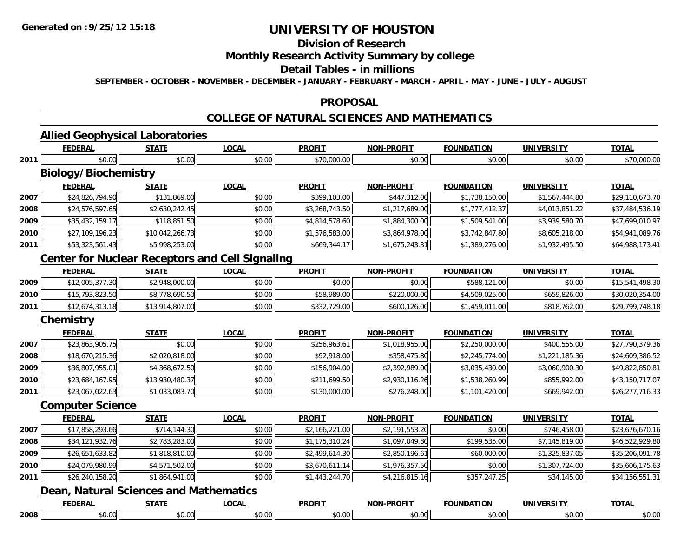# **Division of Research**

## **Monthly Research Activity Summary by college**

#### **Detail Tables - in millions**

**SEPTEMBER - OCTOBER - NOVEMBER - DECEMBER - JANUARY - FEBRUARY - MARCH - APRIL - MAY - JUNE - JULY - AUGUST**

### **PROPOSAL**

### **COLLEGE OF NATURAL SCIENCES AND MATHEMATICS**

# **Allied Geophysical Laboratories**

| <b>FEDERAL</b>  | <b>STATE</b>      | <b>LOCAL</b>                                           | <b>PROFIT</b>                          | <b>NON-PROFIT</b>                                      | <b>FOUNDATION</b> | <b>UNIVERSITY</b> | <b>TOTAL</b>    |
|-----------------|-------------------|--------------------------------------------------------|----------------------------------------|--------------------------------------------------------|-------------------|-------------------|-----------------|
| \$0.00          | \$0.00            | \$0.00                                                 | \$70,000.00                            | \$0.00                                                 | \$0.00            | \$0.00            | \$70,000.00     |
|                 |                   |                                                        |                                        |                                                        |                   |                   |                 |
| <b>FEDERAL</b>  | <b>STATE</b>      | <b>LOCAL</b>                                           | <b>PROFIT</b>                          | <b>NON-PROFIT</b>                                      | <b>FOUNDATION</b> | <b>UNIVERSITY</b> | <b>TOTAL</b>    |
| \$24,826,794.90 | \$131,869.00      | \$0.00                                                 | \$399,103.00                           | \$447,312.00                                           | \$1,738,150.00    | \$1,567,444.80    | \$29,110,673.70 |
| \$24,576,597.65 | \$2,630,242.45    | \$0.00                                                 | \$3,268,743.50                         | \$1,217,689.00                                         | \$1,777,412.37    | \$4,013,851.22    | \$37,484,536.19 |
| \$35,432,159.17 | \$118,851.50      | \$0.00                                                 | \$4,814,578.60                         | \$1,884,300.00                                         | \$1,509,541.00    | \$3,939,580.70    | \$47,699,010.97 |
| \$27,109,196.23 | \$10,042,266.73   | \$0.00                                                 | \$1,576,583.00                         | \$3,864,978.00                                         | \$3,742,847.80    | \$8,605,218.00    | \$54,941,089.76 |
| \$53,323,561.43 | \$5,998,253.00    | \$0.00                                                 | \$669,344.17                           | \$1,675,243.31                                         | \$1,389,276.00    | \$1,932,495.50    | \$64,988,173.41 |
|                 |                   |                                                        |                                        |                                                        |                   |                   |                 |
| <b>FEDERAL</b>  | <b>STATE</b>      | <b>LOCAL</b>                                           | <b>PROFIT</b>                          | <b>NON-PROFIT</b>                                      | <b>FOUNDATION</b> | <b>UNIVERSITY</b> | <b>TOTAL</b>    |
| \$12,005,377.30 | \$2,948,000.00    | \$0.00                                                 | \$0.00                                 | \$0.00                                                 | \$588,121.00      | \$0.00            | \$15,541,498.30 |
| \$15,793,823.50 | \$8,778,690.50    | \$0.00                                                 | \$58,989.00                            | \$220,000.00                                           | \$4,509,025.00    | \$659,826.00      | \$30,020,354.00 |
| \$12,674,313.18 | \$13,914,807.00   | \$0.00                                                 | \$332,729.00                           | \$600,126.00                                           | \$1,459,011.00    | \$818,762.00      | \$29,799,748.18 |
|                 |                   |                                                        |                                        |                                                        |                   |                   |                 |
| <b>FEDERAL</b>  | <b>STATE</b>      | <b>LOCAL</b>                                           | <b>PROFIT</b>                          | <b>NON-PROFIT</b>                                      | <b>FOUNDATION</b> | <b>UNIVERSITY</b> | <b>TOTAL</b>    |
| \$23,863,905.75 | \$0.00            | \$0.00                                                 | \$256,963.61                           | \$1,018,955.00                                         | \$2,250,000.00    | \$400,555.00      | \$27,790,379.36 |
| \$18,670,215.36 | \$2,020,818.00    | \$0.00                                                 | \$92,918.00                            | \$358,475.80                                           | \$2,245,774.00    | \$1,221,185.36    | \$24,609,386.52 |
| \$36,807,955.01 | \$4,368,672.50    | \$0.00                                                 | \$156,904.00                           | \$2,392,989.00                                         | \$3,035,430.00    | \$3,060,900.30    | \$49,822,850.81 |
| \$23,684,167.95 | \$13,930,480.37   | \$0.00                                                 | \$211,699.50                           | \$2,930,116.26                                         | \$1,538,260.99    | \$855,992.00      | \$43,150,717.07 |
| \$23,067,022.63 | \$1,033,083.70    | \$0.00                                                 | \$130,000.00                           | \$276,248.00                                           | \$1,101,420.00    | \$669,942.00      | \$26,277,716.33 |
|                 |                   |                                                        |                                        |                                                        |                   |                   |                 |
| <b>FEDERAL</b>  | <b>STATE</b>      | <b>LOCAL</b>                                           | <b>PROFIT</b>                          | NON-PROFIT                                             | <b>FOUNDATION</b> | <b>UNIVERSITY</b> | <b>TOTAL</b>    |
| \$17,858,293.66 | \$714,144.30      | \$0.00                                                 | \$2,166,221.00                         | \$2,191,553.20                                         | \$0.00            | \$746,458.00      | \$23,676,670.16 |
| \$34,121,932.76 | \$2,783,283.00    | \$0.00                                                 | \$1,175,310.24                         | \$1,097,049.80                                         | \$199,535.00      | \$7,145,819.00    | \$46,522,929.80 |
| \$26,651,633.82 | \$1,818,810.00    | \$0.00                                                 | \$2,499,614.30                         | \$2,850,196.61                                         | \$60,000.00       | \$1,325,837.05    | \$35,206,091.78 |
| \$24,079,980.99 | \$4,571,502.00    | \$0.00                                                 | \$3,670,611.14                         | \$1,976,357.50                                         | \$0.00            | \$1,307,724.00    | \$35,606,175.63 |
| \$26,240,158.20 | \$1,864,941.00    | \$0.00                                                 | \$1,443,244.70                         | \$4,216,815.16                                         | \$357,247.25      | \$34,145.00       | \$34,156,551.31 |
|                 |                   |                                                        |                                        |                                                        |                   |                   |                 |
| <b>FEDERAL</b>  | <b>STATE</b>      | <b>LOCAL</b>                                           | <b>PROFIT</b>                          | <b>NON-PROFIT</b>                                      | <b>FOUNDATION</b> | <b>UNIVERSITY</b> | <b>TOTAL</b>    |
| \$0.00          | \$0.00            | \$0.00                                                 | \$0.00                                 | \$0.00                                                 | \$0.00            | \$0.00            | \$0.00          |
|                 | Chemistry<br>2008 | <b>Biology/Biochemistry</b><br><b>Computer Science</b> | Dean, Natural Sciences and Mathematics | <b>Center for Nuclear Receptors and Cell Signaling</b> |                   |                   |                 |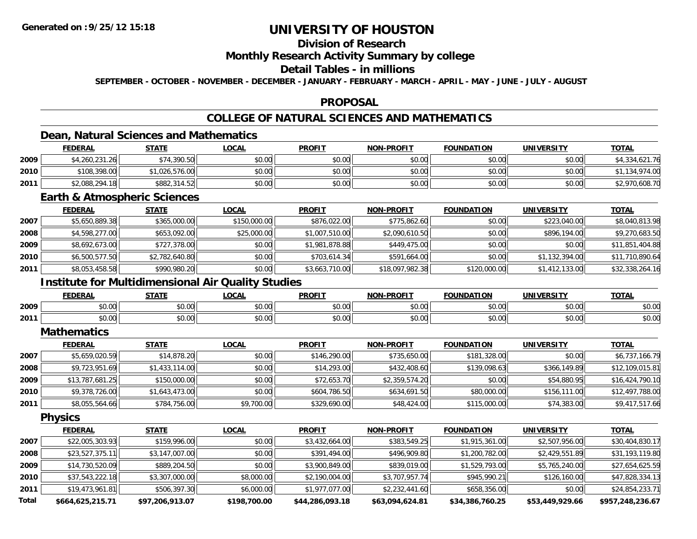# **Division of Research**

### **Monthly Research Activity Summary by college**

### **Detail Tables - in millions**

**SEPTEMBER - OCTOBER - NOVEMBER - DECEMBER - JANUARY - FEBRUARY - MARCH - APRIL - MAY - JUNE - JULY - AUGUST**

### **PROPOSAL**

# **COLLEGE OF NATURAL SCIENCES AND MATHEMATICS**

## **Dean, Natural Sciences and Mathematics**

|      | <u>FEDERAL</u> | STATE        | LOCAL  | <b>PROFIT</b> | <b>NON-PROFIT</b> | <b>FOUNDATION</b> | <b>UNIVERSITY</b> | <b>TOTAL</b>   |
|------|----------------|--------------|--------|---------------|-------------------|-------------------|-------------------|----------------|
| 2009 | \$4,260,231.26 | \$74,390.50  | \$0.00 | \$0.00        | \$0.00            | \$0.00            | \$0.00            | \$4,334,621.76 |
| 2010 | \$108,398.00   | 026,576.00   | \$0.00 | \$0.00        | \$0.00            | \$0.00            | \$0.00            | ,134,974.00    |
| 2011 | \$2,088,294.18 | \$882,314.52 | \$0.00 | \$0.00        | \$0.00            | \$0.00            | \$0.00            | \$2,970,608.70 |

### **Earth & Atmospheric Sciences**

|      | <b>FEDERAL</b> | <b>STATE</b>   | <u>LOCAL</u> | <b>PROFIT</b>  | <b>NON-PROFIT</b> | <b>FOUNDATION</b> | UNIVERSITY     | <b>TOTAL</b>    |
|------|----------------|----------------|--------------|----------------|-------------------|-------------------|----------------|-----------------|
| 2007 | \$5,650,889.38 | \$365,000.00   | \$150,000.00 | \$876,022.00   | \$775,862.60      | \$0.00            | \$223,040.00   | \$8,040,813.98  |
| 2008 | \$4,598,277.00 | \$653,092.00   | \$25,000.00  | \$1,007,510.00 | \$2,090,610.50    | \$0.00            | \$896,194.00   | \$9,270,683.50  |
| 2009 | \$8,692,673.00 | \$727,378.00   | \$0.00       | \$1,981,878.88 | \$449,475,00      | \$0.00            | \$0.00         | \$11,851,404.88 |
| 2010 | \$6,500,577.50 | \$2,782,640.80 | \$0.00       | \$703,614.34   | \$591,664.00      | \$0.00            | \$1,132,394.00 | \$11,710,890.64 |
| 2011 | \$8,053,458.58 | \$990,980.20   | \$0.00       | \$3,663,710.00 | \$18,097,982.38   | \$120,000.00      | \$1,412,133.00 | \$32,338,264.16 |

### **Institute for Multidimensional Air Quality Studies**

|      | <b>FEDERA</b> | CT A TE | .OCAI     | <b>PROFIT</b>                     | ------                           | <b>FOUNDATION</b> |               | TOT   |
|------|---------------|---------|-----------|-----------------------------------|----------------------------------|-------------------|---------------|-------|
| 2009 | 0000          | 0000    | ሶስ ሰሰ     | 0.00                              | 0 <sup>n</sup>                   | 0000              | $\sim$ $\sim$ | ልስ ሰሰ |
|      | DU.UU         | PU.UU   | JU.UU     | PO.OO                             | ΨU.                              | JU.UU             | vv.vv         | pu.uu |
| 2011 | 0000          | 0000    | $\sim$ 00 | 0000                              | $\uparrow$ $\uparrow$ $\uparrow$ | 0000              | $\sim$ $\sim$ | 0000  |
|      | DU.UU         | vv.vv   | ₽U.UU     | $\downarrow$ $\cup$ $\cup$ $\cup$ | vv.v                             | vv.vv             | vv.vv         | DU.UU |

#### **Mathematics**

|      | <u>FEDERAL</u>  | <b>STATE</b>   | <b>LOCAL</b> | <b>PROFIT</b> | <b>NON-PROFIT</b> | <b>FOUNDATION</b> | <b>UNIVERSITY</b> | <b>TOTAL</b>    |
|------|-----------------|----------------|--------------|---------------|-------------------|-------------------|-------------------|-----------------|
| 2007 | \$5,659,020.59  | \$14,878.20    | \$0.00       | \$146,290.00  | \$735,650.00      | \$181,328.00      | \$0.00            | \$6,737,166.79  |
| 2008 | \$9,723,951.69  | \$1,433,114.00 | \$0.00       | \$14,293.00   | \$432,408.60      | \$139,098.63      | \$366,149.89      | \$12,109,015.81 |
| 2009 | \$13,787,681.25 | \$150,000.00   | \$0.00       | \$72,653.70   | \$2,359,574.20    | \$0.00            | \$54,880.95       | \$16,424,790.10 |
| 2010 | \$9,378,726.00  | \$1,643,473.00 | \$0.00       | \$604,786.50  | \$634,691.50      | \$80,000.00       | \$156,111.00      | \$12,497,788.00 |
| 2011 | \$8,055,564.66  | \$784,756.00   | \$9,700.00   | \$329,690.00  | \$48,424.00       | \$115,000.00      | \$74,383.00       | \$9,417,517.66  |

**Physics**

|              | <b>FEDERAL</b>   | <b>STATE</b>    | <b>LOCAL</b> | <b>PROFIT</b>   | <b>NON-PROFIT</b> | <b>FOUNDATION</b> | UNIVERSITY      | <b>TOTAL</b>     |
|--------------|------------------|-----------------|--------------|-----------------|-------------------|-------------------|-----------------|------------------|
| 2007         | \$22,005,303.93  | \$159,996.00    | \$0.00       | \$3,432,664.00  | \$383,549.25      | \$1,915,361.00    | \$2,507,956.00  | \$30,404,830.17  |
| 2008         | \$23,527,375.11  | \$3,147,007.00  | \$0.00       | \$391,494.00    | \$496,909.80      | \$1,200,782.00    | \$2,429,551.89  | \$31,193,119.80  |
| 2009         | \$14,730,520.09  | \$889,204.50    | \$0.00       | \$3,900,849.00  | \$839,019.00      | \$1,529,793.00    | \$5,765,240.00  | \$27,654,625.59  |
| 2010         | \$37,543,222.18  | \$3,307,000.00  | \$8,000.00   | \$2,190,004.00  | \$3,707,957.74    | \$945,990.21      | \$126,160.00    | \$47,828,334.13  |
| 2011         | \$19,473,961.81  | \$506,397.30    | \$6,000.00   | \$1,977,077.00  | \$2,232,441.60    | \$658,356.00      | \$0.00          | \$24,854,233.71  |
| <b>Total</b> | \$664,625,215.71 | \$97,206,913.07 | \$198,700.00 | \$44,286,093.18 | \$63,094,624.81   | \$34,386,760.25   | \$53,449,929.66 | \$957,248,236.67 |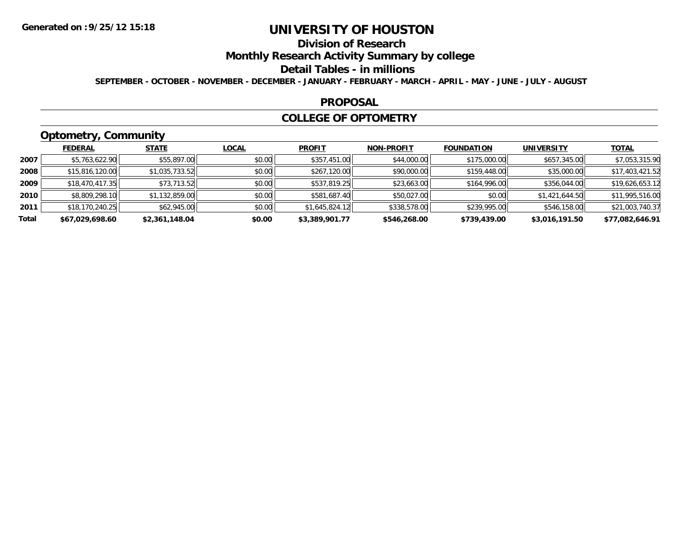# **Division of Research**

**Monthly Research Activity Summary by college**

#### **Detail Tables - in millions**

**SEPTEMBER - OCTOBER - NOVEMBER - DECEMBER - JANUARY - FEBRUARY - MARCH - APRIL - MAY - JUNE - JULY - AUGUST**

#### **PROPOSAL**

### **COLLEGE OF OPTOMETRY**

# **Optometry, Community**

|       | ___             |                |              |                |                   |                   |                   |                 |
|-------|-----------------|----------------|--------------|----------------|-------------------|-------------------|-------------------|-----------------|
|       | <b>FEDERAL</b>  | <b>STATE</b>   | <u>LOCAL</u> | <b>PROFIT</b>  | <b>NON-PROFIT</b> | <b>FOUNDATION</b> | <b>UNIVERSITY</b> | <b>TOTAL</b>    |
| 2007  | \$5,763,622.90  | \$55,897.00    | \$0.00       | \$357,451.00   | \$44,000.00       | \$175,000.00      | \$657,345.00      | \$7,053,315.90  |
| 2008  | \$15,816,120.00 | \$1,035,733.52 | \$0.00       | \$267,120.00   | \$90,000.00       | \$159,448.00      | \$35,000.00       | \$17,403,421.52 |
| 2009  | \$18,470,417.35 | \$73,713.52    | \$0.00       | \$537,819.25   | \$23,663.00       | \$164,996.00      | \$356,044.00      | \$19,626,653.12 |
| 2010  | \$8,809,298.10  | \$1,132,859.00 | \$0.00       | \$581,687.40   | \$50,027.00       | \$0.00            | \$1,421,644.50    | \$11,995,516.00 |
| 2011  | \$18,170,240.25 | \$62,945.00    | \$0.00       | \$1,645,824.12 | \$338,578.00      | \$239,995.00      | \$546,158.00      | \$21,003,740.37 |
| Total | \$67,029,698.60 | \$2,361,148.04 | \$0.00       | \$3,389,901.77 | \$546,268.00      | \$739,439.00      | \$3,016,191.50    | \$77,082,646.91 |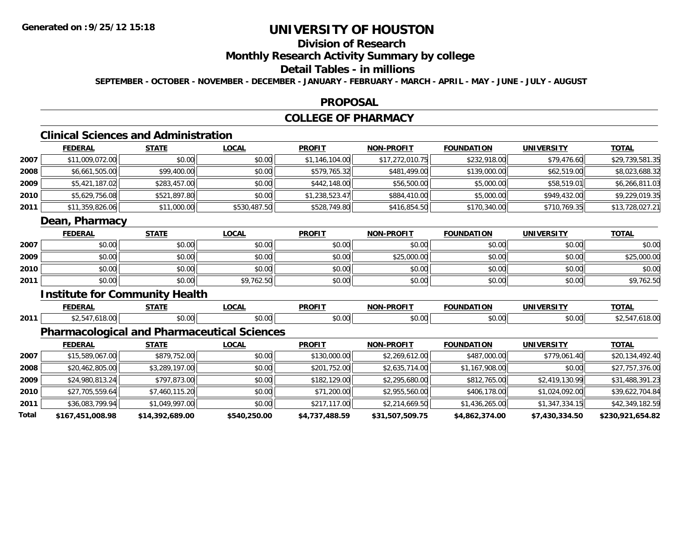# **Division of Research**

## **Monthly Research Activity Summary by college**

### **Detail Tables - in millions**

**SEPTEMBER - OCTOBER - NOVEMBER - DECEMBER - JANUARY - FEBRUARY - MARCH - APRIL - MAY - JUNE - JULY - AUGUST**

#### **PROPOSAL**

## **COLLEGE OF PHARMACY**

# **Clinical Sciences and Administration**

|      | <b>FEDERAL</b>  | <b>STATE</b> | <b>LOCAL</b> | <b>PROFIT</b>  | <b>NON-PROFIT</b> | <b>FOUNDATION</b> | <b>UNIVERSITY</b> | <b>TOTAL</b>    |
|------|-----------------|--------------|--------------|----------------|-------------------|-------------------|-------------------|-----------------|
| 2007 | \$11,009,072.00 | \$0.00       | \$0.00       | \$1,146,104.00 | \$17,272,010.75   | \$232,918.00      | \$79,476.60       | \$29,739,581.35 |
| 2008 | \$6,661,505.00  | \$99,400.00  | \$0.00       | \$579,765.32   | \$481,499.00      | \$139,000.00      | \$62,519.00       | \$8,023,688.32  |
| 2009 | \$5,421,187.02  | \$283,457.00 | \$0.00       | \$442,148.00   | \$56,500.00       | \$5,000.00        | \$58,519.01       | \$6,266,811.03  |
| 2010 | \$5,629,756.08  | \$521,897.80 | \$0.00       | \$1,238,523.47 | \$884,410.00      | \$5,000.00        | \$949,432.00      | \$9,229,019.35  |
| 2011 | \$11,359,826.06 | \$11,000.00  | \$530,487.50 | \$528,749.80   | \$416,854.50      | \$170,340.00      | \$710,769.35      | \$13,728,027.21 |
|      | Dean, Pharmacy  |              |              |                |                   |                   |                   |                 |
|      | <b>FEDERAL</b>  | <b>STATE</b> | <b>LOCAL</b> | <b>PROFIT</b>  | <b>NON-PROFIT</b> | <b>FOUNDATION</b> | <b>UNIVERSITY</b> | <b>TOTAL</b>    |
| 2007 | \$0.00          | \$0.00       | \$0.00       | \$0.00         | \$0.00            | \$0.00            | \$0.00            | \$0.00          |
| 2009 | \$0.00          | \$0.00       | \$0.00       | \$0.00         | \$25,000.00       | \$0.00            | \$0.00            | \$25,000.00     |
| 2010 | \$0.00          | \$0.00       | \$0.00       | \$0.00         | \$0.00            | \$0.00            | \$0.00            | \$0.00          |

## **Institute for Community Health**

**2011**

|      | ______<br>. . | 6787F                  | 001<br>vuni          | <b>DDOEIT</b>                           | <b>DDAFIT</b><br><b>NON</b><br>. II I | .                 | IMIVI           | $T^{\prime}$ |
|------|---------------|------------------------|----------------------|-----------------------------------------|---------------------------------------|-------------------|-----------------|--------------|
| 2011 | $\sim$        | $\sim$ $\sim$<br>DU.UU | $\sim$ 00<br>∍DU.UU. | $\uparrow$ $\uparrow$ $\uparrow$<br>vv. | 0.00<br>JU.UU                         | $\sim$ 00<br>,,,, | 30.00<br>וטט.טע |              |

\$0.00 \$0.00 \$9,762.50 \$0.00 \$0.00 \$0.00 \$0.00 \$9,762.50

### **Pharmacological and Pharmaceutical Sciences**

|       | <b>FEDERAL</b>   | <b>STATE</b>    | <b>LOCAL</b> | <b>PROFIT</b>  | <b>NON-PROFIT</b> | <b>FOUNDATION</b> | <b>UNIVERSITY</b> | <b>TOTAL</b>     |
|-------|------------------|-----------------|--------------|----------------|-------------------|-------------------|-------------------|------------------|
| 2007  | \$15,589,067.00  | \$879,752.00    | \$0.00       | \$130,000.00   | \$2,269,612.00    | \$487,000.00      | \$779,061.40      | \$20,134,492.40  |
| 2008  | \$20,462,805.00  | \$3,289,197.00  | \$0.00       | \$201,752.00   | \$2,635,714.00    | \$1,167,908.00    | \$0.00            | \$27,757,376.00  |
| 2009  | \$24,980,813.24  | \$797,873.00    | \$0.00       | \$182,129.00   | \$2,295,680.00    | \$812,765.00      | \$2,419,130.99    | \$31,488,391.23  |
| 2010  | \$27,705,559.64  | \$7,460,115.20  | \$0.00       | \$71,200.00    | \$2,955,560.00    | \$406,178.00      | \$1,024,092.00    | \$39,622,704.84  |
| 2011  | \$36,083,799.94  | \$1,049,997.00  | \$0.00       | \$217,117.00   | \$2,214,669.50    | \$1,436,265.00    | \$1,347,334.15    | \$42,349,182.59  |
| Total | \$167,451,008.98 | \$14,392,689.00 | \$540,250.00 | \$4,737,488.59 | \$31,507,509.75   | \$4,862,374.00    | \$7,430,334.50    | \$230,921,654.82 |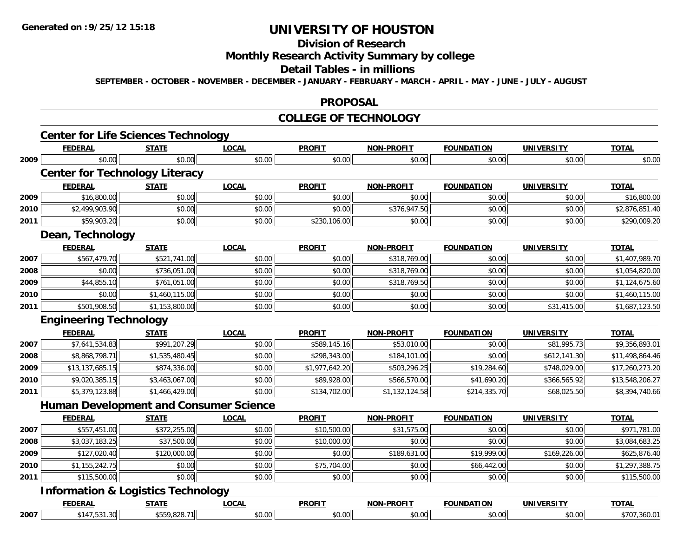## **Division of Research**

## **Monthly Research Activity Summary by college**

#### **Detail Tables - in millions**

**SEPTEMBER - OCTOBER - NOVEMBER - DECEMBER - JANUARY - FEBRUARY - MARCH - APRIL - MAY - JUNE - JULY - AUGUST**

#### **PROPOSAL**

#### **COLLEGE OF TECHNOLOGY**

|      | <b>Center for Life Sciences Technology</b>    |                |              |                |                   |                   |                   |                 |
|------|-----------------------------------------------|----------------|--------------|----------------|-------------------|-------------------|-------------------|-----------------|
|      | <b>FEDERAL</b>                                | <b>STATE</b>   | <b>LOCAL</b> | <b>PROFIT</b>  | <b>NON-PROFIT</b> | <b>FOUNDATION</b> | <b>UNIVERSITY</b> | <b>TOTAL</b>    |
| 2009 | \$0.00                                        | \$0.00         | \$0.00       | \$0.00         | \$0.00            | \$0.00            | \$0.00            | \$0.00          |
|      | <b>Center for Technology Literacy</b>         |                |              |                |                   |                   |                   |                 |
|      | <b>FEDERAL</b>                                | <b>STATE</b>   | <b>LOCAL</b> | <b>PROFIT</b>  | <b>NON-PROFIT</b> | <b>FOUNDATION</b> | <b>UNIVERSITY</b> | <b>TOTAL</b>    |
| 2009 | \$16,800.00                                   | \$0.00         | \$0.00       | \$0.00         | \$0.00            | \$0.00            | \$0.00            | \$16,800.00     |
| 2010 | \$2,499,903.90                                | \$0.00         | \$0.00       | \$0.00         | \$376,947.50      | \$0.00            | \$0.00            | \$2,876,851.40  |
| 2011 | \$59,903.20                                   | \$0.00         | \$0.00       | \$230,106.00   | \$0.00            | \$0.00            | \$0.00            | \$290,009.20    |
|      | Dean, Technology                              |                |              |                |                   |                   |                   |                 |
|      | <b>FEDERAL</b>                                | <b>STATE</b>   | <b>LOCAL</b> | <b>PROFIT</b>  | <b>NON-PROFIT</b> | <b>FOUNDATION</b> | <b>UNIVERSITY</b> | <b>TOTAL</b>    |
| 2007 | \$567,479.70                                  | \$521,741.00   | \$0.00       | \$0.00         | \$318,769.00      | \$0.00            | \$0.00            | \$1,407,989.70  |
| 2008 | \$0.00                                        | \$736,051.00   | \$0.00       | \$0.00         | \$318,769.00      | \$0.00            | \$0.00            | \$1,054,820.00  |
| 2009 | \$44,855.10                                   | \$761,051.00   | \$0.00       | \$0.00         | \$318,769.50      | \$0.00            | \$0.00            | \$1,124,675.60  |
| 2010 | \$0.00                                        | \$1,460,115.00 | \$0.00       | \$0.00         | \$0.00            | \$0.00            | \$0.00            | \$1,460,115.00  |
| 2011 | \$501,908.50                                  | \$1,153,800.00 | \$0.00       | \$0.00         | \$0.00            | \$0.00            | \$31,415.00       | \$1,687,123.50  |
|      | <b>Engineering Technology</b>                 |                |              |                |                   |                   |                   |                 |
|      | <b>FEDERAL</b>                                | <b>STATE</b>   | <b>LOCAL</b> | <b>PROFIT</b>  | <b>NON-PROFIT</b> | <b>FOUNDATION</b> | <b>UNIVERSITY</b> | <b>TOTAL</b>    |
| 2007 | \$7,641,534.83                                | \$991,207.29   | \$0.00       | \$589,145.16   | \$53,010.00       | \$0.00            | \$81,995.73       | \$9,356,893.01  |
| 2008 | \$8,868,798.71                                | \$1,535,480.45 | \$0.00       | \$298,343.00   | \$184,101.00      | \$0.00            | \$612,141.30      | \$11,498,864.46 |
| 2009 | \$13,137,685.15                               | \$874,336.00   | \$0.00       | \$1,977,642.20 | \$503,296.25      | \$19,284.60       | \$748,029.00      | \$17,260,273.20 |
| 2010 | \$9,020,385.15                                | \$3,463,067.00 | \$0.00       | \$89,928.00    | \$566,570.00      | \$41,690.20       | \$366,565.92      | \$13,548,206.27 |
| 2011 | \$5,379,123.88                                | \$1,466,429.00 | \$0.00       | \$134,702.00   | \$1,132,124.58    | \$214,335.70      | \$68,025.50       | \$8,394,740.66  |
|      | <b>Human Development and Consumer Science</b> |                |              |                |                   |                   |                   |                 |
|      | <b>FEDERAL</b>                                | <b>STATE</b>   | <b>LOCAL</b> | <b>PROFIT</b>  | <b>NON-PROFIT</b> | <b>FOUNDATION</b> | <b>UNIVERSITY</b> | <b>TOTAL</b>    |
| 2007 | \$557,451.00                                  | \$372,255.00   | \$0.00       | \$10,500.00    | \$31,575.00       | \$0.00            | \$0.00            | \$971,781.00    |
| 2008 | \$3,037,183.25                                | \$37,500.00    | \$0.00       | \$10,000.00    | \$0.00            | \$0.00            | \$0.00            | \$3,084,683.25  |
| 2009 | \$127,020.40                                  | \$120,000.00   | \$0.00       | \$0.00         | \$189,631.00      | \$19,999.00       | \$169,226.00      | \$625,876.40    |
| 2010 | \$1,155,242.75                                | \$0.00         | \$0.00       | \$75,704.00    | \$0.00            | \$66,442.00       | \$0.00            | \$1,297,388.75  |
| 2011 | \$115,500.00                                  | \$0.00         | \$0.00       | \$0.00         | \$0.00            | \$0.00            | \$0.00            | \$115,500.00    |
|      | <b>Information &amp; Logistics Technology</b> |                |              |                |                   |                   |                   |                 |
|      | <b>FEDERAL</b>                                | <b>STATE</b>   | <b>LOCAL</b> | <b>PROFIT</b>  | NON-PROFIT        | <b>FOUNDATION</b> | <b>UNIVERSITY</b> | <b>TOTAL</b>    |
| 2007 | \$147,531.30                                  | \$559,828.71   | \$0.00       | \$0.00         | \$0.00            | \$0.00            | \$0.00            | \$707,360.01    |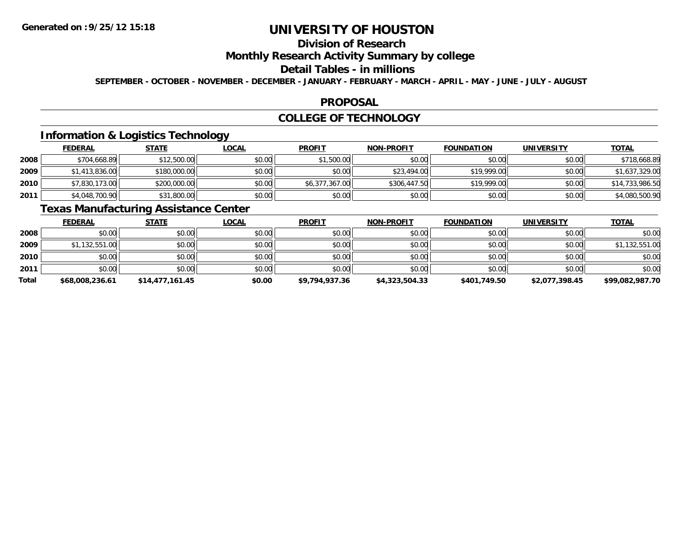## **Division of Research**

## **Monthly Research Activity Summary by college**

#### **Detail Tables - in millions**

**SEPTEMBER - OCTOBER - NOVEMBER - DECEMBER - JANUARY - FEBRUARY - MARCH - APRIL - MAY - JUNE - JULY - AUGUST**

### **PROPOSAL**

### **COLLEGE OF TECHNOLOGY**

## **Information & Logistics Technology**

|      | <b>FEDERAL</b> | <u>STATE</u> | <u>LOCAL</u> | <b>PROFIT</b>  | <b>NON-PROFIT</b> | <b>FOUNDATION</b> | <b>UNIVERSITY</b> | <b>TOTAL</b>    |
|------|----------------|--------------|--------------|----------------|-------------------|-------------------|-------------------|-----------------|
| 2008 | \$704,668.89   | \$12,500.00  | \$0.00       | \$1,500.00     | \$0.00            | \$0.00            | \$0.00            | \$718,668.89    |
| 2009 | \$1,413,836.00 | \$180,000.00 | \$0.00       | \$0.00         | \$23,494.00       | \$19,999.00       | \$0.00            | \$1,637,329.00  |
| 2010 | \$7,830,173.00 | \$200,000.00 | \$0.00       | \$6,377,367.00 | \$306,447.50      | \$19,999.00       | \$0.00            | \$14,733,986.50 |
| 2011 | \$4,048,700.90 | \$31,800.00  | \$0.00       | \$0.00         | \$0.00            | \$0.00            | \$0.00            | \$4,080,500.90  |

## **Texas Manufacturing Assistance Center**

|              | <b>FEDERAL</b>  | <b>STATE</b>    | <u>LOCAL</u> | <b>PROFIT</b>  | <b>NON-PROFIT</b> | <b>FOUNDATION</b> | <b>UNIVERSITY</b> | <b>TOTAL</b>    |
|--------------|-----------------|-----------------|--------------|----------------|-------------------|-------------------|-------------------|-----------------|
| 2008         | \$0.00          | \$0.00          | \$0.00       | \$0.00         | \$0.00            | \$0.00            | \$0.00            | \$0.00          |
| 2009         | \$1,132,551.00  | \$0.00          | \$0.00       | \$0.00         | \$0.00            | \$0.00            | \$0.00            | \$1,132,551.00  |
| 2010         | \$0.00          | \$0.00          | \$0.00       | \$0.00         | \$0.00            | \$0.00            | \$0.00            | \$0.00          |
| 2011         | \$0.00          | \$0.00          | \$0.00       | \$0.00         | \$0.00            | \$0.00            | \$0.00            | \$0.00          |
| <b>Total</b> | \$68,008,236.61 | \$14,477,161.45 | \$0.00       | \$9,794,937.36 | \$4,323,504.33    | \$401,749.50      | \$2,077,398.45    | \$99,082,987.70 |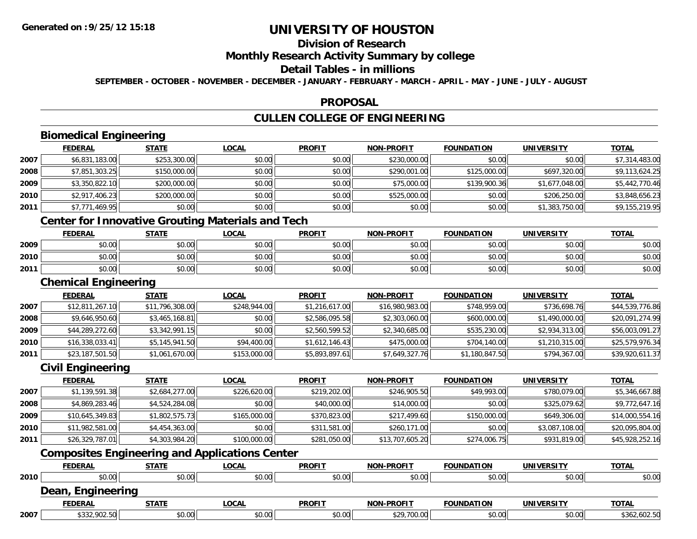# **Division of Research**

### **Monthly Research Activity Summary by college**

## **Detail Tables - in millions**

**SEPTEMBER - OCTOBER - NOVEMBER - DECEMBER - JANUARY - FEBRUARY - MARCH - APRIL - MAY - JUNE - JULY - AUGUST**

### **PROPOSAL**

# **CULLEN COLLEGE OF ENGINEERING**

# **Biomedical Engineering**

|      | <b>FEDERAL</b> | <b>STATE</b> | <b>LOCAL</b>                                             | <b>PROFIT</b> | <b>NON-PROFIT</b> | <b>FOUNDATION</b> | <b>UNIVERSITY</b> | <b>TOTAL</b>   |
|------|----------------|--------------|----------------------------------------------------------|---------------|-------------------|-------------------|-------------------|----------------|
| 2007 | \$6,831,183.00 | \$253,300.00 | \$0.00                                                   | \$0.00        | \$230,000.00      | \$0.00            | \$0.00            | \$7,314,483.00 |
| 2008 | \$7,851,303.25 | \$150,000.00 | \$0.00                                                   | \$0.00        | \$290,001.00      | \$125,000.00      | \$697,320.00      | \$9,113,624.25 |
| 2009 | \$3,350,822.10 | \$200,000.00 | \$0.00                                                   | \$0.00        | \$75,000.00       | \$139,900.36      | \$1,677,048.00    | \$5,442,770.46 |
| 2010 | \$2,917,406.23 | \$200,000.00 | \$0.00                                                   | \$0.00        | \$525,000.00      | \$0.00            | \$206,250.00      | \$3,848,656.23 |
| 2011 | \$7,771,469.95 | \$0.00       | \$0.00                                                   | \$0.00        | \$0.00            | \$0.00            | \$1,383,750.00    | \$9,155,219.95 |
|      |                |              | <b>Center for Innovative Grouting Materials and Tech</b> |               |                   |                   |                   |                |
|      | <b>FEDERAL</b> | <b>STATE</b> | <b>LOCAL</b>                                             | <b>PROFIT</b> | <b>NON-PROFIT</b> | <b>FOUNDATION</b> | <b>UNIVERSITY</b> | <b>TOTAL</b>   |
| 2009 | \$0.00         | \$0.00       | \$0.00                                                   | \$0.00        | \$0.00            | \$0.00            | \$0.00            | \$0.00         |
| 2010 | \$0.00         | \$0.00       | \$0.00                                                   | \$0.00        | \$0.00            | \$0.00            | \$0.00            | \$0.00         |

## **Chemical Engineering**

**2011**

|      | <b>FEDERAL</b>  | <b>STATE</b>    | <u>LOCAL</u> | <b>PROFIT</b>  | <b>NON-PROFIT</b> | <b>FOUNDATION</b> | <b>UNIVERSITY</b> | <u>TOTAL</u>    |
|------|-----------------|-----------------|--------------|----------------|-------------------|-------------------|-------------------|-----------------|
| 2007 | \$12,811,267.10 | \$11,796,308.00 | \$248,944,00 | \$1,216,617.00 | \$16,980,983.00   | \$748,959.00      | \$736,698.76      | \$44,539,776.86 |
| 2008 | \$9,646,950.60  | \$3,465,168.81  | \$0.00       | \$2,586,095.58 | \$2,303,060.00    | \$600,000.00      | \$1,490,000.00    | \$20,091,274.99 |
| 2009 | \$44,289,272.60 | \$3,342,991.15  | \$0.00       | \$2,560,599.52 | \$2,340,685.00    | \$535,230.00      | \$2,934,313.00    | \$56,003,091.27 |
| 2010 | \$16,338,033.41 | \$5,145,941.50  | \$94,400.00  | \$1,612,146.43 | \$475,000.00      | \$704,140.00      | \$1,210,315.00    | \$25,579,976.34 |
| 2011 | \$23,187,501.50 | \$1,061,670.00  | \$153,000.00 | \$5,893,897.61 | \$7,649,327.76    | \$1,180,847.50    | \$794,367.00      | \$39,920,611.37 |

\$0.00 \$0.00 \$0.00 \$0.00 \$0.00 \$0.00 \$0.00 \$0.00

### **Civil Engineering**

|      | <b>FEDERAL</b>  | <u>STATE</u>   | <u>LOCAL</u> | <b>PROFIT</b> | <b>NON-PROFIT</b> | <b>FOUNDATION</b> | <b>UNIVERSITY</b> | <b>TOTAL</b>    |
|------|-----------------|----------------|--------------|---------------|-------------------|-------------------|-------------------|-----------------|
| 2007 | \$1,139,591.38  | \$2,684,277.00 | \$226,620.00 | \$219,202.00  | \$246,905.50      | \$49,993.00       | \$780,079.00      | \$5,346,667.88  |
| 2008 | \$4,869,283.46  | \$4,524,284.08 | \$0.00       | \$40,000.00   | \$14,000.00       | \$0.00            | \$325,079.62      | \$9,772,647.16  |
| 2009 | \$10,645,349.83 | \$1,802,575.73 | \$165,000.00 | \$370,823.00  | \$217,499.60      | \$150,000.00      | \$649,306.00      | \$14,000,554.16 |
| 2010 | \$11,982,581.00 | \$4,454,363.00 | \$0.00       | \$311,581.00  | \$260,171,00      | \$0.00            | \$3,087,108.00    | \$20,095,804.00 |
| 2011 | \$26,329,787.01 | \$4,303,984.20 | \$100,000.00 | \$281,050.00  | \$13,707,605.20   | \$274,006.75      | \$931,819.00      | \$45,928,252.16 |

# **Composites Engineering and Applications Center**

|      | <b>FEDERAL</b>       | <u>STATE</u> | <u>LOCAL</u> | <b>PROFIT</b> | <b>NON-PROFIT</b> | <b>FOUNDATION</b> | <b>UNIVERSITY</b> | <b>TOTAL</b> |
|------|----------------------|--------------|--------------|---------------|-------------------|-------------------|-------------------|--------------|
| 2010 | \$0.00               | \$0.00       | \$0.00       | \$0.00        | \$0.00            | \$0.00            | \$0.00            | \$0.00       |
|      | Dean,<br>Engineering |              |              |               |                   |                   |                   |              |
|      | <b>FEDERAL</b>       | <b>STATE</b> | <u>LOCAL</u> | <b>PROFIT</b> | <b>NON-PROFIT</b> | <b>FOUNDATION</b> | <b>UNIVERSITY</b> | <b>TOTAL</b> |
| 2007 | \$332,902.50         | \$0.00       | \$0.00       | \$0.00        | \$29,700.00       | \$0.00            | \$0.00            | \$362,602.50 |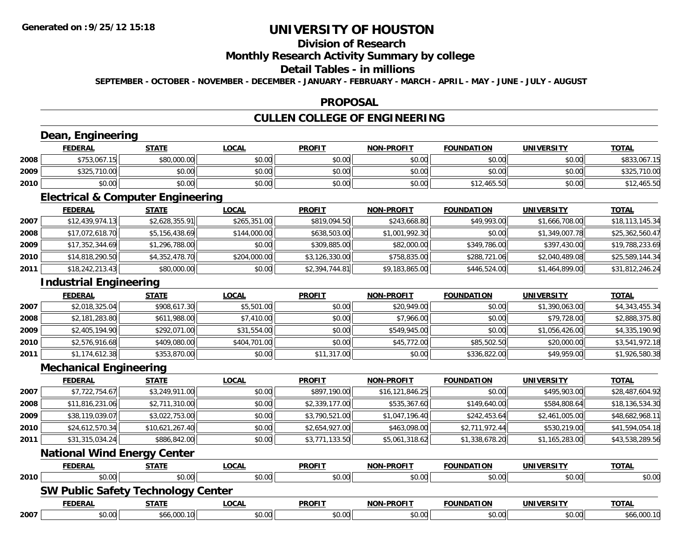# **Division of Research**

### **Monthly Research Activity Summary by college**

### **Detail Tables - in millions**

**SEPTEMBER - OCTOBER - NOVEMBER - DECEMBER - JANUARY - FEBRUARY - MARCH - APRIL - MAY - JUNE - JULY - AUGUST**

### **PROPOSAL**

# **CULLEN COLLEGE OF ENGINEERING**

# **Dean, Engineering**

|      | <b>FEDERAL</b> | <b>STATE</b> | <u>LOCAL</u> | <b>PROFIT</b> | <b>NON-PROFIT</b> | <b>FOUNDATION</b> | <b>UNIVERSITY</b> | <b>TOTAL</b>      |
|------|----------------|--------------|--------------|---------------|-------------------|-------------------|-------------------|-------------------|
| 2008 | \$753,067.15   | \$80,000.00  | \$0.00       | \$0.00        | \$0.00            | \$0.00            | \$0.00            | \$833,067.15      |
| 2009 | \$325,710.00   | \$0.00       | \$0.00       | \$0.00        | \$0.00            | \$0.00            | \$0.00            | .710.00<br>\$325, |
| 2010 | \$0.00         | \$0.00       | \$0.00       | \$0.00        | \$0.00            | \$12,465.50       | \$0.00            | 12,465.50         |

<u> 1989 - Johann Stoff, deutscher Stoffen und der Stoffen und der Stoffen und der Stoffen und der Stoffen und der</u>

<u> 1980 - Johann Barn, amerikan besteman besteman besteman besteman besteman besteman besteman besteman bestema</u>

### **Electrical & Computer Engineering**

|      | <b>FEDERAL</b>  | <b>STATE</b>   | <u>LOCAL</u> | <b>PROFIT</b>  | <b>NON-PROFIT</b> | <b>FOUNDATION</b> | UNIVERSITY     | <u>TOTAL</u>    |
|------|-----------------|----------------|--------------|----------------|-------------------|-------------------|----------------|-----------------|
| 2007 | \$12,439,974.13 | \$2,628,355.91 | \$265,351.00 | \$819,094.50   | \$243,668.80      | \$49,993.00       | \$1,666,708.00 | \$18,113,145.34 |
| 2008 | \$17,072,618.70 | \$5,156,438.69 | \$144,000.00 | \$638,503.00   | \$1,001,992.30    | \$0.00            | \$1,349,007.78 | \$25,362,560.47 |
| 2009 | \$17,352,344.69 | \$1,296,788.00 | \$0.00       | \$309,885.00   | \$82,000.00       | \$349,786.00      | \$397,430.00   | \$19,788,233.69 |
| 2010 | \$14,818,290.50 | \$4,352,478.70 | \$204,000.00 | \$3,126,330.00 | \$758,835,00      | \$288,721.06      | \$2,040,489.08 | \$25,589,144.34 |
| 2011 | \$18,242,213.43 | \$80,000.00    | \$0.00       | \$2,394,744.81 | \$9,183,865.00    | \$446,524.00      | \$1,464,899.00 | \$31,812,246.24 |

## **Industrial Engineering**

|      | <b>FEDERAL</b> | <b>STATE</b> | <u>LOCAL</u> | <b>PROFIT</b> | <b>NON-PROFIT</b> | <b>FOUNDATION</b> | <b>UNIVERSITY</b> | <b>TOTAL</b>   |
|------|----------------|--------------|--------------|---------------|-------------------|-------------------|-------------------|----------------|
| 2007 | \$2,018,325.04 | \$908,617.30 | \$5,501.00   | \$0.00        | \$20,949.00       | \$0.00            | \$1,390,063.00    | \$4,343,455.34 |
| 2008 | \$2,181,283.80 | \$611,988.00 | \$7,410.00   | \$0.00        | \$7,966.00        | \$0.00            | \$79,728.00       | \$2,888,375.80 |
| 2009 | \$2,405,194.90 | \$292,071.00 | \$31,554.00  | \$0.00        | \$549,945.00      | \$0.00            | \$1,056,426.00    | \$4,335,190.90 |
| 2010 | \$2,576,916.68 | \$409,080.00 | \$404,701.00 | \$0.00        | \$45,772.00       | \$85,502.50       | \$20,000.00       | \$3,541,972.18 |
| 2011 | \$1,174,612.38 | \$353,870.00 | \$0.00       | \$11,317.00   | \$0.00            | \$336,822.00      | \$49,959.00       | \$1,926,580.38 |

### **Mechanical Engineering**

|      | <b>FEDERAL</b>  | <b>STATE</b>                | <b>LOCAL</b> | <b>PROFIT</b>  | <b>NON-PROFIT</b> | <b>FOUNDATION</b> | <b>UNIVERSITY</b> | <b>TOTAL</b>    |
|------|-----------------|-----------------------------|--------------|----------------|-------------------|-------------------|-------------------|-----------------|
| 2007 | \$7,722,754.67  | \$3,249,911.00              | \$0.00       | \$897,190.00   | \$16, 121, 846.25 | \$0.00            | \$495,903.00      | \$28,487,604.92 |
| 2008 | \$11,816,231.06 | \$2,711,310.00              | \$0.00       | \$2,339,177.00 | \$535,367.60      | \$149,640.00      | \$584,808.64      | \$18,136,534.30 |
| 2009 | \$38,119,039.07 | \$3,022,753.00              | \$0.00       | \$3,790,521.00 | \$1,047,196.40    | \$242,453.64      | \$2,461,005.00    | \$48,682,968.11 |
| 2010 | \$24,612,570.34 | \$10,621,267.40             | \$0.00       | \$2,654,927.00 | \$463,098.00      | \$2,711,972.44    | \$530,219.00      | \$41,594,054.18 |
| 2011 | \$31,315,034.24 | \$886,842.00                | \$0.00       | \$3,771,133.50 | \$5,061,318.62    | \$1,338,678.20    | \$1,165,283.00    | \$43,538,289.56 |
|      |                 | National Wind Energy Conter |              |                |                   |                   |                   |                 |

#### **National Wind Energy Center**

|      | <b>FEDERAL</b>                            | STATE        | <u>LOCAL</u> | <b>PROFIT</b> | <b>NON-PROFIT</b> | <b>FOUNDATION</b> | <b>UNIVERSITY</b> | <b>TOTAL</b> |
|------|-------------------------------------------|--------------|--------------|---------------|-------------------|-------------------|-------------------|--------------|
| 2010 | \$0.00                                    | \$0.00       | \$0.00       | \$0.00        | \$0.00            | \$0.00            | \$0.00            | \$0.00       |
|      | <b>SW Public Safety Technology Center</b> |              |              |               |                   |                   |                   |              |
|      | <b>FEDERAL</b>                            | <u>STATE</u> | <b>LOCAL</b> | <b>PROFIT</b> | <b>NON-PROFIT</b> | <b>FOUNDATION</b> | UNIVERSITY        | <b>TOTAL</b> |
| 2007 | \$0.00                                    | \$66,000.10  | \$0.00       | \$0.00        | \$0.00            | \$0.00            | \$0.00            | \$66,000.10  |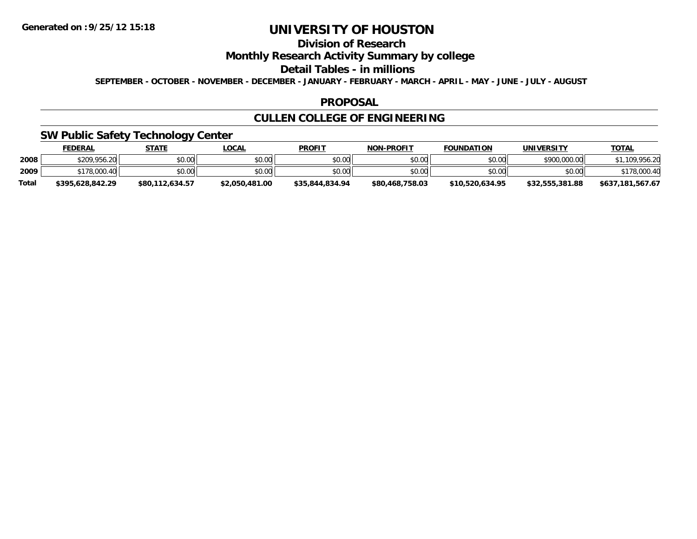# **Division of Research**

**Monthly Research Activity Summary by college**

#### **Detail Tables - in millions**

**SEPTEMBER - OCTOBER - NOVEMBER - DECEMBER - JANUARY - FEBRUARY - MARCH - APRIL - MAY - JUNE - JULY - AUGUST**

### **PROPOSAL**

## **CULLEN COLLEGE OF ENGINEERING**

## **SW Public Safety Technology Center**

|              | <u>FEDERAL</u>   | <b>STATE</b>    | <u>_OCAL</u>   | <b>PROFIT</b>   | <b>NON-PROFIT</b> | <b>FOUNDATION</b> | UNIVERSITY      | <u>TOTAL</u>     |
|--------------|------------------|-----------------|----------------|-----------------|-------------------|-------------------|-----------------|------------------|
| 2008         | \$209,956.20     | \$0.00          | \$0.00         | \$0.00          | \$0.00            | \$0.00            | \$900,000.00    | .109.956.20      |
| 2009         | \$178,000.40     | \$0.00          | \$0.00         | \$0.00          | \$0.00            | \$0.00            | \$0.00          | \$178,000.40     |
| <b>Total</b> | \$395.628.842.29 | \$80,112,634.57 | \$2,050,481.00 | \$35,844,834,94 | \$80,468,758.03   | \$10.520.634.95   | \$32,555,381.88 | \$637,181,567.67 |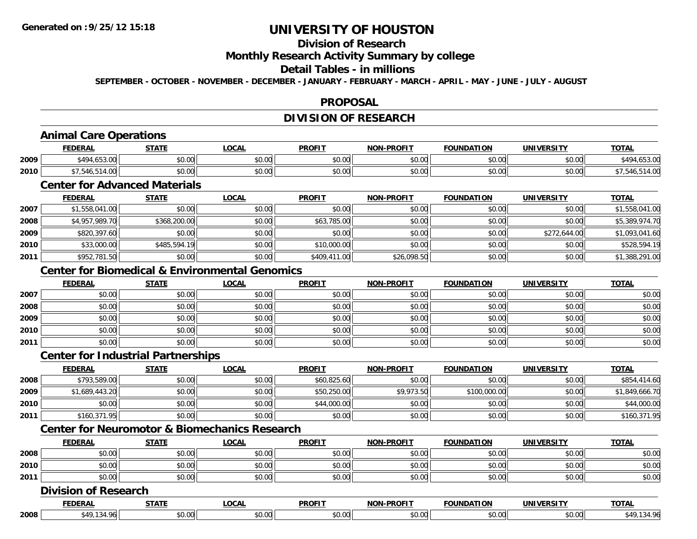## **Division of Research**

### **Monthly Research Activity Summary by college**

### **Detail Tables - in millions**

**SEPTEMBER - OCTOBER - NOVEMBER - DECEMBER - JANUARY - FEBRUARY - MARCH - APRIL - MAY - JUNE - JULY - AUGUST**

## **PROPOSAL**

## **DIVISION OF RESEARCH**

# **Animal Care Operations**

|      | EENED/<br>-n.e | 27.77          | <b>OCAL</b>   | <b>PROFIT</b>                                                                                                                                                                                                                                                                                                                              | <b>DDOELT</b><br>NON | ΠΟΝ<br>FOLIN    | <b>UNIVERSITY</b> | $T^{\prime}$<br>101n |
|------|----------------|----------------|---------------|--------------------------------------------------------------------------------------------------------------------------------------------------------------------------------------------------------------------------------------------------------------------------------------------------------------------------------------------|----------------------|-----------------|-------------------|----------------------|
| 2009 | ،49ء           | ტი იი<br>JU.UU | 0000<br>PO.OO | 0 <sub>n</sub><br>JU.U                                                                                                                                                                                                                                                                                                                     | 0000<br>vu.uu        | 0000<br>- 50.UU | 0.00<br>JU.UU     | .                    |
| 2010 |                | ტი იი<br>PO.OO | 0000<br>PU.UU | $\mathbb{C}$ $\mathbb{C}$ $\mathbb{C}$ $\mathbb{C}$ $\mathbb{C}$ $\mathbb{C}$ $\mathbb{C}$ $\mathbb{C}$ $\mathbb{C}$ $\mathbb{C}$ $\mathbb{C}$ $\mathbb{C}$ $\mathbb{C}$ $\mathbb{C}$ $\mathbb{C}$ $\mathbb{C}$ $\mathbb{C}$ $\mathbb{C}$ $\mathbb{C}$ $\mathbb{C}$ $\mathbb{C}$ $\mathbb{C}$ $\mathbb{C}$ $\mathbb{C}$ $\mathbb{$<br>vu.u | 0000<br>PO.OO        | \$0.00          | 0000<br>\$U.UU    |                      |

## **Center for Advanced Materials**

|      | <b>FEDERAL</b> | <u>STATE</u> | <u>LOCAL</u> | <b>PROFIT</b> | <b>NON-PROFIT</b> | <b>FOUNDATION</b> | <b>UNIVERSITY</b> | <b>TOTAL</b>   |
|------|----------------|--------------|--------------|---------------|-------------------|-------------------|-------------------|----------------|
| 2007 | \$1,558,041.00 | \$0.00       | \$0.00       | \$0.00        | \$0.00            | \$0.00            | \$0.00            | \$1,558,041.00 |
| 2008 | \$4,957,989.70 | \$368,200.00 | \$0.00       | \$63,785.00   | \$0.00            | \$0.00            | \$0.00            | \$5,389,974.70 |
| 2009 | \$820,397.60   | \$0.00       | \$0.00       | \$0.00        | \$0.00            | \$0.00            | \$272,644.00      | \$1,093,041.60 |
| 2010 | \$33,000.00    | \$485,594.19 | \$0.00       | \$10,000.00   | \$0.00            | \$0.00            | \$0.00            | \$528,594.19   |
| 2011 | \$952,781.50   | \$0.00       | \$0.00       | \$409,411.00  | \$26,098.50       | \$0.00            | \$0.00            | \$1,388,291.00 |

## **Center for Biomedical & Environmental Genomics**

|      | <u>FEDERAL</u> | <b>STATE</b> | <u>LOCAL</u> | <b>PROFIT</b> | <b>NON-PROFIT</b> | <b>FOUNDATION</b> | <b>UNIVERSITY</b> | <b>TOTAL</b> |
|------|----------------|--------------|--------------|---------------|-------------------|-------------------|-------------------|--------------|
| 2007 | \$0.00         | \$0.00       | \$0.00       | \$0.00        | \$0.00            | \$0.00            | \$0.00            | \$0.00       |
| 2008 | \$0.00         | \$0.00       | \$0.00       | \$0.00        | \$0.00            | \$0.00            | \$0.00            | \$0.00       |
| 2009 | \$0.00         | \$0.00       | \$0.00       | \$0.00        | \$0.00            | \$0.00            | \$0.00            | \$0.00       |
| 2010 | \$0.00         | \$0.00       | \$0.00       | \$0.00        | \$0.00            | \$0.00            | \$0.00            | \$0.00       |
| 2011 | \$0.00         | \$0.00       | \$0.00       | \$0.00        | \$0.00            | \$0.00            | \$0.00            | \$0.00       |

### **Center for Industrial Partnerships**

|      | <u>FEDERAL</u> | <u>STATE</u> | <u>LOCAL</u> | <b>PROFIT</b> | <b>NON-PROFIT</b> | <b>FOUNDATION</b> | <b>UNIVERSITY</b> | <b>TOTAL</b>   |
|------|----------------|--------------|--------------|---------------|-------------------|-------------------|-------------------|----------------|
| 2008 | \$793,589.00   | \$0.00       | \$0.00       | \$60,825.60   | \$0.00            | \$0.00            | \$0.00            | \$854,414.60   |
| 2009 | \$1,689,443.20 | \$0.00       | \$0.00       | \$50,250.00   | \$9,973.50        | \$100,000.00      | \$0.00            | \$1,849,666.70 |
| 2010 | \$0.00         | \$0.00       | \$0.00       | \$44,000.00   | \$0.00            | \$0.00            | \$0.00            | \$44,000.00    |
| 2011 | \$160,371.95   | \$0.00       | \$0.00       | \$0.00        | \$0.00            | \$0.00            | \$0.00            | \$160,371.95   |

# **Center for Neuromotor & Biomechanics Research**

|      | <b>FEDERAL</b>          | <b>STATE</b> | LOCAI          | <b>PROFIT</b>                   | <b>DDAFIT</b><br><b>AIAB</b> | <b>FOUNDATION</b> | <b><i>'INIVERSITY</i></b><br>13. J | <b>TOTA.</b> |
|------|-------------------------|--------------|----------------|---------------------------------|------------------------------|-------------------|------------------------------------|--------------|
| 2008 | 0 <sub>n</sub><br>,u.uu | ÷n.<br>JU.U  | ტი იი<br>JU.UU | \$0.00                          | ≮∩ ∩r<br>PO.OO               | 0000<br>JU.UU     | \$0.00                             | \$0.00       |
| 2010 | 0000<br>DU.UU           | ÷0.<br>JU.UU | 0000<br>JU.UU  | $\uparrow$ $\uparrow$<br>\$0.00 | 0 <sub>n</sub><br>\$U.UU     | 0000<br>JU.UU     | \$0.00                             | \$0.00       |
| 2011 | \$0.00                  | ¢∩<br>PU.UU  | ልስ ስስ<br>ง∪.∪บ | \$0.00                          | \$0.00                       | \$0.00            | \$0.00                             | \$0.00       |

### **Division of Research**

|      | <b>FEDERAI</b>             | <b>CTATE</b>                 | _OCAI  | <b>DDOEIT</b><br>ושי | <b>-PROFIT</b><br>וחרות | $\sim$<br>I INDAT  | ידו אם:<br>UNIVE<br>- IN . 31 | $-2$<br>$\mathbf{v}$                                      |
|------|----------------------------|------------------------------|--------|----------------------|-------------------------|--------------------|-------------------------------|-----------------------------------------------------------|
| 2008 | $\cdot$ $\cdot$<br>O۵<br>ᇈ | $*$ $\circ$ $\circ$<br>⊸∪.∪∿ | $\cap$ | ٠n<br>vv.u           | $\sim$ $\sim$<br>U.UU   | $\sim$ 00<br>וטטוע | ሶስ ስስ<br>PO.OO                | $^4$ Q <sub>61</sub><br>$\sim$ / $\sim$<br>. . <i>. .</i> |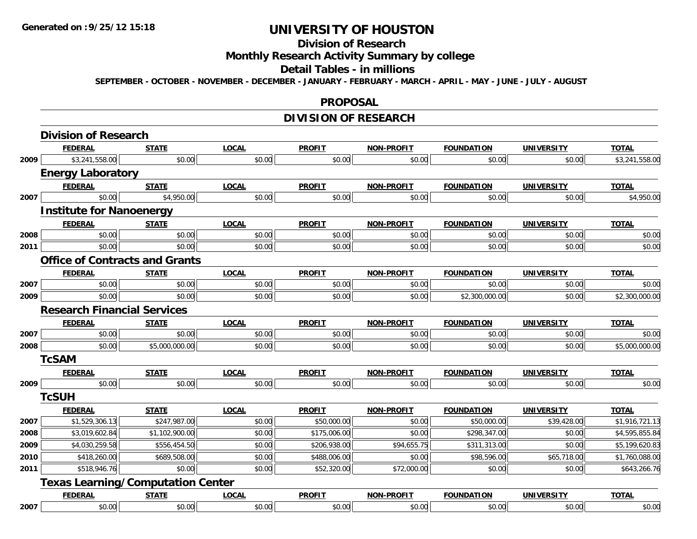# **Division of Research**

# **Monthly Research Activity Summary by college**

#### **Detail Tables - in millions**

**SEPTEMBER - OCTOBER - NOVEMBER - DECEMBER - JANUARY - FEBRUARY - MARCH - APRIL - MAY - JUNE - JULY - AUGUST**

#### **PROPOSAL**

# **DIVISION OF RESEARCH**

|      | <b>Division of Research</b>              |                |              |               |                   |                   |                   |                |
|------|------------------------------------------|----------------|--------------|---------------|-------------------|-------------------|-------------------|----------------|
|      | <b>FEDERAL</b>                           | <b>STATE</b>   | <b>LOCAL</b> | <b>PROFIT</b> | <b>NON-PROFIT</b> | <b>FOUNDATION</b> | <b>UNIVERSITY</b> | <b>TOTAL</b>   |
| 2009 | \$3,241,558.00                           | \$0.00         | \$0.00       | \$0.00        | \$0.00            | \$0.00            | \$0.00            | \$3,241,558.00 |
|      | <b>Energy Laboratory</b>                 |                |              |               |                   |                   |                   |                |
|      | <b>FEDERAL</b>                           | <b>STATE</b>   | <b>LOCAL</b> | <b>PROFIT</b> | <b>NON-PROFIT</b> | <b>FOUNDATION</b> | <b>UNIVERSITY</b> | <b>TOTAL</b>   |
| 2007 | \$0.00                                   | \$4,950.00     | \$0.00       | \$0.00        | \$0.00            | \$0.00            | \$0.00            | \$4,950.00     |
|      | <b>Institute for Nanoenergy</b>          |                |              |               |                   |                   |                   |                |
|      | <b>FEDERAL</b>                           | <b>STATE</b>   | <b>LOCAL</b> | <b>PROFIT</b> | <b>NON-PROFIT</b> | <b>FOUNDATION</b> | <b>UNIVERSITY</b> | <b>TOTAL</b>   |
| 2008 | \$0.00                                   | \$0.00         | \$0.00       | \$0.00        | \$0.00            | \$0.00            | \$0.00            | \$0.00         |
| 2011 | \$0.00                                   | \$0.00         | \$0.00       | \$0.00        | \$0.00            | \$0.00            | \$0.00            | \$0.00         |
|      | <b>Office of Contracts and Grants</b>    |                |              |               |                   |                   |                   |                |
|      | <b>FEDERAL</b>                           | <b>STATE</b>   | <b>LOCAL</b> | <b>PROFIT</b> | <b>NON-PROFIT</b> | <b>FOUNDATION</b> | <b>UNIVERSITY</b> | <b>TOTAL</b>   |
| 2007 | \$0.00                                   | \$0.00         | \$0.00       | \$0.00        | \$0.00            | \$0.00            | \$0.00            | \$0.00         |
| 2009 | \$0.00                                   | \$0.00         | \$0.00       | \$0.00        | \$0.00            | \$2,300,000.00    | \$0.00            | \$2,300,000.00 |
|      | <b>Research Financial Services</b>       |                |              |               |                   |                   |                   |                |
|      | <b>FEDERAL</b>                           | <b>STATE</b>   | <b>LOCAL</b> | <b>PROFIT</b> | <b>NON-PROFIT</b> | <b>FOUNDATION</b> | <b>UNIVERSITY</b> | <b>TOTAL</b>   |
| 2007 | \$0.00                                   | \$0.00         | \$0.00       | \$0.00        | \$0.00            | \$0.00            | \$0.00            | \$0.00         |
| 2008 | \$0.00                                   | \$5,000,000.00 | \$0.00       | \$0.00        | \$0.00            | \$0.00            | \$0.00            | \$5,000,000.00 |
|      | <b>TcSAM</b>                             |                |              |               |                   |                   |                   |                |
|      | <b>FEDERAL</b>                           | <b>STATE</b>   | <b>LOCAL</b> | <b>PROFIT</b> | <b>NON-PROFIT</b> | <b>FOUNDATION</b> | <b>UNIVERSITY</b> | <b>TOTAL</b>   |
| 2009 | \$0.00                                   | \$0.00         | \$0.00       | \$0.00        | \$0.00            | \$0.00            | \$0.00            | \$0.00         |
|      | <b>TcSUH</b>                             |                |              |               |                   |                   |                   |                |
|      | <b>FEDERAL</b>                           | <b>STATE</b>   | <b>LOCAL</b> | <b>PROFIT</b> | <b>NON-PROFIT</b> | <b>FOUNDATION</b> | <b>UNIVERSITY</b> | <b>TOTAL</b>   |
| 2007 | \$1,529,306.13                           | \$247,987.00   | \$0.00       | \$50,000.00   | \$0.00            | \$50,000.00       | \$39,428.00       | \$1,916,721.13 |
| 2008 | \$3,019,602.84                           | \$1,102,900.00 | \$0.00       | \$175,006.00  | \$0.00            | \$298,347.00      | \$0.00            | \$4,595,855.84 |
| 2009 | \$4,030,259.58                           | \$556,454.50   | \$0.00       | \$206,938.00  | \$94,655.75       | \$311,313.00      | \$0.00            | \$5,199,620.83 |
| 2010 | \$418,260.00                             | \$689,508.00   | \$0.00       | \$488,006.00  | \$0.00            | \$98,596.00       | \$65,718.00       | \$1,760,088.00 |
| 2011 | \$518,946.76                             | \$0.00         | \$0.00       | \$52,320.00   | \$72,000.00       | \$0.00            | \$0.00            | \$643,266.76   |
|      | <b>Texas Learning/Computation Center</b> |                |              |               |                   |                   |                   |                |
|      | <b>FEDERAL</b>                           | <b>STATE</b>   | <b>LOCAL</b> | <b>PROFIT</b> | <b>NON-PROFIT</b> | <b>FOUNDATION</b> | <b>UNIVERSITY</b> | <b>TOTAL</b>   |
| 2007 | \$0.00                                   | \$0.00         | \$0.00       | \$0.00        | \$0.00            | \$0.00            | \$0.00            | \$0.00         |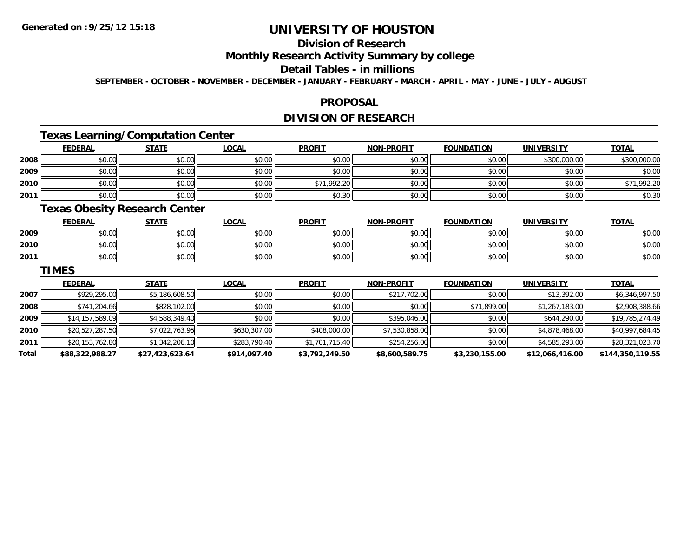# **Division of Research**

### **Monthly Research Activity Summary by college**

#### **Detail Tables - in millions**

**SEPTEMBER - OCTOBER - NOVEMBER - DECEMBER - JANUARY - FEBRUARY - MARCH - APRIL - MAY - JUNE - JULY - AUGUST**

### **PROPOSAL**

## **DIVISION OF RESEARCH**

## **Texas Learning/Computation Center**

|      | <b>FEDERAL</b> | <b>STATE</b> | <u>LOCAL</u> | <b>PROFIT</b> | <b>NON-PROFIT</b> | <b>FOUNDATION</b> | <b>UNIVERSITY</b> | <b>TOTAL</b> |
|------|----------------|--------------|--------------|---------------|-------------------|-------------------|-------------------|--------------|
| 2008 | \$0.00         | \$0.00       | \$0.00       | \$0.00        | \$0.00            | \$0.00            | \$300,000.00      | \$300,000.00 |
| 2009 | \$0.00         | \$0.00       | \$0.00       | \$0.00        | \$0.00            | \$0.00            | \$0.00            | \$0.00       |
| 2010 | \$0.00         | \$0.00       | \$0.00       | \$71,992.20   | \$0.00            | \$0.00            | \$0.00            | \$71,992.20  |
| 2011 | \$0.00         | \$0.00       | \$0.00       | \$0.30        | \$0.00            | \$0.00            | \$0.00            | \$0.30       |

## **Texas Obesity Research Center**

|      | <b>FEDERAL</b>          | <b>STATE</b> | <b>OCAL</b>    | <b>PROFIT</b> | <b>NON-PROFIT</b> | <b>FOUNDATION</b> | <b>UNIVERSITY</b> | <u>TOTAL</u> |
|------|-------------------------|--------------|----------------|---------------|-------------------|-------------------|-------------------|--------------|
| 2009 | ሶስ ሰሰ<br>JU.UU          | \$0.00       | ≮N UU<br>vv.vv | \$0.00        | \$0.00            | \$0.00            | \$0.00            | \$0.00       |
| 2010 | 0 <sub>n</sub><br>JU.UU | \$0.00       | \$0.00         | \$0.00        | \$0.00            | ደበ በበ<br>JU.UU    | \$0.00            | \$0.00       |
| 2011 | 0000<br>JU.UU           | \$0.00       | \$0.00         | \$0.00        | \$0.00            | \$0.00            | \$0.00            | \$0.00       |

#### **TIMES**

|       | <b>FEDERAL</b>  | <b>STATE</b>    | <b>LOCAL</b> | <b>PROFIT</b>  | <b>NON-PROFIT</b> | <b>FOUNDATION</b> | <b>UNIVERSITY</b> | <u>TOTAL</u>     |
|-------|-----------------|-----------------|--------------|----------------|-------------------|-------------------|-------------------|------------------|
| 2007  | \$929,295.00    | \$5,186,608.50  | \$0.00       | \$0.00         | \$217,702.00      | \$0.00            | \$13,392.00       | \$6,346,997.50   |
| 2008  | \$741,204.66    | \$828,102.00    | \$0.00       | \$0.00         | \$0.00            | \$71,899.00       | \$1,267,183.00    | \$2,908,388.66   |
| 2009  | \$14,157,589.09 | \$4,588,349.40  | \$0.00       | \$0.00         | \$395,046,00      | \$0.00            | \$644,290.00      | \$19,785,274.49  |
| 2010  | \$20,527,287.50 | \$7,022,763.95  | \$630,307.00 | \$408,000.00   | \$7,530,858.00    | \$0.00            | \$4,878,468.00    | \$40,997,684.45  |
| 2011  | \$20,153,762.80 | \$1,342,206.10  | \$283,790.40 | \$1,701,715.40 | \$254,256.00      | \$0.00            | \$4,585,293.00    | \$28,321,023.70  |
| Total | \$88,322,988.27 | \$27,423,623.64 | \$914,097.40 | \$3,792,249.50 | \$8,600,589.75    | \$3,230,155.00    | \$12,066,416.00   | \$144,350,119.55 |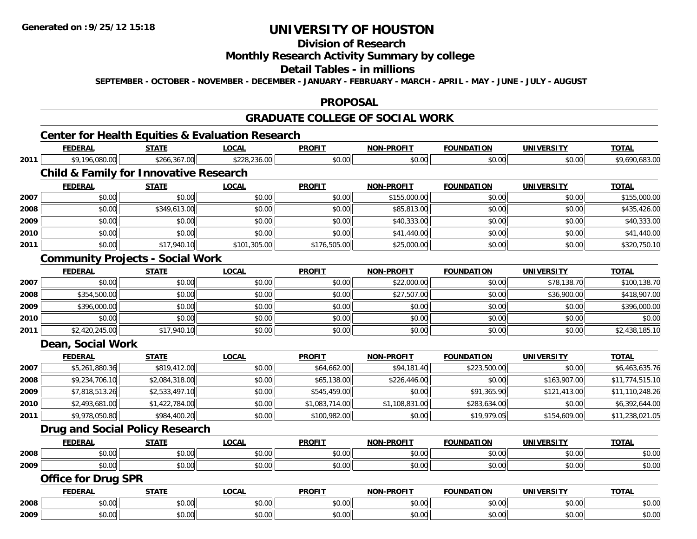**Division of Research**

**Monthly Research Activity Summary by college**

**Detail Tables - in millions**

**SEPTEMBER - OCTOBER - NOVEMBER - DECEMBER - JANUARY - FEBRUARY - MARCH - APRIL - MAY - JUNE - JULY - AUGUST**

### **PROPOSAL**

### **GRADUATE COLLEGE OF SOCIAL WORK**

## **Center for Health Equities & Evaluation Research**

|      | <b>FEDERAL</b>             | <b>STATE</b>                                      | <b>LOCAL</b> | <b>PROFIT</b>  | <b>NON-PROFIT</b> | <b>FOUNDATION</b> | <b>UNIVERSITY</b> | <b>TOTAL</b>    |
|------|----------------------------|---------------------------------------------------|--------------|----------------|-------------------|-------------------|-------------------|-----------------|
| 2011 | \$9,196,080.00             | \$266,367.00                                      | \$228,236.00 | \$0.00         | \$0.00            | \$0.00            | \$0.00            | \$9,690,683.00  |
|      |                            | <b>Child &amp; Family for Innovative Research</b> |              |                |                   |                   |                   |                 |
|      | <b>FEDERAL</b>             | <b>STATE</b>                                      | <b>LOCAL</b> | <b>PROFIT</b>  | <b>NON-PROFIT</b> | <b>FOUNDATION</b> | <b>UNIVERSITY</b> | <b>TOTAL</b>    |
| 2007 | \$0.00                     | \$0.00                                            | \$0.00       | \$0.00         | \$155,000.00      | \$0.00            | \$0.00            | \$155,000.00    |
| 2008 | \$0.00                     | \$349,613.00                                      | \$0.00       | \$0.00         | \$85,813.00       | \$0.00            | \$0.00            | \$435,426.00    |
| 2009 | \$0.00                     | \$0.00                                            | \$0.00       | \$0.00         | \$40,333.00       | \$0.00            | \$0.00            | \$40,333.00     |
| 2010 | \$0.00                     | \$0.00                                            | \$0.00       | \$0.00         | \$41,440.00       | \$0.00            | \$0.00            | \$41,440.00     |
| 2011 | \$0.00                     | \$17,940.10                                       | \$101,305.00 | \$176,505.00   | \$25,000.00       | \$0.00            | \$0.00            | \$320,750.10    |
|      |                            | <b>Community Projects - Social Work</b>           |              |                |                   |                   |                   |                 |
|      | <b>FEDERAL</b>             | <b>STATE</b>                                      | <b>LOCAL</b> | <b>PROFIT</b>  | <b>NON-PROFIT</b> | <b>FOUNDATION</b> | <b>UNIVERSITY</b> | <b>TOTAL</b>    |
| 2007 | \$0.00                     | \$0.00                                            | \$0.00       | \$0.00         | \$22,000.00       | \$0.00            | \$78,138.70       | \$100,138.70    |
| 2008 | \$354,500.00               | \$0.00                                            | \$0.00       | \$0.00         | \$27,507.00       | \$0.00            | \$36,900.00       | \$418,907.00    |
| 2009 | \$396,000.00               | \$0.00                                            | \$0.00       | \$0.00         | \$0.00            | \$0.00            | \$0.00            | \$396,000.00    |
| 2010 | \$0.00                     | \$0.00                                            | \$0.00       | \$0.00         | \$0.00            | \$0.00            | \$0.00            | \$0.00          |
| 2011 | \$2,420,245.00             | \$17,940.10                                       | \$0.00       | \$0.00         | \$0.00            | \$0.00            | \$0.00            | \$2,438,185.10  |
|      | Dean, Social Work          |                                                   |              |                |                   |                   |                   |                 |
|      | <b>FEDERAL</b>             | <b>STATE</b>                                      | <b>LOCAL</b> | <b>PROFIT</b>  | <b>NON-PROFIT</b> | <b>FOUNDATION</b> | <b>UNIVERSITY</b> | <b>TOTAL</b>    |
| 2007 | \$5,261,880.36             | \$819,412.00                                      | \$0.00       | \$64,662.00    | \$94,181.40       | \$223,500.00      | \$0.00            | \$6,463,635.76  |
| 2008 | \$9,234,706.10             | \$2,084,318.00                                    | \$0.00       | \$65,138.00    | \$226,446.00      | \$0.00            | \$163,907.00      | \$11,774,515.10 |
| 2009 | \$7,818,513.26             | \$2,533,497.10                                    | \$0.00       | \$545,459.00   | \$0.00            | \$91,365.90       | \$121,413.00      | \$11,110,248.26 |
| 2010 | \$2,493,681.00             | \$1,422,784.00                                    | \$0.00       | \$1,083,714.00 | \$1,108,831.00    | \$283,634.00      | \$0.00            | \$6,392,644.00  |
| 2011 | \$9,978,050.80             | \$984,400.20                                      | \$0.00       | \$100,982.00   | \$0.00            | \$19,979.05       | \$154,609.00      | \$11,238,021.05 |
|      |                            | <b>Drug and Social Policy Research</b>            |              |                |                   |                   |                   |                 |
|      | <b>FEDERAL</b>             | <b>STATE</b>                                      | <b>LOCAL</b> | <b>PROFIT</b>  | <b>NON-PROFIT</b> | <b>FOUNDATION</b> | <b>UNIVERSITY</b> | <b>TOTAL</b>    |
| 2008 | \$0.00                     | \$0.00                                            | \$0.00       | \$0.00         | \$0.00            | \$0.00            | \$0.00            | \$0.00          |
| 2009 | \$0.00                     | \$0.00                                            | \$0.00       | \$0.00         | \$0.00            | \$0.00            | \$0.00            | \$0.00          |
|      | <b>Office for Drug SPR</b> |                                                   |              |                |                   |                   |                   |                 |
|      | <b>FEDERAL</b>             | <b>STATE</b>                                      | <b>LOCAL</b> | <b>PROFIT</b>  | <b>NON-PROFIT</b> | <b>FOUNDATION</b> | <b>UNIVERSITY</b> | <b>TOTAL</b>    |
| 2008 | \$0.00                     | \$0.00                                            | \$0.00       | \$0.00         | \$0.00            | \$0.00            | \$0.00            | \$0.00          |
| 2009 | \$0.00                     | \$0.00                                            | \$0.00       | \$0.00         | \$0.00            | \$0.00            | \$0.00            | \$0.00          |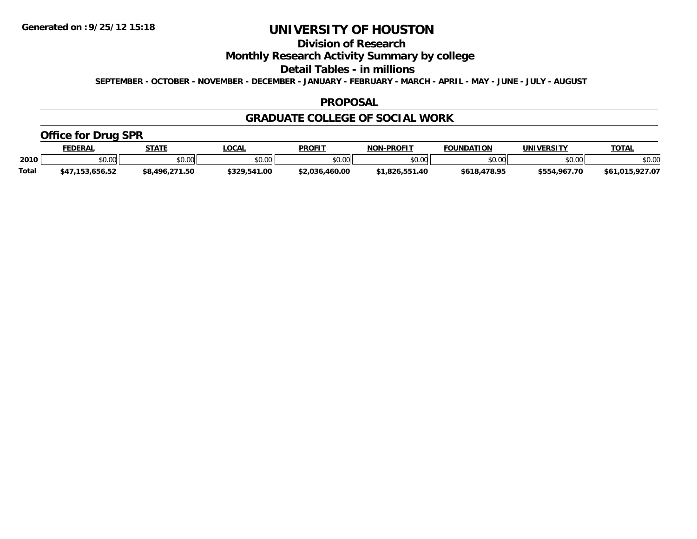# **Division of Research**

## **Monthly Research Activity Summary by college**

#### **Detail Tables - in millions**

**SEPTEMBER - OCTOBER - NOVEMBER - DECEMBER - JANUARY - FEBRUARY - MARCH - APRIL - MAY - JUNE - JULY - AUGUST**

#### **PROPOSAL**

### **GRADUATE COLLEGE OF SOCIAL WORK**

## **Office for Drug SPR**

|              | <b>FEDERAL</b> | <b>STATE</b>         | <b>_OCAL</b> | <b>PROFIT</b>  | <b>NON-PROFIT</b> | <b>FOUNDATION</b> | UNIVERSITY   | <b>TOTAL</b>    |
|--------------|----------------|----------------------|--------------|----------------|-------------------|-------------------|--------------|-----------------|
| 2010         | \$0.00         | 0000<br><b>JU.UU</b> | \$0.00       | \$0.00         | ልስ ሰሰ<br>PO.OO    | \$0.00            | \$0.00       | \$0.00          |
| <b>Total</b> | ,153,656.52    | \$8,496,271.50       | \$329,541.00 | \$2.036.460.00 | \$1.826.551.40    | \$618,478.95      | \$554,967.70 | \$61,015,927.07 |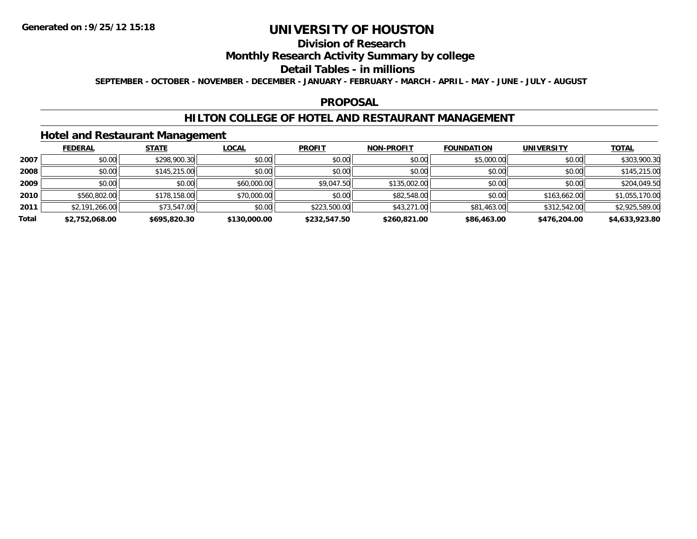# **Division of Research**

## **Monthly Research Activity Summary by college**

#### **Detail Tables - in millions**

**SEPTEMBER - OCTOBER - NOVEMBER - DECEMBER - JANUARY - FEBRUARY - MARCH - APRIL - MAY - JUNE - JULY - AUGUST**

### **PROPOSAL**

### **HILTON COLLEGE OF HOTEL AND RESTAURANT MANAGEMENT**

### **Hotel and Restaurant Management**

|       | <b>FEDERAL</b> | <b>STATE</b> | <b>LOCAL</b> | <b>PROFIT</b> | <b>NON-PROFIT</b> | <b>FOUNDATION</b> | <b>UNIVERSITY</b> | <b>TOTAL</b>   |
|-------|----------------|--------------|--------------|---------------|-------------------|-------------------|-------------------|----------------|
| 2007  | \$0.00         | \$298,900.30 | \$0.00       | \$0.00        | \$0.00            | \$5,000.00        | \$0.00            | \$303,900.30   |
| 2008  | \$0.00         | \$145,215.00 | \$0.00       | \$0.00        | \$0.00            | \$0.00            | \$0.00            | \$145,215.00   |
| 2009  | \$0.00         | \$0.00       | \$60,000.00  | \$9,047.50    | \$135,002.00      | \$0.00            | \$0.00            | \$204,049.50   |
| 2010  | \$560,802.00   | \$178,158.00 | \$70,000.00  | \$0.00        | \$82,548.00       | \$0.00            | \$163,662.00      | \$1,055,170.00 |
| 2011  | \$2,191,266.00 | \$73,547.00  | \$0.00       | \$223,500.00  | \$43,271.00       | \$81,463.00       | \$312,542.00      | \$2,925,589.00 |
| Total | \$2,752,068.00 | \$695,820.30 | \$130,000.00 | \$232,547.50  | \$260.821.00      | \$86,463.00       | \$476,204.00      | \$4,633,923.80 |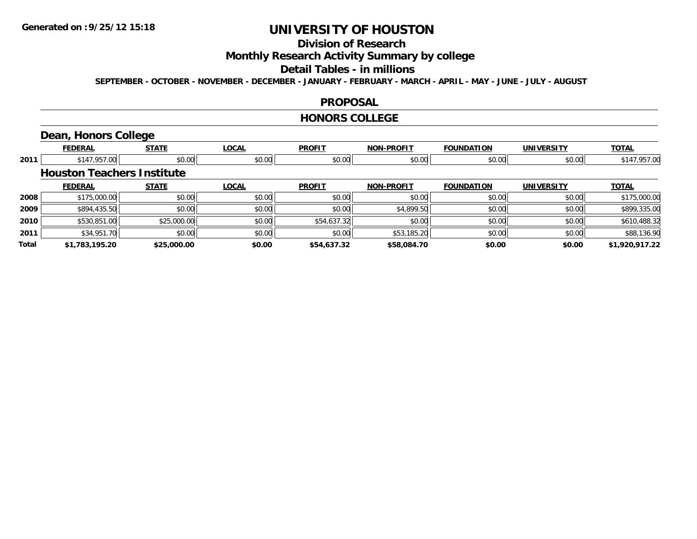# **Division of Research**

**Monthly Research Activity Summary by college**

#### **Detail Tables - in millions**

**SEPTEMBER - OCTOBER - NOVEMBER - DECEMBER - JANUARY - FEBRUARY - MARCH - APRIL - MAY - JUNE - JULY - AUGUST**

### **PROPOSAL**

#### **HONORS COLLEGE**

# **Dean, Honors College**

|       | <b>FEDERAL</b>                    | <b>STATE</b> | <b>LOCAL</b> | <b>PROFIT</b> | <b>NON-PROFIT</b> | <b>FOUNDATION</b> | <b>UNIVERSITY</b> | <b>TOTAL</b>   |
|-------|-----------------------------------|--------------|--------------|---------------|-------------------|-------------------|-------------------|----------------|
| 2011  | \$147,957.00                      | \$0.00       | \$0.00       | \$0.00        | \$0.00            | \$0.00            | \$0.00            | \$147,957.00   |
|       | <b>Houston Teachers Institute</b> |              |              |               |                   |                   |                   |                |
|       | <b>FEDERAL</b>                    | <b>STATE</b> | <b>LOCAL</b> | <b>PROFIT</b> | <b>NON-PROFIT</b> | <b>FOUNDATION</b> | <b>UNIVERSITY</b> | <b>TOTAL</b>   |
| 2008  | \$175,000.00                      | \$0.00       | \$0.00       | \$0.00        | \$0.00            | \$0.00            | \$0.00            | \$175,000.00   |
| 2009  | \$894,435.50                      | \$0.00       | \$0.00       | \$0.00        | \$4,899.50        | \$0.00            | \$0.00            | \$899,335.00   |
| 2010  | \$530,851.00                      | \$25,000.00  | \$0.00       | \$54,637.32   | \$0.00            | \$0.00            | \$0.00            | \$610,488.32   |
| 2011  | \$34,951.70                       | \$0.00       | \$0.00       | \$0.00        | \$53,185.20       | \$0.00            | \$0.00            | \$88,136.90    |
| Total | \$1,783,195.20                    | \$25,000.00  | \$0.00       | \$54,637.32   | \$58,084.70       | \$0.00            | \$0.00            | \$1,920,917.22 |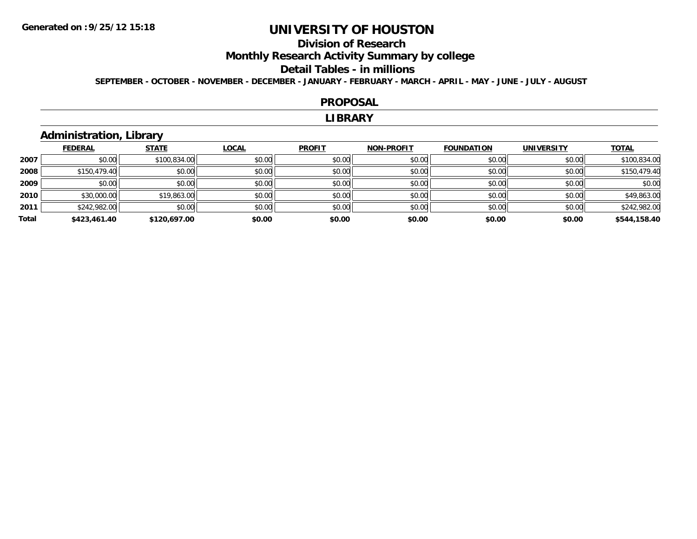# **Division of Research**

**Monthly Research Activity Summary by college**

#### **Detail Tables - in millions**

**SEPTEMBER - OCTOBER - NOVEMBER - DECEMBER - JANUARY - FEBRUARY - MARCH - APRIL - MAY - JUNE - JULY - AUGUST**

#### **PROPOSAL**

#### **LIBRARY**

## **Administration, Library**

|       | <b>FEDERAL</b> | <b>STATE</b> | <b>LOCAL</b> | <b>PROFIT</b> | <b>NON-PROFIT</b> | <b>FOUNDATION</b> | <b>UNIVERSITY</b> | <b>TOTAL</b> |
|-------|----------------|--------------|--------------|---------------|-------------------|-------------------|-------------------|--------------|
| 2007  | \$0.00         | \$100,834.00 | \$0.00       | \$0.00        | \$0.00            | \$0.00            | \$0.00            | \$100,834.00 |
| 2008  | \$150,479.40   | \$0.00       | \$0.00       | \$0.00        | \$0.00            | \$0.00            | \$0.00            | \$150,479.40 |
| 2009  | \$0.00         | \$0.00       | \$0.00       | \$0.00        | \$0.00            | \$0.00            | \$0.00            | \$0.00       |
| 2010  | \$30,000.00    | \$19,863.00  | \$0.00       | \$0.00        | \$0.00            | \$0.00            | \$0.00            | \$49,863.00  |
| 2011  | \$242,982.00   | \$0.00       | \$0.00       | \$0.00        | \$0.00            | \$0.00            | \$0.00            | \$242,982.00 |
| Total | \$423,461.40   | \$120,697.00 | \$0.00       | \$0.00        | \$0.00            | \$0.00            | \$0.00            | \$544,158.40 |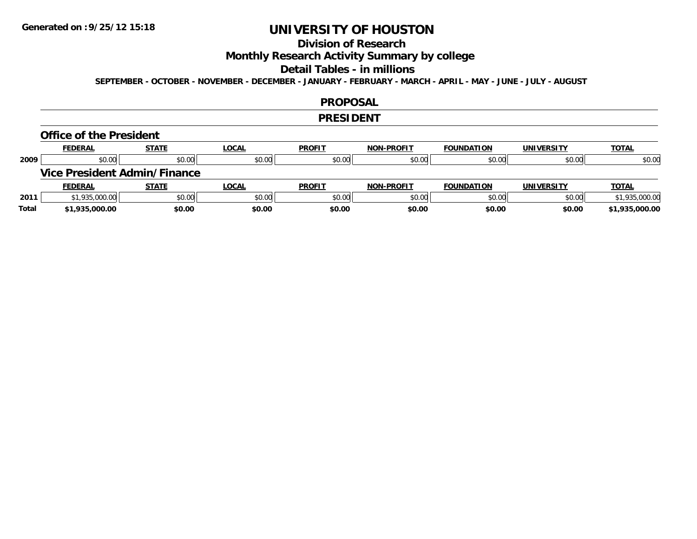# **Division of Research**

**Monthly Research Activity Summary by college**

#### **Detail Tables - in millions**

**SEPTEMBER - OCTOBER - NOVEMBER - DECEMBER - JANUARY - FEBRUARY - MARCH - APRIL - MAY - JUNE - JULY - AUGUST**

### **PROPOSAL**

#### **PRESIDENT**

#### **Office of the President**

|      | <b>FEDERAL</b>                      | <b>STATE</b> | <u>LOCAL</u> | <b>PROFIT</b> | <b>NON-PROFIT</b> | <b>FOUNDATION</b> | <b>UNIVERSITY</b> | <b>TOTAL</b>   |
|------|-------------------------------------|--------------|--------------|---------------|-------------------|-------------------|-------------------|----------------|
| 2009 | \$0.00                              | \$0.00       | \$0.00       | \$0.00        | \$0.00            | \$0.00            | \$0.00            | \$0.00         |
|      | <b>Vice President Admin/Finance</b> |              |              |               |                   |                   |                   |                |
|      |                                     |              |              |               |                   |                   |                   |                |
|      | <b>FEDERAL</b>                      | <u>STATE</u> | <u>LOCAL</u> | <b>PROFIT</b> | <b>NON-PROFIT</b> | <b>FOUNDATION</b> | <b>UNIVERSITY</b> | <b>TOTAL</b>   |
| 2011 | \$1,935,000.00                      | \$0.00       | \$0.00       | \$0.00        | \$0.00            | \$0.00            | \$0.00            | \$1,935,000.00 |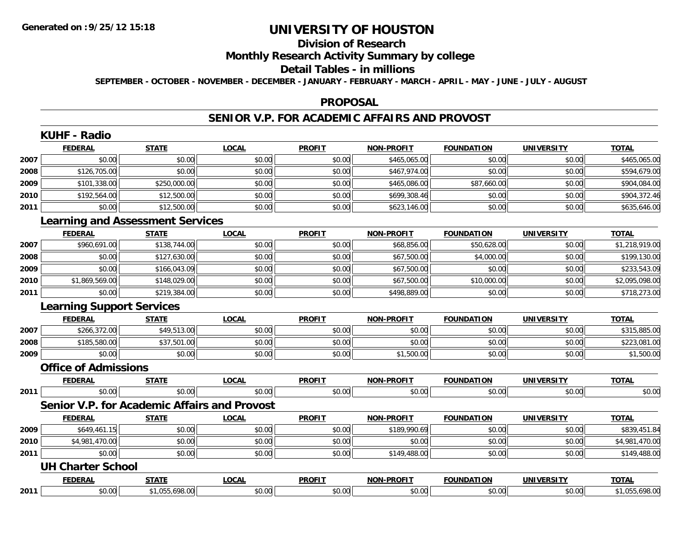#### **Division of Research**

## **Monthly Research Activity Summary by college**

#### **Detail Tables - in millions**

**SEPTEMBER - OCTOBER - NOVEMBER - DECEMBER - JANUARY - FEBRUARY - MARCH - APRIL - MAY - JUNE - JULY - AUGUST**

#### **PROPOSAL**

### **SENIOR V.P. FOR ACADEMIC AFFAIRS AND PROVOST**

|      | <b>KUHF - Radio</b>                     |                |                                              |               |                   |                   |                   |                |
|------|-----------------------------------------|----------------|----------------------------------------------|---------------|-------------------|-------------------|-------------------|----------------|
|      | <b>FEDERAL</b>                          | <b>STATE</b>   | <b>LOCAL</b>                                 | <b>PROFIT</b> | <b>NON-PROFIT</b> | <b>FOUNDATION</b> | <b>UNIVERSITY</b> | <b>TOTAL</b>   |
| 2007 | \$0.00                                  | \$0.00         | \$0.00                                       | \$0.00        | \$465,065.00      | \$0.00            | \$0.00            | \$465,065.00   |
| 2008 | \$126,705.00                            | \$0.00         | \$0.00                                       | \$0.00        | \$467,974.00      | \$0.00            | \$0.00            | \$594,679.00   |
| 2009 | \$101,338.00                            | \$250,000.00   | \$0.00                                       | \$0.00        | \$465,086.00      | \$87,660.00       | \$0.00            | \$904,084.00   |
| 2010 | \$192,564.00                            | \$12,500.00    | \$0.00                                       | \$0.00        | \$699,308.46      | \$0.00            | \$0.00            | \$904,372.46   |
| 2011 | \$0.00                                  | \$12,500.00    | \$0.00                                       | \$0.00        | \$623,146.00      | \$0.00            | \$0.00            | \$635,646.00   |
|      | <b>Learning and Assessment Services</b> |                |                                              |               |                   |                   |                   |                |
|      | <b>FEDERAL</b>                          | <b>STATE</b>   | LOCAL                                        | <b>PROFIT</b> | <b>NON-PROFIT</b> | <b>FOUNDATION</b> | <b>UNIVERSITY</b> | <b>TOTAL</b>   |
| 2007 | \$960,691.00                            | \$138,744.00   | \$0.00                                       | \$0.00        | \$68,856.00       | \$50,628.00       | \$0.00            | \$1,218,919.00 |
| 2008 | \$0.00                                  | \$127,630.00   | \$0.00                                       | \$0.00        | \$67,500.00       | \$4,000.00        | \$0.00            | \$199,130.00   |
| 2009 | \$0.00                                  | \$166,043.09   | \$0.00                                       | \$0.00        | \$67,500.00       | \$0.00            | \$0.00            | \$233,543.09   |
| 2010 | \$1,869,569.00                          | \$148,029.00   | \$0.00                                       | \$0.00        | \$67,500.00       | \$10,000.00       | \$0.00            | \$2,095,098.00 |
| 2011 | \$0.00                                  | \$219,384.00   | \$0.00                                       | \$0.00        | \$498,889.00      | \$0.00            | \$0.00            | \$718,273.00   |
|      | <b>Learning Support Services</b>        |                |                                              |               |                   |                   |                   |                |
|      | <b>FEDERAL</b>                          | <b>STATE</b>   | <b>LOCAL</b>                                 | <b>PROFIT</b> | <b>NON-PROFIT</b> | <b>FOUNDATION</b> | <b>UNIVERSITY</b> | <b>TOTAL</b>   |
| 2007 | \$266,372.00                            | \$49,513.00    | \$0.00                                       | \$0.00        | \$0.00            | \$0.00            | \$0.00            | \$315,885.00   |
| 2008 | \$185,580.00                            | \$37,501.00    | \$0.00                                       | \$0.00        | \$0.00            | \$0.00            | \$0.00            | \$223,081.00   |
| 2009 | \$0.00                                  | \$0.00         | \$0.00                                       | \$0.00        | \$1,500.00        | \$0.00            | \$0.00            | \$1,500.00     |
|      | <b>Office of Admissions</b>             |                |                                              |               |                   |                   |                   |                |
|      | <b>FEDERAL</b>                          | <b>STATE</b>   | <b>LOCAL</b>                                 | <b>PROFIT</b> | <b>NON-PROFIT</b> | <b>FOUNDATION</b> | <b>UNIVERSITY</b> | <b>TOTAL</b>   |
| 2011 | \$0.00                                  | \$0.00         | \$0.00                                       | \$0.00        | \$0.00            | \$0.00            | \$0.00            | \$0.00         |
|      |                                         |                | Senior V.P. for Academic Affairs and Provost |               |                   |                   |                   |                |
|      | <b>FEDERAL</b>                          | <b>STATE</b>   | <b>LOCAL</b>                                 | <b>PROFIT</b> | <b>NON-PROELI</b> | <b>FOUNDATION</b> | <b>UNIVERSITY</b> | <b>TOTAL</b>   |
| 2009 | \$649,461.15                            | \$0.00         | \$0.00                                       | \$0.00        | \$189,990.69      | \$0.00            | \$0.00            | \$839,451.84   |
| 2010 | \$4,981,470.00                          | \$0.00         | \$0.00                                       | \$0.00        | \$0.00            | \$0.00            | \$0.00            | \$4,981,470.00 |
| 2011 | \$0.00                                  | \$0.00         | \$0.00                                       | \$0.00        | \$149,488.00      | \$0.00            | \$0.00            | \$149,488.00   |
|      | <b>UH Charter School</b>                |                |                                              |               |                   |                   |                   |                |
|      | <b>FEDERAL</b>                          | <b>STATE</b>   | <b>LOCAL</b>                                 | <b>PROFIT</b> | <b>NON-PROFIT</b> | <b>FOUNDATION</b> | <b>UNIVERSITY</b> | <b>TOTAL</b>   |
| 2011 | \$0.00                                  | \$1,055,698.00 | \$0.00                                       | \$0.00        | \$0.00            | \$0.00            | \$0.00            | \$1,055,698.00 |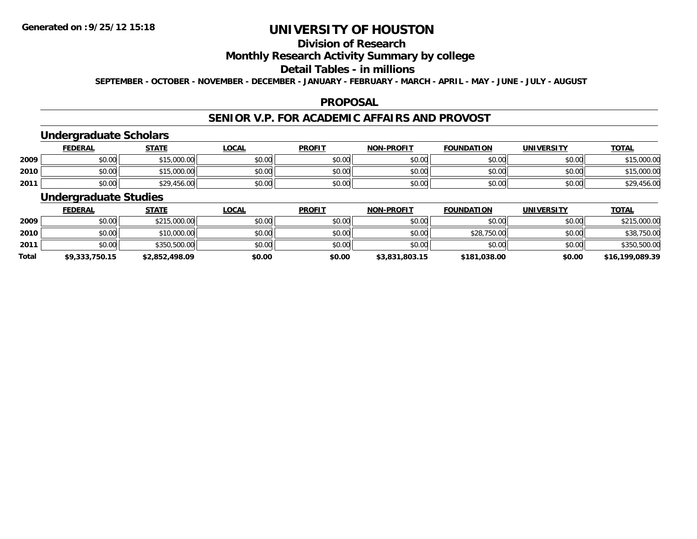# **Division of Research**

## **Monthly Research Activity Summary by college**

#### **Detail Tables - in millions**

**SEPTEMBER - OCTOBER - NOVEMBER - DECEMBER - JANUARY - FEBRUARY - MARCH - APRIL - MAY - JUNE - JULY - AUGUST**

### **PROPOSAL**

### **SENIOR V.P. FOR ACADEMIC AFFAIRS AND PROVOST**

# **Undergraduate Scholars**

|      | <b>FEDERAL</b> | <b>STATE</b> | <u>LOCAL</u> | <b>PROFIT</b> | <b>NON-PROFIT</b> | <b>FOUNDATION</b> | UNIVERSITY | <b>TOTAL</b> |
|------|----------------|--------------|--------------|---------------|-------------------|-------------------|------------|--------------|
| 2009 | \$0.00         | 15,000.00    | \$0.00       | \$0.00        | \$0.00            | \$0.00            | \$0.00     | \$15,000.00  |
| 2010 | \$0.00         | 15,000.00    | \$0.00       | \$0.00        | \$0.00            | \$0.00            | \$0.00     | \$15,000.00  |
| 2011 | \$0.00         | \$29,456.00  | \$0.00       | \$0.00        | \$0.00            | \$0.00            | \$0.00     | \$29,456.00  |

## **Undergraduate Studies**

|              | <u>FEDERAL</u> | <b>STATE</b>   | <u>LOCAL</u> | <b>PROFIT</b> | <b>NON-PROFIT</b> | <b>FOUNDATION</b> | <b>UNIVERSITY</b> | <b>TOTAL</b>    |
|--------------|----------------|----------------|--------------|---------------|-------------------|-------------------|-------------------|-----------------|
| 2009         | \$0.00         | \$215,000.00   | \$0.00       | \$0.00        | \$0.00            | \$0.00            | \$0.00            | \$215,000.00    |
| 2010         | \$0.00         | \$10,000.00    | \$0.00       | \$0.00        | \$0.00            | \$28,750.00       | \$0.00            | \$38,750.00     |
| 2011         | \$0.00         | \$350,500.00   | \$0.00       | \$0.00        | \$0.00            | \$0.00            | \$0.00            | \$350,500.00    |
| <b>Total</b> | \$9,333,750.15 | \$2,852,498.09 | \$0.00       | \$0.00        | \$3,831,803.15    | \$181,038.00      | \$0.00            | \$16,199,089.39 |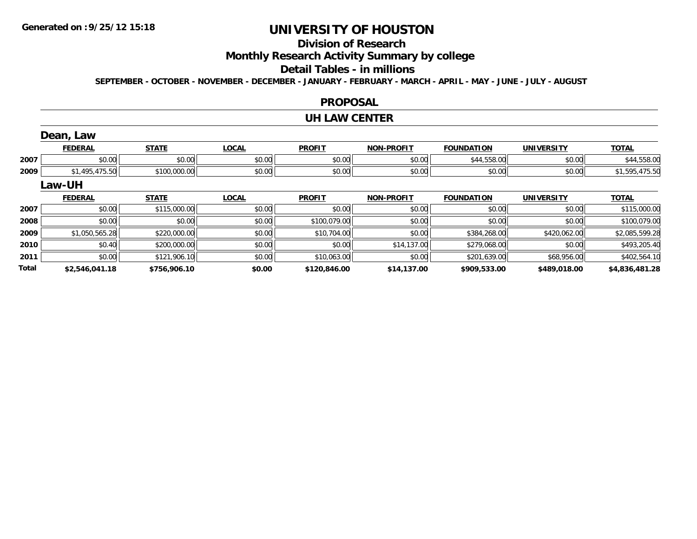**2010**

**2011**

**Total**

# **UNIVERSITY OF HOUSTON**

## **Division of Research**

**Monthly Research Activity Summary by college**

#### **Detail Tables - in millions**

**SEPTEMBER - OCTOBER - NOVEMBER - DECEMBER - JANUARY - FEBRUARY - MARCH - APRIL - MAY - JUNE - JULY - AUGUST**

### **PROPOSAL**

#### **UH LAW CENTER**

|      | Dean, Law      |              |              |               |                   |                   |                   |                |
|------|----------------|--------------|--------------|---------------|-------------------|-------------------|-------------------|----------------|
|      | <b>FEDERAL</b> | <b>STATE</b> | <b>LOCAL</b> | <b>PROFIT</b> | <b>NON-PROFIT</b> | <b>FOUNDATION</b> | <b>UNIVERSITY</b> | <b>TOTAL</b>   |
| 2007 | \$0.00         | \$0.00       | \$0.00       | \$0.00        | \$0.00            | \$44,558.00       | \$0.00            | \$44,558.00    |
| 2009 | \$1,495,475.50 | \$100,000.00 | \$0.00       | \$0.00        | \$0.00            | \$0.00            | \$0.00            | \$1,595,475.50 |
|      | Law-UH         |              |              |               |                   |                   |                   |                |
|      | <b>FEDERAL</b> | <b>STATE</b> | <b>LOCAL</b> | <b>PROFIT</b> | <b>NON-PROFIT</b> | <b>FOUNDATION</b> | <b>UNIVERSITY</b> | <u>TOTAL</u>   |
| 2007 | \$0.00         | \$115,000.00 | \$0.00       | \$0.00        | \$0.00            | \$0.00            | \$0.00            | \$115,000.00   |
| 2008 | \$0.00         | \$0.00       | \$0.00       | \$100,079.00  | \$0.00            | \$0.00            | \$0.00            | \$100,079.00   |
| 2009 | \$1,050,565.28 | \$220,000.00 | \$0.00       | \$10,704.00   | \$0.00            | \$384,268.00      | \$420,062.00      | \$2,085,599.28 |

\$0.40 \$200,000.00 \$0.00 \$0.00 \$14,137.00 \$279,068.00 \$0.00 \$493,205.40

\$0.00 \$121,906.10 \$0.00 \$10,063.00 \$0.00 \$201,639.00 \$68,956.00 \$402,564.10

**\$2,546,041.18 \$756,906.10 \$0.00 \$120,846.00 \$14,137.00 \$909,533.00 \$489,018.00 \$4,836,481.28**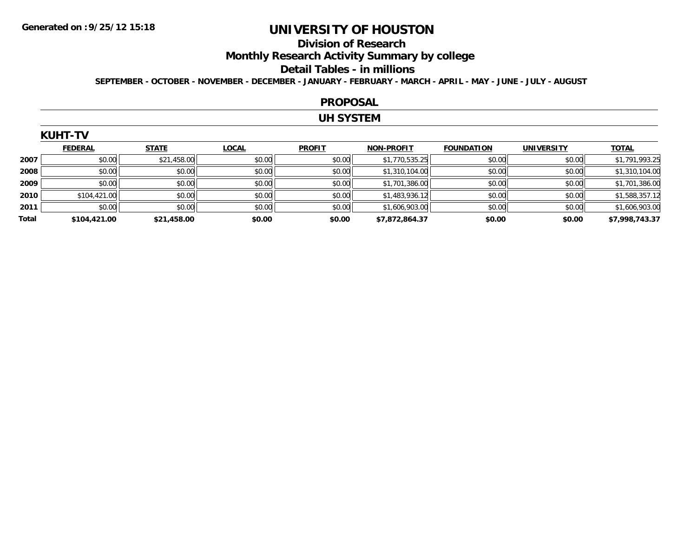## **Division of Research**

**Monthly Research Activity Summary by college**

#### **Detail Tables - in millions**

**SEPTEMBER - OCTOBER - NOVEMBER - DECEMBER - JANUARY - FEBRUARY - MARCH - APRIL - MAY - JUNE - JULY - AUGUST**

#### **PROPOSAL**

### **UH SYSTEM**

### **KUHT-TV**

|       | <b>FEDERAL</b> | <b>STATE</b> | <b>LOCAL</b> | <b>PROFIT</b> | <b>NON-PROFIT</b> | <b>FOUNDATION</b> | <b>UNIVERSITY</b> | <b>TOTAL</b>   |
|-------|----------------|--------------|--------------|---------------|-------------------|-------------------|-------------------|----------------|
| 2007  | \$0.00         | \$21,458.00  | \$0.00       | \$0.00        | \$1,770,535.25    | \$0.00            | \$0.00            | \$1,791,993.25 |
| 2008  | \$0.00         | \$0.00       | \$0.00       | \$0.00        | \$1,310,104.00    | \$0.00            | \$0.00            | \$1,310,104.00 |
| 2009  | \$0.00         | \$0.00       | \$0.00       | \$0.00        | \$1,701,386.00    | \$0.00            | \$0.00            | \$1,701,386.00 |
| 2010  | \$104,421.00   | \$0.00       | \$0.00       | \$0.00        | \$1,483,936.12    | \$0.00            | \$0.00            | \$1,588,357.12 |
| 2011  | \$0.00         | \$0.00       | \$0.00       | \$0.00        | \$1,606,903.00    | \$0.00            | \$0.00            | \$1,606,903.00 |
| Total | \$104,421.00   | \$21,458.00  | \$0.00       | \$0.00        | \$7,872,864.37    | \$0.00            | \$0.00            | \$7,998,743.37 |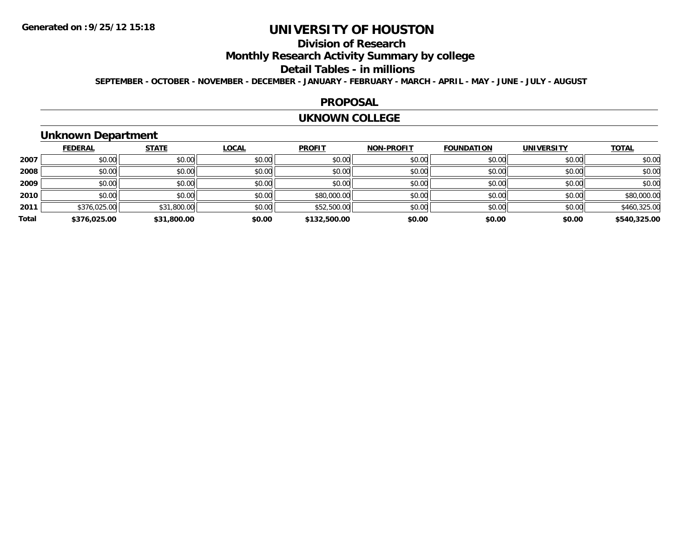# **Division of Research**

**Monthly Research Activity Summary by college**

#### **Detail Tables - in millions**

**SEPTEMBER - OCTOBER - NOVEMBER - DECEMBER - JANUARY - FEBRUARY - MARCH - APRIL - MAY - JUNE - JULY - AUGUST**

### **PROPOSAL**

#### **UKNOWN COLLEGE**

## **Unknown Department**

|       | <b>FEDERAL</b> | <b>STATE</b> | <b>LOCAL</b> | <b>PROFIT</b> | <b>NON-PROFIT</b> | <b>FOUNDATION</b> | <b>UNIVERSITY</b> | <b>TOTAL</b> |
|-------|----------------|--------------|--------------|---------------|-------------------|-------------------|-------------------|--------------|
|       |                |              |              |               |                   |                   |                   |              |
| 2007  | \$0.00         | \$0.00       | \$0.00       | \$0.00        | \$0.00            | \$0.00            | \$0.00            | \$0.00       |
| 2008  | \$0.00         | \$0.00       | \$0.00       | \$0.00        | \$0.00            | \$0.00            | \$0.00            | \$0.00       |
| 2009  | \$0.00         | \$0.00       | \$0.00       | \$0.00        | \$0.00            | \$0.00            | \$0.00            | \$0.00       |
| 2010  | \$0.00         | \$0.00       | \$0.00       | \$80,000.00   | \$0.00            | \$0.00            | \$0.00            | \$80,000.00  |
| 2011  | \$376,025.00   | \$31,800.00  | \$0.00       | \$52,500.00   | \$0.00            | \$0.00            | \$0.00            | \$460,325.00 |
| Total | \$376,025.00   | \$31,800.00  | \$0.00       | \$132,500.00  | \$0.00            | \$0.00            | \$0.00            | \$540,325.00 |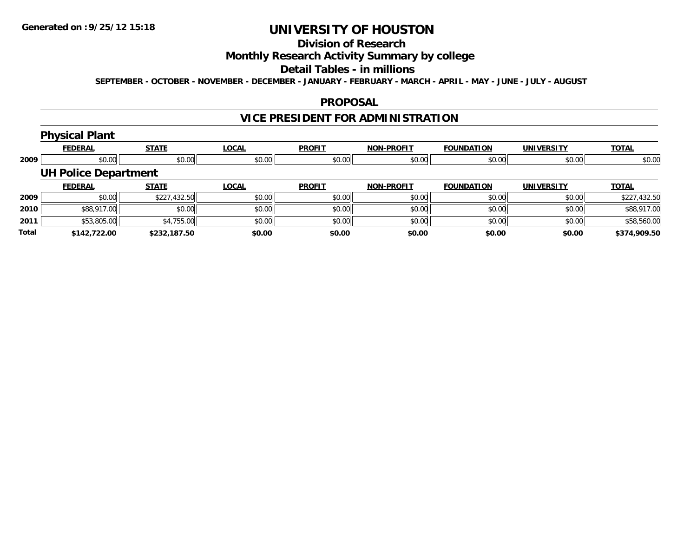# **Division of Research**

## **Monthly Research Activity Summary by college**

#### **Detail Tables - in millions**

**SEPTEMBER - OCTOBER - NOVEMBER - DECEMBER - JANUARY - FEBRUARY - MARCH - APRIL - MAY - JUNE - JULY - AUGUST**

### **PROPOSAL**

# **VICE PRESIDENT FOR ADMINISTRATION**

# **Physical Plant**

|       | <b>FEDERAL</b>              | <b>STATE</b> | <b>LOCAL</b> | <b>PROFIT</b> | <b>NON-PROFIT</b> | <b>FOUNDATION</b> | <b>UNIVERSITY</b> | <b>TOTAL</b> |
|-------|-----------------------------|--------------|--------------|---------------|-------------------|-------------------|-------------------|--------------|
| 2009  | \$0.00                      | \$0.00       | \$0.00       | \$0.00        | \$0.00            | \$0.00            | \$0.00            | \$0.00       |
|       | <b>UH Police Department</b> |              |              |               |                   |                   |                   |              |
|       | <b>FEDERAL</b>              | <b>STATE</b> | <b>LOCAL</b> | <b>PROFIT</b> | <b>NON-PROFIT</b> | <b>FOUNDATION</b> | <b>UNIVERSITY</b> | <b>TOTAL</b> |
| 2009  | \$0.00                      | \$227,432.50 | \$0.00       | \$0.00        | \$0.00            | \$0.00            | \$0.00            | \$227,432.50 |
| 2010  | \$88,917.00                 | \$0.00       | \$0.00       | \$0.00        | \$0.00            | \$0.00            | \$0.00            | \$88,917.00  |
| 2011  | \$53,805.00                 | \$4,755.00   | \$0.00       | \$0.00        | \$0.00            | \$0.00            | \$0.00            | \$58,560.00  |
| Total | \$142.722.00                | \$232,187.50 | \$0.00       | \$0.00        | \$0.00            | \$0.00            | \$0.00            | \$374,909.50 |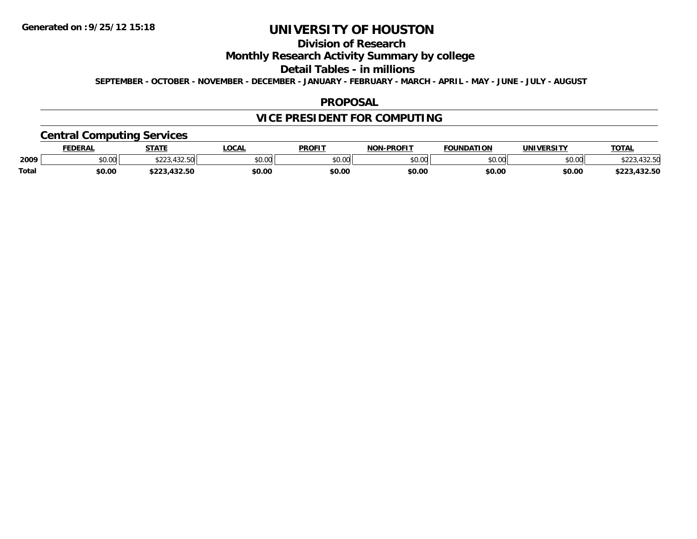# **Division of Research**

## **Monthly Research Activity Summary by college**

#### **Detail Tables - in millions**

**SEPTEMBER - OCTOBER - NOVEMBER - DECEMBER - JANUARY - FEBRUARY - MARCH - APRIL - MAY - JUNE - JULY - AUGUST**

### **PROPOSAL**

# **VICE PRESIDENT FOR COMPUTING**

## **Central Computing Services**

|       | DERAI  | <b>STATE</b>                       | <b>OCAL</b>    | <b>PROFIT</b>           | -PROFIT<br>NON | ΓΙΩΝ<br><b>EQUINDAT</b> | <b><i>INIVERSITY</i></b> | <b>TOTAL</b>             |
|-------|--------|------------------------------------|----------------|-------------------------|----------------|-------------------------|--------------------------|--------------------------|
| 2009  | \$0.00 | $-100-1$<br>ሐ ጣጣ<br>. . <i>. .</i> | ልስ ስሰ<br>JU.UL | 0 <sup>n</sup><br>JU.UU | ልስ ስስ<br>vu.uu | nn on<br>וט.טי          | \$0.00                   | +3∠.3U                   |
| Total | \$0.00 |                                    | \$0.00         | \$0.00                  | \$0.00         | \$0.00                  | \$0.0C                   | パクワ にへ<br>$-22$<br>32.OU |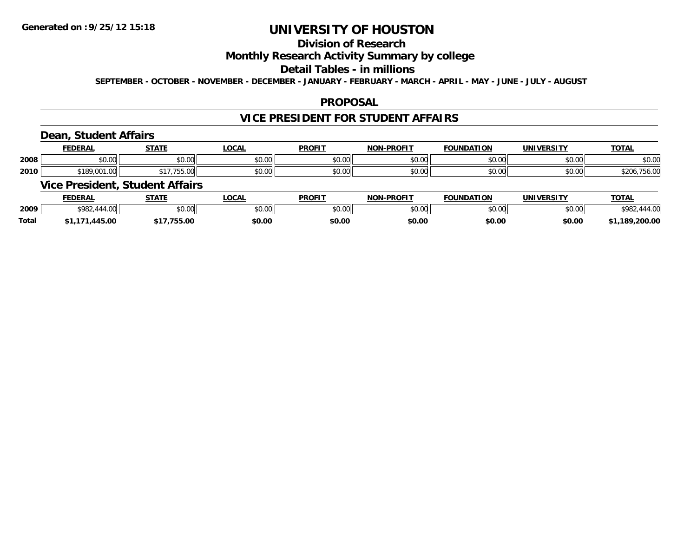# **Division of Research**

## **Monthly Research Activity Summary by college**

#### **Detail Tables - in millions**

**SEPTEMBER - OCTOBER - NOVEMBER - DECEMBER - JANUARY - FEBRUARY - MARCH - APRIL - MAY - JUNE - JULY - AUGUST**

### **PROPOSAL**

### **VICE PRESIDENT FOR STUDENT AFFAIRS**

## **Dean, Student Affairs**

|      | <b>FEDERA</b>         | <b>CTATE</b>    | $\sim$<br>UUAI         | <b>PROFIT</b> | <b>DDOFIT</b>                             | ΠΟΝ           | <b>INIIVERCITY</b><br>JN | <b>TOTAL</b>        |
|------|-----------------------|-----------------|------------------------|---------------|-------------------------------------------|---------------|--------------------------|---------------------|
| 2008 | $\sim$ 00<br>vu.uu    | ሶስ ሰሰ<br>טט.טט  | 0.00<br>ູນບ.ບບ∟        | \$0.00        | $\uparrow$ $\uparrow$ $\uparrow$<br>vv.vv | 0000<br>JU.UU | 0.00<br>PO.OO            | \$0.00              |
| 2010 | 0.01<br>$\sim$ $\sim$ | $\sim$<br>JJ.UU | $\sim$ 00<br>, י∪ט. ∪ש | \$0.00        | 0000<br>vv.vv                             | 0000<br>vv.vv | 0.00<br><b>JU.UU</b>     | $+00.$<br>O.U<br>טש |

### **Vice President, Student Affairs**

|              | <b>FEDERAL</b>              | <b>CTATE</b>  | .OCAL  | <b>PROFIT</b> | <b>J-PROFIT</b><br>NON | <b>FOUNDATION</b>  | <b>UNIVERSITY</b> | <b>TOTAL</b>   |
|--------------|-----------------------------|---------------|--------|---------------|------------------------|--------------------|-------------------|----------------|
| 2009         | $\overline{11100}$<br>\$982 | 0.00<br>JU.UU | \$0.00 | 0000<br>JU.UU | 0000<br>,u.uu          | $\sim$ 00<br>JU.UU | \$0.00            |                |
| <b>Total</b> | 145.00                      | DJ.CC         | \$0.00 | \$0.00        | \$0.00                 | \$0.00             | \$0.00            | ,200.00<br>.18 |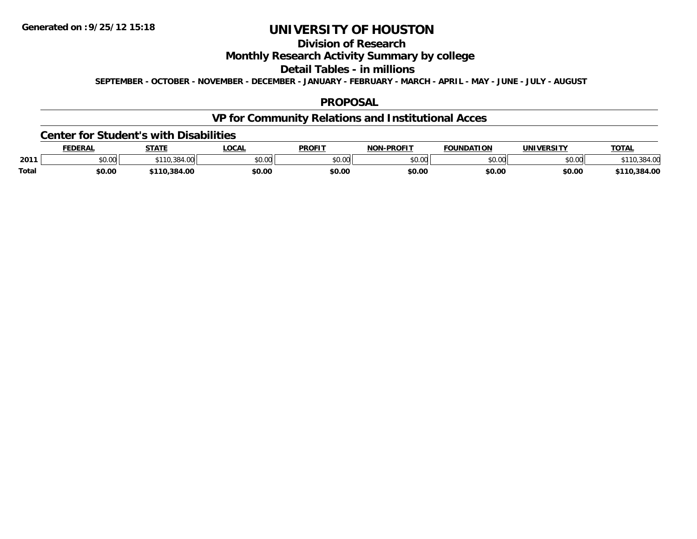# **Division of Research**

## **Monthly Research Activity Summary by college**

#### **Detail Tables - in millions**

**SEPTEMBER - OCTOBER - NOVEMBER - DECEMBER - JANUARY - FEBRUARY - MARCH - APRIL - MAY - JUNE - JULY - AUGUST**

### **PROPOSAL**

# **VP for Community Relations and Institutional Acces**

#### **Center for Student's with Disabilities**

|              | <b>FEDERAL</b> | <b>STATE</b>         | LOCAI          | <b>PROFIT</b> | -PROFIT<br><b>NON</b> | <b>FOUNDATION</b>  | <b>UNIVERSITY</b> | <b>TOTAL</b> |
|--------------|----------------|----------------------|----------------|---------------|-----------------------|--------------------|-------------------|--------------|
| 2011         | JU.UU          | 384<br>$. \, \cdots$ | ልስ ስስ<br>JU.UU | 0.00<br>ט.טע  | \$0.00                | $\sim$ 00<br>JU.UU | \$0.00            |              |
| <b>Total</b> | \$0.00         | .384.00              | \$0.OC         | \$0.00        | \$0.00                | \$0.00             | \$0.00            | .384.00      |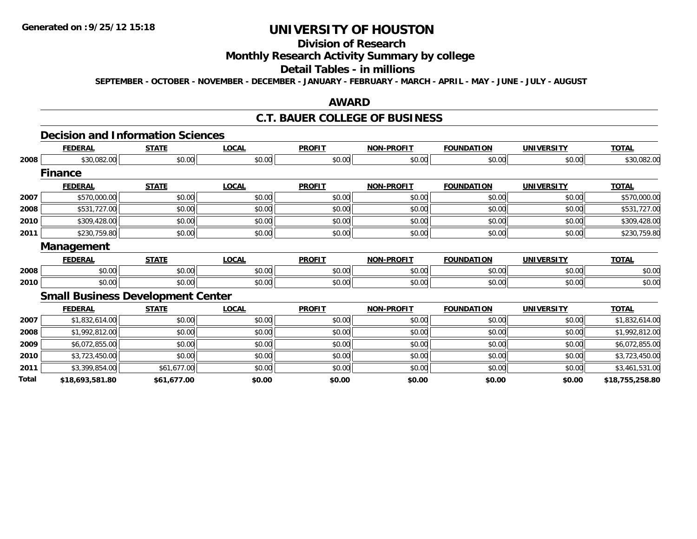# **Division of Research**

## **Monthly Research Activity Summary by college**

#### **Detail Tables - in millions**

**SEPTEMBER - OCTOBER - NOVEMBER - DECEMBER - JANUARY - FEBRUARY - MARCH - APRIL - MAY - JUNE - JULY - AUGUST**

### **AWARD**

### **C.T. BAUER COLLEGE OF BUSINESS**

#### **Decision and Information Sciences**

|       | <b>FEDERAL</b>                           | <b>STATE</b> | <b>LOCAL</b> | <b>PROFIT</b> | <b>NON-PROFIT</b> | <b>FOUNDATION</b> | <b>UNIVERSITY</b> | <b>TOTAL</b>    |
|-------|------------------------------------------|--------------|--------------|---------------|-------------------|-------------------|-------------------|-----------------|
| 2008  | \$30,082.00                              | \$0.00       | \$0.00       | \$0.00        | \$0.00            | \$0.00            | \$0.00            | \$30,082.00     |
|       | <b>Finance</b>                           |              |              |               |                   |                   |                   |                 |
|       | <b>FEDERAL</b>                           | <b>STATE</b> | <b>LOCAL</b> | <b>PROFIT</b> | <b>NON-PROFIT</b> | <b>FOUNDATION</b> | <b>UNIVERSITY</b> | <b>TOTAL</b>    |
| 2007  | \$570,000.00                             | \$0.00       | \$0.00       | \$0.00        | \$0.00            | \$0.00            | \$0.00            | \$570,000.00    |
| 2008  | \$531,727.00                             | \$0.00       | \$0.00       | \$0.00        | \$0.00            | \$0.00            | \$0.00            | \$531,727.00    |
| 2010  | \$309,428.00                             | \$0.00       | \$0.00       | \$0.00        | \$0.00            | \$0.00            | \$0.00            | \$309,428.00    |
| 2011  | \$230,759.80                             | \$0.00       | \$0.00       | \$0.00        | \$0.00            | \$0.00            | \$0.00            | \$230,759.80    |
|       | <b>Management</b>                        |              |              |               |                   |                   |                   |                 |
|       | <b>FEDERAL</b>                           | <b>STATE</b> | <b>LOCAL</b> | <b>PROFIT</b> | <b>NON-PROFIT</b> | <b>FOUNDATION</b> | <b>UNIVERSITY</b> | <b>TOTAL</b>    |
| 2008  | \$0.00                                   | \$0.00       | \$0.00       | \$0.00        | \$0.00            | \$0.00            | \$0.00            | \$0.00          |
| 2010  | \$0.00                                   | \$0.00       | \$0.00       | \$0.00        | \$0.00            | \$0.00            | \$0.00            | \$0.00          |
|       | <b>Small Business Development Center</b> |              |              |               |                   |                   |                   |                 |
|       | <b>FEDERAL</b>                           | <b>STATE</b> | <b>LOCAL</b> | <b>PROFIT</b> | <b>NON-PROFIT</b> | <b>FOUNDATION</b> | <b>UNIVERSITY</b> | <b>TOTAL</b>    |
| 2007  | \$1,832,614.00                           | \$0.00       | \$0.00       | \$0.00        | \$0.00            | \$0.00            | \$0.00            | \$1,832,614.00  |
| 2008  | \$1,992,812.00                           | \$0.00       | \$0.00       | \$0.00        | \$0.00            | \$0.00            | \$0.00            | \$1,992,812.00  |
| 2009  | \$6,072,855.00                           | \$0.00       | \$0.00       | \$0.00        | \$0.00            | \$0.00            | \$0.00            | \$6,072,855.00  |
| 2010  | \$3,723,450.00                           | \$0.00       | \$0.00       | \$0.00        | \$0.00            | \$0.00            | \$0.00            | \$3,723,450.00  |
| 2011  | \$3,399,854.00                           | \$61,677.00  | \$0.00       | \$0.00        | \$0.00            | \$0.00            | \$0.00            | \$3,461,531.00  |
| Total | \$18,693,581.80                          | \$61,677.00  | \$0.00       | \$0.00        | \$0.00            | \$0.00            | \$0.00            | \$18,755,258.80 |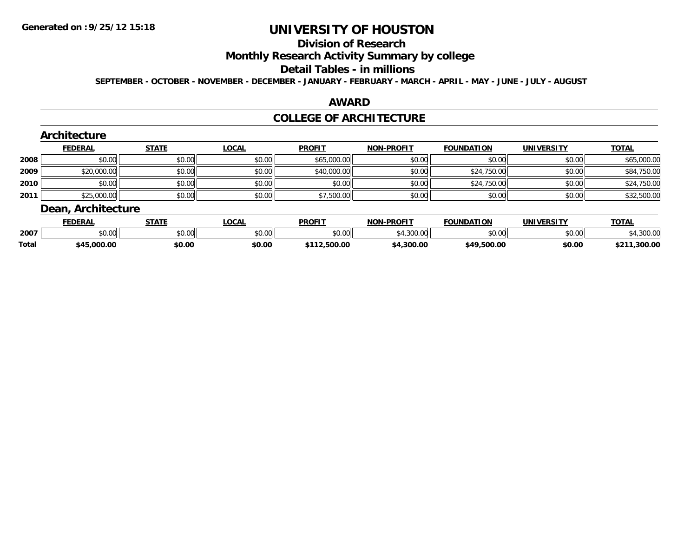#### **Division of Research**

## **Monthly Research Activity Summary by college**

#### **Detail Tables - in millions**

**SEPTEMBER - OCTOBER - NOVEMBER - DECEMBER - JANUARY - FEBRUARY - MARCH - APRIL - MAY - JUNE - JULY - AUGUST**

## **AWARD**

### **COLLEGE OF ARCHITECTURE**

|      | Architecture       |              |              |               |                   |                    |                    |              |
|------|--------------------|--------------|--------------|---------------|-------------------|--------------------|--------------------|--------------|
|      | <b>FEDERAL</b>     | <b>STATE</b> | <b>LOCAL</b> | <b>PROFIT</b> | <b>NON-PROFIT</b> | <b>FOUNDATION</b>  | <b>UNIVERSITY</b>  | <b>TOTAL</b> |
| 2008 | \$0.00             | \$0.00       | \$0.00       | \$65,000.00   | \$0.00            | \$0.00             | \$0.00             | \$65,000.00  |
| 2009 | \$20,000.00        | \$0.00       | \$0.00       | \$40,000.00   | \$0.00            | \$24,750.00        | \$0.00             | \$84,750.00  |
| 2010 | \$0.00             | \$0.00       | \$0.00       | \$0.00        | \$0.00            | \$24,750.00        | \$0.00             | \$24,750.00  |
| 2011 | \$25,000.00        | \$0.00       | \$0.00       | \$7,500.00    | \$0.00            | \$0.00             | \$0.00             | \$32,500.00  |
|      | Dean, Architecture |              |              |               |                   |                    |                    |              |
|      | <b>FFDFDAI</b>     | <b>STATE</b> | I OCAL       | <b>DDOFIT</b> | MON_PPOELT        | <b>EQUINDATION</b> | <b>IINIVEDSITY</b> | <b>TOTAL</b> |

|              | <b>FEDERAL</b> | STATI          | '.OCAL                              | <b>PROFI</b> | NON<br>-PROFIT | <b>FOUNDATION</b>          | <b>IINIVEDSITV</b>  | <b>TAT.</b><br><b>O</b> 1 |
|--------------|----------------|----------------|-------------------------------------|--------------|----------------|----------------------------|---------------------|---------------------------|
| 2007         | \$0.00         | ሶስ ሰሰ<br>JU.UU | $\theta$ $\theta$ $\theta$<br>DU.UU | \$0.00       | .300.00        | $*$ $\cap$ $\cap$<br>JU.UU | $\sim$ 00<br>וטט.טע | $-100.01$                 |
| <b>Total</b> | \$45,000.00    | \$0.00         | \$0.00                              | 500.00       | .300.00        | \$49.500.00                | \$0.00              | .300.00<br><b>¢クイ</b>     |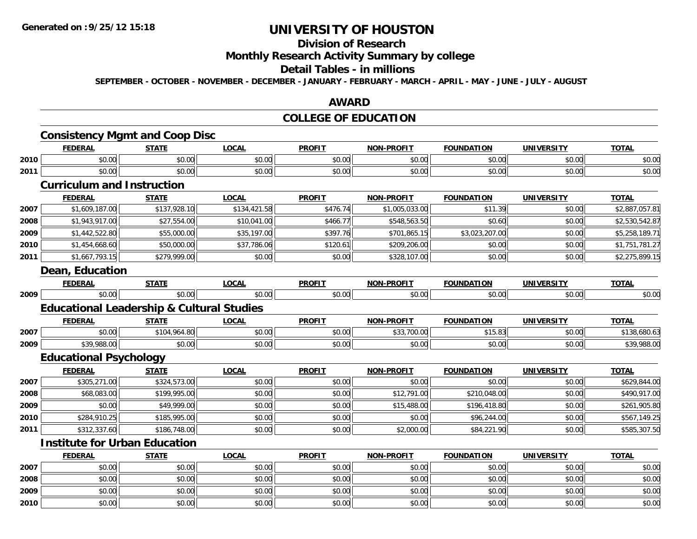**2009**

**2010**

## **UNIVERSITY OF HOUSTON**

## **Division of Research**

## **Monthly Research Activity Summary by college**

#### **Detail Tables - in millions**

**SEPTEMBER - OCTOBER - NOVEMBER - DECEMBER - JANUARY - FEBRUARY - MARCH - APRIL - MAY - JUNE - JULY - AUGUST**

### **AWARD**

## **COLLEGE OF EDUCATION**

|      | <b>FEDERAL</b>                                       | <b>STATE</b> | <b>LOCAL</b> | <b>PROFIT</b> | <b>NON-PROFIT</b> | <b>FOUNDATION</b> | <b>UNIVERSITY</b> | <b>TOTAL</b>   |
|------|------------------------------------------------------|--------------|--------------|---------------|-------------------|-------------------|-------------------|----------------|
| 2010 | \$0.00                                               | \$0.00       | \$0.00       | \$0.00        | \$0.00            | \$0.00            | \$0.00            | \$0.00         |
| 2011 | \$0.00                                               | \$0.00       | \$0.00       | \$0.00        | \$0.00            | \$0.00            | \$0.00            | \$0.00         |
|      | <b>Curriculum and Instruction</b>                    |              |              |               |                   |                   |                   |                |
|      | <b>FEDERAL</b>                                       | <b>STATE</b> | <b>LOCAL</b> | <b>PROFIT</b> | <b>NON-PROFIT</b> | <b>FOUNDATION</b> | <b>UNIVERSITY</b> | <b>TOTAL</b>   |
| 2007 | \$1,609,187.00                                       | \$137,928.10 | \$134,421.58 | \$476.74      | \$1,005,033.00    | \$11.39           | \$0.00            | \$2,887,057.81 |
| 2008 | \$1,943,917.00                                       | \$27,554.00  | \$10,041.00  | \$466.77      | \$548,563.50      | \$0.60            | \$0.00            | \$2,530,542.87 |
| 2009 | \$1,442,522.80                                       | \$55,000.00  | \$35,197.00  | \$397.76      | \$701,865.15      | \$3,023,207.00    | \$0.00            | \$5,258,189.71 |
| 2010 | \$1,454,668.60                                       | \$50,000.00  | \$37,786.06  | \$120.61      | \$209,206.00      | \$0.00            | \$0.00            | \$1,751,781.27 |
| 2011 | \$1,667,793.15                                       | \$279,999.00 | \$0.00       | \$0.00        | \$328,107.00      | \$0.00            | \$0.00            | \$2,275,899.15 |
|      | Dean, Education                                      |              |              |               |                   |                   |                   |                |
|      | <b>FEDERAL</b>                                       | <b>STATE</b> | <b>LOCAL</b> | <b>PROFIT</b> | <b>NON-PROFIT</b> | <b>FOUNDATION</b> | <b>UNIVERSITY</b> | <b>TOTAL</b>   |
| 2009 | \$0.00                                               | \$0.00       | \$0.00       | \$0.00        | \$0.00            | \$0.00            | \$0.00            | \$0.00         |
|      | <b>Educational Leadership &amp; Cultural Studies</b> |              |              |               |                   |                   |                   |                |
|      | <b>FEDERAL</b>                                       | <b>STATE</b> | <b>LOCAL</b> | <b>PROFIT</b> | <b>NON-PROFIT</b> | <b>FOUNDATION</b> | <b>UNIVERSITY</b> | <b>TOTAL</b>   |
| 2007 | \$0.00                                               | \$104,964.80 | \$0.00       | \$0.00        | \$33,700.00       | \$15.83           | \$0.00            | \$138,680.63   |
| 2009 | \$39,988.00                                          | \$0.00       | \$0.00       | \$0.00        | \$0.00            | \$0.00            | \$0.00            | \$39,988.00    |
|      | <b>Educational Psychology</b>                        |              |              |               |                   |                   |                   |                |
|      | <b>FEDERAL</b>                                       | <b>STATE</b> | <b>LOCAL</b> | <b>PROFIT</b> | <b>NON-PROFIT</b> | <b>FOUNDATION</b> | <b>UNIVERSITY</b> | <b>TOTAL</b>   |
| 2007 | \$305,271.00                                         | \$324,573.00 | \$0.00       | \$0.00        | \$0.00            | \$0.00            | \$0.00            | \$629,844.00   |
| 2008 | \$68,083.00                                          | \$199,995.00 | \$0.00       | \$0.00        | \$12,791.00       | \$210,048.00      | \$0.00            | \$490,917.00   |
| 2009 | \$0.00                                               | \$49,999.00  | \$0.00       | \$0.00        | \$15,488.00       | \$196,418.80      | \$0.00            | \$261,905.80   |
| 2010 | \$284,910.25                                         | \$185,995.00 | \$0.00       | \$0.00        | \$0.00            | \$96,244.00       | \$0.00            | \$567,149.25   |
| 2011 | \$312,337.60                                         | \$186,748.00 | \$0.00       | \$0.00        | \$2,000.00        | \$84,221.90       | \$0.00            | \$585,307.50   |
|      | <b>Institute for Urban Education</b>                 |              |              |               |                   |                   |                   |                |
|      | <b>FEDERAL</b>                                       | <b>STATE</b> | <b>LOCAL</b> | <b>PROFIT</b> | <b>NON-PROFIT</b> | <b>FOUNDATION</b> | <b>UNIVERSITY</b> | <b>TOTAL</b>   |
| 2007 | \$0.00                                               | \$0.00       | \$0.00       | \$0.00        | \$0.00            | \$0.00            | \$0.00            | \$0.00         |
|      |                                                      |              |              |               |                   |                   |                   |                |

\$0.00 \$0.00 \$0.00 \$0.00 \$0.00 \$0.00 \$0.00 \$0.00

0 \$0.00 \$0.00 \$0.00 \$0.00 \$0.00 \$0.00 \$0.00 \$0.00 \$0.00 \$0.00 \$0.00 \$0.00 \$0.00 \$0.00 \$0.00 \$0.00 \$0.00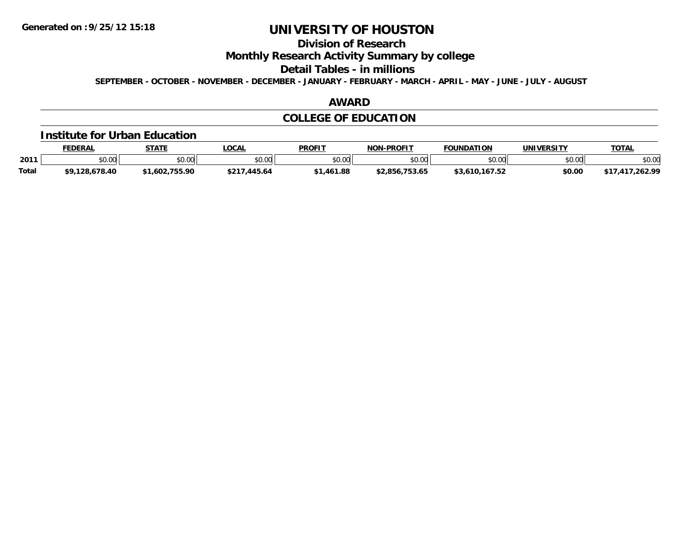## **Division of Research**

**Monthly Research Activity Summary by college**

**Detail Tables - in millions**

**SEPTEMBER - OCTOBER - NOVEMBER - DECEMBER - JANUARY - FEBRUARY - MARCH - APRIL - MAY - JUNE - JULY - AUGUST**

## **AWARD**

## **COLLEGE OF EDUCATION**

#### **Institute for Urban Education**

|              | FEDERAL        | <b>STATE</b> | <b>_OCAL</b>     | <b>PROFIT</b>  | <b>NON-PROFIT</b> | <b>FOUNDATION</b> | UNIVERSITY | <b>TOTAL</b> |
|--------------|----------------|--------------|------------------|----------------|-------------------|-------------------|------------|--------------|
| 2011         | 0.00<br>JU.UU  | \$0.00       | \$0.00           | \$0.00         | \$0.00            | \$0.00            | \$0.00     | \$0.00       |
| <b>Total</b> | \$9,128,678.40 | 1.602.755.90 | .445.64<br>\$217 | 1.461.88<br>AA | \$2.856.753.65    | \$3,610,167.52    | \$0.00     | /.417.262.99 |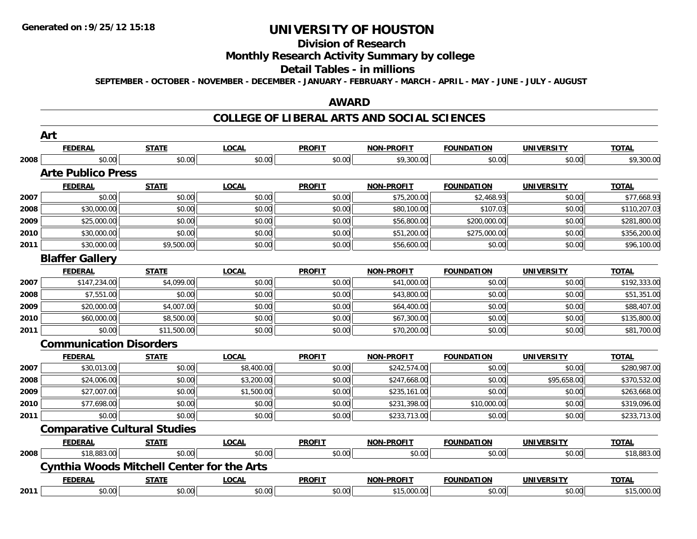#### **Division of Research**

## **Monthly Research Activity Summary by college**

#### **Detail Tables - in millions**

**SEPTEMBER - OCTOBER - NOVEMBER - DECEMBER - JANUARY - FEBRUARY - MARCH - APRIL - MAY - JUNE - JULY - AUGUST**

### **AWARD**

### **COLLEGE OF LIBERAL ARTS AND SOCIAL SCIENCES**

|      | Art                                               |              |              |               |                   |                   |                   |              |
|------|---------------------------------------------------|--------------|--------------|---------------|-------------------|-------------------|-------------------|--------------|
|      | <b>FEDERAL</b>                                    | <b>STATE</b> | <b>LOCAL</b> | <b>PROFIT</b> | <b>NON-PROFIT</b> | <b>FOUNDATION</b> | <b>UNIVERSITY</b> | <b>TOTAL</b> |
| 2008 | \$0.00                                            | \$0.00       | \$0.00       | \$0.00        | \$9,300.00        | \$0.00            | \$0.00            | \$9,300.00   |
|      | <b>Arte Publico Press</b>                         |              |              |               |                   |                   |                   |              |
|      | <b>FEDERAL</b>                                    | <b>STATE</b> | <b>LOCAL</b> | <b>PROFIT</b> | <b>NON-PROFIT</b> | <b>FOUNDATION</b> | <b>UNIVERSITY</b> | <b>TOTAL</b> |
| 2007 | \$0.00                                            | \$0.00       | \$0.00       | \$0.00        | \$75,200.00       | \$2,468.93        | \$0.00            | \$77,668.93  |
| 2008 | \$30,000.00                                       | \$0.00       | \$0.00       | \$0.00        | \$80,100.00       | \$107.03          | \$0.00            | \$110,207.03 |
| 2009 | \$25,000.00                                       | \$0.00       | \$0.00       | \$0.00        | \$56,800.00       | \$200,000.00      | \$0.00            | \$281,800.00 |
| 2010 | \$30,000.00                                       | \$0.00       | \$0.00       | \$0.00        | \$51,200.00       | \$275,000.00      | \$0.00            | \$356,200.00 |
| 2011 | \$30,000.00                                       | \$9,500.00   | \$0.00       | \$0.00        | \$56,600.00       | \$0.00            | \$0.00            | \$96,100.00  |
|      | <b>Blaffer Gallery</b>                            |              |              |               |                   |                   |                   |              |
|      | <b>FEDERAL</b>                                    | <b>STATE</b> | <b>LOCAL</b> | <b>PROFIT</b> | <b>NON-PROFIT</b> | <b>FOUNDATION</b> | <b>UNIVERSITY</b> | <b>TOTAL</b> |
| 2007 | \$147,234.00                                      | \$4,099.00   | \$0.00       | \$0.00        | \$41,000.00       | \$0.00            | \$0.00            | \$192,333.00 |
| 2008 | \$7,551.00                                        | \$0.00       | \$0.00       | \$0.00        | \$43,800.00       | \$0.00            | \$0.00            | \$51,351.00  |
| 2009 | \$20,000.00                                       | \$4,007.00   | \$0.00       | \$0.00        | \$64,400.00       | \$0.00            | \$0.00            | \$88,407.00  |
| 2010 | \$60,000.00                                       | \$8,500.00   | \$0.00       | \$0.00        | \$67,300.00       | \$0.00            | \$0.00            | \$135,800.00 |
| 2011 | \$0.00                                            | \$11,500.00  | \$0.00       | \$0.00        | \$70,200.00       | \$0.00            | \$0.00            | \$81,700.00  |
|      | <b>Communication Disorders</b>                    |              |              |               |                   |                   |                   |              |
|      | <b>FEDERAL</b>                                    | <b>STATE</b> | <b>LOCAL</b> | <b>PROFIT</b> | <b>NON-PROFIT</b> | <b>FOUNDATION</b> | <b>UNIVERSITY</b> | <b>TOTAL</b> |
| 2007 | \$30,013.00                                       | \$0.00       | \$8,400.00   | \$0.00        | \$242,574.00      | \$0.00            | \$0.00            | \$280,987.00 |
| 2008 | \$24,006.00                                       | \$0.00       | \$3,200.00   | \$0.00        | \$247,668.00      | \$0.00            | \$95,658.00       | \$370,532.00 |
| 2009 | \$27,007.00                                       | \$0.00       | \$1,500.00   | \$0.00        | \$235,161.00      | \$0.00            | \$0.00            | \$263,668.00 |
| 2010 | \$77,698.00                                       | \$0.00       | \$0.00       | \$0.00        | \$231,398.00      | \$10,000.00       | \$0.00            | \$319,096.00 |
| 2011 | \$0.00                                            | \$0.00       | \$0.00       | \$0.00        | \$233,713.00      | \$0.00            | \$0.00            | \$233,713.00 |
|      | <b>Comparative Cultural Studies</b>               |              |              |               |                   |                   |                   |              |
|      | <b>FEDERAL</b>                                    | <b>STATE</b> | <b>LOCAL</b> | <b>PROFIT</b> | <b>NON-PROFIT</b> | <b>FOUNDATION</b> | <b>UNIVERSITY</b> | <b>TOTAL</b> |
| 2008 | \$18,883.00                                       | \$0.00       | \$0.00       | \$0.00        | \$0.00            | \$0.00            | \$0.00            | \$18,883.00  |
|      | <b>Cynthia Woods Mitchell Center for the Arts</b> |              |              |               |                   |                   |                   |              |
|      | <b>FEDERAL</b>                                    | <b>STATE</b> | <b>LOCAL</b> | <b>PROFIT</b> | <b>NON-PROFIT</b> | <b>FOUNDATION</b> | <b>UNIVERSITY</b> | <b>TOTAL</b> |
| 2011 | \$0.00                                            | \$0.00       | \$0.00       | \$0.00        | \$15,000.00       | \$0.00            | \$0.00            | \$15,000.00  |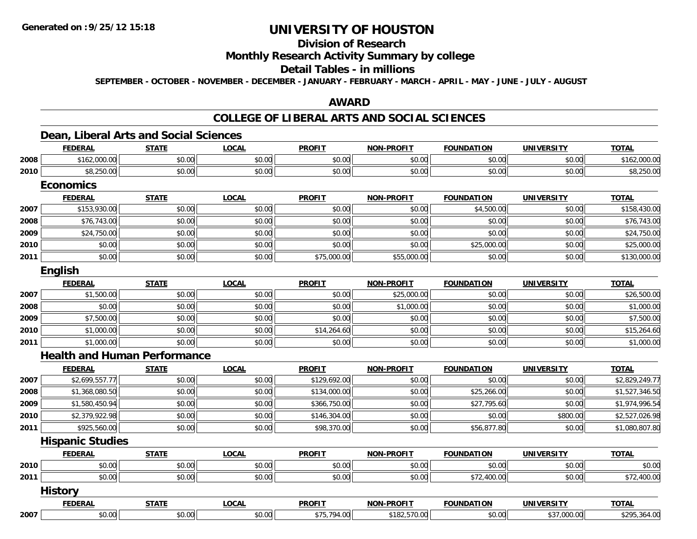## **Division of Research**

## **Monthly Research Activity Summary by college**

### **Detail Tables - in millions**

**SEPTEMBER - OCTOBER - NOVEMBER - DECEMBER - JANUARY - FEBRUARY - MARCH - APRIL - MAY - JUNE - JULY - AUGUST**

### **AWARD**

## **COLLEGE OF LIBERAL ARTS AND SOCIAL SCIENCES**

### **Dean, Liberal Arts and Social Sciences**

|      | <b>FEDERAL</b>                      | <b>STATE</b> | <b>LOCAL</b> | <b>PROFIT</b> | <b>NON-PROFIT</b> | <b>FOUNDATION</b> | <b>UNIVERSITY</b> | <b>TOTAL</b>   |
|------|-------------------------------------|--------------|--------------|---------------|-------------------|-------------------|-------------------|----------------|
| 2008 | \$162,000.00                        | \$0.00       | \$0.00       | \$0.00        | \$0.00            | \$0.00            | \$0.00            | \$162,000.00   |
| 2010 | \$8,250.00                          | \$0.00       | \$0.00       | \$0.00        | \$0.00            | \$0.00            | \$0.00            | \$8,250.00     |
|      | <b>Economics</b>                    |              |              |               |                   |                   |                   |                |
|      | <b>FEDERAL</b>                      | <b>STATE</b> | <b>LOCAL</b> | <b>PROFIT</b> | <b>NON-PROFIT</b> | <b>FOUNDATION</b> | <b>UNIVERSITY</b> | <b>TOTAL</b>   |
| 2007 | \$153,930.00                        | \$0.00       | \$0.00       | \$0.00        | \$0.00            | \$4,500.00        | \$0.00            | \$158,430.00   |
| 2008 | \$76,743.00                         | \$0.00       | \$0.00       | \$0.00        | \$0.00            | \$0.00            | \$0.00            | \$76,743.00    |
| 2009 | \$24,750.00                         | \$0.00       | \$0.00       | \$0.00        | \$0.00            | \$0.00            | \$0.00            | \$24,750.00    |
| 2010 | \$0.00                              | \$0.00       | \$0.00       | \$0.00        | \$0.00            | \$25,000.00       | \$0.00            | \$25,000.00    |
| 2011 | \$0.00                              | \$0.00       | \$0.00       | \$75,000.00   | \$55,000.00       | \$0.00            | \$0.00            | \$130,000.00   |
|      | English                             |              |              |               |                   |                   |                   |                |
|      | <b>FEDERAL</b>                      | <b>STATE</b> | <b>LOCAL</b> | <b>PROFIT</b> | <b>NON-PROFIT</b> | <b>FOUNDATION</b> | <b>UNIVERSITY</b> | <b>TOTAL</b>   |
| 2007 | \$1,500.00                          | \$0.00       | \$0.00       | \$0.00        | \$25,000.00       | \$0.00            | \$0.00            | \$26,500.00    |
| 2008 | \$0.00                              | \$0.00       | \$0.00       | \$0.00        | \$1,000.00        | \$0.00            | \$0.00            | \$1,000.00     |
| 2009 | \$7,500.00                          | \$0.00       | \$0.00       | \$0.00        | \$0.00            | \$0.00            | \$0.00            | \$7,500.00     |
| 2010 | \$1,000.00                          | \$0.00       | \$0.00       | \$14,264.60   | \$0.00            | \$0.00            | \$0.00            | \$15,264.60    |
| 2011 | \$1,000.00                          | \$0.00       | \$0.00       | \$0.00        | \$0.00            | \$0.00            | \$0.00            | \$1,000.00     |
|      | <b>Health and Human Performance</b> |              |              |               |                   |                   |                   |                |
|      | <b>FEDERAL</b>                      | <b>STATE</b> | <b>LOCAL</b> | <b>PROFIT</b> | <b>NON-PROFIT</b> | <b>FOUNDATION</b> | <b>UNIVERSITY</b> | <b>TOTAL</b>   |
| 2007 | \$2,699,557.77                      | \$0.00       | \$0.00       | \$129,692.00  | \$0.00            | \$0.00            | \$0.00            | \$2,829,249.77 |
| 2008 | \$1,368,080.50                      | \$0.00       | \$0.00       | \$134,000.00  | \$0.00            | \$25,266.00       | \$0.00            | \$1,527,346.50 |
| 2009 | \$1,580,450.94                      | \$0.00       | \$0.00       | \$366,750.00  | \$0.00            | \$27,795.60       | \$0.00            | \$1,974,996.54 |
| 2010 | \$2,379,922.98                      | \$0.00       | \$0.00       | \$146,304.00  | \$0.00            | \$0.00            | \$800.00          | \$2,527,026.98 |
| 2011 | \$925,560.00                        | \$0.00       | \$0.00       | \$98,370.00   | \$0.00            | \$56,877.80       | \$0.00            | \$1,080,807.80 |
|      | <b>Hispanic Studies</b>             |              |              |               |                   |                   |                   |                |
|      | <b>FEDERAL</b>                      | <b>STATE</b> | <b>LOCAL</b> | <b>PROFIT</b> | <b>NON-PROFIT</b> | <b>FOUNDATION</b> | <b>UNIVERSITY</b> | <b>TOTAL</b>   |
| 2010 | \$0.00                              | \$0.00       | \$0.00       | \$0.00        | \$0.00            | \$0.00            | \$0.00            | \$0.00         |
| 2011 | \$0.00                              | \$0.00       | \$0.00       | \$0.00        | \$0.00            | \$72,400.00       | \$0.00            | \$72,400.00    |
|      | <b>History</b>                      |              |              |               |                   |                   |                   |                |
|      | <b>FEDERAL</b>                      | <b>STATE</b> | <b>LOCAL</b> | <b>PROFIT</b> | <b>NON-PROFIT</b> | <b>FOUNDATION</b> | <b>UNIVERSITY</b> | <b>TOTAL</b>   |
| 2007 | \$0.00                              | \$0.00       | \$0.00       | \$75,794.00   | \$182,570.00      | \$0.00            | \$37,000.00       | \$295,364.00   |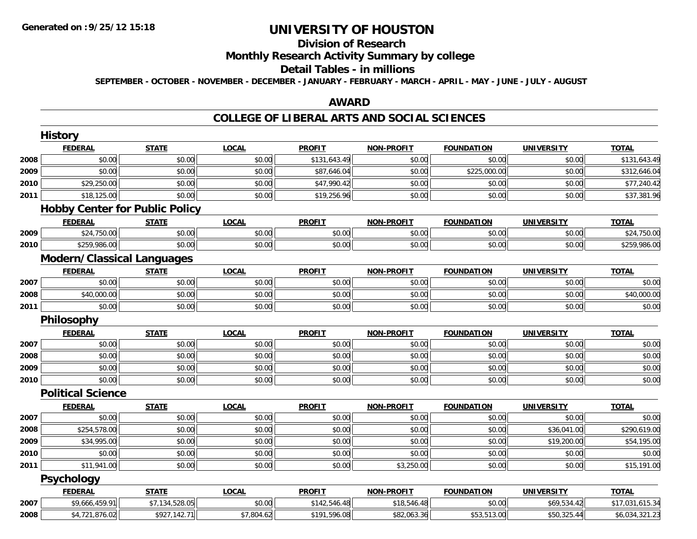#### **Division of Research**

## **Monthly Research Activity Summary by college**

#### **Detail Tables - in millions**

**SEPTEMBER - OCTOBER - NOVEMBER - DECEMBER - JANUARY - FEBRUARY - MARCH - APRIL - MAY - JUNE - JULY - AUGUST**

## **AWARD**

### **COLLEGE OF LIBERAL ARTS AND SOCIAL SCIENCES**

|      | <b>History</b>                        |                |              |               |                   |                   |                   |                 |
|------|---------------------------------------|----------------|--------------|---------------|-------------------|-------------------|-------------------|-----------------|
|      | <b>FEDERAL</b>                        | <b>STATE</b>   | <b>LOCAL</b> | <b>PROFIT</b> | <b>NON-PROFIT</b> | <b>FOUNDATION</b> | <b>UNIVERSITY</b> | <b>TOTAL</b>    |
| 2008 | \$0.00                                | \$0.00         | \$0.00       | \$131,643.49  | \$0.00            | \$0.00            | \$0.00            | \$131,643.49    |
| 2009 | \$0.00                                | \$0.00         | \$0.00       | \$87,646.04   | \$0.00            | \$225,000.00      | \$0.00            | \$312,646.04    |
| 2010 | \$29,250.00                           | \$0.00         | \$0.00       | \$47,990.42   | \$0.00            | \$0.00            | \$0.00            | \$77,240.42     |
| 2011 | \$18,125.00                           | \$0.00         | \$0.00       | \$19,256.96   | \$0.00            | \$0.00            | \$0.00            | \$37,381.96     |
|      | <b>Hobby Center for Public Policy</b> |                |              |               |                   |                   |                   |                 |
|      | <b>FEDERAL</b>                        | <b>STATE</b>   | <b>LOCAL</b> | <b>PROFIT</b> | <b>NON-PROFIT</b> | <b>FOUNDATION</b> | <b>UNIVERSITY</b> | <b>TOTAL</b>    |
| 2009 | \$24,750.00                           | \$0.00         | \$0.00       | \$0.00        | \$0.00            | \$0.00            | \$0.00            | \$24,750.00     |
| 2010 | \$259,986.00                          | \$0.00         | \$0.00       | \$0.00        | \$0.00            | \$0.00            | \$0.00            | \$259,986.00    |
|      | <b>Modern/Classical Languages</b>     |                |              |               |                   |                   |                   |                 |
|      | <b>FEDERAL</b>                        | <b>STATE</b>   | <b>LOCAL</b> | <b>PROFIT</b> | <b>NON-PROFIT</b> | <b>FOUNDATION</b> | <b>UNIVERSITY</b> | <b>TOTAL</b>    |
| 2007 | \$0.00                                | \$0.00         | \$0.00       | \$0.00        | \$0.00            | \$0.00            | \$0.00            | \$0.00          |
| 2008 | \$40,000.00                           | \$0.00         | \$0.00       | \$0.00        | \$0.00            | \$0.00            | \$0.00            | \$40,000.00     |
| 2011 | \$0.00                                | \$0.00         | \$0.00       | \$0.00        | \$0.00            | \$0.00            | \$0.00            | \$0.00          |
|      | Philosophy                            |                |              |               |                   |                   |                   |                 |
|      | <b>FEDERAL</b>                        | <b>STATE</b>   | <b>LOCAL</b> | <b>PROFIT</b> | <b>NON-PROFIT</b> | <b>FOUNDATION</b> | <b>UNIVERSITY</b> | <b>TOTAL</b>    |
| 2007 | \$0.00                                | \$0.00         | \$0.00       | \$0.00        | \$0.00            | \$0.00            | \$0.00            | \$0.00          |
| 2008 | \$0.00                                | \$0.00         | \$0.00       | \$0.00        | \$0.00            | \$0.00            | \$0.00            | \$0.00          |
| 2009 | \$0.00                                | \$0.00         | \$0.00       | \$0.00        | \$0.00            | \$0.00            | \$0.00            | \$0.00          |
| 2010 | \$0.00                                | \$0.00         | \$0.00       | \$0.00        | \$0.00            | \$0.00            | \$0.00            | \$0.00          |
|      | <b>Political Science</b>              |                |              |               |                   |                   |                   |                 |
|      | <b>FEDERAL</b>                        | <b>STATE</b>   | <b>LOCAL</b> | <b>PROFIT</b> | <b>NON-PROFIT</b> | <b>FOUNDATION</b> | <b>UNIVERSITY</b> | <b>TOTAL</b>    |
| 2007 | \$0.00                                | \$0.00         | \$0.00       | \$0.00        | \$0.00            | \$0.00            | \$0.00            | \$0.00          |
| 2008 | \$254,578.00                          | \$0.00         | \$0.00       | \$0.00        | \$0.00            | \$0.00            | \$36,041.00       | \$290,619.00    |
| 2009 | \$34,995.00                           | \$0.00         | \$0.00       | \$0.00        | \$0.00            | \$0.00            | \$19,200.00       | \$54,195.00     |
| 2010 | \$0.00                                | \$0.00         | \$0.00       | \$0.00        | \$0.00            | \$0.00            | \$0.00            | \$0.00          |
| 2011 | \$11,941.00                           | \$0.00         | \$0.00       | \$0.00        | \$3,250.00        | \$0.00            | \$0.00            | \$15,191.00     |
|      | <b>Psychology</b>                     |                |              |               |                   |                   |                   |                 |
|      | <b>FEDERAL</b>                        | <b>STATE</b>   | <b>LOCAL</b> | <b>PROFIT</b> | <b>NON-PROFIT</b> | <b>FOUNDATION</b> | <b>UNIVERSITY</b> | <b>TOTAL</b>    |
| 2007 | \$9,666,459.91                        | \$7,134,528.05 | \$0.00       | \$142,546.48  | \$18,546.48       | \$0.00            | \$69,534.42       | \$17,031,615.34 |
| 2008 | \$4,721,876.02                        | \$927,142.71   | \$7,804.62   | \$191,596.08  | \$82,063.36       | \$53,513.00       | \$50,325.44       | \$6,034,321.23  |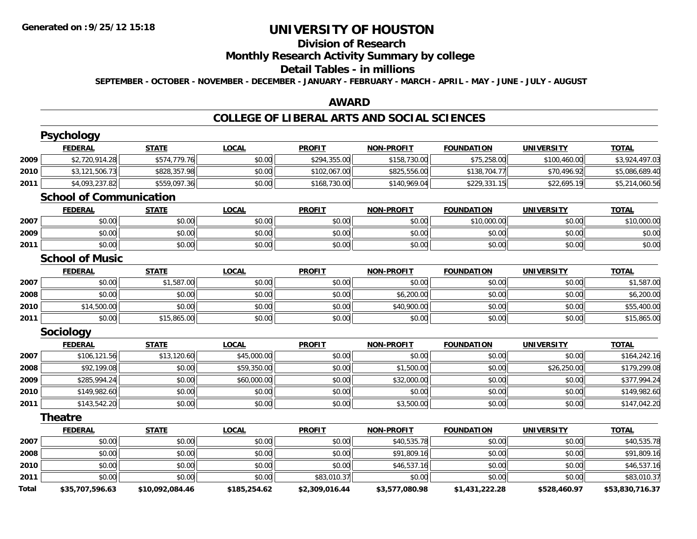## **Division of Research**

## **Monthly Research Activity Summary by college**

#### **Detail Tables - in millions**

**SEPTEMBER - OCTOBER - NOVEMBER - DECEMBER - JANUARY - FEBRUARY - MARCH - APRIL - MAY - JUNE - JULY - AUGUST**

### **AWARD**

### **COLLEGE OF LIBERAL ARTS AND SOCIAL SCIENCES**

|       | <b>Psychology</b>              |                 |              |                |                   |                   |                   |                 |
|-------|--------------------------------|-----------------|--------------|----------------|-------------------|-------------------|-------------------|-----------------|
|       | <b>FEDERAL</b>                 | <b>STATE</b>    | <b>LOCAL</b> | <b>PROFIT</b>  | <b>NON-PROFIT</b> | <b>FOUNDATION</b> | <b>UNIVERSITY</b> | <b>TOTAL</b>    |
| 2009  | \$2,720,914.28                 | \$574,779.76    | \$0.00       | \$294,355.00   | \$158,730.00      | \$75,258.00       | \$100,460.00      | \$3,924,497.03  |
| 2010  | \$3,121,506.73                 | \$828,357.98    | \$0.00       | \$102,067.00   | \$825,556.00      | \$138,704.77      | \$70,496.92       | \$5,086,689.40  |
| 2011  | \$4,093,237.82                 | \$559,097.36    | \$0.00       | \$168,730.00   | \$140,969.04      | \$229,331.15      | \$22,695.19       | \$5,214,060.56  |
|       | <b>School of Communication</b> |                 |              |                |                   |                   |                   |                 |
|       | <b>FEDERAL</b>                 | <b>STATE</b>    | <b>LOCAL</b> | <b>PROFIT</b>  | <b>NON-PROFIT</b> | <b>FOUNDATION</b> | <b>UNIVERSITY</b> | <b>TOTAL</b>    |
| 2007  | \$0.00                         | \$0.00          | \$0.00       | \$0.00         | \$0.00            | \$10,000.00       | \$0.00            | \$10,000.00     |
| 2009  | \$0.00                         | \$0.00          | \$0.00       | \$0.00         | \$0.00            | \$0.00            | \$0.00            | \$0.00          |
| 2011  | \$0.00                         | \$0.00          | \$0.00       | \$0.00         | \$0.00            | \$0.00            | \$0.00            | \$0.00          |
|       | <b>School of Music</b>         |                 |              |                |                   |                   |                   |                 |
|       | <b>FEDERAL</b>                 | <b>STATE</b>    | <b>LOCAL</b> | <b>PROFIT</b>  | <b>NON-PROFIT</b> | <b>FOUNDATION</b> | <b>UNIVERSITY</b> | <b>TOTAL</b>    |
| 2007  | \$0.00                         | \$1,587.00      | \$0.00       | \$0.00         | \$0.00            | \$0.00            | \$0.00            | \$1,587.00      |
| 2008  | \$0.00                         | \$0.00          | \$0.00       | \$0.00         | \$6,200.00        | \$0.00            | \$0.00            | \$6,200.00      |
| 2010  | \$14,500.00                    | \$0.00          | \$0.00       | \$0.00         | \$40,900.00       | \$0.00            | \$0.00            | \$55,400.00     |
| 2011  | \$0.00                         | \$15,865.00     | \$0.00       | \$0.00         | \$0.00            | \$0.00            | \$0.00            | \$15,865.00     |
|       | <b>Sociology</b>               |                 |              |                |                   |                   |                   |                 |
|       | <b>FEDERAL</b>                 | <b>STATE</b>    | <b>LOCAL</b> | <b>PROFIT</b>  | <b>NON-PROFIT</b> | <b>FOUNDATION</b> | <b>UNIVERSITY</b> | <b>TOTAL</b>    |
| 2007  | \$106,121.56                   | \$13,120.60     | \$45,000.00  | \$0.00         | \$0.00            | \$0.00            | \$0.00            | \$164,242.16    |
| 2008  | \$92,199.08                    | \$0.00          | \$59,350.00  | \$0.00         | \$1,500.00        | \$0.00            | \$26,250.00       | \$179,299.08    |
| 2009  | \$285,994.24                   | \$0.00          | \$60,000.00  | \$0.00         | \$32,000.00       | \$0.00            | \$0.00            | \$377,994.24    |
| 2010  | \$149,982.60                   | \$0.00          | \$0.00       | \$0.00         | \$0.00            | \$0.00            | \$0.00            | \$149,982.60    |
| 2011  | \$143,542.20                   | \$0.00          | \$0.00       | \$0.00         | \$3,500.00        | \$0.00            | \$0.00            | \$147,042.20    |
|       | <b>Theatre</b>                 |                 |              |                |                   |                   |                   |                 |
|       | <b>FEDERAL</b>                 | <b>STATE</b>    | <b>LOCAL</b> | <b>PROFIT</b>  | <b>NON-PROFIT</b> | <b>FOUNDATION</b> | <b>UNIVERSITY</b> | <b>TOTAL</b>    |
| 2007  | \$0.00                         | \$0.00          | \$0.00       | \$0.00         | \$40,535.78       | \$0.00            | \$0.00            | \$40,535.78     |
| 2008  | \$0.00                         | \$0.00          | \$0.00       | \$0.00         | \$91,809.16       | \$0.00            | \$0.00            | \$91,809.16     |
| 2010  | \$0.00                         | \$0.00          | \$0.00       | \$0.00         | \$46,537.16       | \$0.00            | \$0.00            | \$46,537.16     |
| 2011  | \$0.00                         | \$0.00          | \$0.00       | \$83,010.37    | \$0.00            | \$0.00            | \$0.00            | \$83,010.37     |
| Total | \$35,707,596.63                | \$10,092,084.46 | \$185,254.62 | \$2,309,016.44 | \$3,577,080.98    | \$1,431,222.28    | \$528,460.97      | \$53,830,716.37 |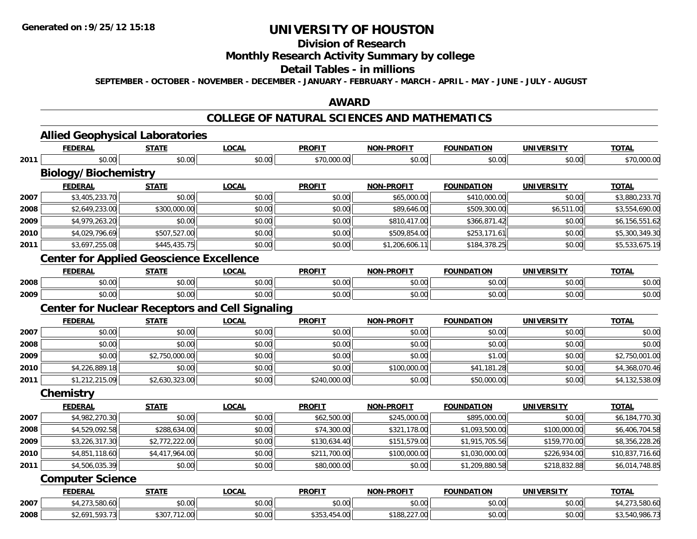## **Division of Research**

## **Monthly Research Activity Summary by college**

#### **Detail Tables - in millions**

**SEPTEMBER - OCTOBER - NOVEMBER - DECEMBER - JANUARY - FEBRUARY - MARCH - APRIL - MAY - JUNE - JULY - AUGUST**

### **AWARD**

## **COLLEGE OF NATURAL SCIENCES AND MATHEMATICS**

|      | <b>Allied Geophysical Laboratories</b>                 |                |              |               |                   |                   |                   |                 |
|------|--------------------------------------------------------|----------------|--------------|---------------|-------------------|-------------------|-------------------|-----------------|
|      | <b>FEDERAL</b>                                         | <b>STATE</b>   | <b>LOCAL</b> | <b>PROFIT</b> | <b>NON-PROFIT</b> | <b>FOUNDATION</b> | <b>UNIVERSITY</b> | <b>TOTAL</b>    |
| 2011 | \$0.00                                                 | \$0.00         | \$0.00       | \$70,000.00   | \$0.00            | \$0.00            | \$0.00            | \$70,000.00     |
|      | <b>Biology/Biochemistry</b>                            |                |              |               |                   |                   |                   |                 |
|      | <b>FEDERAL</b>                                         | <b>STATE</b>   | <b>LOCAL</b> | <b>PROFIT</b> | <b>NON-PROFIT</b> | <b>FOUNDATION</b> | <b>UNIVERSITY</b> | <b>TOTAL</b>    |
| 2007 | \$3,405,233.70                                         | \$0.00         | \$0.00       | \$0.00        | \$65,000.00       | \$410,000.00      | \$0.00            | \$3,880,233.70  |
| 2008 | \$2,649,233.00                                         | \$300,000.00   | \$0.00       | \$0.00        | \$89,646.00       | \$509,300.00      | \$6,511.00        | \$3,554,690.00  |
| 2009 | \$4,979,263.20                                         | \$0.00         | \$0.00       | \$0.00        | \$810,417.00      | \$366,871.42      | \$0.00            | \$6,156,551.62  |
| 2010 | \$4,029,796.69                                         | \$507,527.00   | \$0.00       | \$0.00        | \$509,854.00      | \$253,171.61      | \$0.00            | \$5,300,349.30  |
| 2011 | \$3,697,255.08                                         | \$445,435.75   | \$0.00       | \$0.00        | \$1,206,606.11    | \$184,378.25      | \$0.00            | \$5,533,675.19  |
|      | <b>Center for Applied Geoscience Excellence</b>        |                |              |               |                   |                   |                   |                 |
|      | <b>FEDERAL</b>                                         | <b>STATE</b>   | <b>LOCAL</b> | <b>PROFIT</b> | <b>NON-PROFIT</b> | <b>FOUNDATION</b> | <b>UNIVERSITY</b> | <b>TOTAL</b>    |
| 2008 | \$0.00                                                 | \$0.00         | \$0.00       | \$0.00        | \$0.00            | \$0.00            | \$0.00            | \$0.00          |
| 2009 | \$0.00                                                 | \$0.00         | \$0.00       | \$0.00        | \$0.00            | \$0.00            | \$0.00            | \$0.00          |
|      | <b>Center for Nuclear Receptors and Cell Signaling</b> |                |              |               |                   |                   |                   |                 |
|      | <b>FEDERAL</b>                                         | <b>STATE</b>   | <b>LOCAL</b> | <b>PROFIT</b> | <b>NON-PROFIT</b> | <b>FOUNDATION</b> | <b>UNIVERSITY</b> | <b>TOTAL</b>    |
| 2007 | \$0.00                                                 | \$0.00         | \$0.00       | \$0.00        | \$0.00            | \$0.00            | \$0.00            | \$0.00          |
| 2008 | \$0.00                                                 | \$0.00         | \$0.00       | \$0.00        | \$0.00            | \$0.00            | \$0.00            | \$0.00          |
| 2009 | \$0.00                                                 | \$2,750,000.00 | \$0.00       | \$0.00        | \$0.00            | \$1.00            | \$0.00            | \$2,750,001.00  |
| 2010 | \$4,226,889.18                                         | \$0.00         | \$0.00       | \$0.00        | \$100,000.00      | \$41,181.28       | \$0.00            | \$4,368,070.46  |
| 2011 | \$1,212,215.09                                         | \$2,630,323.00 | \$0.00       | \$240,000.00  | \$0.00            | \$50,000.00       | \$0.00            | \$4,132,538.09  |
|      | Chemistry                                              |                |              |               |                   |                   |                   |                 |
|      | <b>FEDERAL</b>                                         | <b>STATE</b>   | <b>LOCAL</b> | <b>PROFIT</b> | <b>NON-PROFIT</b> | <b>FOUNDATION</b> | <b>UNIVERSITY</b> | <b>TOTAL</b>    |
| 2007 | \$4,982,270.30                                         | \$0.00         | \$0.00       | \$62,500.00   | \$245,000.00      | \$895,000.00      | \$0.00            | \$6,184,770.30  |
| 2008 | \$4,529,092.58                                         | \$288,634.00   | \$0.00       | \$74,300.00   | \$321,178.00      | \$1,093,500.00    | \$100,000.00      | \$6,406,704.58  |
| 2009 | \$3,226,317.30                                         | \$2,772,222.00 | \$0.00       | \$130,634.40  | \$151,579.00      | \$1,915,705.56    | \$159,770.00      | \$8,356,228.26  |
| 2010 | \$4,851,118.60                                         | \$4,417,964.00 | \$0.00       | \$211,700.00  | \$100,000.00      | \$1,030,000.00    | \$226,934.00      | \$10,837,716.60 |
| 2011 | \$4,506,035.39                                         | \$0.00         | \$0.00       | \$80,000.00   | \$0.00            | \$1,209,880.58    | \$218,832.88      | \$6,014,748.85  |
|      | <b>Computer Science</b>                                |                |              |               |                   |                   |                   |                 |
|      | <b>FEDERAL</b>                                         | <b>STATE</b>   | <b>LOCAL</b> | <b>PROFIT</b> | <b>NON-PROFIT</b> | <b>FOUNDATION</b> | <b>UNIVERSITY</b> | <b>TOTAL</b>    |
| 2007 | \$4,273,580.60                                         | \$0.00         | \$0.00       | \$0.00        | \$0.00            | \$0.00            | \$0.00            | \$4,273,580.60  |
| 2008 | \$2,691,593.73                                         | \$307,712.00   | \$0.00       | \$353,454.00  | \$188,227.00      | \$0.00            | \$0.00            | \$3,540,986.73  |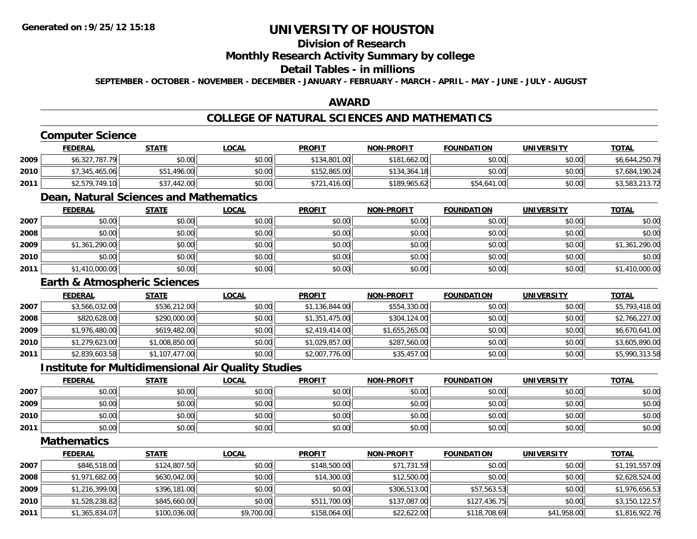## **Division of Research**

### **Monthly Research Activity Summary by college**

## **Detail Tables - in millions**

**SEPTEMBER - OCTOBER - NOVEMBER - DECEMBER - JANUARY - FEBRUARY - MARCH - APRIL - MAY - JUNE - JULY - AUGUST**

## **AWARD**

## **COLLEGE OF NATURAL SCIENCES AND MATHEMATICS**

## **Computer Science**

|      | FEDERAL        | <b>STATE</b> | <u>LOCAL</u> | <b>PROFIT</b> | <b>NON-PROFIT</b> | <b>FOUNDATION</b> | <b>UNIVERSITY</b> | <b>TOTAL</b>   |
|------|----------------|--------------|--------------|---------------|-------------------|-------------------|-------------------|----------------|
| 2009 | \$6,327,787.79 | \$0.00       | \$0.00       | \$134,801.00  | \$181,662.00      | \$0.00            | \$0.00            | \$6,644,250.79 |
| 2010 | \$7,345,465.06 | 1.496.00     | \$0.00       | \$152,865.00  | \$134,364.18      | \$0.00            | \$0.00            | \$7,684,190.24 |
| 2011 | \$2,579,749.10 | \$37,442.00  | \$0.00       | \$721,416.00  | \$189,965.62      | \$54,641.00       | \$0.00            | \$3,583,213.72 |

## **Dean, Natural Sciences and Mathematics**

|      | <b>FEDERAL</b> | <b>STATE</b> | <b>LOCAL</b> | <b>PROFIT</b> | <b>NON-PROFIT</b> | <b>FOUNDATION</b> | <b>UNIVERSITY</b> | <b>TOTAL</b>   |
|------|----------------|--------------|--------------|---------------|-------------------|-------------------|-------------------|----------------|
| 2007 | \$0.00         | \$0.00       | \$0.00       | \$0.00        | \$0.00            | \$0.00            | \$0.00            | \$0.00         |
| 2008 | \$0.00         | \$0.00       | \$0.00       | \$0.00        | \$0.00            | \$0.00            | \$0.00            | \$0.00         |
| 2009 | \$1,361,290.00 | \$0.00       | \$0.00       | \$0.00        | \$0.00            | \$0.00            | \$0.00            | \$1,361,290.00 |
| 2010 | \$0.00         | \$0.00       | \$0.00       | \$0.00        | \$0.00            | \$0.00            | \$0.00            | \$0.00         |
| 2011 | \$1,410,000.00 | \$0.00       | \$0.00       | \$0.00        | \$0.00            | \$0.00            | \$0.00            | \$1,410,000.00 |

## **Earth & Atmospheric Sciences**

|      | <b>FEDERAL</b> | <u>STATE</u>   | <b>LOCAL</b> | <b>PROFIT</b>  | <b>NON-PROFIT</b> | <b>FOUNDATION</b> | <b>UNIVERSITY</b> | <b>TOTAL</b>   |
|------|----------------|----------------|--------------|----------------|-------------------|-------------------|-------------------|----------------|
| 2007 | \$3,566,032.00 | \$536,212.00   | \$0.00       | \$1,136,844.00 | \$554,330.00      | \$0.00            | \$0.00            | \$5,793,418.00 |
| 2008 | \$820,628.00   | \$290,000.00   | \$0.00       | \$1,351,475.00 | \$304,124.00      | \$0.00            | \$0.00            | \$2,766,227.00 |
| 2009 | \$1,976,480.00 | \$619,482.00   | \$0.00       | \$2,419,414.00 | \$1,655,265.00    | \$0.00            | \$0.00            | \$6,670,641.00 |
| 2010 | \$1,279,623.00 | \$1,008,850.00 | \$0.00       | \$1,029,857.00 | \$287,560.00      | \$0.00            | \$0.00            | \$3,605,890.00 |
| 2011 | \$2,839,603.58 | \$1,107,477.00 | \$0.00       | \$2,007,776.00 | \$35,457.00       | \$0.00            | \$0.00            | \$5,990,313.58 |

### **Institute for Multidimensional Air Quality Studies**

|      | <u>FEDERAL</u> | <b>STATE</b> | <u>LOCAL</u> | <b>PROFIT</b> | <b>NON-PROFIT</b> | <b>FOUNDATION</b> | <b>UNIVERSITY</b> | <b>TOTAL</b> |
|------|----------------|--------------|--------------|---------------|-------------------|-------------------|-------------------|--------------|
| 2007 | \$0.00         | \$0.00       | \$0.00       | \$0.00        | \$0.00            | \$0.00            | \$0.00            | \$0.00       |
| 2009 | \$0.00         | \$0.00       | \$0.00       | \$0.00        | \$0.00            | \$0.00            | \$0.00            | \$0.00       |
| 2010 | \$0.00         | \$0.00       | \$0.00       | \$0.00        | \$0.00            | \$0.00            | \$0.00            | \$0.00       |
| 2011 | \$0.00         | \$0.00       | \$0.00       | \$0.00        | \$0.00            | \$0.00            | \$0.00            | \$0.00       |

#### **Mathematics**

|      | <b>FEDERAL</b> | <b>STATE</b> | <u>LOCAL</u> | <b>PROFIT</b> | <b>NON-PROFIT</b> | <b>FOUNDATION</b> | <b>UNIVERSITY</b> | <b>TOTAL</b>   |
|------|----------------|--------------|--------------|---------------|-------------------|-------------------|-------------------|----------------|
| 2007 | \$846,518.00   | \$124,807.50 | \$0.00       | \$148,500.00  | \$71,731.59       | \$0.00            | \$0.00            | \$1,191,557.09 |
| 2008 | \$1,971,682.00 | \$630,042.00 | \$0.00       | \$14,300.00   | \$12,500.00       | \$0.00            | \$0.00            | \$2,628,524.00 |
| 2009 | \$1,216,399.00 | \$396,181.00 | \$0.00       | \$0.00        | \$306,513.00      | \$57,563.53       | \$0.00            | \$1,976,656.53 |
| 2010 | \$1,528,238.82 | \$845,660.00 | \$0.00       | \$511,700.00  | \$137,087.00      | \$127,436.75      | \$0.00            | \$3,150,122.57 |
| 2011 | \$1,365,834.07 | \$100,036.00 | \$9,700.00   | \$158,064.00  | \$22,622.00       | \$118,708.69      | \$41,958.00       | \$1,816,922.76 |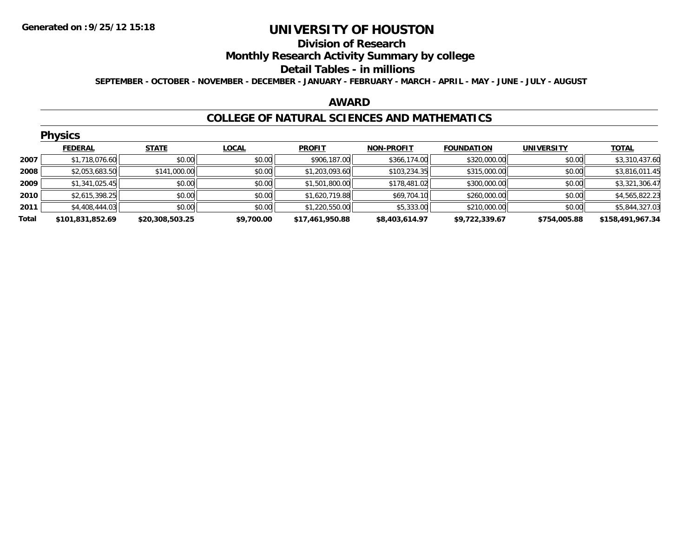#### **Division of Research**

**Monthly Research Activity Summary by college**

#### **Detail Tables - in millions**

**SEPTEMBER - OCTOBER - NOVEMBER - DECEMBER - JANUARY - FEBRUARY - MARCH - APRIL - MAY - JUNE - JULY - AUGUST**

#### **AWARD**

### **COLLEGE OF NATURAL SCIENCES AND MATHEMATICS**

|       | <b>Physics</b>   |                 |              |                 |                   |                   |                   |                  |
|-------|------------------|-----------------|--------------|-----------------|-------------------|-------------------|-------------------|------------------|
|       | <b>FEDERAL</b>   | <b>STATE</b>    | <b>LOCAL</b> | <b>PROFIT</b>   | <b>NON-PROFIT</b> | <b>FOUNDATION</b> | <b>UNIVERSITY</b> | <b>TOTAL</b>     |
| 2007  | \$1,718,076.60   | \$0.00          | \$0.00       | \$906,187.00    | \$366,174.00      | \$320,000.00      | \$0.00            | \$3,310,437.60   |
| 2008  | \$2,053,683.50   | \$141,000.00    | \$0.00       | \$1,203,093.60  | \$103,234.35      | \$315,000.00      | \$0.00            | \$3,816,011.45   |
| 2009  | \$1,341,025.45   | \$0.00          | \$0.00       | \$1,501,800.00  | \$178,481.02      | \$300,000.00      | \$0.00            | \$3,321,306.47   |
| 2010  | \$2,615,398.25   | \$0.00          | \$0.00       | \$1,620,719.88  | \$69,704.10       | \$260,000.00      | \$0.00            | \$4,565,822.23   |
| 2011  | \$4,408,444.03   | \$0.00          | \$0.00       | \$1,220,550.00  | \$5,333.00        | \$210,000.00      | \$0.00            | \$5,844,327.03   |
| Total | \$101,831,852.69 | \$20,308,503.25 | \$9,700.00   | \$17,461,950.88 | \$8,403,614.97    | \$9,722,339.67    | \$754,005.88      | \$158,491,967.34 |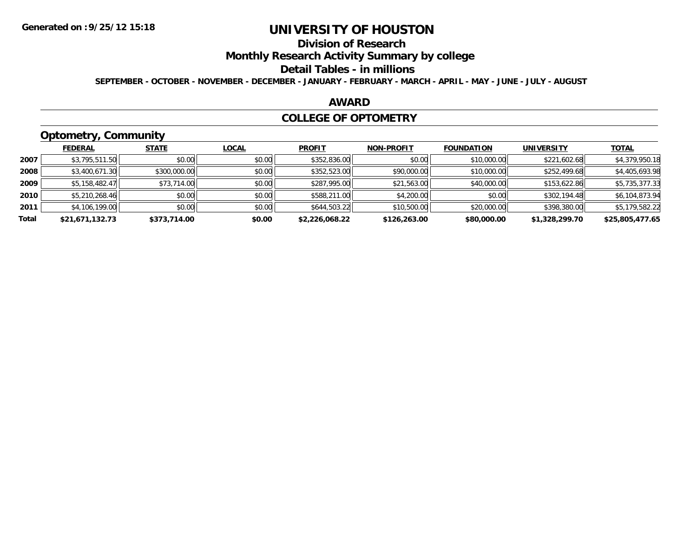## **Division of Research**

**Monthly Research Activity Summary by college**

#### **Detail Tables - in millions**

**SEPTEMBER - OCTOBER - NOVEMBER - DECEMBER - JANUARY - FEBRUARY - MARCH - APRIL - MAY - JUNE - JULY - AUGUST**

### **AWARD**

#### **COLLEGE OF OPTOMETRY**

## **Optometry, Community**

|       | ___             |              |              |                |                   |                   |                   |                 |
|-------|-----------------|--------------|--------------|----------------|-------------------|-------------------|-------------------|-----------------|
|       | <b>FEDERAL</b>  | <b>STATE</b> | <b>LOCAL</b> | <b>PROFIT</b>  | <b>NON-PROFIT</b> | <b>FOUNDATION</b> | <b>UNIVERSITY</b> | <b>TOTAL</b>    |
| 2007  | \$3,795,511.50  | \$0.00       | \$0.00       | \$352,836.00   | \$0.00            | \$10,000.00       | \$221,602.68      | \$4,379,950.18  |
| 2008  | \$3,400,671.30  | \$300,000.00 | \$0.00       | \$352,523.00   | \$90,000.00       | \$10,000.00       | \$252,499.68      | \$4,405,693.98  |
| 2009  | \$5,158,482.47  | \$73,714.00  | \$0.00       | \$287,995.00   | \$21,563.00       | \$40,000.00       | \$153,622.86      | \$5,735,377.33  |
| 2010  | \$5,210,268.46  | \$0.00       | \$0.00       | \$588,211.00   | \$4,200.00        | \$0.00            | \$302,194.48      | \$6,104,873.94  |
| 2011  | \$4,106,199.00  | \$0.00       | \$0.00       | \$644,503.22   | \$10,500.00       | \$20,000.00       | \$398,380.00      | \$5,179,582.22  |
| Total | \$21,671,132.73 | \$373,714.00 | \$0.00       | \$2,226,068.22 | \$126,263.00      | \$80,000.00       | \$1,328,299.70    | \$25,805,477.65 |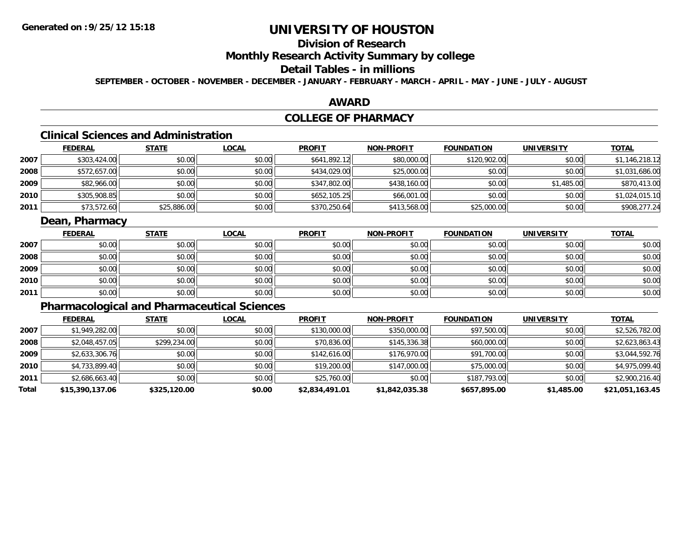## **Division of Research**

**Monthly Research Activity Summary by college**

## **Detail Tables - in millions**

**SEPTEMBER - OCTOBER - NOVEMBER - DECEMBER - JANUARY - FEBRUARY - MARCH - APRIL - MAY - JUNE - JULY - AUGUST**

## **AWARD**

## **COLLEGE OF PHARMACY**

## **Clinical Sciences and Administration**

|      | <b>FEDERAL</b> | <b>STATE</b> | <u>LOCAL</u> | <b>PROFIT</b> | <b>NON-PROFIT</b> | <b>FOUNDATION</b> | <b>UNIVERSITY</b> | <u>TOTAL</u>   |
|------|----------------|--------------|--------------|---------------|-------------------|-------------------|-------------------|----------------|
| 2007 | \$303,424.00   | \$0.00       | \$0.00       | \$641,892.12  | \$80,000.00       | \$120,902.00      | \$0.00            | \$1,146,218.12 |
| 2008 | \$572,657.00   | \$0.00       | \$0.00       | \$434,029.00  | \$25,000.00       | \$0.00            | \$0.00            | \$1,031,686.00 |
| 2009 | \$82,966.00    | \$0.00       | \$0.00       | \$347,802.00  | \$438,160.00      | \$0.00            | \$1,485.00        | \$870,413.00   |
| 2010 | \$305,908.85   | \$0.00       | \$0.00       | \$652,105.25  | \$66,001.00       | \$0.00            | \$0.00            | \$1,024,015.10 |
| 2011 | \$73,572.60    | \$25,886.00  | \$0.00       | \$370,250.64  | \$413,568.00      | \$25,000.00       | \$0.00            | \$908,277.24   |

## **Dean, Pharmacy**

|      | <b>FEDERAL</b> | <b>STATE</b> | <u>LOCAL</u> | <b>PROFIT</b> | <b>NON-PROFIT</b> | <b>FOUNDATION</b> | <b>UNIVERSITY</b> | <b>TOTAL</b> |
|------|----------------|--------------|--------------|---------------|-------------------|-------------------|-------------------|--------------|
| 2007 | \$0.00         | \$0.00       | \$0.00       | \$0.00        | \$0.00            | \$0.00            | \$0.00            | \$0.00       |
| 2008 | \$0.00         | \$0.00       | \$0.00       | \$0.00        | \$0.00            | \$0.00            | \$0.00            | \$0.00       |
| 2009 | \$0.00         | \$0.00       | \$0.00       | \$0.00        | \$0.00            | \$0.00            | \$0.00            | \$0.00       |
| 2010 | \$0.00         | \$0.00       | \$0.00       | \$0.00        | \$0.00            | \$0.00            | \$0.00            | \$0.00       |
| 2011 | \$0.00         | \$0.00       | \$0.00       | \$0.00        | \$0.00            | \$0.00            | \$0.00            | \$0.00       |

## **Pharmacological and Pharmaceutical Sciences**

|       | <b>FEDERAL</b>  | <b>STATE</b> | <b>LOCAL</b> | <b>PROFIT</b>  | <b>NON-PROFIT</b> | <b>FOUNDATION</b> | <b>UNIVERSITY</b> | <b>TOTAL</b>    |
|-------|-----------------|--------------|--------------|----------------|-------------------|-------------------|-------------------|-----------------|
| 2007  | \$1,949,282.00  | \$0.00       | \$0.00       | \$130,000.00   | \$350,000.00      | \$97,500.00       | \$0.00            | \$2,526,782.00  |
| 2008  | \$2,048,457.05  | \$299,234.00 | \$0.00       | \$70,836.00    | \$145,336.38      | \$60,000.00       | \$0.00            | \$2,623,863.43  |
| 2009  | \$2,633,306.76  | \$0.00       | \$0.00       | \$142,616.00   | \$176,970.00      | \$91,700.00       | \$0.00            | \$3,044,592.76  |
| 2010  | \$4,733,899.40  | \$0.00       | \$0.00       | \$19,200.00    | \$147,000.00      | \$75,000.00       | \$0.00            | \$4,975,099.40  |
| 2011  | \$2,686,663.40  | \$0.00       | \$0.00       | \$25,760.00    | \$0.00            | \$187,793.00      | \$0.00            | \$2,900,216.40  |
| Total | \$15,390,137.06 | \$325,120.00 | \$0.00       | \$2,834,491.01 | \$1,842,035.38    | \$657,895.00      | \$1,485.00        | \$21,051,163.45 |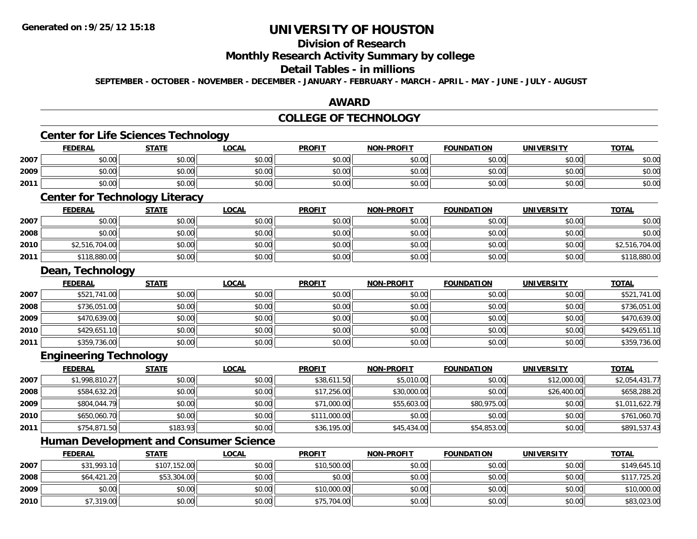**2008**

**2009**

**2010**

## **UNIVERSITY OF HOUSTON**

## **Division of Research**

**Monthly Research Activity Summary by college**

#### **Detail Tables - in millions**

**SEPTEMBER - OCTOBER - NOVEMBER - DECEMBER - JANUARY - FEBRUARY - MARCH - APRIL - MAY - JUNE - JULY - AUGUST**

### **AWARD**

## **COLLEGE OF TECHNOLOGY**

|      | <b>Center for Life Sciences Technology</b>    |              |              |               |                   |                   |                   |                |
|------|-----------------------------------------------|--------------|--------------|---------------|-------------------|-------------------|-------------------|----------------|
|      | <b>FEDERAL</b>                                | <b>STATE</b> | <b>LOCAL</b> | <b>PROFIT</b> | <b>NON-PROFIT</b> | <b>FOUNDATION</b> | <b>UNIVERSITY</b> | <b>TOTAL</b>   |
| 2007 | \$0.00                                        | \$0.00       | \$0.00       | \$0.00        | \$0.00            | \$0.00            | \$0.00            | \$0.00         |
| 2009 | \$0.00                                        | \$0.00       | \$0.00       | \$0.00        | \$0.00            | \$0.00            | \$0.00            | \$0.00         |
| 2011 | \$0.00                                        | \$0.00       | \$0.00       | \$0.00        | \$0.00            | \$0.00            | \$0.00            | \$0.00         |
|      | <b>Center for Technology Literacy</b>         |              |              |               |                   |                   |                   |                |
|      | <b>FEDERAL</b>                                | <b>STATE</b> | <b>LOCAL</b> | <b>PROFIT</b> | <b>NON-PROFIT</b> | <b>FOUNDATION</b> | <b>UNIVERSITY</b> | <b>TOTAL</b>   |
| 2007 | \$0.00                                        | \$0.00       | \$0.00       | \$0.00        | \$0.00            | \$0.00            | \$0.00            | \$0.00         |
| 2008 | \$0.00                                        | \$0.00       | \$0.00       | \$0.00        | \$0.00            | \$0.00            | \$0.00            | \$0.00         |
| 2010 | \$2,516,704.00                                | \$0.00       | \$0.00       | \$0.00        | \$0.00            | \$0.00            | \$0.00            | \$2,516,704.00 |
| 2011 | \$118,880.00                                  | \$0.00       | \$0.00       | \$0.00        | \$0.00            | \$0.00            | \$0.00            | \$118,880.00   |
|      | Dean, Technology                              |              |              |               |                   |                   |                   |                |
|      | <b>FEDERAL</b>                                | <b>STATE</b> | <b>LOCAL</b> | <b>PROFIT</b> | <b>NON-PROFIT</b> | <b>FOUNDATION</b> | <b>UNIVERSITY</b> | <b>TOTAL</b>   |
| 2007 | \$521,741.00                                  | \$0.00       | \$0.00       | \$0.00        | \$0.00            | \$0.00            | \$0.00            | \$521,741.00   |
| 2008 | \$736,051.00                                  | \$0.00       | \$0.00       | \$0.00        | \$0.00            | \$0.00            | \$0.00            | \$736,051.00   |
| 2009 | \$470,639.00                                  | \$0.00       | \$0.00       | \$0.00        | \$0.00            | \$0.00            | \$0.00            | \$470,639.00   |
| 2010 | \$429,651.10                                  | \$0.00       | \$0.00       | \$0.00        | \$0.00            | \$0.00            | \$0.00            | \$429,651.10   |
| 2011 | \$359,736.00                                  | \$0.00       | \$0.00       | \$0.00        | \$0.00            | \$0.00            | \$0.00            | \$359,736.00   |
|      | <b>Engineering Technology</b>                 |              |              |               |                   |                   |                   |                |
|      | <b>FEDERAL</b>                                | <b>STATE</b> | <b>LOCAL</b> | <b>PROFIT</b> | <b>NON-PROFIT</b> | <b>FOUNDATION</b> | <b>UNIVERSITY</b> | <b>TOTAL</b>   |
| 2007 | \$1,998,810.27                                | \$0.00       | \$0.00       | \$38,611.50   | \$5,010.00        | \$0.00            | \$12,000.00       | \$2,054,431.77 |
| 2008 | \$584,632.20                                  | \$0.00       | \$0.00       | \$17,256.00   | \$30,000.00       | \$0.00            | \$26,400.00       | \$658,288.20   |
| 2009 | \$804,044.79                                  | \$0.00       | \$0.00       | \$71,000.00   | \$55,603.00       | \$80,975.00       | \$0.00            | \$1,011,622.79 |
| 2010 | \$650,060.70                                  | \$0.00       | \$0.00       | \$111,000.00  | \$0.00            | \$0.00            | \$0.00            | \$761,060.70   |
| 2011 | \$754,871.50                                  | \$183.93     | \$0.00       | \$36,195.00   | \$45,434.00       | \$54,853.00       | \$0.00            | \$891,537.43   |
|      | <b>Human Development and Consumer Science</b> |              |              |               |                   |                   |                   |                |
|      | <b>FEDERAL</b>                                | <b>STATE</b> | <b>LOCAL</b> | <b>PROFIT</b> | <b>NON-PROFIT</b> | <b>FOUNDATION</b> | <b>UNIVERSITY</b> | <b>TOTAL</b>   |
| 2007 | \$31,993.10                                   | \$107,152.00 | \$0.00       | \$10,500.00   | \$0.00            | \$0.00            | \$0.00            | \$149,645.10   |

8 \$64,421.20 \$53,304.00 \$53,304.00 \$0.00 \$0.00 \$0.00 \$0.00 \$0.00 \$0.00 \$0.00 \$0.00 \$0.00 \$117,725.20

\$0.00 \$0.00 \$0.00 \$10,000.00 \$0.00 \$0.00 \$0.00 \$10,000.00

\$7,319.00 \$0.00 \$0.00 \$75,704.00 \$0.00 \$0.00 \$0.00 \$83,023.00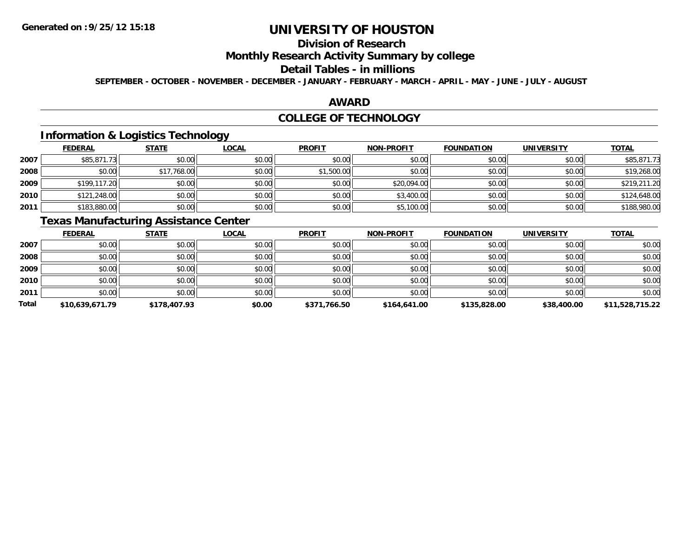## **Division of Research**

**Monthly Research Activity Summary by college**

#### **Detail Tables - in millions**

**SEPTEMBER - OCTOBER - NOVEMBER - DECEMBER - JANUARY - FEBRUARY - MARCH - APRIL - MAY - JUNE - JULY - AUGUST**

### **AWARD**

### **COLLEGE OF TECHNOLOGY**

## **Information & Logistics Technology**

|      | <b>FEDERAL</b> | <b>STATE</b> | <u>LOCAL</u> | <b>PROFIT</b> | <b>NON-PROFIT</b> | <b>FOUNDATION</b> | <b>UNIVERSITY</b> | <b>TOTAL</b> |
|------|----------------|--------------|--------------|---------------|-------------------|-------------------|-------------------|--------------|
| 2007 | \$85,871.73    | \$0.00       | \$0.00       | \$0.00        | \$0.00            | \$0.00            | \$0.00            | \$85,871.73  |
| 2008 | \$0.00         | \$17,768.00  | \$0.00       | \$1,500.00    | \$0.00            | \$0.00            | \$0.00            | \$19,268.00  |
| 2009 | \$199,117.20   | \$0.00       | \$0.00       | \$0.00        | \$20,094.00       | \$0.00            | \$0.00            | \$219,211.20 |
| 2010 | \$121,248.00   | \$0.00       | \$0.00       | \$0.00        | \$3,400.00        | \$0.00            | \$0.00            | \$124,648.00 |
| 2011 | \$183,880.00   | \$0.00       | \$0.00       | \$0.00        | \$5,100.00        | \$0.00            | \$0.00            | \$188,980.00 |

## **Texas Manufacturing Assistance Center**

|       | <b>FEDERAL</b>  | <b>STATE</b> | <u>LOCAL</u> | <b>PROFIT</b> | <b>NON-PROFIT</b> | <b>FOUNDATION</b> | <b>UNIVERSITY</b> | <b>TOTAL</b>    |
|-------|-----------------|--------------|--------------|---------------|-------------------|-------------------|-------------------|-----------------|
| 2007  | \$0.00          | \$0.00       | \$0.00       | \$0.00        | \$0.00            | \$0.00            | \$0.00            | \$0.00          |
| 2008  | \$0.00          | \$0.00       | \$0.00       | \$0.00        | \$0.00            | \$0.00            | \$0.00            | \$0.00          |
| 2009  | \$0.00          | \$0.00       | \$0.00       | \$0.00        | \$0.00            | \$0.00            | \$0.00            | \$0.00          |
| 2010  | \$0.00          | \$0.00       | \$0.00       | \$0.00        | \$0.00            | \$0.00            | \$0.00            | \$0.00          |
| 2011  | \$0.00          | \$0.00       | \$0.00       | \$0.00        | \$0.00            | \$0.00            | \$0.00            | \$0.00          |
| Total | \$10,639,671.79 | \$178,407.93 | \$0.00       | \$371,766.50  | \$164,641.00      | \$135,828.00      | \$38,400.00       | \$11,528,715.22 |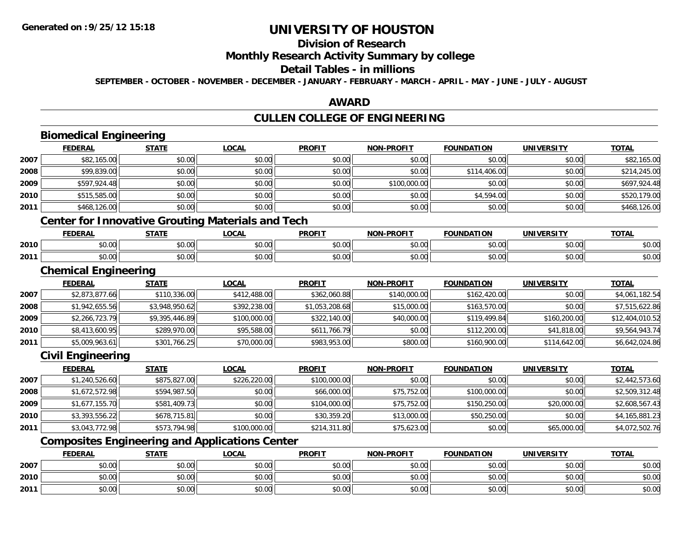**2010**

**2011**

## **UNIVERSITY OF HOUSTON**

## **Division of Research**

## **Monthly Research Activity Summary by college**

#### **Detail Tables - in millions**

**SEPTEMBER - OCTOBER - NOVEMBER - DECEMBER - JANUARY - FEBRUARY - MARCH - APRIL - MAY - JUNE - JULY - AUGUST**

### **AWARD**

## **CULLEN COLLEGE OF ENGINEERING**

|      | <b>Biomedical Engineering</b>                            |                |              |                |                   |                   |                   |                 |
|------|----------------------------------------------------------|----------------|--------------|----------------|-------------------|-------------------|-------------------|-----------------|
|      | <b>FEDERAL</b>                                           | <b>STATE</b>   | <b>LOCAL</b> | <b>PROFIT</b>  | <b>NON-PROFIT</b> | <b>FOUNDATION</b> | <b>UNIVERSITY</b> | <b>TOTAL</b>    |
| 2007 | \$82,165.00                                              | \$0.00         | \$0.00       | \$0.00         | \$0.00            | \$0.00            | \$0.00            | \$82,165.00     |
| 2008 | \$99,839.00                                              | \$0.00         | \$0.00       | \$0.00         | \$0.00            | \$114,406.00      | \$0.00            | \$214,245.00    |
| 2009 | \$597,924.48                                             | \$0.00         | \$0.00       | \$0.00         | \$100,000.00      | \$0.00            | \$0.00            | \$697,924.48    |
| 2010 | \$515,585.00                                             | \$0.00         | \$0.00       | \$0.00         | \$0.00            | \$4,594.00        | \$0.00            | \$520,179.00    |
| 2011 | \$468,126.00                                             | \$0.00         | \$0.00       | \$0.00         | \$0.00            | \$0.00            | \$0.00            | \$468,126.00    |
|      | <b>Center for Innovative Grouting Materials and Tech</b> |                |              |                |                   |                   |                   |                 |
|      | <b>FEDERAL</b>                                           | <b>STATE</b>   | <b>LOCAL</b> | <b>PROFIT</b>  | <b>NON-PROFIT</b> | <b>FOUNDATION</b> | <b>UNIVERSITY</b> | <b>TOTAL</b>    |
| 2010 | \$0.00                                                   | \$0.00         | \$0.00       | \$0.00         | \$0.00            | \$0.00            | \$0.00            | \$0.00          |
| 2011 | \$0.00                                                   | \$0.00         | \$0.00       | \$0.00         | \$0.00            | \$0.00            | \$0.00            | \$0.00          |
|      | <b>Chemical Engineering</b>                              |                |              |                |                   |                   |                   |                 |
|      | <b>FEDERAL</b>                                           | <b>STATE</b>   | <b>LOCAL</b> | <b>PROFIT</b>  | <b>NON-PROFIT</b> | <b>FOUNDATION</b> | <b>UNIVERSITY</b> | <b>TOTAL</b>    |
| 2007 | \$2,873,877.66                                           | \$110,336.00   | \$412,488.00 | \$362,060.88   | \$140,000.00      | \$162,420.00      | \$0.00            | \$4,061,182.54  |
| 2008 | \$1,942,655.56                                           | \$3,948,950.62 | \$392,238.00 | \$1,053,208.68 | \$15,000.00       | \$163,570.00      | \$0.00            | \$7,515,622.86  |
| 2009 | \$2,266,723.79                                           | \$9,395,446.89 | \$100,000.00 | \$322,140.00   | \$40,000.00       | \$119,499.84      | \$160,200.00      | \$12,404,010.52 |
| 2010 | \$8,413,600.95                                           | \$289,970.00   | \$95,588.00  | \$611,766.79   | \$0.00            | \$112,200.00      | \$41,818.00       | \$9,564,943.74  |
| 2011 | \$5,009,963.61                                           | \$301,766.25   | \$70,000.00  | \$983,953.00   | \$800.00          | \$160,900.00      | \$114,642.00      | \$6,642,024.86  |
|      | <b>Civil Engineering</b>                                 |                |              |                |                   |                   |                   |                 |
|      | <b>FEDERAL</b>                                           | <b>STATE</b>   | <b>LOCAL</b> | <b>PROFIT</b>  | <b>NON-PROFIT</b> | <b>FOUNDATION</b> | <b>UNIVERSITY</b> | <b>TOTAL</b>    |
| 2007 | \$1,240,526.60                                           | \$875,827.00   | \$226,220.00 | \$100,000.00   | \$0.00            | \$0.00            | \$0.00            | \$2,442,573.60  |
| 2008 | \$1,672,572.98                                           | \$594,987.50   | \$0.00       | \$66,000.00    | \$75,752.00       | \$100,000.00      | \$0.00            | \$2,509,312.48  |
| 2009 | \$1,677,155.70                                           | \$581,409.73   | \$0.00       | \$104,000.00   | \$75,752.00       | \$150,250.00      | \$20,000.00       | \$2,608,567.43  |
| 2010 | \$3,393,556.22                                           | \$678,715.81   | \$0.00       | \$30,359.20    | \$13,000.00       | \$50,250.00       | \$0.00            | \$4,165,881.23  |
| 2011 | \$3,043,772.98                                           | \$573,794.98   | \$100,000.00 | \$214,311.80   | \$75,623.00       | \$0.00            | \$65,000.00       | \$4,072,502.76  |
|      | <b>Composites Engineering and Applications Center</b>    |                |              |                |                   |                   |                   |                 |
|      | <b>FEDERAL</b>                                           | <b>STATE</b>   | <b>LOCAL</b> | <b>PROFIT</b>  | <b>NON-PROFIT</b> | <b>FOUNDATION</b> | <b>UNIVERSITY</b> | <b>TOTAL</b>    |
| 2007 | \$0.00                                                   | \$0.00         | \$0.00       | \$0.00         | \$0.00            | \$0.00            | \$0.00            | \$0.00          |

0 \$0.00 \$0.00 \$0.00 \$0.00 \$0.00 \$0.00 \$0.00 \$0.00 \$0.00 \$0.00 \$0.00 \$0.00 \$0.00 \$0.00 \$0.00 \$0.00 \$0.00

\$0.00 \$0.00 \$0.00 \$0.00 \$0.00 \$0.00 \$0.00 \$0.00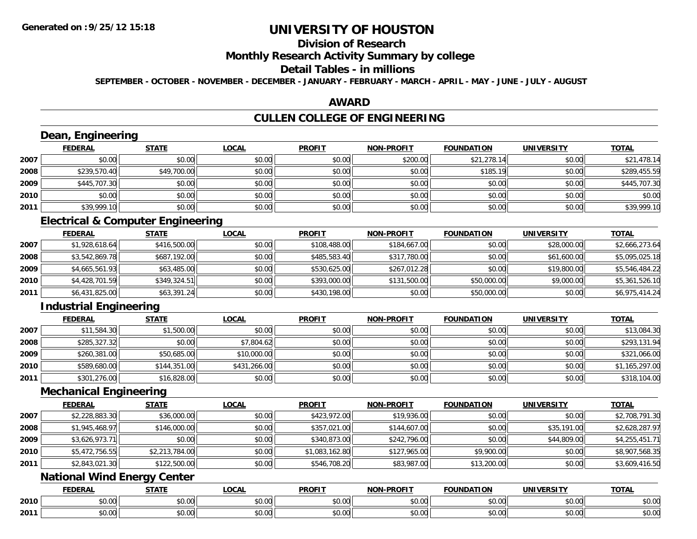## **Division of Research**

### **Monthly Research Activity Summary by college**

## **Detail Tables - in millions**

**SEPTEMBER - OCTOBER - NOVEMBER - DECEMBER - JANUARY - FEBRUARY - MARCH - APRIL - MAY - JUNE - JULY - AUGUST**

## **AWARD**

## **CULLEN COLLEGE OF ENGINEERING**

## **Dean, Engineering**

|      | <b>FEDERAL</b> | <b>STATE</b> | <b>LOCAL</b> | <b>PROFIT</b> | <b>NON-PROFIT</b> | <b>FOUNDATION</b> | <b>UNIVERSITY</b> | <b>TOTAL</b> |
|------|----------------|--------------|--------------|---------------|-------------------|-------------------|-------------------|--------------|
| 2007 | \$0.00         | \$0.00       | \$0.00       | \$0.00        | \$200.00          | \$21,278.14       | \$0.00            | \$21,478.14  |
| 2008 | \$239,570.40   | \$49,700.00  | \$0.00       | \$0.00        | \$0.00            | \$185.19          | \$0.00            | \$289,455.59 |
| 2009 | \$445,707.30   | \$0.00       | \$0.00       | \$0.00        | \$0.00            | \$0.00            | \$0.00            | \$445,707.30 |
| 2010 | \$0.00         | \$0.00       | \$0.00       | \$0.00        | \$0.00            | \$0.00            | \$0.00            | \$0.00       |
| 2011 | \$39,999.10    | \$0.00       | \$0.00       | \$0.00        | \$0.00            | \$0.00            | \$0.00            | \$39,999.10  |

## **Electrical & Computer Engineering**

|      | <u>FEDERAL</u> | <u>STATE</u> | <b>LOCAL</b> | <b>PROFIT</b> | <b>NON-PROFIT</b> | <b>FOUNDATION</b> | <b>UNIVERSITY</b> | <b>TOTAL</b>   |
|------|----------------|--------------|--------------|---------------|-------------------|-------------------|-------------------|----------------|
| 2007 | \$1,928,618.64 | \$416,500.00 | \$0.00       | \$108,488,00  | \$184,667.00      | \$0.00            | \$28,000.00       | \$2,666,273.64 |
| 2008 | \$3,542,869.78 | \$687,192.00 | \$0.00       | \$485,583.40  | \$317,780.00      | \$0.00            | \$61,600.00       | \$5,095,025.18 |
| 2009 | \$4,665,561.93 | \$63,485.00  | \$0.00       | \$530,625,00  | \$267,012.28      | \$0.00            | \$19,800.00       | \$5,546,484.22 |
| 2010 | \$4,428,701.59 | \$349,324.51 | \$0.00       | \$393,000.00  | \$131,500.00      | \$50,000.00       | \$9,000.00        | \$5,361,526.10 |
| 2011 | \$6,431,825.00 | \$63,391.24  | \$0.00       | \$430,198.00  | \$0.00            | \$50,000.00       | \$0.00            | \$6,975,414.24 |

## **Industrial Engineering**

|      | <b>FEDERAL</b> | <b>STATE</b> | <u>LOCAL</u> | <b>PROFIT</b> | <b>NON-PROFIT</b> | <b>FOUNDATION</b> | <b>UNIVERSITY</b> | <b>TOTAL</b>   |
|------|----------------|--------------|--------------|---------------|-------------------|-------------------|-------------------|----------------|
| 2007 | \$11,584.30    | \$1,500.00   | \$0.00       | \$0.00        | \$0.00            | \$0.00            | \$0.00            | \$13,084.30    |
| 2008 | \$285,327.32   | \$0.00       | \$7,804.62   | \$0.00        | \$0.00            | \$0.00            | \$0.00            | \$293,131.94   |
| 2009 | \$260,381.00   | \$50,685.00  | \$10,000.00  | \$0.00        | \$0.00            | \$0.00            | \$0.00            | \$321,066.00   |
| 2010 | \$589,680.00   | \$144,351.00 | \$431,266.00 | \$0.00        | \$0.00            | \$0.00            | \$0.00            | \$1,165,297.00 |
| 2011 | \$301,276.00   | \$16,828.00  | \$0.00       | \$0.00        | \$0.00            | \$0.00            | \$0.00            | \$318,104.00   |

### **Mechanical Engineering**

|      | <b>FEDERAL</b> | <b>STATE</b>   | <b>LOCAL</b> | <b>PROFIT</b>  | <b>NON-PROFIT</b> | <b>FOUNDATION</b> | <b>UNIVERSITY</b> | <b>TOTAL</b>   |
|------|----------------|----------------|--------------|----------------|-------------------|-------------------|-------------------|----------------|
| 2007 | \$2,228,883.30 | \$36,000.00    | \$0.00       | \$423,972.00   | \$19,936.00       | \$0.00            | \$0.00            | \$2,708,791.30 |
| 2008 | \$1,945,468.97 | \$146,000.00   | \$0.00       | \$357,021.00   | \$144,607.00      | \$0.00            | \$35,191.00       | \$2,628,287.97 |
| 2009 | \$3,626,973.71 | \$0.00         | \$0.00       | \$340,873.00   | \$242,796.00      | \$0.00            | \$44,809.00       | \$4,255,451.71 |
| 2010 | \$5,472,756.55 | \$2,213,784.00 | \$0.00       | \$1,083,162.80 | \$127,965.00      | \$9,900.00        | \$0.00            | \$8,907,568.35 |
| 2011 | \$2,843,021.30 | \$122,500.00   | \$0.00       | \$546,708.20   | \$83,987.00       | \$13,200.00       | \$0.00            | \$3,609,416.50 |

## **National Wind Energy Center**

|      | EEDEDAI<br>LI\ <i>r</i>  | <b>STATE</b>                 | .OCAI          | <b>PROFIT</b>     | MON DDOEIT                              | <b>FOUNDATION</b> | <b>UNIVERSITY</b>    | <b>TATA</b>          |
|------|--------------------------|------------------------------|----------------|-------------------|-----------------------------------------|-------------------|----------------------|----------------------|
| 2010 | $\circ$ $\circ$<br>DU.UU | $\uparrow$ $\uparrow$<br>ט.ט | 50.00<br>DU.UU | 0000<br>JU.UU     | $\sim$ $\sim$<br>pu.uu                  | \$0.00            | 0.001<br>JU.UU       | ሶስ ሰሰ<br>JU.UU       |
| 2011 | ልስ ባህ<br>DU.UU           | $\sim$<br>טט.טע              | 0.00<br>vv.vv  | $\cdots$<br>JU.UU | $\uparrow$ $\wedge$ $\uparrow$<br>JU.UU | 40.00<br>DU.UU    | 0000<br><b>JU.UU</b> | 0000<br><b>JU.UU</b> |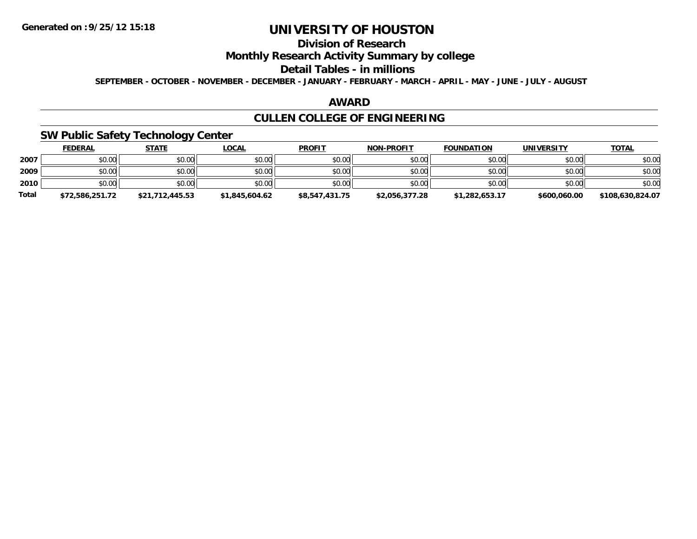## **Division of Research**

**Monthly Research Activity Summary by college**

#### **Detail Tables - in millions**

**SEPTEMBER - OCTOBER - NOVEMBER - DECEMBER - JANUARY - FEBRUARY - MARCH - APRIL - MAY - JUNE - JULY - AUGUST**

### **AWARD**

## **CULLEN COLLEGE OF ENGINEERING**

## **SW Public Safety Technology Center**

|              | <u>FEDERAL</u>  | <b>STATE</b>    | <u>LOCAL</u>   | <b>PROFIT</b>  | <b>NON-PROFIT</b> | <b>FOUNDATION</b> | <b>UNIVERSITY</b> | <b>TOTAL</b>     |
|--------------|-----------------|-----------------|----------------|----------------|-------------------|-------------------|-------------------|------------------|
| 2007         | \$0.00          | \$0.00          | \$0.00         | \$0.00         | \$0.00            | \$0.00            | \$0.00            | \$0.00           |
| 2009         | \$0.00          | \$0.00          | \$0.00         | \$0.00         | \$0.00            | \$0.00            | \$0.00            | \$0.00           |
| 2010         | \$0.00          | \$0.00          | \$0.00         | \$0.00         | \$0.00            | \$0.00            | \$0.00            | \$0.00           |
| <b>Total</b> | \$72,586,251.72 | \$21,712,445.53 | \$1,845,604.62 | \$8,547,431.75 | \$2,056,377.28    | \$1,282,653.17    | \$600,060.00      | \$108,630,824.07 |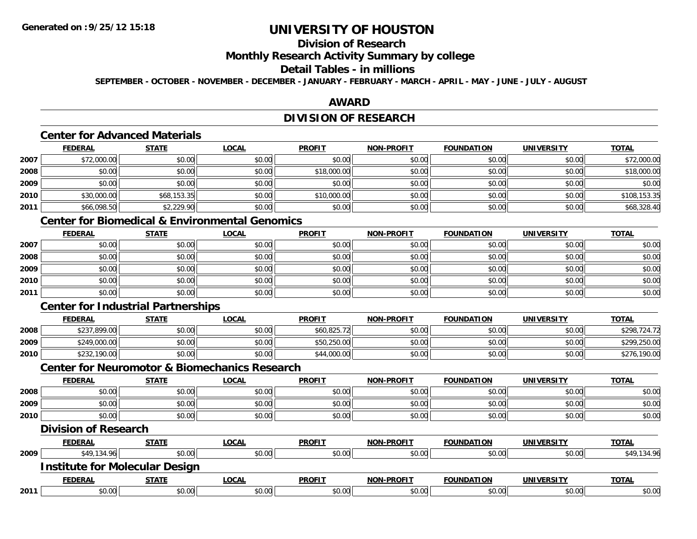## **Division of Research**

### **Monthly Research Activity Summary by college**

### **Detail Tables - in millions**

**SEPTEMBER - OCTOBER - NOVEMBER - DECEMBER - JANUARY - FEBRUARY - MARCH - APRIL - MAY - JUNE - JULY - AUGUST**

## **AWARD**

## **DIVISION OF RESEARCH**

### **Center for Advanced Materials**

|      | <u>FEDERAL</u> | <b>STATE</b> | <u>LOCAL</u> | <b>PROFIT</b> | <b>NON-PROFIT</b> | <b>FOUNDATION</b> | <b>UNIVERSITY</b> | <b>TOTAL</b> |
|------|----------------|--------------|--------------|---------------|-------------------|-------------------|-------------------|--------------|
| 2007 | \$72,000.00    | \$0.00       | \$0.00       | \$0.00        | \$0.00            | \$0.00            | \$0.00            | \$72,000.00  |
| 2008 | \$0.00         | \$0.00       | \$0.00       | \$18,000.00   | \$0.00            | \$0.00            | \$0.00            | \$18,000.00  |
| 2009 | \$0.00         | \$0.00       | \$0.00       | \$0.00        | \$0.00            | \$0.00            | \$0.00            | \$0.00       |
| 2010 | \$30,000.00    | \$68,153.35  | \$0.00       | \$10,000.00   | \$0.00            | \$0.00            | \$0.00            | \$108,153.35 |
| 2011 | \$66,098.50    | \$2,229.90   | \$0.00       | \$0.00        | \$0.00            | \$0.00            | \$0.00            | \$68,328.40  |

## **Center for Biomedical & Environmental Genomics**

|      | <u>FEDERAL</u> | <u>STATE</u> | <u>LOCAL</u> | <b>PROFIT</b> | <b>NON-PROFIT</b> | <b>FOUNDATION</b> | <b>UNIVERSITY</b> | <b>TOTAL</b> |
|------|----------------|--------------|--------------|---------------|-------------------|-------------------|-------------------|--------------|
| 2007 | \$0.00         | \$0.00       | \$0.00       | \$0.00        | \$0.00            | \$0.00            | \$0.00            | \$0.00       |
| 2008 | \$0.00         | \$0.00       | \$0.00       | \$0.00        | \$0.00            | \$0.00            | \$0.00            | \$0.00       |
| 2009 | \$0.00         | \$0.00       | \$0.00       | \$0.00        | \$0.00            | \$0.00            | \$0.00            | \$0.00       |
| 2010 | \$0.00         | \$0.00       | \$0.00       | \$0.00        | \$0.00            | \$0.00            | \$0.00            | \$0.00       |
| 2011 | \$0.00         | \$0.00       | \$0.00       | \$0.00        | \$0.00            | \$0.00            | \$0.00            | \$0.00       |

## **Center for Industrial Partnerships**

|      | <b>FEDERAL</b>    | <b>STATE</b> | <b>LOCAL</b> | <b>PROFIT</b> | <b>NON-PROFIT</b> | <b>FOUNDATION</b> | UNIVERSITY | <u>TOTAL</u>      |
|------|-------------------|--------------|--------------|---------------|-------------------|-------------------|------------|-------------------|
| 2008 | 0.899.00<br>\$237 | \$0.00       | \$0.00       | \$60,825.72   | \$0.00            | \$0.00            | \$0.00     | \$298,724.72      |
| 2009 | \$249,000.00      | \$0.00       | \$0.00       | \$50,250.00   | \$0.00            | \$0.00            | \$0.00     | \$299,250.00      |
| 2010 | \$232,190.00      | \$0.00       | \$0.00       | \$44,000.00   | \$0.00            | \$0.00            | \$0.00     | ,190.00<br>\$276, |

#### **Center for Neuromotor & Biomechanics Research**

|      | <b>FEDERAL</b>                        | <b>STATE</b> | <b>LOCAL</b> | <b>PROFIT</b> | <b>NON-PROFIT</b> | <b>FOUNDATION</b> | UNIVERSITY        | <b>TOTAL</b> |
|------|---------------------------------------|--------------|--------------|---------------|-------------------|-------------------|-------------------|--------------|
| 2008 | \$0.00                                | \$0.00       | \$0.00       | \$0.00        | \$0.00            | \$0.00            | \$0.00            | \$0.00       |
| 2009 | \$0.00                                | \$0.00       | \$0.00       | \$0.00        | \$0.00            | \$0.00            | \$0.00            | \$0.00       |
| 2010 | \$0.00                                | \$0.00       | \$0.00       | \$0.00        | \$0.00            | \$0.00            | \$0.00            | \$0.00       |
|      | <b>Division of Research</b>           |              |              |               |                   |                   |                   |              |
|      | <b>FEDERAL</b>                        | <b>STATE</b> | <b>LOCAL</b> | <b>PROFIT</b> | <b>NON-PROFIT</b> | <b>FOUNDATION</b> | <b>UNIVERSITY</b> | <b>TOTAL</b> |
| 2009 | \$49,134.96                           | \$0.00       | \$0.00       | \$0.00        | \$0.00            | \$0.00            | \$0.00            | \$49,134.96  |
|      | <b>Institute for Molecular Design</b> |              |              |               |                   |                   |                   |              |
|      | <b>FEDERAL</b>                        | <b>STATE</b> | <b>LOCAL</b> | <b>PROFIT</b> | <b>NON-PROFIT</b> | <b>FOUNDATION</b> | <b>UNIVERSITY</b> | <b>TOTAL</b> |
| 2011 | \$0.00                                | \$0.00       | \$0.00       | \$0.00        | \$0.00            | \$0.00            | \$0.00            | \$0.00       |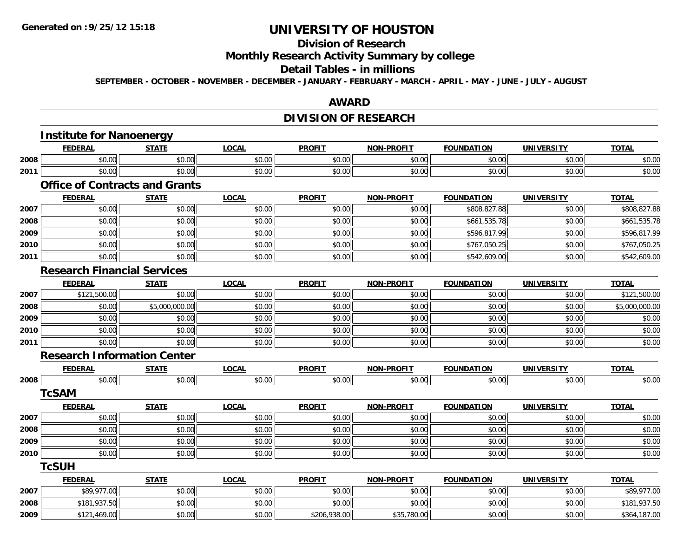## **Division of Research**

**Monthly Research Activity Summary by college**

#### **Detail Tables - in millions**

**SEPTEMBER - OCTOBER - NOVEMBER - DECEMBER - JANUARY - FEBRUARY - MARCH - APRIL - MAY - JUNE - JULY - AUGUST**

### **AWARD**

## **DIVISION OF RESEARCH**

|      | <b>Institute for Nanoenergy</b>       |                |              |               |                   |                   |                   |                |
|------|---------------------------------------|----------------|--------------|---------------|-------------------|-------------------|-------------------|----------------|
|      | <b>FEDERAL</b>                        | <b>STATE</b>   | <b>LOCAL</b> | <b>PROFIT</b> | NON-PROFIT        | <b>FOUNDATION</b> | <b>UNIVERSITY</b> | <b>TOTAL</b>   |
| 2008 | \$0.00                                | \$0.00         | \$0.00       | \$0.00        | \$0.00            | \$0.00            | \$0.00            | \$0.00         |
| 2011 | \$0.00                                | \$0.00         | \$0.00       | \$0.00        | \$0.00            | \$0.00            | \$0.00            | \$0.00         |
|      | <b>Office of Contracts and Grants</b> |                |              |               |                   |                   |                   |                |
|      | <b>FEDERAL</b>                        | <b>STATE</b>   | <b>LOCAL</b> | <b>PROFIT</b> | NON-PROFIT        | <b>FOUNDATION</b> | <b>UNIVERSITY</b> | <b>TOTAL</b>   |
| 2007 | \$0.00                                | \$0.00         | \$0.00       | \$0.00        | \$0.00            | \$808,827.88      | \$0.00            | \$808,827.88   |
| 2008 | \$0.00                                | \$0.00         | \$0.00       | \$0.00        | \$0.00            | \$661,535.78      | \$0.00            | \$661,535.78   |
| 2009 | \$0.00                                | \$0.00         | \$0.00       | \$0.00        | \$0.00            | \$596,817.99      | \$0.00            | \$596,817.99   |
| 2010 | \$0.00                                | \$0.00         | \$0.00       | \$0.00        | \$0.00            | \$767,050.25      | \$0.00            | \$767,050.25   |
| 2011 | \$0.00                                | \$0.00         | \$0.00       | \$0.00        | \$0.00            | \$542,609.00      | \$0.00            | \$542,609.00   |
|      | <b>Research Financial Services</b>    |                |              |               |                   |                   |                   |                |
|      | <b>FEDERAL</b>                        | <b>STATE</b>   | <b>LOCAL</b> | <b>PROFIT</b> | <b>NON-PROFIT</b> | <b>FOUNDATION</b> | <b>UNIVERSITY</b> | <b>TOTAL</b>   |
| 2007 | \$121,500.00                          | \$0.00         | \$0.00       | \$0.00        | \$0.00            | \$0.00            | \$0.00            | \$121,500.00   |
| 2008 | \$0.00                                | \$5,000,000.00 | \$0.00       | \$0.00        | \$0.00            | \$0.00            | \$0.00            | \$5,000,000.00 |
| 2009 | \$0.00                                | \$0.00         | \$0.00       | \$0.00        | \$0.00            | \$0.00            | \$0.00            | \$0.00         |
| 2010 | \$0.00                                | \$0.00         | \$0.00       | \$0.00        | \$0.00            | \$0.00            | \$0.00            | \$0.00         |
| 2011 | \$0.00                                | \$0.00         | \$0.00       | \$0.00        | \$0.00            | \$0.00            | \$0.00            | \$0.00         |
|      | <b>Research Information Center</b>    |                |              |               |                   |                   |                   |                |
|      | <b>FEDERAL</b>                        | <b>STATE</b>   | <b>LOCAL</b> | <b>PROFIT</b> | <b>NON-PROFIT</b> | <b>FOUNDATION</b> | <b>UNIVERSITY</b> | <b>TOTAL</b>   |
| 2008 | \$0.00                                | \$0.00         | \$0.00       | \$0.00        | \$0.00            | \$0.00            | \$0.00            | \$0.00         |
|      | <b>TcSAM</b>                          |                |              |               |                   |                   |                   |                |
|      | <b>FEDERAL</b>                        | <b>STATE</b>   | <b>LOCAL</b> | <b>PROFIT</b> | NON-PROFIT        | <b>FOUNDATION</b> | <b>UNIVERSITY</b> | <b>TOTAL</b>   |
| 2007 | \$0.00                                | \$0.00         | \$0.00       | \$0.00        | \$0.00            | \$0.00            | \$0.00            | \$0.00         |
| 2008 | \$0.00                                | \$0.00         | \$0.00       | \$0.00        | \$0.00            | \$0.00            | \$0.00            | \$0.00         |
| 2009 | \$0.00                                | \$0.00         | \$0.00       | \$0.00        | \$0.00            | \$0.00            | \$0.00            | \$0.00         |
| 2010 | \$0.00                                | \$0.00         | \$0.00       | \$0.00        | \$0.00            | \$0.00            | \$0.00            | \$0.00         |
|      | <b>TcSUH</b>                          |                |              |               |                   |                   |                   |                |
|      | <b>FEDERAL</b>                        | <b>STATE</b>   | <b>LOCAL</b> | <b>PROFIT</b> | <b>NON-PROFIT</b> | <b>FOUNDATION</b> | <b>UNIVERSITY</b> | <b>TOTAL</b>   |
| 2007 | \$89,977.00                           | \$0.00         | \$0.00       | \$0.00        | \$0.00            | \$0.00            | \$0.00            | \$89,977.00    |
| 2008 | \$181,937.50                          | \$0.00         | \$0.00       | \$0.00        | \$0.00            | \$0.00            | \$0.00            | \$181,937.50   |
| 2009 | \$121,469.00                          | \$0.00         | \$0.00       | \$206,938.00  | \$35,780.00       | \$0.00            | \$0.00            | \$364,187.00   |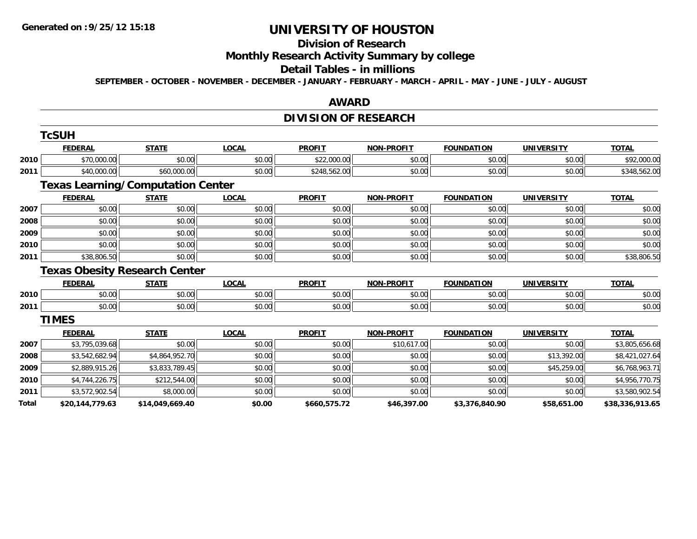#### **Division of Research**

## **Monthly Research Activity Summary by college**

#### **Detail Tables - in millions**

**SEPTEMBER - OCTOBER - NOVEMBER - DECEMBER - JANUARY - FEBRUARY - MARCH - APRIL - MAY - JUNE - JULY - AUGUST**

#### **AWARD**

## **DIVISION OF RESEARCH**

|       | <b>TcSUH</b>    |                                          |              |               |                   |                   |                   |                 |
|-------|-----------------|------------------------------------------|--------------|---------------|-------------------|-------------------|-------------------|-----------------|
|       | <b>FEDERAL</b>  | <b>STATE</b>                             | <b>LOCAL</b> | <b>PROFIT</b> | <b>NON-PROFIT</b> | <b>FOUNDATION</b> | <b>UNIVERSITY</b> | <b>TOTAL</b>    |
| 2010  | \$70,000.00     | \$0.00                                   | \$0.00       | \$22,000.00   | \$0.00            | \$0.00            | \$0.00            | \$92,000.00     |
| 2011  | \$40,000.00     | \$60,000.00                              | \$0.00       | \$248,562.00  | \$0.00            | \$0.00            | \$0.00            | \$348,562.00    |
|       |                 | <b>Texas Learning/Computation Center</b> |              |               |                   |                   |                   |                 |
|       | <b>FEDERAL</b>  | <b>STATE</b>                             | <b>LOCAL</b> | <b>PROFIT</b> | <b>NON-PROFIT</b> | <b>FOUNDATION</b> | <b>UNIVERSITY</b> | <b>TOTAL</b>    |
| 2007  | \$0.00          | \$0.00                                   | \$0.00       | \$0.00        | \$0.00            | \$0.00            | \$0.00            | \$0.00          |
| 2008  | \$0.00          | \$0.00                                   | \$0.00       | \$0.00        | \$0.00            | \$0.00            | \$0.00            | \$0.00          |
| 2009  | \$0.00          | \$0.00                                   | \$0.00       | \$0.00        | \$0.00            | \$0.00            | \$0.00            | \$0.00          |
| 2010  | \$0.00          | \$0.00                                   | \$0.00       | \$0.00        | \$0.00            | \$0.00            | \$0.00            | \$0.00          |
| 2011  | \$38,806.50     | \$0.00                                   | \$0.00       | \$0.00        | \$0.00            | \$0.00            | \$0.00            | \$38,806.50     |
|       |                 | <b>Texas Obesity Research Center</b>     |              |               |                   |                   |                   |                 |
|       | <b>FEDERAL</b>  | <b>STATE</b>                             | <b>LOCAL</b> | <b>PROFIT</b> | <b>NON-PROFIT</b> | <b>FOUNDATION</b> | <b>UNIVERSITY</b> | <b>TOTAL</b>    |
| 2010  | \$0.00          | \$0.00                                   | \$0.00       | \$0.00        | \$0.00            | \$0.00            | \$0.00            | \$0.00          |
| 2011  | \$0.00          | \$0.00                                   | \$0.00       | \$0.00        | \$0.00            | \$0.00            | \$0.00            | \$0.00          |
|       | <b>TIMES</b>    |                                          |              |               |                   |                   |                   |                 |
|       | <b>FEDERAL</b>  | <b>STATE</b>                             | <b>LOCAL</b> | <b>PROFIT</b> | <b>NON-PROFIT</b> | <b>FOUNDATION</b> | <b>UNIVERSITY</b> | <b>TOTAL</b>    |
| 2007  | \$3,795,039.68  | \$0.00                                   | \$0.00       | \$0.00        | \$10,617.00       | \$0.00            | \$0.00            | \$3,805,656.68  |
| 2008  | \$3,542,682.94  | \$4,864,952.70                           | \$0.00       | \$0.00        | \$0.00            | \$0.00            | \$13,392.00       | \$8,421,027.64  |
| 2009  | \$2,889,915.26  | \$3,833,789.45                           | \$0.00       | \$0.00        | \$0.00            | \$0.00            | \$45,259.00       | \$6,768,963.71  |
| 2010  | \$4,744,226.75  | \$212,544.00                             | \$0.00       | \$0.00        | \$0.00            | \$0.00            | \$0.00            | \$4,956,770.75  |
| 2011  | \$3,572,902.54  | \$8,000.00                               | \$0.00       | \$0.00        | \$0.00            | \$0.00            | \$0.00            | \$3,580,902.54  |
| Total | \$20,144,779.63 | \$14,049,669.40                          | \$0.00       | \$660,575.72  | \$46,397.00       | \$3,376,840.90    | \$58,651.00       | \$38,336,913.65 |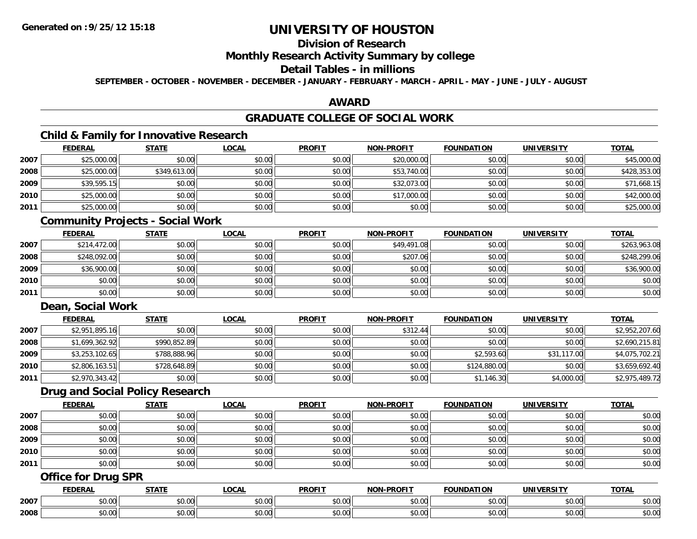## **Division of Research**

### **Monthly Research Activity Summary by college**

### **Detail Tables - in millions**

**SEPTEMBER - OCTOBER - NOVEMBER - DECEMBER - JANUARY - FEBRUARY - MARCH - APRIL - MAY - JUNE - JULY - AUGUST**

### **AWARD**

## **GRADUATE COLLEGE OF SOCIAL WORK**

## **Child & Family for Innovative Research**

|      | <b>FEDERAL</b> | <b>STATE</b> | <u>LOCAL</u> | <b>PROFIT</b> | <b>NON-PROFIT</b> | <b>FOUNDATION</b> | <b>UNIVERSITY</b> | <b>TOTAL</b> |
|------|----------------|--------------|--------------|---------------|-------------------|-------------------|-------------------|--------------|
| 2007 | \$25,000.00    | \$0.00       | \$0.00       | \$0.00        | \$20,000.00       | \$0.00            | \$0.00            | \$45,000.00  |
| 2008 | \$25,000.00    | \$349,613.00 | \$0.00       | \$0.00        | \$53,740.00       | \$0.00            | \$0.00            | \$428,353.00 |
| 2009 | \$39,595.15    | \$0.00       | \$0.00       | \$0.00        | \$32,073.00       | \$0.00            | \$0.00            | \$71,668.15  |
| 2010 | \$25,000.00    | \$0.00       | \$0.00       | \$0.00        | \$17,000.00       | \$0.00            | \$0.00            | \$42,000.00  |
| 2011 | \$25,000.00    | \$0.00       | \$0.00       | \$0.00        | \$0.00            | \$0.00            | \$0.00            | \$25,000.00  |

### **Community Projects - Social Work**

|      | <u>FEDERAL</u> | <b>STATE</b> | <u>LOCAL</u> | <b>PROFIT</b> | <b>NON-PROFIT</b> | <b>FOUNDATION</b> | <b>UNIVERSITY</b> | <b>TOTAL</b> |
|------|----------------|--------------|--------------|---------------|-------------------|-------------------|-------------------|--------------|
| 2007 | \$214,472.00   | \$0.00       | \$0.00       | \$0.00        | \$49,491.08       | \$0.00            | \$0.00            | \$263,963.08 |
| 2008 | \$248,092.00   | \$0.00       | \$0.00       | \$0.00        | \$207.06          | \$0.00            | \$0.00            | \$248,299.06 |
| 2009 | \$36,900.00    | \$0.00       | \$0.00       | \$0.00        | \$0.00            | \$0.00            | \$0.00            | \$36,900.00  |
| 2010 | \$0.00         | \$0.00       | \$0.00       | \$0.00        | \$0.00            | \$0.00            | \$0.00            | \$0.00       |
| 2011 | \$0.00         | \$0.00       | \$0.00       | \$0.00        | \$0.00            | \$0.00            | \$0.00            | \$0.00       |

## **Dean, Social Work**

|      | <b>FEDERAL</b> | <b>STATE</b> | <b>LOCAL</b> | <b>PROFIT</b> | <b>NON-PROFIT</b> | <b>FOUNDATION</b> | <b>UNIVERSITY</b> | <b>TOTAL</b>   |
|------|----------------|--------------|--------------|---------------|-------------------|-------------------|-------------------|----------------|
| 2007 | \$2,951,895.16 | \$0.00       | \$0.00       | \$0.00        | \$312.44          | \$0.00            | \$0.00            | \$2,952,207.60 |
| 2008 | \$1,699,362.92 | \$990,852.89 | \$0.00       | \$0.00        | \$0.00            | \$0.00            | \$0.00            | \$2,690,215.81 |
| 2009 | \$3,253,102.65 | \$788,888.96 | \$0.00       | \$0.00        | \$0.00            | \$2,593.60        | \$31,117.00       | \$4,075,702.21 |
| 2010 | \$2,806,163.51 | \$728,648.89 | \$0.00       | \$0.00        | \$0.00            | \$124,880.00      | \$0.00            | \$3,659,692.40 |
| 2011 | \$2,970,343.42 | \$0.00       | \$0.00       | \$0.00        | \$0.00            | \$1,146.30        | \$4,000.00        | \$2,975,489.72 |

### **Drug and Social Policy Research**

|      | <b>FEDERAL</b> | <b>STATE</b> | <b>LOCAL</b> | <b>PROFIT</b> | <b>NON-PROFIT</b> | <b>FOUNDATION</b> | <b>UNIVERSITY</b> | <b>TOTAL</b> |
|------|----------------|--------------|--------------|---------------|-------------------|-------------------|-------------------|--------------|
| 2007 | \$0.00         | \$0.00       | \$0.00       | \$0.00        | \$0.00            | \$0.00            | \$0.00            | \$0.00       |
| 2008 | \$0.00         | \$0.00       | \$0.00       | \$0.00        | \$0.00            | \$0.00            | \$0.00            | \$0.00       |
| 2009 | \$0.00         | \$0.00       | \$0.00       | \$0.00        | \$0.00            | \$0.00            | \$0.00            | \$0.00       |
| 2010 | \$0.00         | \$0.00       | \$0.00       | \$0.00        | \$0.00            | \$0.00            | \$0.00            | \$0.00       |
| 2011 | \$0.00         | \$0.00       | \$0.00       | \$0.00        | \$0.00            | \$0.00            | \$0.00            | \$0.00       |

## **Office for Drug SPR**

|      | <b>CENEDAI</b><br>-NA | <b>CTATE</b>         | $\sim$ $\sim$ $\sim$<br>. | <b>PROFIT</b>                                         | <b>DDAEIT</b><br><b>NION</b> | $\sim$<br>NΠΔ<br>10B                   | . <i>.</i><br>JN.    | <b>TOTAL</b>                                          |
|------|-----------------------|----------------------|---------------------------|-------------------------------------------------------|------------------------------|----------------------------------------|----------------------|-------------------------------------------------------|
| 2007 | ۰^<br>30.01           | $\sim$ $\sim$<br>ט.ט | ሶስ ሰሰ<br>vv.vv            | $\uparrow$ $\uparrow$ $\uparrow$<br>pu.uu             | 0.00<br>vv.vv                | $\overline{a}$ $\overline{a}$<br>40.00 | 0000<br><b>PU.UU</b> | $\cdots$<br>JU.UU                                     |
| 2008 | $\sim$<br>ט.ט         | $\sim$ 00<br>ט.טע    | $\sim$ $\sim$<br>JU.UU    | $\mathbf{A} \cap \mathbf{A} \cap \mathbf{A}$<br>JU.UU | 0.00<br>JU.UU                | JU.UU                                  | 0000<br>JU.UU        | $\mathsf{A} \cap \mathsf{A} \cap \mathsf{A}$<br>JU.UU |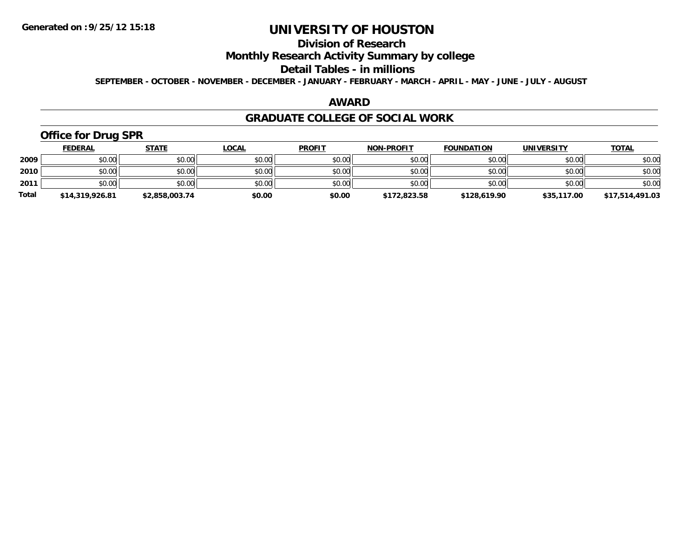## **Division of Research**

## **Monthly Research Activity Summary by college**

#### **Detail Tables - in millions**

**SEPTEMBER - OCTOBER - NOVEMBER - DECEMBER - JANUARY - FEBRUARY - MARCH - APRIL - MAY - JUNE - JULY - AUGUST**

### **AWARD**

### **GRADUATE COLLEGE OF SOCIAL WORK**

## **Office for Drug SPR**

|              | <b>FEDERAL</b>  | <u>STATE</u>   | <u>LOCAL</u> | <b>PROFIT</b> | <b>NON-PROFIT</b> | <b>FOUNDATION</b> | <b>UNIVERSITY</b> | <b>TOTAL</b>    |
|--------------|-----------------|----------------|--------------|---------------|-------------------|-------------------|-------------------|-----------------|
| 2009         | \$0.00          | \$0.00         | \$0.00       | \$0.00        | \$0.00            | \$0.00            | \$0.00            | \$0.00          |
| 2010         | \$0.00          | \$0.00         | \$0.00       | \$0.00        | \$0.00            | \$0.00            | \$0.00            | \$0.00          |
| 2011         | \$0.00          | \$0.00         | \$0.00       | \$0.00        | \$0.00            | \$0.00            | \$0.00            | \$0.00          |
| <b>Total</b> | \$14,319,926.81 | \$2,858,003.74 | \$0.00       | \$0.00        | \$172,823.58      | \$128,619.90      | \$35,117.00       | \$17,514,491.03 |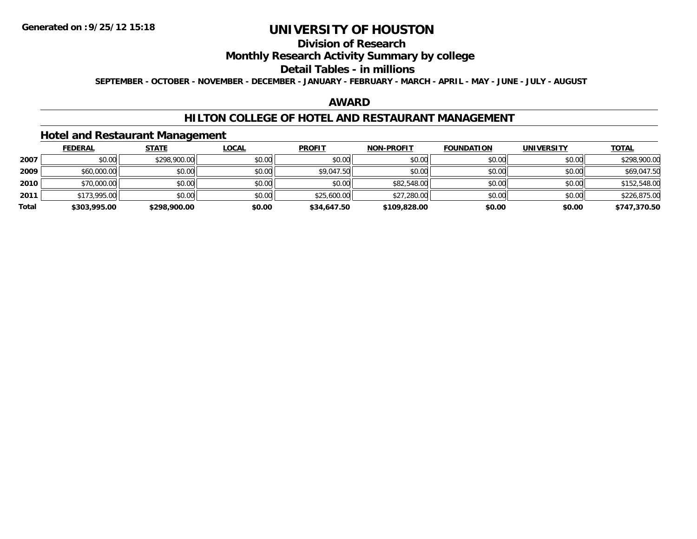## **Division of Research**

## **Monthly Research Activity Summary by college**

#### **Detail Tables - in millions**

**SEPTEMBER - OCTOBER - NOVEMBER - DECEMBER - JANUARY - FEBRUARY - MARCH - APRIL - MAY - JUNE - JULY - AUGUST**

### **AWARD**

### **HILTON COLLEGE OF HOTEL AND RESTAURANT MANAGEMENT**

### **Hotel and Restaurant Management**

|       | <b>FEDERAL</b> | <u>STATE</u> | <b>LOCAL</b> | <b>PROFIT</b> | <b>NON-PROFIT</b> | <b>FOUNDATION</b> | <b>UNIVERSITY</b> | <u>TOTAL</u> |
|-------|----------------|--------------|--------------|---------------|-------------------|-------------------|-------------------|--------------|
| 2007  | \$0.00         | \$298,900.00 | \$0.00       | \$0.00        | \$0.00            | \$0.00            | \$0.00            | \$298,900.00 |
| 2009  | \$60,000.00    | \$0.00       | \$0.00       | \$9,047.50    | \$0.00            | \$0.00            | \$0.00            | \$69,047.50  |
| 2010  | \$70,000.00    | \$0.00       | \$0.00       | \$0.00        | \$82,548.00       | \$0.00            | \$0.00            | \$152,548.00 |
| 2011  | \$173,995.00   | \$0.00       | \$0.00       | \$25,600.00   | \$27,280.00       | \$0.00            | \$0.00            | \$226,875.00 |
| Total | \$303,995.00   | \$298,900.00 | \$0.00       | \$34,647.50   | \$109,828.00      | \$0.00            | \$0.00            | \$747,370.50 |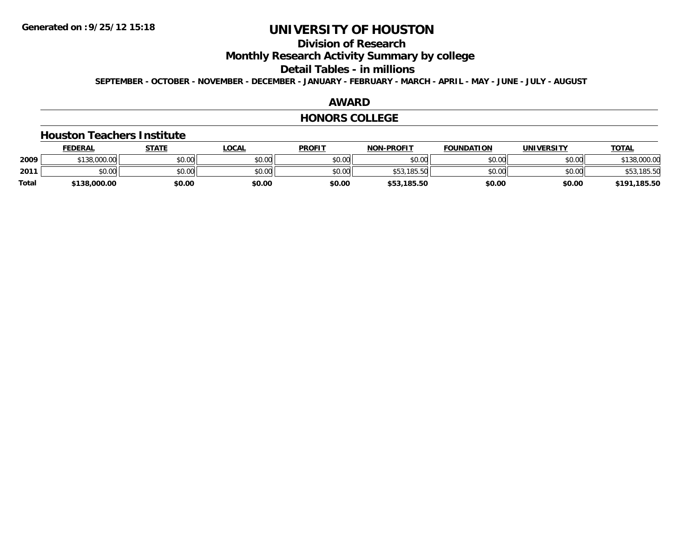## **Division of Research**

**Monthly Research Activity Summary by college**

#### **Detail Tables - in millions**

**SEPTEMBER - OCTOBER - NOVEMBER - DECEMBER - JANUARY - FEBRUARY - MARCH - APRIL - MAY - JUNE - JULY - AUGUST**

### **AWARD**

#### **HONORS COLLEGE**

#### **Houston Teachers Institute**

|              | <b>FEDERAL</b> | STATE  | <u>LOCAL</u> | <b>PROFIT</b> | <b>NON-PROFIT</b> | <b>FOUNDATION</b> | <b>UNIVERSITY</b> | <b>TOTAL</b>     |
|--------------|----------------|--------|--------------|---------------|-------------------|-------------------|-------------------|------------------|
| 2009         | \$138,000.00   | \$0.00 | \$0.00       | \$0.00        | \$0.00            | \$0.00            | \$0.00            | \$138,000.00     |
| 2011         | \$0.00         | \$0.00 | \$0.00       | \$0.00        | \$53,185.50       | \$0.00            | \$0.00            | \$53,185.50      |
| <b>Total</b> | \$138,000.00   | \$0.00 | \$0.00       | \$0.00        | \$53,185.50       | \$0.00            | \$0.00            | ,185.50<br>\$191 |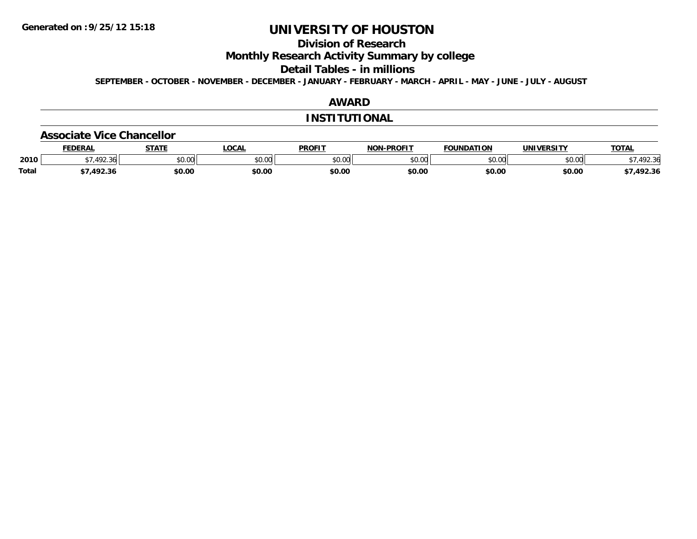## **Division of Research**

**Monthly Research Activity Summary by college**

**Detail Tables - in millions**

**SEPTEMBER - OCTOBER - NOVEMBER - DECEMBER - JANUARY - FEBRUARY - MARCH - APRIL - MAY - JUNE - JULY - AUGUST**

## **AWARD**

#### **INSTITUTIONAL**

#### **Associate Vice Chancellor**

|              | <b>EDERAL</b> | <b>CTATE</b> | <b>OCAL</b> | <b>PROFIT</b> | -PROFIT<br>NON-I | FOUNDATION   | <b>UNIVERSITY</b> | <b>TOTA</b>                  |
|--------------|---------------|--------------|-------------|---------------|------------------|--------------|-------------------|------------------------------|
| 2010         | 72.30         | \$0.00       | JU.UU       | \$0.00        | ልስ ስስ<br>JU.UU   | 0000<br>ט.טע | 0.001<br>PU.UU    | $\mathcal{L}$<br>.92.30<br>՝ |
| <b>Total</b> | 1022<br>92.30 | \$0.00       | \$0.00      | \$0.00        | \$0.00           | \$0.00       | \$0.00            | 492.36                       |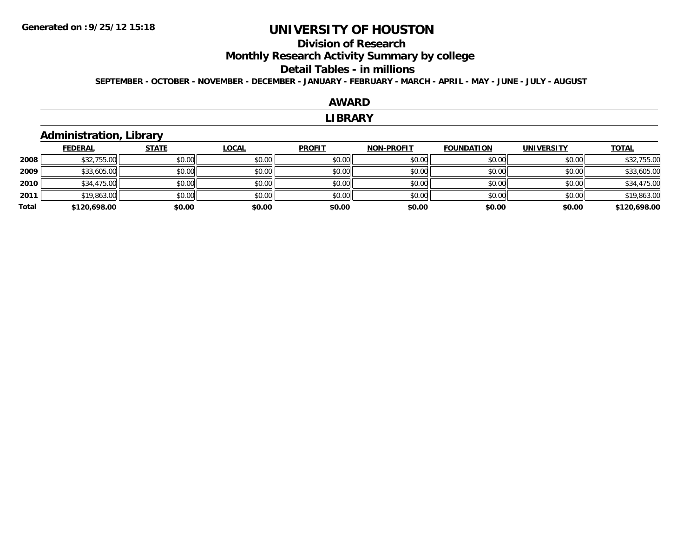## **Division of Research**

**Monthly Research Activity Summary by college**

#### **Detail Tables - in millions**

**SEPTEMBER - OCTOBER - NOVEMBER - DECEMBER - JANUARY - FEBRUARY - MARCH - APRIL - MAY - JUNE - JULY - AUGUST**

### **AWARD**

#### **LIBRARY**

## **Administration, Library**

|       | <b>FEDERAL</b> | <b>STATE</b> | <u>LOCAL</u> | <b>PROFIT</b> | <b>NON-PROFIT</b> | <b>FOUNDATION</b> | <b>UNIVERSITY</b> | <b>TOTAL</b> |
|-------|----------------|--------------|--------------|---------------|-------------------|-------------------|-------------------|--------------|
| 2008  | \$32,755.00    | \$0.00       | \$0.00       | \$0.00        | \$0.00            | \$0.00            | \$0.00            | \$32,755.00  |
| 2009  | \$33,605.00    | \$0.00       | \$0.00       | \$0.00        | \$0.00            | \$0.00            | \$0.00            | \$33,605.00  |
| 2010  | \$34,475.00    | \$0.00       | \$0.00       | \$0.00        | \$0.00            | \$0.00            | \$0.00            | \$34,475.00  |
| 2011  | \$19,863.00    | \$0.00       | \$0.00       | \$0.00        | \$0.00            | \$0.00            | \$0.00            | \$19,863.00  |
| Total | \$120,698.00   | \$0.00       | \$0.00       | \$0.00        | \$0.00            | \$0.00            | \$0.00            | \$120,698.00 |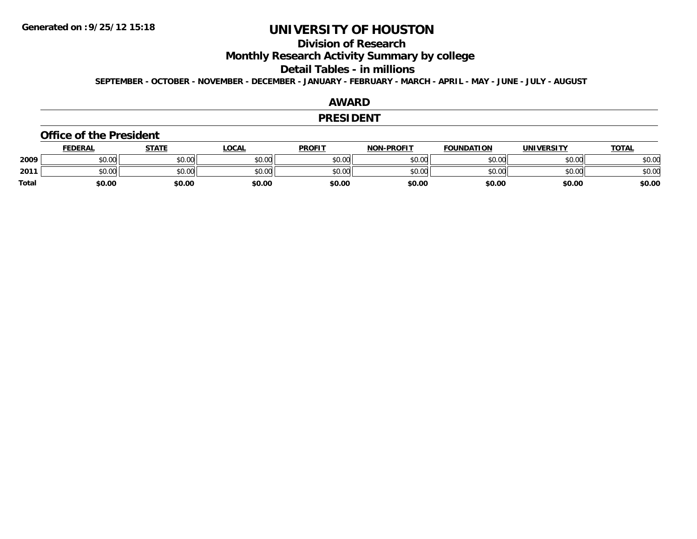## **Division of Research**

**Monthly Research Activity Summary by college**

#### **Detail Tables - in millions**

**SEPTEMBER - OCTOBER - NOVEMBER - DECEMBER - JANUARY - FEBRUARY - MARCH - APRIL - MAY - JUNE - JULY - AUGUST**

### **AWARD**

#### **PRESIDENT**

#### **Office of the President**

|              | <b>FEDERAL</b> | <b>STATE</b> | <u>LOCAL</u> | <b>PROFIT</b> | <b>NON-PROFIT</b> | <b>FOUNDATION</b> | <b>UNIVERSITY</b> | <b>TOTAL</b> |
|--------------|----------------|--------------|--------------|---------------|-------------------|-------------------|-------------------|--------------|
| 2009         | \$0.00         | \$0.00       | \$0.00       | \$0.00        | \$0.00            | \$0.00            | \$0.00            | \$0.00       |
| 2011         | 0.00<br>งบ.บบ  | \$0.00       | \$0.00       | \$0.00        | \$0.00            | \$0.00            | \$0.00            | \$0.00       |
| <b>Total</b> | \$0.00         | \$0.00       | \$0.00       | \$0.00        | \$0.00            | \$0.00            | \$0.00            | \$0.00       |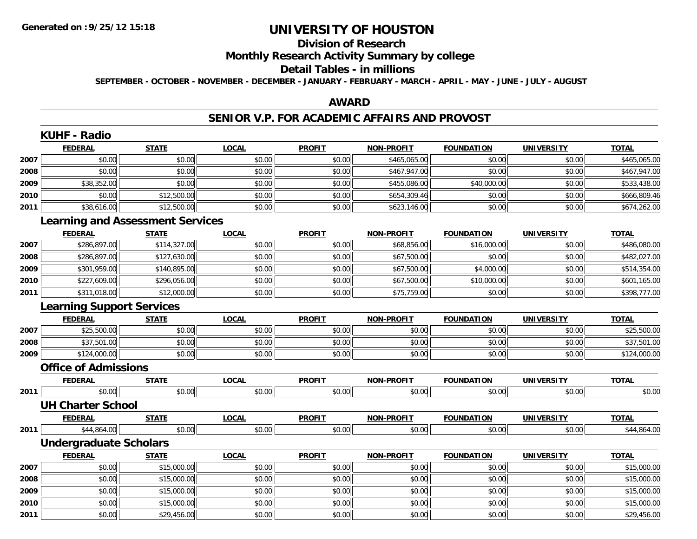## **Division of Research**

## **Monthly Research Activity Summary by college**

#### **Detail Tables - in millions**

**SEPTEMBER - OCTOBER - NOVEMBER - DECEMBER - JANUARY - FEBRUARY - MARCH - APRIL - MAY - JUNE - JULY - AUGUST**

## **AWARD**

### **SENIOR V.P. FOR ACADEMIC AFFAIRS AND PROVOST**

|      | <b>KUHF - Radio</b>                     |              |              |               |                   |                   |                   |                         |
|------|-----------------------------------------|--------------|--------------|---------------|-------------------|-------------------|-------------------|-------------------------|
|      | <b>FEDERAL</b>                          | <b>STATE</b> | <b>LOCAL</b> | <b>PROFIT</b> | <b>NON-PROFIT</b> | <b>FOUNDATION</b> | <b>UNIVERSITY</b> | <b>TOTAL</b>            |
| 2007 | \$0.00                                  | \$0.00       | \$0.00       | \$0.00        | \$465,065.00      | \$0.00            | \$0.00            | \$465,065.00            |
| 2008 | \$0.00                                  | \$0.00       | \$0.00       | \$0.00        | \$467,947.00      | \$0.00            | \$0.00            | \$467,947.00            |
| 2009 | \$38,352.00                             | \$0.00       | \$0.00       | \$0.00        | \$455,086.00      | \$40,000.00       | \$0.00            | \$533,438.00            |
| 2010 | \$0.00                                  | \$12,500.00  | \$0.00       | \$0.00        | \$654,309.46      | \$0.00            | \$0.00            | \$666,809.46            |
| 2011 | \$38,616.00                             | \$12,500.00  | \$0.00       | \$0.00        | \$623,146.00      | \$0.00            | \$0.00            | \$674,262.00            |
|      | <b>Learning and Assessment Services</b> |              |              |               |                   |                   |                   |                         |
|      | <b>FEDERAL</b>                          | <b>STATE</b> | <b>LOCAL</b> | <b>PROFIT</b> | <b>NON-PROFIT</b> | <b>FOUNDATION</b> | <b>UNIVERSITY</b> | <b>TOTAL</b>            |
| 2007 | \$286,897.00                            | \$114,327.00 | \$0.00       | \$0.00        | \$68,856.00       | \$16,000.00       | \$0.00            | \$486,080.00            |
| 2008 | \$286,897.00                            | \$127,630.00 | \$0.00       | \$0.00        | \$67,500.00       | \$0.00            | \$0.00            | \$482,027.00            |
| 2009 | \$301,959.00                            | \$140,895.00 | \$0.00       | \$0.00        | \$67,500.00       | \$4,000.00        | \$0.00            | \$514,354.00            |
| 2010 | \$227,609.00                            | \$296,056.00 | \$0.00       | \$0.00        | \$67,500.00       | \$10,000.00       | \$0.00            | \$601,165.00            |
| 2011 | \$311,018.00                            | \$12,000.00  | \$0.00       | \$0.00        | \$75,759.00       | \$0.00            | \$0.00            | \$398,777.00            |
|      | <b>Learning Support Services</b>        |              |              |               |                   |                   |                   |                         |
|      | <b>FEDERAL</b>                          | <b>STATE</b> | <b>LOCAL</b> | <b>PROFIT</b> | <b>NON-PROFIT</b> | <b>FOUNDATION</b> | <b>UNIVERSITY</b> | <b>TOTAL</b>            |
| 2007 | \$25,500.00                             | \$0.00       | \$0.00       | \$0.00        | \$0.00            | \$0.00            | \$0.00            | \$25,500.00             |
| 2008 | \$37,501.00                             | \$0.00       | \$0.00       | \$0.00        | \$0.00            | \$0.00            | \$0.00            | \$37,501.00             |
| 2009 | \$124,000.00                            | \$0.00       | \$0.00       | \$0.00        | \$0.00            | \$0.00            | \$0.00            | \$124,000.00            |
|      | <b>Office of Admissions</b>             |              |              |               |                   |                   |                   |                         |
|      | <b>FEDERAL</b>                          | <b>STATE</b> | <b>LOCAL</b> | <b>PROFIT</b> | <b>NON-PROFIT</b> | <b>FOUNDATION</b> | <b>UNIVERSITY</b> | <b>TOTAL</b>            |
| 2011 | \$0.00                                  | \$0.00       | \$0.00       | \$0.00        | \$0.00            | \$0.00            | \$0.00            | \$0.00                  |
|      | <b>UH Charter School</b>                |              |              |               |                   |                   |                   |                         |
|      | <b>FEDERAL</b>                          | <b>STATE</b> | <b>LOCAL</b> | <b>PROFIT</b> | <b>NON-PROFIT</b> | <b>FOUNDATION</b> | <b>UNIVERSITY</b> | <b>TOTAL</b>            |
| 2011 | \$44,864.00                             | \$0.00       | \$0.00       | \$0.00        | \$0.00            | \$0.00            | \$0.00            | $\overline{$44,864.00}$ |
|      | <b>Undergraduate Scholars</b>           |              |              |               |                   |                   |                   |                         |
|      | <b>FEDERAL</b>                          | <b>STATE</b> | <b>LOCAL</b> | <b>PROFIT</b> | <b>NON-PROFIT</b> | <b>FOUNDATION</b> | <b>UNIVERSITY</b> | <b>TOTAL</b>            |
| 2007 | \$0.00                                  | \$15,000.00  | \$0.00       | \$0.00        | \$0.00            | \$0.00            | \$0.00            | \$15,000.00             |
| 2008 | \$0.00                                  | \$15,000.00  | \$0.00       | \$0.00        | \$0.00            | \$0.00            | \$0.00            | \$15,000.00             |
| 2009 | \$0.00                                  | \$15,000.00  | \$0.00       | \$0.00        | \$0.00            | \$0.00            | \$0.00            | \$15,000.00             |
| 2010 | \$0.00                                  | \$15,000.00  | \$0.00       | \$0.00        | \$0.00            | \$0.00            | \$0.00            | \$15,000.00             |
| 2011 | \$0.00                                  | \$29,456.00  | \$0.00       | \$0.00        | \$0.00            | \$0.00            | \$0.00            | \$29,456.00             |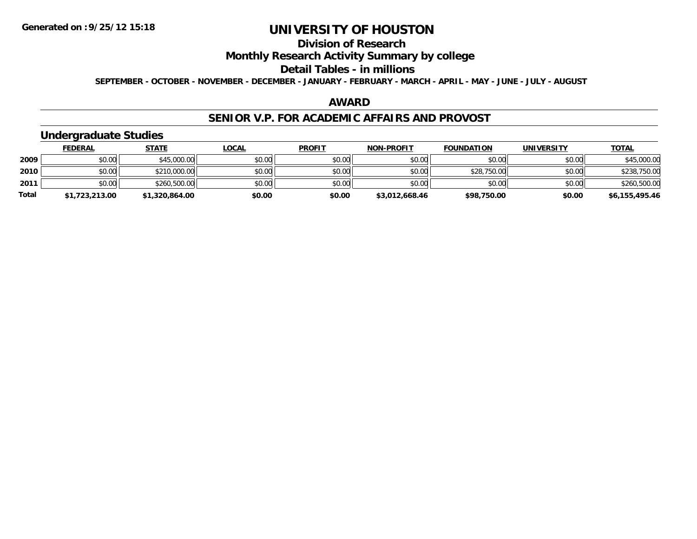## **Division of Research**

## **Monthly Research Activity Summary by college**

#### **Detail Tables - in millions**

**SEPTEMBER - OCTOBER - NOVEMBER - DECEMBER - JANUARY - FEBRUARY - MARCH - APRIL - MAY - JUNE - JULY - AUGUST**

### **AWARD**

### **SENIOR V.P. FOR ACADEMIC AFFAIRS AND PROVOST**

## **Undergraduate Studies**

|              | <b>FEDERAL</b> | <u>STATE</u>   | <u>LOCAL</u> | <b>PROFIT</b> | <b>NON-PROFIT</b> | <b>FOUNDATION</b> | <b>UNIVERSITY</b> | <b>TOTAL</b>   |
|--------------|----------------|----------------|--------------|---------------|-------------------|-------------------|-------------------|----------------|
| 2009         | \$0.00         | \$45,000.00    | \$0.00       | \$0.00        | \$0.00            | \$0.00            | \$0.00            | \$45,000.00    |
| 2010         | \$0.00         | \$210,000.00   | \$0.00       | \$0.00        | \$0.00            | \$28,750.00       | \$0.00            | \$238,750.00   |
| 2011         | \$0.00         | \$260,500.00   | \$0.00       | \$0.00        | \$0.00            | \$0.00            | \$0.00            | \$260,500.00   |
| <b>Total</b> | \$1,723,213.00 | \$1,320,864.00 | \$0.00       | \$0.00        | \$3,012,668.46    | \$98,750.00       | \$0.00            | \$6,155,495.46 |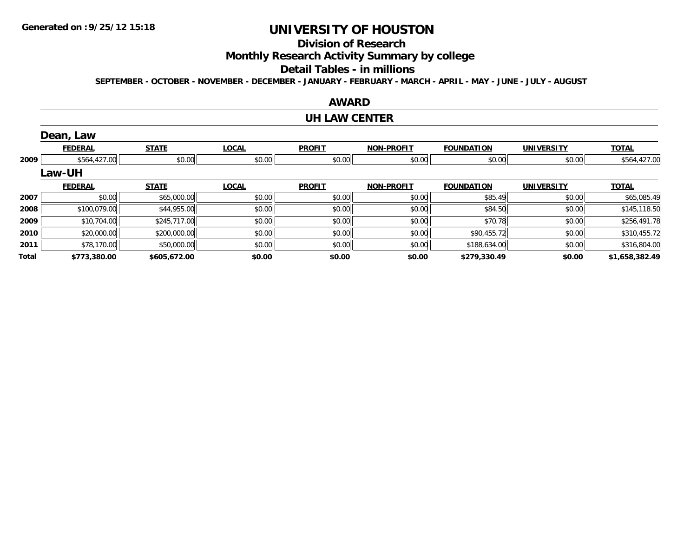## **Division of Research**

**Monthly Research Activity Summary by college**

#### **Detail Tables - in millions**

**SEPTEMBER - OCTOBER - NOVEMBER - DECEMBER - JANUARY - FEBRUARY - MARCH - APRIL - MAY - JUNE - JULY - AUGUST**

# **AWARD**

#### **UH LAW CENTER**

|       | Dean, Law      |              |              |               |                   |                   |                   |                |
|-------|----------------|--------------|--------------|---------------|-------------------|-------------------|-------------------|----------------|
|       | <b>FEDERAL</b> | <b>STATE</b> | <b>LOCAL</b> | <b>PROFIT</b> | <b>NON-PROFIT</b> | <b>FOUNDATION</b> | <b>UNIVERSITY</b> | <b>TOTAL</b>   |
| 2009  | \$564,427.00   | \$0.00       | \$0.00       | \$0.00        | \$0.00            | \$0.00            | \$0.00            | \$564,427.00   |
|       | <b>Law-UH</b>  |              |              |               |                   |                   |                   |                |
|       | <b>FEDERAL</b> | <b>STATE</b> | <b>LOCAL</b> | <b>PROFIT</b> | <b>NON-PROFIT</b> | <b>FOUNDATION</b> | <b>UNIVERSITY</b> | <b>TOTAL</b>   |
| 2007  | \$0.00         | \$65,000.00  | \$0.00       | \$0.00        | \$0.00            | \$85.49           | \$0.00            | \$65,085.49    |
| 2008  | \$100,079.00   | \$44,955.00  | \$0.00       | \$0.00        | \$0.00            | \$84.50           | \$0.00            | \$145,118.50   |
| 2009  | \$10,704.00    | \$245,717.00 | \$0.00       | \$0.00        | \$0.00            | \$70.78           | \$0.00            | \$256,491.78   |
| 2010  | \$20,000.00    | \$200,000.00 | \$0.00       | \$0.00        | \$0.00            | \$90,455.72       | \$0.00            | \$310,455.72   |
| 2011  | \$78,170.00    | \$50,000.00  | \$0.00       | \$0.00        | \$0.00            | \$188,634.00      | \$0.00            | \$316,804.00   |
| Total | \$773,380.00   | \$605,672.00 | \$0.00       | \$0.00        | \$0.00            | \$279,330.49      | \$0.00            | \$1,658,382.49 |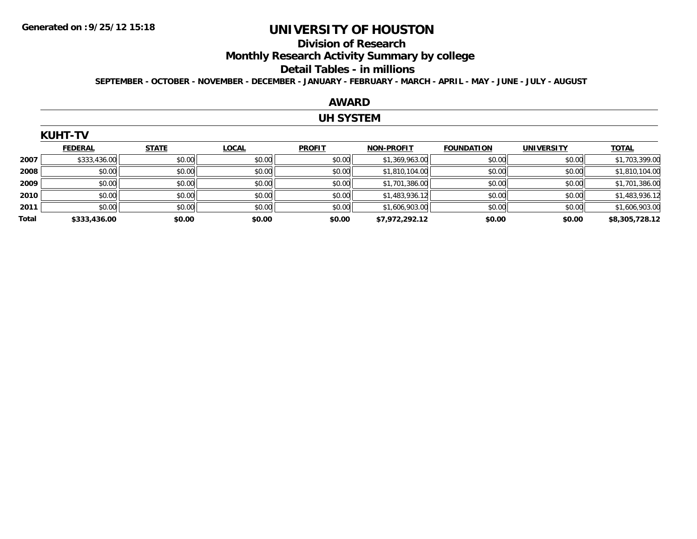#### **Division of Research**

**Monthly Research Activity Summary by college**

#### **Detail Tables - in millions**

**SEPTEMBER - OCTOBER - NOVEMBER - DECEMBER - JANUARY - FEBRUARY - MARCH - APRIL - MAY - JUNE - JULY - AUGUST**

### **AWARD**

### **UH SYSTEM**

|       | <b>KUHT-TV</b> |              |              |               |                   |                   |                   |                |
|-------|----------------|--------------|--------------|---------------|-------------------|-------------------|-------------------|----------------|
|       | <b>FEDERAL</b> | <b>STATE</b> | <b>LOCAL</b> | <b>PROFIT</b> | <b>NON-PROFIT</b> | <b>FOUNDATION</b> | <b>UNIVERSITY</b> | <b>TOTAL</b>   |
| 2007  | \$333,436.00   | \$0.00       | \$0.00       | \$0.00        | \$1,369,963.00    | \$0.00            | \$0.00            | \$1,703,399.00 |
| 2008  | \$0.00         | \$0.00       | \$0.00       | \$0.00        | \$1,810,104.00    | \$0.00            | \$0.00            | \$1,810,104.00 |
| 2009  | \$0.00         | \$0.00       | \$0.00       | \$0.00        | \$1,701,386.00    | \$0.00            | \$0.00            | \$1,701,386.00 |
| 2010  | \$0.00         | \$0.00       | \$0.00       | \$0.00        | \$1,483,936.12    | \$0.00            | \$0.00            | \$1,483,936.12 |
| 2011  | \$0.00         | \$0.00       | \$0.00       | \$0.00        | \$1,606,903.00    | \$0.00            | \$0.00            | \$1,606,903.00 |
| Total | \$333,436.00   | \$0.00       | \$0.00       | \$0.00        | \$7,972,292.12    | \$0.00            | \$0.00            | \$8,305,728.12 |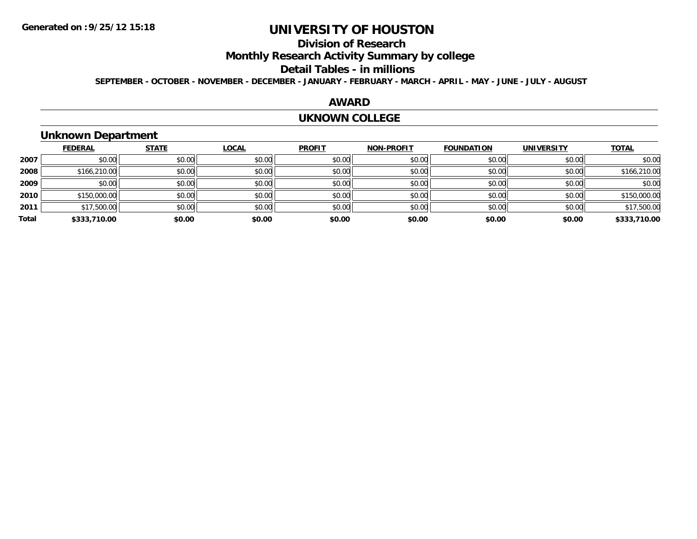## **Division of Research**

**Monthly Research Activity Summary by college**

#### **Detail Tables - in millions**

**SEPTEMBER - OCTOBER - NOVEMBER - DECEMBER - JANUARY - FEBRUARY - MARCH - APRIL - MAY - JUNE - JULY - AUGUST**

### **AWARD**

#### **UKNOWN COLLEGE**

## **Unknown Department**

|       | <b>FEDERAL</b> | <b>STATE</b> | <b>LOCAL</b> | <b>PROFIT</b> | <b>NON-PROFIT</b> | <b>FOUNDATION</b> | <b>UNIVERSITY</b> | <b>TOTAL</b> |
|-------|----------------|--------------|--------------|---------------|-------------------|-------------------|-------------------|--------------|
| 2007  | \$0.00         | \$0.00       | \$0.00       | \$0.00        | \$0.00            | \$0.00            | \$0.00            | \$0.00       |
| 2008  | \$166,210.00   | \$0.00       | \$0.00       | \$0.00        | \$0.00            | \$0.00            | \$0.00            | \$166,210.00 |
| 2009  | \$0.00         | \$0.00       | \$0.00       | \$0.00        | \$0.00            | \$0.00            | \$0.00            | \$0.00       |
| 2010  | \$150,000.00   | \$0.00       | \$0.00       | \$0.00        | \$0.00            | \$0.00            | \$0.00            | \$150,000.00 |
| 2011  | \$17,500.00    | \$0.00       | \$0.00       | \$0.00        | \$0.00            | \$0.00            | \$0.00            | \$17,500.00  |
| Total | \$333,710.00   | \$0.00       | \$0.00       | \$0.00        | \$0.00            | \$0.00            | \$0.00            | \$333,710.00 |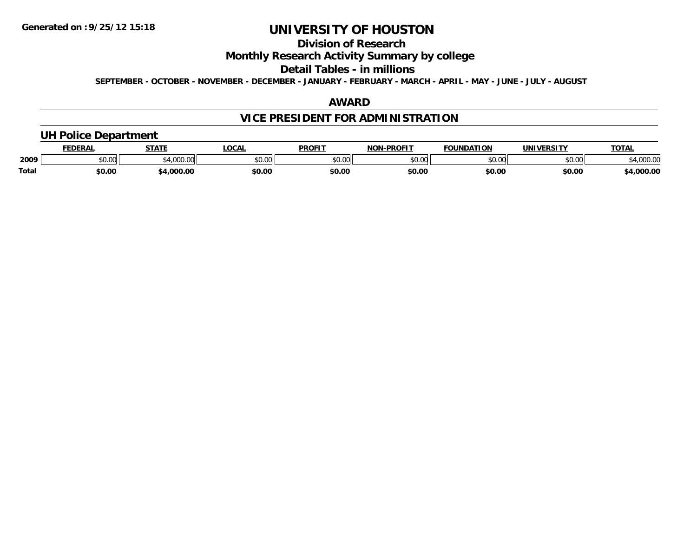## **Division of Research**

## **Monthly Research Activity Summary by college**

#### **Detail Tables - in millions**

**SEPTEMBER - OCTOBER - NOVEMBER - DECEMBER - JANUARY - FEBRUARY - MARCH - APRIL - MAY - JUNE - JULY - AUGUST**

### **AWARD**

## **VICE PRESIDENT FOR ADMINISTRATION**

## **UH Police Department**

|       | FEDERAI | <b>CTATE</b>                 | LOCAI         | <b>PROFIT</b>         | <b>J-PROFIT</b><br>NON | <b>FOUNDATION</b> | UNIVERSITY | <b>TOTAL</b>   |
|-------|---------|------------------------------|---------------|-----------------------|------------------------|-------------------|------------|----------------|
| 2009  | \$0.00  | $\sim$<br>$\alpha$<br>100.00 | 0000<br>JU.UU | <b>¢∩ ∩∩</b><br>JU.UU | 0000<br>vu.uu -        | \$0.00            | \$0.00     | 0000<br>uuu.uu |
| Total | \$0.00  | .000.00                      | \$0.OC        | \$0.00                | \$0.00                 | \$0.00            | \$0.00     | ,000.00        |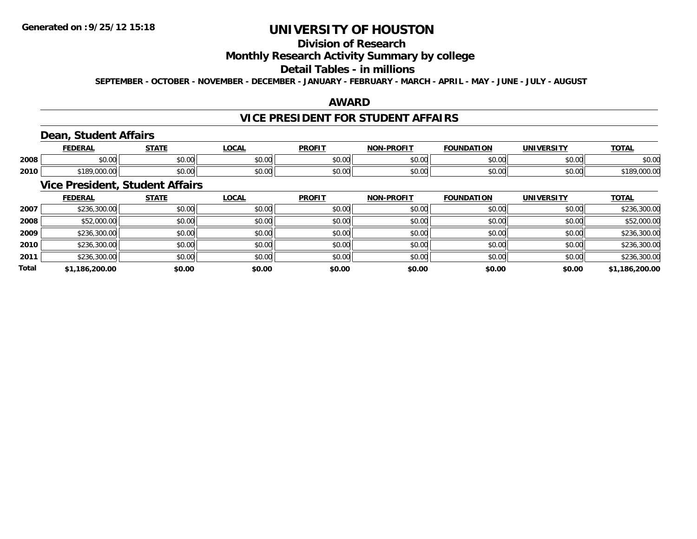## **Division of Research**

## **Monthly Research Activity Summary by college**

#### **Detail Tables - in millions**

**SEPTEMBER - OCTOBER - NOVEMBER - DECEMBER - JANUARY - FEBRUARY - MARCH - APRIL - MAY - JUNE - JULY - AUGUST**

## **AWARD**

### **VICE PRESIDENT FOR STUDENT AFFAIRS**

## **Dean, Student Affairs**

|      | <b>FEDERAI</b>                              | C T A T T            | $\sim$<br>UUNL          | <b>PROFIT</b> | <b>LDDOFIT</b><br>NON | <b>FOUNDATION</b>      | IINIIVEDCITV       | <b>TOTAL</b>     |
|------|---------------------------------------------|----------------------|-------------------------|---------------|-----------------------|------------------------|--------------------|------------------|
| 2008 | ሶስ ሰሰ<br>JU.UU                              | 0000<br><b>JU.UU</b> | 0 <sub>0</sub><br>JU.UU | 0000<br>JU.UU | \$0.00                | $\sim$ $\sim$<br>JU.UU | 0.00<br>JU.UU      | $\sim$<br>\$U.UU |
| 2010 | <b>¢100.</b><br>$\sim$<br>∘ I O`<br>,uuu.uu | 0000<br><b>JU.UU</b> | 0000<br>JU.UU           | 0000<br>JU.UU | \$0.00                | ሐሴ ሴሮ<br>JU.UU         | $\sim$ 00<br>JU.UU | ю<br>,,,,,,,,    |

## **Vice President, Student Affairs**

|              | <b>FEDERAL</b> | <b>STATE</b> | <b>LOCAL</b> | <b>PROFIT</b> | <b>NON-PROFIT</b> | <b>FOUNDATION</b> | <b>UNIVERSITY</b> | <b>TOTAL</b>   |
|--------------|----------------|--------------|--------------|---------------|-------------------|-------------------|-------------------|----------------|
| 2007         | \$236,300.00   | \$0.00       | \$0.00       | \$0.00        | \$0.00            | \$0.00            | \$0.00            | \$236,300.00   |
| 2008         | \$52,000.00    | \$0.00       | \$0.00       | \$0.00        | \$0.00            | \$0.00            | \$0.00            | \$52,000.00    |
| 2009         | \$236,300.00   | \$0.00       | \$0.00       | \$0.00        | \$0.00            | \$0.00            | \$0.00            | \$236,300.00   |
| 2010         | \$236,300.00   | \$0.00       | \$0.00       | \$0.00        | \$0.00            | \$0.00            | \$0.00            | \$236,300.00   |
| 2011         | \$236,300.00   | \$0.00       | \$0.00       | \$0.00        | \$0.00            | \$0.00            | \$0.00            | \$236,300.00   |
| <b>Total</b> | \$1,186,200.00 | \$0.00       | \$0.00       | \$0.00        | \$0.00            | \$0.00            | \$0.00            | \$1,186,200.00 |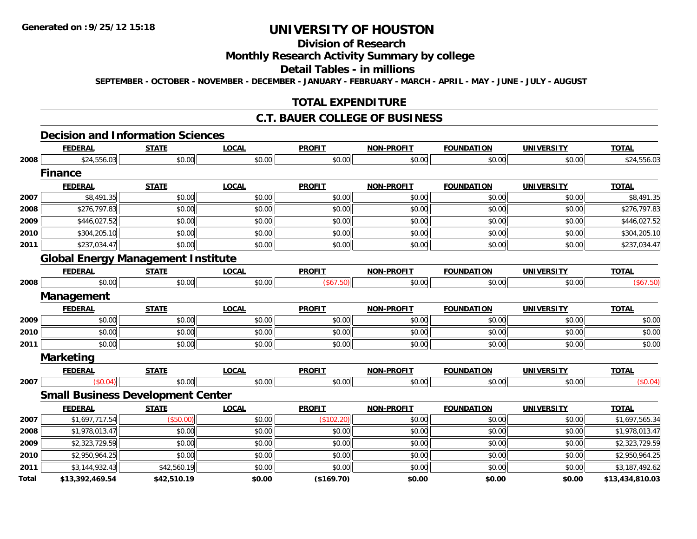## **Division of Research**

## **Monthly Research Activity Summary by college**

#### **Detail Tables - in millions**

**SEPTEMBER - OCTOBER - NOVEMBER - DECEMBER - JANUARY - FEBRUARY - MARCH - APRIL - MAY - JUNE - JULY - AUGUST**

## **TOTAL EXPENDITURE**

### **C.T. BAUER COLLEGE OF BUSINESS**

### **Decision and Information Sciences**

|       | <b>FEDERAL</b>                            | <b>STATE</b> | <b>LOCAL</b> | <b>PROFIT</b> | <b>NON-PROFIT</b> | <b>FOUNDATION</b> | <b>UNIVERSITY</b> | <b>TOTAL</b>    |
|-------|-------------------------------------------|--------------|--------------|---------------|-------------------|-------------------|-------------------|-----------------|
| 2008  | \$24,556.03                               | \$0.00       | \$0.00       | \$0.00        | \$0.00            | \$0.00            | \$0.00            | \$24,556.03     |
|       | <b>Finance</b>                            |              |              |               |                   |                   |                   |                 |
|       | <b>FEDERAL</b>                            | <b>STATE</b> | <b>LOCAL</b> | <b>PROFIT</b> | <b>NON-PROFIT</b> | <b>FOUNDATION</b> | <b>UNIVERSITY</b> | <b>TOTAL</b>    |
| 2007  | \$8,491.35                                | \$0.00       | \$0.00       | \$0.00        | \$0.00            | \$0.00            | \$0.00            | \$8,491.35      |
| 2008  | \$276,797.83                              | \$0.00       | \$0.00       | \$0.00        | \$0.00            | \$0.00            | \$0.00            | \$276,797.83    |
| 2009  | \$446,027.52                              | \$0.00       | \$0.00       | \$0.00        | \$0.00            | \$0.00            | \$0.00            | \$446,027.52    |
| 2010  | \$304,205.10                              | \$0.00       | \$0.00       | \$0.00        | \$0.00            | \$0.00            | \$0.00            | \$304,205.10    |
| 2011  | \$237,034.47                              | \$0.00       | \$0.00       | \$0.00        | \$0.00            | \$0.00            | \$0.00            | \$237,034.47    |
|       | <b>Global Energy Management Institute</b> |              |              |               |                   |                   |                   |                 |
|       | <b>FEDERAL</b>                            | <b>STATE</b> | <b>LOCAL</b> | <b>PROFIT</b> | NON-PROFIT        | <b>FOUNDATION</b> | <b>UNIVERSITY</b> | <b>TOTAL</b>    |
| 2008  | \$0.00                                    | \$0.00       | \$0.00       | (\$67.50)     | \$0.00            | \$0.00            | \$0.00            | (\$67.50)       |
|       | Management                                |              |              |               |                   |                   |                   |                 |
|       | <b>FEDERAL</b>                            | <b>STATE</b> | <b>LOCAL</b> | <b>PROFIT</b> | <b>NON-PROFIT</b> | <b>FOUNDATION</b> | <b>UNIVERSITY</b> | <b>TOTAL</b>    |
| 2009  | \$0.00                                    | \$0.00       | \$0.00       | \$0.00        | \$0.00            | \$0.00            | \$0.00            | \$0.00          |
| 2010  | \$0.00                                    | \$0.00       | \$0.00       | \$0.00        | \$0.00            | \$0.00            | \$0.00            | \$0.00          |
| 2011  | \$0.00                                    | \$0.00       | \$0.00       | \$0.00        | \$0.00            | \$0.00            | \$0.00            | \$0.00          |
|       | <b>Marketing</b>                          |              |              |               |                   |                   |                   |                 |
|       | <b>FEDERAL</b>                            | <b>STATE</b> | <b>LOCAL</b> | <b>PROFIT</b> | <b>NON-PROFIT</b> | <b>FOUNDATION</b> | <b>UNIVERSITY</b> | <b>TOTAL</b>    |
| 2007  | (\$0.04)                                  | \$0.00       | \$0.00       | \$0.00        | \$0.00            | \$0.00            | \$0.00            | (\$0.04)        |
|       | <b>Small Business Development Center</b>  |              |              |               |                   |                   |                   |                 |
|       | <b>FEDERAL</b>                            | <b>STATE</b> | <b>LOCAL</b> | <b>PROFIT</b> | <b>NON-PROFIT</b> | <b>FOUNDATION</b> | <b>UNIVERSITY</b> | <b>TOTAL</b>    |
| 2007  | \$1,697,717.54                            | (\$50.00)    | \$0.00       | (\$102.20)    | \$0.00            | \$0.00            | \$0.00            | \$1,697,565.34  |
| 2008  | \$1,978,013.47                            | \$0.00       | \$0.00       | \$0.00        | \$0.00            | \$0.00            | \$0.00            | \$1,978,013.47  |
| 2009  | \$2,323,729.59                            | \$0.00       | \$0.00       | \$0.00        | \$0.00            | \$0.00            | \$0.00            | \$2,323,729.59  |
| 2010  | \$2,950,964.25                            | \$0.00       | \$0.00       | \$0.00        | \$0.00            | \$0.00            | \$0.00            | \$2,950,964.25  |
| 2011  | \$3,144,932.43                            | \$42,560.19  | \$0.00       | \$0.00        | \$0.00            | \$0.00            | \$0.00            | \$3,187,492.62  |
| Total | \$13,392,469.54                           | \$42,510.19  | \$0.00       | (\$169.70)    | \$0.00            | \$0.00            | \$0.00            | \$13,434,810.03 |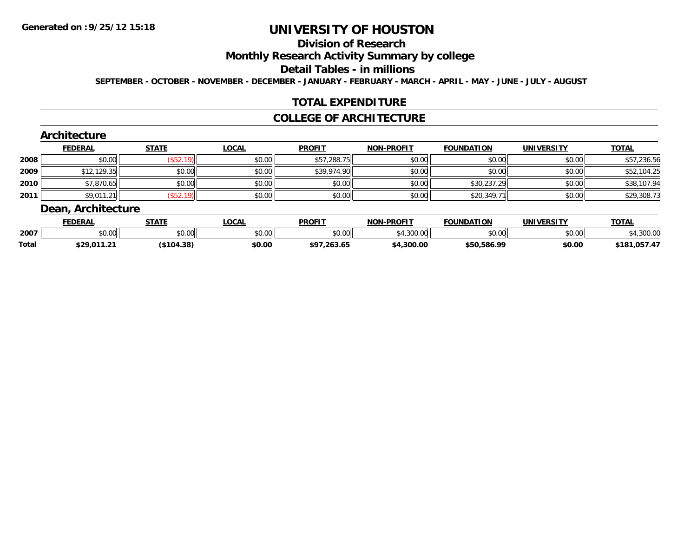## **Division of Research**

## **Monthly Research Activity Summary by college**

#### **Detail Tables - in millions**

**SEPTEMBER - OCTOBER - NOVEMBER - DECEMBER - JANUARY - FEBRUARY - MARCH - APRIL - MAY - JUNE - JULY - AUGUST**

## **TOTAL EXPENDITURE**

### **COLLEGE OF ARCHITECTURE**

### **Architecture**

|      | <b>FEDERAL</b> | <b>STATE</b> | <u>LOCAL</u> | <b>PROFIT</b> | <b>NON-PROFIT</b> | <b>FOUNDATION</b> | <b>UNIVERSITY</b> | <b>TOTAL</b> |
|------|----------------|--------------|--------------|---------------|-------------------|-------------------|-------------------|--------------|
| 2008 | \$0.00         | \$52.        | \$0.00       | \$57,288.75   | \$0.00            | \$0.00            | \$0.00            | \$57,236.56  |
| 2009 | \$12,129.35    | \$0.00       | \$0.00       | \$39,974.90   | \$0.00            | \$0.00            | \$0.00            | \$52,104.25  |
| 2010 | \$7,870.65     | \$0.00       | \$0.00       | \$0.00        | \$0.00            | \$30,237.29       | \$0.00            | \$38,107.94  |
| 2011 | \$9,011.21     | \$52.        | \$0.00       | \$0.00        | \$0.00            | \$20,349.71       | \$0.00            | \$29,308.73  |

### **Dean, Architecture**

|              | <b>FEDERAL</b> | <b>STATE</b>  | .OCAL                | <b>PROFIT</b> | <b>NON-PROFIT</b> | <b>FOUNDATION</b> | UNIVERSITY | <b>TOTAL</b> |
|--------------|----------------|---------------|----------------------|---------------|-------------------|-------------------|------------|--------------|
| 2007         | ሶስ ስስ<br>DU.UU | \$0.00        | 0000<br><b>JU.UU</b> | \$0.00        | \$4,300.00        | \$0.00            | \$0.00     | .300.00      |
| <b>Total</b> | \$29,011.21    | $($ \$104.38) | \$0.00               | \$97,263.65   | 4.300.00          | \$50,586.99       | \$0.00     | \$181,057.47 |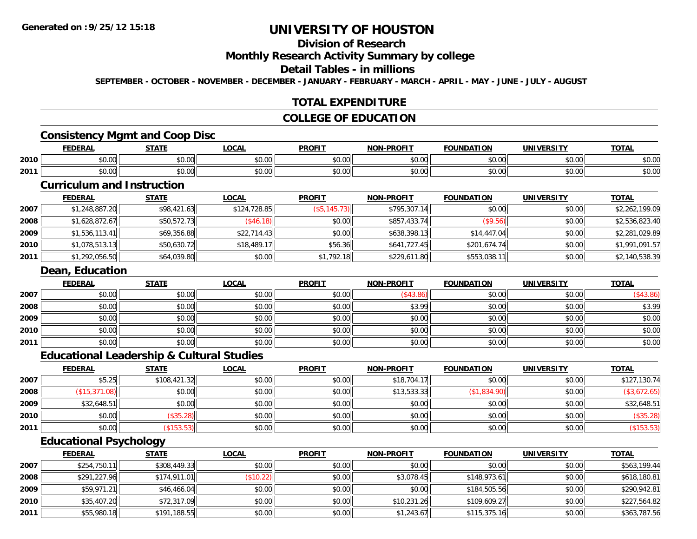# **Division of Research**

#### **Monthly Research Activity Summary by college**

#### **Detail Tables - in millions**

**SEPTEMBER - OCTOBER - NOVEMBER - DECEMBER - JANUARY - FEBRUARY - MARCH - APRIL - MAY - JUNE - JULY - AUGUST**

## **TOTAL EXPENDITURE**

### **COLLEGE OF EDUCATION**

## **Consistency Mgmt and Coop Disc**

|      |                 | 27.77                  | <b>OCAL</b>                                      | <b>PROFI</b>            | ------<br><b>NION</b>  | מרוו<br>1 W            |                | $-0$<br>OIL            |
|------|-----------------|------------------------|--------------------------------------------------|-------------------------|------------------------|------------------------|----------------|------------------------|
| 2010 | * ^<br>JU.UU    | $\sim$ $\sim$<br>JU.UU | $\mathfrak{g} \cap \mathfrak{g}$<br><b>JU.UU</b> | 0 <sub>0</sub><br>JU.UV | $\sim$ 00<br>DU.UU     | JU.UU                  | ሶስ ሰሰ<br>JU.UU | $\sim$<br>งบ.บบ        |
| 2011 | $\sim$<br>JU.UU | ሐሴ ሰሰ<br>JU.UU         | $n \cap \neg$<br><b>JU.UU</b>                    | 0000<br>30.UU           | $\sim$ $\sim$<br>₽U.UU | $\sim$ $\sim$<br>JU.UU | ሰሰ ሰሰ<br>JU.UU | $\sim$ $\sim$<br>งบ.บบ |

## **Curriculum and Instruction**

|      | <b>FEDERAL</b> | <u>STATE</u> | <b>LOCAL</b> | <b>PROFIT</b> | <b>NON-PROFIT</b> | <b>FOUNDATION</b> | <b>UNIVERSITY</b> | <u>TOTAL</u>   |
|------|----------------|--------------|--------------|---------------|-------------------|-------------------|-------------------|----------------|
| 2007 | \$1,248,887.20 | \$98,421.63  | \$124,728.85 | (\$5,145.73)  | \$795,307.14      | \$0.00            | \$0.00            | \$2,262,199.09 |
| 2008 | \$1,628,872.67 | \$50,572.73  | (\$46.18)    | \$0.00        | \$857,433.74      | (\$9.56)          | \$0.00            | \$2,536,823.40 |
| 2009 | \$1,536,113.41 | \$69,356.88  | \$22.714.43  | \$0.00        | \$638,398.13      | \$14,447.04       | \$0.00            | \$2,281,029.89 |
| 2010 | \$1,078,513.13 | \$50,630.72  | \$18,489.17  | \$56.36       | \$641.727.45      | \$201,674.74      | \$0.00            | \$1,991,091.57 |
| 2011 | \$1,292,056.50 | \$64,039.80  | \$0.00       | \$1,792.18    | \$229,611.80      | \$553,038.11      | \$0.00            | \$2,140,538.39 |

#### **Dean, Education**

|      | <b>FEDERAL</b> | <b>STATE</b> | <b>LOCAL</b> | <b>PROFIT</b> | <b>NON-PROFIT</b> | <b>FOUNDATION</b> | <b>UNIVERSITY</b> | <b>TOTAL</b> |
|------|----------------|--------------|--------------|---------------|-------------------|-------------------|-------------------|--------------|
| 2007 | \$0.00         | \$0.00       | \$0.00       | \$0.00        | (\$43.86)         | \$0.00            | \$0.00            | (\$43.86)    |
| 2008 | \$0.00         | \$0.00       | \$0.00       | \$0.00        | \$3.99            | \$0.00            | \$0.00            | \$3.99       |
| 2009 | \$0.00         | \$0.00       | \$0.00       | \$0.00        | \$0.00            | \$0.00            | \$0.00            | \$0.00       |
| 2010 | \$0.00         | \$0.00       | \$0.00       | \$0.00        | \$0.00            | \$0.00            | \$0.00            | \$0.00       |
| 2011 | \$0.00         | \$0.00       | \$0.00       | \$0.00        | \$0.00            | \$0.00            | \$0.00            | \$0.00       |

### **Educational Leadership & Cultural Studies**

|      | <u>FEDERAL</u> | <b>STATE</b> | <b>LOCAL</b> | <b>PROFIT</b> | <b>NON-PROFIT</b> | <b>FOUNDATION</b> | <b>UNIVERSITY</b> | <b>TOTAL</b> |
|------|----------------|--------------|--------------|---------------|-------------------|-------------------|-------------------|--------------|
| 2007 | \$5.25         | \$108,421.32 | \$0.00       | \$0.00        | \$18,704.17       | \$0.00            | \$0.00            | \$127,130.74 |
| 2008 | (\$15,371.08)  | \$0.00       | \$0.00       | \$0.00        | \$13,533.33       | (\$1,834.90)      | \$0.00            | \$3,672.65   |
| 2009 | \$32,648.51    | \$0.00       | \$0.00       | \$0.00        | \$0.00            | \$0.00            | \$0.00            | \$32,648.51  |
| 2010 | \$0.00         | $$35.28$ )   | \$0.00       | \$0.00        | \$0.00            | \$0.00            | \$0.00            | (\$35.28)    |
| 2011 | \$0.00         | \$153.53     | \$0.00       | \$0.00        | \$0.00            | \$0.00            | \$0.00            | ( \$153.53)  |

## **Educational Psychology**

|      | <b>FEDERAL</b> | <u>STATE</u> | <b>LOCAL</b> | <b>PROFIT</b> | <b>NON-PROFIT</b> | <b>FOUNDATION</b> | <b>UNIVERSITY</b> | <b>TOTAL</b> |
|------|----------------|--------------|--------------|---------------|-------------------|-------------------|-------------------|--------------|
| 2007 | \$254,750.11   | \$308,449.33 | \$0.00       | \$0.00        | \$0.00            | \$0.00            | \$0.00            | \$563,199.44 |
| 2008 | \$291,227.96   | \$174,911.01 | (\$10.22)    | \$0.00        | \$3,078.45        | \$148,973.61      | \$0.00            | \$618,180.81 |
| 2009 | \$59,971.21    | \$46,466.04  | \$0.00       | \$0.00        | \$0.00            | \$184,505.56      | \$0.00            | \$290,942.81 |
| 2010 | \$35,407.20    | \$72,317.09  | \$0.00       | \$0.00        | \$10,231.26       | \$109,609.27      | \$0.00            | \$227,564.82 |
| 2011 | \$55,980.18    | \$191,188.55 | \$0.00       | \$0.00        | \$1,243.67        | \$115,375.16      | \$0.00            | \$363,787.56 |

<u> 1989 - Johann Stoff, amerikansk politiker (d. 1989)</u>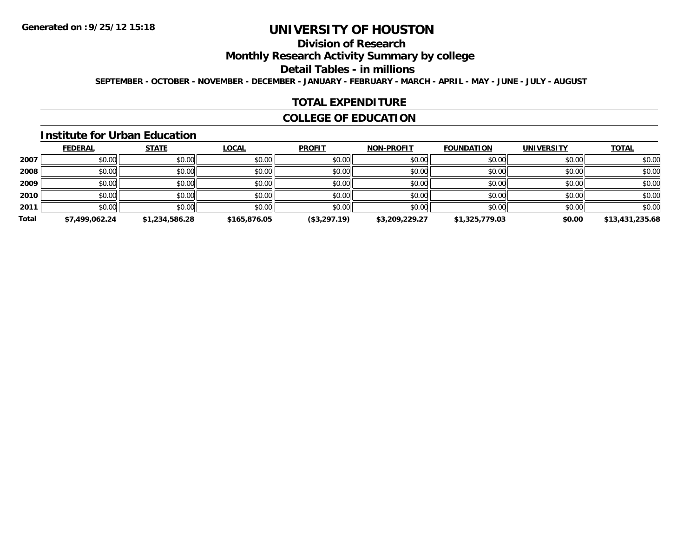# **Division of Research**

**Monthly Research Activity Summary by college**

#### **Detail Tables - in millions**

**SEPTEMBER - OCTOBER - NOVEMBER - DECEMBER - JANUARY - FEBRUARY - MARCH - APRIL - MAY - JUNE - JULY - AUGUST**

#### **TOTAL EXPENDITURE**

## **COLLEGE OF EDUCATION**

#### **Institute for Urban Education**

|       | <b>FEDERAL</b> | <b>STATE</b>   | <b>LOCAL</b> | <b>PROFIT</b> | <b>NON-PROFIT</b> | <b>FOUNDATION</b> | <b>UNIVERSITY</b> | <b>TOTAL</b>    |
|-------|----------------|----------------|--------------|---------------|-------------------|-------------------|-------------------|-----------------|
| 2007  | \$0.00         | \$0.00         | \$0.00       | \$0.00        | \$0.00            | \$0.00            | \$0.00            | \$0.00          |
| 2008  | \$0.00         | \$0.00         | \$0.00       | \$0.00        | \$0.00            | \$0.00            | \$0.00            | \$0.00          |
| 2009  | \$0.00         | \$0.00         | \$0.00       | \$0.00        | \$0.00            | \$0.00            | \$0.00            | \$0.00          |
| 2010  | \$0.00         | \$0.00         | \$0.00       | \$0.00        | \$0.00            | \$0.00            | \$0.00            | \$0.00          |
| 2011  | \$0.00         | \$0.00         | \$0.00       | \$0.00        | \$0.00            | \$0.00            | \$0.00            | \$0.00          |
| Total | \$7,499,062.24 | \$1,234,586.28 | \$165,876.05 | (\$3,297.19)  | \$3,209,229.27    | \$1,325,779.03    | \$0.00            | \$13,431,235.68 |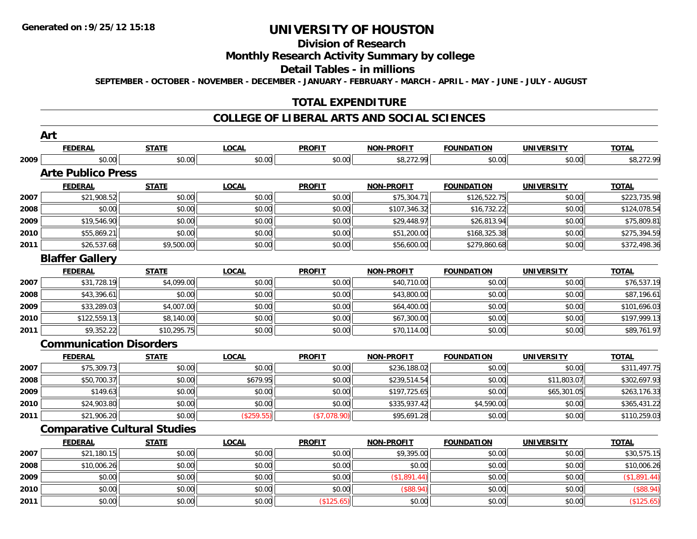# **Division of Research**

## **Monthly Research Activity Summary by college**

#### **Detail Tables - in millions**

**SEPTEMBER - OCTOBER - NOVEMBER - DECEMBER - JANUARY - FEBRUARY - MARCH - APRIL - MAY - JUNE - JULY - AUGUST**

## **TOTAL EXPENDITURE**

#### **COLLEGE OF LIBERAL ARTS AND SOCIAL SCIENCES**

|      | Art                                 |              |              |               |                   |                   |                   |              |
|------|-------------------------------------|--------------|--------------|---------------|-------------------|-------------------|-------------------|--------------|
|      | <b>FEDERAL</b>                      | <b>STATE</b> | <b>LOCAL</b> | <b>PROFIT</b> | <b>NON-PROFIT</b> | <b>FOUNDATION</b> | <b>UNIVERSITY</b> | <b>TOTAL</b> |
| 2009 | \$0.00                              | \$0.00       | \$0.00       | \$0.00        | \$8,272.99        | \$0.00            | \$0.00            | \$8,272.99   |
|      | <b>Arte Publico Press</b>           |              |              |               |                   |                   |                   |              |
|      | <b>FEDERAL</b>                      | <b>STATE</b> | <b>LOCAL</b> | <b>PROFIT</b> | <b>NON-PROFIT</b> | <b>FOUNDATION</b> | <b>UNIVERSITY</b> | <b>TOTAL</b> |
| 2007 | \$21,908.52                         | \$0.00       | \$0.00       | \$0.00        | \$75,304.71       | \$126,522.75      | \$0.00            | \$223,735.98 |
| 2008 | \$0.00                              | \$0.00       | \$0.00       | \$0.00        | \$107,346.32      | \$16,732.22       | \$0.00            | \$124,078.54 |
| 2009 | \$19,546.90                         | \$0.00       | \$0.00       | \$0.00        | \$29,448.97       | \$26,813.94       | \$0.00            | \$75,809.81  |
| 2010 | \$55,869.21                         | \$0.00       | \$0.00       | \$0.00        | \$51,200.00       | \$168,325.38      | \$0.00            | \$275,394.59 |
| 2011 | \$26,537.68                         | \$9,500.00   | \$0.00       | \$0.00        | \$56,600.00       | \$279,860.68      | \$0.00            | \$372,498.36 |
|      | <b>Blaffer Gallery</b>              |              |              |               |                   |                   |                   |              |
|      | <b>FEDERAL</b>                      | <b>STATE</b> | <b>LOCAL</b> | <b>PROFIT</b> | <b>NON-PROFIT</b> | <b>FOUNDATION</b> | <b>UNIVERSITY</b> | <b>TOTAL</b> |
| 2007 | \$31,728.19                         | \$4,099.00   | \$0.00       | \$0.00        | \$40,710.00       | \$0.00            | \$0.00            | \$76,537.19  |
| 2008 | \$43,396.61                         | \$0.00       | \$0.00       | \$0.00        | \$43,800.00       | \$0.00            | \$0.00            | \$87,196.61  |
| 2009 | \$33,289.03                         | \$4,007.00   | \$0.00       | \$0.00        | \$64,400.00       | \$0.00            | \$0.00            | \$101,696.03 |
| 2010 | \$122,559.13                        | \$8,140.00   | \$0.00       | \$0.00        | \$67,300.00       | \$0.00            | \$0.00            | \$197,999.13 |
| 2011 | \$9,352.22                          | \$10,295.75  | \$0.00       | \$0.00        | \$70,114.00       | \$0.00            | \$0.00            | \$89,761.97  |
|      | <b>Communication Disorders</b>      |              |              |               |                   |                   |                   |              |
|      | <b>FEDERAL</b>                      | <b>STATE</b> | <b>LOCAL</b> | <b>PROFIT</b> | <b>NON-PROFIT</b> | <b>FOUNDATION</b> | <b>UNIVERSITY</b> | <b>TOTAL</b> |
| 2007 | \$75,309.73                         | \$0.00       | \$0.00       | \$0.00        | \$236,188.02      | \$0.00            | \$0.00            | \$311,497.75 |
| 2008 | \$50,700.37                         | \$0.00       | \$679.95     | \$0.00        | \$239,514.54      | \$0.00            | \$11,803.07       | \$302,697.93 |
| 2009 | \$149.63                            | \$0.00       | \$0.00       | \$0.00        | \$197,725.65      | \$0.00            | \$65,301.05       | \$263,176.33 |
| 2010 | \$24,903.80                         | \$0.00       | \$0.00       | \$0.00        | \$335,937.42      | \$4,590.00        | \$0.00            | \$365,431.22 |
| 2011 | \$21,906.20                         | \$0.00       | (\$259.55)   | (\$7,078.90)  | \$95,691.28       | \$0.00            | \$0.00            | \$110,259.03 |
|      | <b>Comparative Cultural Studies</b> |              |              |               |                   |                   |                   |              |
|      | <b>FEDERAL</b>                      | <b>STATE</b> | <b>LOCAL</b> | <b>PROFIT</b> | <b>NON-PROFIT</b> | <b>FOUNDATION</b> | <b>UNIVERSITY</b> | <b>TOTAL</b> |
| 2007 | \$21,180.15                         | \$0.00       | \$0.00       | \$0.00        | \$9,395.00        | \$0.00            | \$0.00            | \$30,575.15  |
| 2008 | \$10,006.26                         | \$0.00       | \$0.00       | \$0.00        | \$0.00            | \$0.00            | \$0.00            | \$10,006.26  |
| 2009 | \$0.00                              | \$0.00       | \$0.00       | \$0.00        | (\$1,891.44)      | \$0.00            | \$0.00            | (\$1,891.44) |
| 2010 | \$0.00                              | \$0.00       | \$0.00       | \$0.00        | (\$88.94)         | \$0.00            | \$0.00            | (\$88.94)    |
| 2011 | \$0.00                              | \$0.00       | \$0.00       | (\$125.65)    | \$0.00            | \$0.00            | \$0.00            | (\$125.65)   |
|      |                                     |              |              |               |                   |                   |                   |              |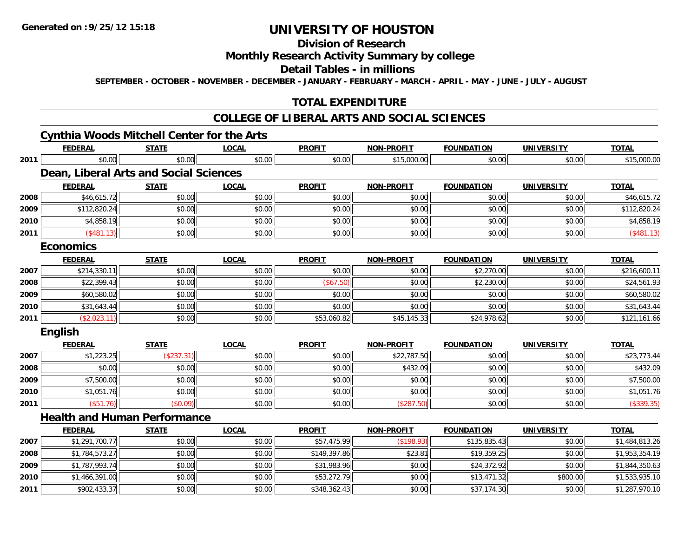# **Division of Research**

## **Monthly Research Activity Summary by college**

#### **Detail Tables - in millions**

**SEPTEMBER - OCTOBER - NOVEMBER - DECEMBER - JANUARY - FEBRUARY - MARCH - APRIL - MAY - JUNE - JULY - AUGUST**

# **TOTAL EXPENDITURE**

#### **COLLEGE OF LIBERAL ARTS AND SOCIAL SCIENCES**

# **Cynthia Woods Mitchell Center for the Arts**

|      | <b>FEDERAL</b>   | <b>STATE</b>                           | <b>LOCAL</b> | <b>PROFIT</b> | <b>NON-PROFIT</b> | <b>FOUNDATION</b> | <b>UNIVERSITY</b> | <b>TOTAL</b>   |
|------|------------------|----------------------------------------|--------------|---------------|-------------------|-------------------|-------------------|----------------|
| 2011 | \$0.00           | \$0.00                                 | \$0.00       | \$0.00        | \$15,000.00       | \$0.00            | \$0.00            | \$15,000.00    |
|      |                  | Dean, Liberal Arts and Social Sciences |              |               |                   |                   |                   |                |
|      | <b>FEDERAL</b>   | <b>STATE</b>                           | <b>LOCAL</b> | <b>PROFIT</b> | <b>NON-PROFIT</b> | <b>FOUNDATION</b> | <b>UNIVERSITY</b> | <b>TOTAL</b>   |
| 2008 | \$46,615.72      | \$0.00                                 | \$0.00       | \$0.00        | \$0.00            | \$0.00            | \$0.00            | \$46,615.72    |
| 2009 | \$112,820.24     | \$0.00                                 | \$0.00       | \$0.00        | \$0.00            | \$0.00            | \$0.00            | \$112,820.24   |
| 2010 | \$4,858.19       | \$0.00                                 | \$0.00       | \$0.00        | \$0.00            | \$0.00            | \$0.00            | \$4,858.19     |
| 2011 | (\$481.13)       | \$0.00                                 | \$0.00       | \$0.00        | \$0.00            | \$0.00            | \$0.00            | (\$481.13)     |
|      | <b>Economics</b> |                                        |              |               |                   |                   |                   |                |
|      | <b>FEDERAL</b>   | <b>STATE</b>                           | <b>LOCAL</b> | <b>PROFIT</b> | <b>NON-PROFIT</b> | <b>FOUNDATION</b> | <b>UNIVERSITY</b> | <b>TOTAL</b>   |
| 2007 | \$214,330.11     | \$0.00                                 | \$0.00       | \$0.00        | \$0.00            | \$2,270.00        | \$0.00            | \$216,600.11   |
| 2008 | \$22,399.43      | \$0.00                                 | \$0.00       | (\$67.50)     | \$0.00            | \$2,230.00        | \$0.00            | \$24,561.93    |
| 2009 | \$60,580.02      | \$0.00                                 | \$0.00       | \$0.00        | \$0.00            | \$0.00            | \$0.00            | \$60,580.02    |
| 2010 | \$31,643.44      | \$0.00                                 | \$0.00       | \$0.00        | \$0.00            | \$0.00            | \$0.00            | \$31,643.44    |
| 2011 | (\$2,023.11)     | \$0.00                                 | \$0.00       | \$53,060.82   | \$45,145.33       | \$24,978.62       | \$0.00            | \$121,161.66   |
|      | English          |                                        |              |               |                   |                   |                   |                |
|      | <b>FEDERAL</b>   | <b>STATE</b>                           | <b>LOCAL</b> | <b>PROFIT</b> | <b>NON-PROFIT</b> | <b>FOUNDATION</b> | <b>UNIVERSITY</b> | <b>TOTAL</b>   |
| 2007 | \$1,223.25       | (\$237.31)                             | \$0.00       | \$0.00        | \$22,787.50       | \$0.00            | \$0.00            | \$23,773.44    |
| 2008 | \$0.00           | \$0.00                                 | \$0.00       | \$0.00        | \$432.09          | \$0.00            | \$0.00            | \$432.09       |
| 2009 | \$7,500.00       | \$0.00                                 | \$0.00       | \$0.00        | \$0.00            | \$0.00            | \$0.00            | \$7,500.00     |
| 2010 | \$1,051.76       | \$0.00                                 | \$0.00       | \$0.00        | \$0.00            | \$0.00            | \$0.00            | \$1,051.76     |
| 2011 | $($ \$51.76)     | (\$0.09)                               | \$0.00       | \$0.00        | (\$287.50)        | \$0.00            | \$0.00            | (\$339.35)     |
|      |                  | <b>Health and Human Performance</b>    |              |               |                   |                   |                   |                |
|      | <b>FEDERAL</b>   | <b>STATE</b>                           | <b>LOCAL</b> | <b>PROFIT</b> | <b>NON-PROFIT</b> | <b>FOUNDATION</b> | <b>UNIVERSITY</b> | <b>TOTAL</b>   |
| 2007 | \$1,291,700.77   | \$0.00                                 | \$0.00       | \$57,475.99   | (\$198.93)        | \$135,835.43      | \$0.00            | \$1,484,813.26 |
| 2008 | \$1,784,573.27   | \$0.00                                 | \$0.00       | \$149,397.86  | \$23.81           | \$19,359.25       | \$0.00            | \$1,953,354.19 |
| 2009 | \$1,787,993.74   | \$0.00                                 | \$0.00       | \$31,983.96   | \$0.00            | \$24,372.92       | \$0.00            | \$1,844,350.63 |
| 2010 | \$1,466,391.00   | \$0.00                                 | \$0.00       | \$53,272.79   | \$0.00            | \$13,471.32       | \$800.00          | \$1,533,935.10 |
| 2011 | \$902,433.37     | \$0.00                                 | \$0.00       | \$348,362.43  | \$0.00            | \$37,174.30       | \$0.00            | \$1,287,970.10 |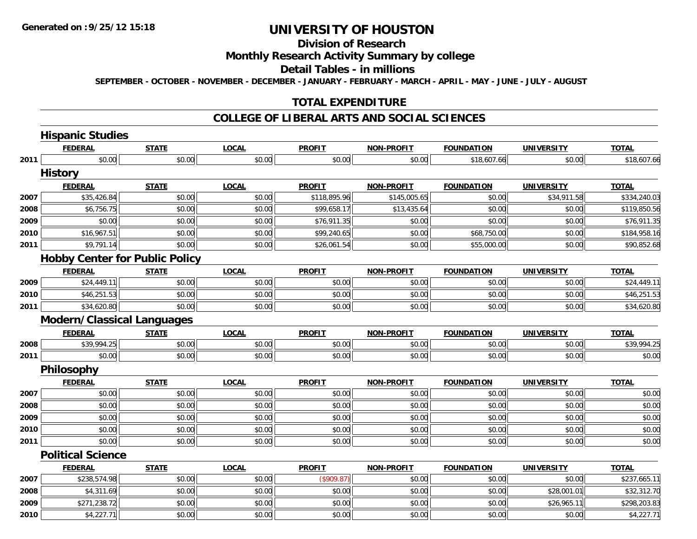# **Division of Research**

## **Monthly Research Activity Summary by college**

#### **Detail Tables - in millions**

**SEPTEMBER - OCTOBER - NOVEMBER - DECEMBER - JANUARY - FEBRUARY - MARCH - APRIL - MAY - JUNE - JULY - AUGUST**

## **TOTAL EXPENDITURE**

#### **COLLEGE OF LIBERAL ARTS AND SOCIAL SCIENCES**

|      | <b>Hispanic Studies</b>               |              |              |               |                   |                   |                   |              |
|------|---------------------------------------|--------------|--------------|---------------|-------------------|-------------------|-------------------|--------------|
|      | <b>FEDERAL</b>                        | <b>STATE</b> | <b>LOCAL</b> | <b>PROFIT</b> | <b>NON-PROFIT</b> | <b>FOUNDATION</b> | <b>UNIVERSITY</b> | <b>TOTAL</b> |
| 2011 | \$0.00                                | \$0.00       | \$0.00       | \$0.00        | \$0.00            | \$18,607.66       | \$0.00            | \$18,607.66  |
|      | <b>History</b>                        |              |              |               |                   |                   |                   |              |
|      | <b>FEDERAL</b>                        | <b>STATE</b> | <b>LOCAL</b> | <b>PROFIT</b> | <b>NON-PROFIT</b> | <b>FOUNDATION</b> | <b>UNIVERSITY</b> | <b>TOTAL</b> |
| 2007 | \$35,426.84                           | \$0.00       | \$0.00       | \$118,895.96  | \$145,005.65      | \$0.00            | \$34,911.58       | \$334,240.03 |
| 2008 | \$6,756.75                            | \$0.00       | \$0.00       | \$99,658.17   | \$13,435.64       | \$0.00            | \$0.00            | \$119,850.56 |
| 2009 | \$0.00                                | \$0.00       | \$0.00       | \$76,911.35   | \$0.00            | \$0.00            | \$0.00            | \$76,911.35  |
| 2010 | \$16,967.51                           | \$0.00       | \$0.00       | \$99,240.65   | \$0.00            | \$68,750.00       | \$0.00            | \$184,958.16 |
| 2011 | \$9,791.14                            | \$0.00       | \$0.00       | \$26,061.54   | \$0.00            | \$55,000.00       | \$0.00            | \$90,852.68  |
|      | <b>Hobby Center for Public Policy</b> |              |              |               |                   |                   |                   |              |
|      | <b>FEDERAL</b>                        | <b>STATE</b> | <b>LOCAL</b> | <b>PROFIT</b> | <b>NON-PROFIT</b> | <b>FOUNDATION</b> | <b>UNIVERSITY</b> | <b>TOTAL</b> |
| 2009 | \$24,449.11                           | \$0.00       | \$0.00       | \$0.00        | \$0.00            | \$0.00            | \$0.00            | \$24,449.11  |
| 2010 | \$46,251.53                           | \$0.00       | \$0.00       | \$0.00        | \$0.00            | \$0.00            | \$0.00            | \$46,251.53  |
| 2011 | \$34,620.80                           | \$0.00       | \$0.00       | \$0.00        | \$0.00            | \$0.00            | \$0.00            | \$34,620.80  |
|      | <b>Modern/Classical Languages</b>     |              |              |               |                   |                   |                   |              |
|      | <b>FEDERAL</b>                        | <b>STATE</b> | <b>LOCAL</b> | <b>PROFIT</b> | <b>NON-PROFIT</b> | <b>FOUNDATION</b> | <b>UNIVERSITY</b> | <b>TOTAL</b> |
| 2008 | \$39,994.25                           | \$0.00       | \$0.00       | \$0.00        | \$0.00            | \$0.00            | \$0.00            | \$39,994.25  |
| 2011 | \$0.00                                | \$0.00       | \$0.00       | \$0.00        | \$0.00            | \$0.00            | \$0.00            | \$0.00       |
|      | Philosophy                            |              |              |               |                   |                   |                   |              |
|      | <b>FEDERAL</b>                        | <b>STATE</b> | <b>LOCAL</b> | <b>PROFIT</b> | <b>NON-PROFIT</b> | <b>FOUNDATION</b> | <b>UNIVERSITY</b> | <b>TOTAL</b> |
| 2007 | \$0.00                                | \$0.00       | \$0.00       | \$0.00        | \$0.00            | \$0.00            | \$0.00            | \$0.00       |
| 2008 | \$0.00                                | \$0.00       | \$0.00       | \$0.00        | \$0.00            | \$0.00            | \$0.00            | \$0.00       |
| 2009 | \$0.00                                | \$0.00       | \$0.00       | \$0.00        | \$0.00            | \$0.00            | \$0.00            | \$0.00       |
| 2010 | \$0.00                                | \$0.00       | \$0.00       | \$0.00        | \$0.00            | \$0.00            | \$0.00            | \$0.00       |
| 2011 | \$0.00                                | \$0.00       | \$0.00       | \$0.00        | \$0.00            | \$0.00            | \$0.00            | \$0.00       |
|      | <b>Political Science</b>              |              |              |               |                   |                   |                   |              |
|      | <b>FEDERAL</b>                        | <b>STATE</b> | <b>LOCAL</b> | <b>PROFIT</b> | <b>NON-PROFIT</b> | <b>FOUNDATION</b> | <b>UNIVERSITY</b> | <b>TOTAL</b> |
| 2007 | \$238,574.98                          | \$0.00       | \$0.00       | (\$909.87)    | \$0.00            | \$0.00            | \$0.00            | \$237,665.11 |
| 2008 | \$4,311.69                            | \$0.00       | \$0.00       | \$0.00        | \$0.00            | \$0.00            | \$28,001.01       | \$32,312.70  |
| 2009 | \$271,238.72                          | \$0.00       | \$0.00       | \$0.00        | \$0.00            | \$0.00            | \$26,965.11       | \$298,203.83 |
| 2010 | \$4,227.71                            | \$0.00       | \$0.00       | \$0.00        | \$0.00            | \$0.00            | \$0.00            | \$4,227.71   |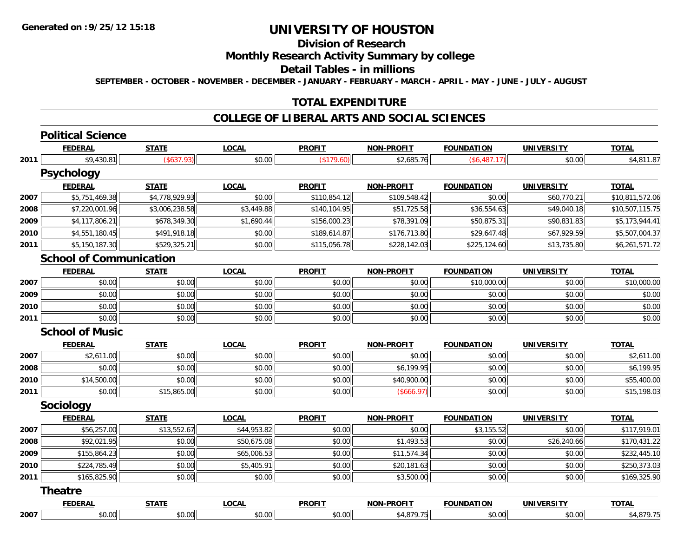# **Division of Research**

## **Monthly Research Activity Summary by college**

#### **Detail Tables - in millions**

**SEPTEMBER - OCTOBER - NOVEMBER - DECEMBER - JANUARY - FEBRUARY - MARCH - APRIL - MAY - JUNE - JULY - AUGUST**

## **TOTAL EXPENDITURE**

#### **COLLEGE OF LIBERAL ARTS AND SOCIAL SCIENCES**

#### **Political Science**

|      | <b>FEDERAL</b>                 | <b>STATE</b>   | <b>LOCAL</b> | <b>PROFIT</b> | <b>NON-PROFIT</b> | <b>FOUNDATION</b> | <b>UNIVERSITY</b> | <b>TOTAL</b>    |
|------|--------------------------------|----------------|--------------|---------------|-------------------|-------------------|-------------------|-----------------|
| 2011 | \$9,430.81                     | $(*637.93)$    | \$0.00       | (\$179.60)    | \$2,685.76        | (\$6,487.17)      | \$0.00            | \$4,811.87      |
|      | <b>Psychology</b>              |                |              |               |                   |                   |                   |                 |
|      | <b>FEDERAL</b>                 | <b>STATE</b>   | <b>LOCAL</b> | <b>PROFIT</b> | <b>NON-PROFIT</b> | <b>FOUNDATION</b> | <b>UNIVERSITY</b> | <b>TOTAL</b>    |
| 2007 | \$5,751,469.38                 | \$4,778,929.93 | \$0.00       | \$110,854.12  | \$109,548.42      | \$0.00            | \$60,770.21       | \$10,811,572.06 |
| 2008 | \$7,220,001.96                 | \$3,006,238.58 | \$3,449.88   | \$140,104.95  | \$51,725.58       | \$36,554.63       | \$49,040.18       | \$10,507,115.75 |
| 2009 | \$4,117,806.21                 | \$678,349.30   | \$1,690.44   | \$156,000.23  | \$78,391.09       | \$50,875.31       | \$90,831.83       | \$5,173,944.41  |
| 2010 | \$4,551,180.45                 | \$491,918.18   | \$0.00       | \$189,614.87  | \$176,713.80      | \$29,647.48       | \$67,929.59       | \$5,507,004.37  |
| 2011 | \$5,150,187.30                 | \$529,325.21   | \$0.00       | \$115,056.78  | \$228,142.03      | \$225,124.60      | \$13,735.80       | \$6,261,571.72  |
|      | <b>School of Communication</b> |                |              |               |                   |                   |                   |                 |
|      | <b>FEDERAL</b>                 | <b>STATE</b>   | <b>LOCAL</b> | <b>PROFIT</b> | <b>NON-PROFIT</b> | <b>FOUNDATION</b> | <b>UNIVERSITY</b> | <b>TOTAL</b>    |
| 2007 | \$0.00                         | \$0.00         | \$0.00       | \$0.00        | \$0.00            | \$10,000.00       | \$0.00            | \$10,000.00     |
| 2009 | \$0.00                         | \$0.00         | \$0.00       | \$0.00        | \$0.00            | \$0.00            | \$0.00            | \$0.00          |
| 2010 | \$0.00                         | \$0.00         | \$0.00       | \$0.00        | \$0.00            | \$0.00            | \$0.00            | \$0.00          |
| 2011 | \$0.00                         | \$0.00         | \$0.00       | \$0.00        | \$0.00            | \$0.00            | \$0.00            | \$0.00          |
|      | <b>School of Music</b>         |                |              |               |                   |                   |                   |                 |
|      | <b>FEDERAL</b>                 | <b>STATE</b>   | <b>LOCAL</b> | <b>PROFIT</b> | <b>NON-PROFIT</b> | <b>FOUNDATION</b> | <b>UNIVERSITY</b> | <b>TOTAL</b>    |
| 2007 | \$2,611.00                     | \$0.00         | \$0.00       | \$0.00        | \$0.00            | \$0.00            | \$0.00            | \$2,611.00      |
| 2008 | \$0.00                         | \$0.00         | \$0.00       | \$0.00        | \$6,199.95        | \$0.00            | \$0.00            | \$6,199.95      |
| 2010 | \$14,500.00                    | \$0.00         | \$0.00       | \$0.00        | \$40,900.00       | \$0.00            | \$0.00            | \$55,400.00     |
| 2011 | \$0.00                         | \$15,865.00    | \$0.00       | \$0.00        | (\$666.97)        | \$0.00            | \$0.00            | \$15,198.03     |
|      | Sociology                      |                |              |               |                   |                   |                   |                 |
|      | <b>FEDERAL</b>                 | <b>STATE</b>   | <b>LOCAL</b> | <b>PROFIT</b> | <b>NON-PROFIT</b> | <b>FOUNDATION</b> | <b>UNIVERSITY</b> | <b>TOTAL</b>    |
| 2007 | \$56,257.00                    | \$13,552.67    | \$44,953.82  | \$0.00        | \$0.00            | \$3,155.52        | \$0.00            | \$117,919.01    |
| 2008 | \$92,021.95                    | \$0.00         | \$50,675.08  | \$0.00        | \$1,493.53        | \$0.00            | \$26,240.66       | \$170,431.22    |
| 2009 | \$155,864.23                   | \$0.00         | \$65,006.53  | \$0.00        | \$11,574.34       | \$0.00            | \$0.00            | \$232,445.10    |
| 2010 | \$224,785.49                   | \$0.00         | \$5,405.91   | \$0.00        | \$20,181.63       | \$0.00            | \$0.00            | \$250,373.03    |
| 2011 | \$165,825.90                   | \$0.00         | \$0.00       | \$0.00        | \$3,500.00        | \$0.00            | \$0.00            | \$169,325.90    |
|      | <b>Theatre</b>                 |                |              |               |                   |                   |                   |                 |
|      | <b>FEDERAL</b>                 | <b>STATE</b>   | <b>LOCAL</b> | <b>PROFIT</b> | <b>NON-PROFIT</b> | <b>FOUNDATION</b> | <b>UNIVERSITY</b> | <b>TOTAL</b>    |
| 2007 | \$0.00                         | \$0.00         | \$0.00       | \$0.00        | \$4,879.75        | \$0.00            | \$0.00            | \$4,879.75      |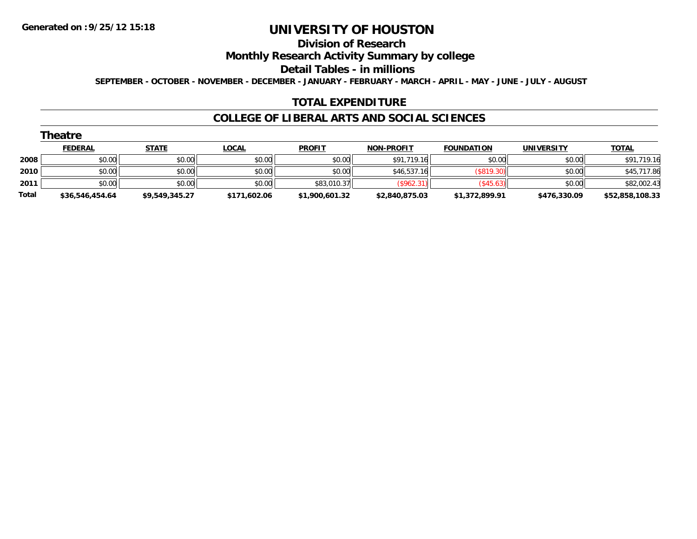#### **Division of Research**

**Monthly Research Activity Summary by college**

**Detail Tables - in millions**

**SEPTEMBER - OCTOBER - NOVEMBER - DECEMBER - JANUARY - FEBRUARY - MARCH - APRIL - MAY - JUNE - JULY - AUGUST**

#### **TOTAL EXPENDITURE**

#### **COLLEGE OF LIBERAL ARTS AND SOCIAL SCIENCES**

|       | Theatre         |                |              |                |                   |                   |                   |                 |
|-------|-----------------|----------------|--------------|----------------|-------------------|-------------------|-------------------|-----------------|
|       | <b>FEDERAL</b>  | <b>STATE</b>   | <b>LOCAL</b> | <b>PROFIT</b>  | <b>NON-PROFIT</b> | <b>FOUNDATION</b> | <b>UNIVERSITY</b> | <b>TOTAL</b>    |
| 2008  | \$0.00          | \$0.00         | \$0.00       | \$0.00         | \$91,719.16       | \$0.00            | \$0.00            | \$91,719.16     |
| 2010  | \$0.00          | \$0.00         | \$0.00       | \$0.00         | \$46,537.16       | (\$819.30)        | \$0.00            | \$45,717.86     |
| 2011  | \$0.00          | \$0.00         | \$0.00       | \$83,010.37    | (\$962.31)        | (S45.63)          | \$0.00            | \$82,002.43     |
| Total | \$36,546,454.64 | \$9,549,345.27 | \$171,602.06 | \$1,900,601.32 | \$2,840,875.03    | \$1,372,899.91    | \$476,330.09      | \$52,858,108.33 |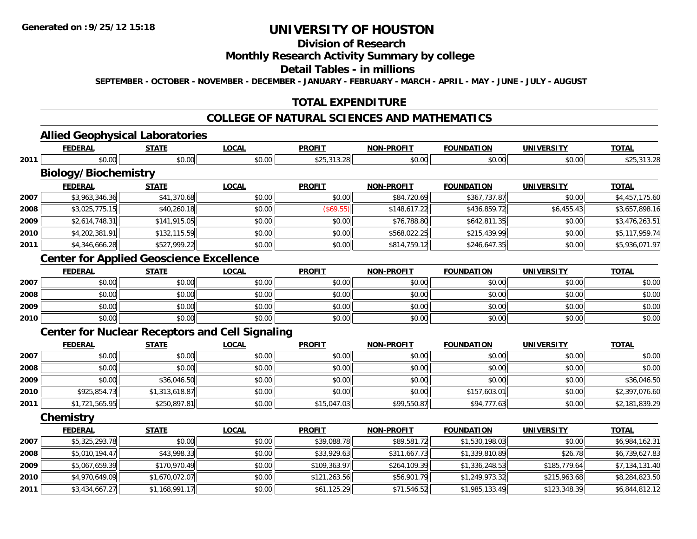# **Division of Research**

## **Monthly Research Activity Summary by college**

#### **Detail Tables - in millions**

**SEPTEMBER - OCTOBER - NOVEMBER - DECEMBER - JANUARY - FEBRUARY - MARCH - APRIL - MAY - JUNE - JULY - AUGUST**

# **TOTAL EXPENDITURE**

## **COLLEGE OF NATURAL SCIENCES AND MATHEMATICS**

### **Allied Geophysical Laboratories**

|      | <b>FEDERAL</b>                                         | <b>STATE</b>   | <b>LOCAL</b> | <b>PROFIT</b> | <b>NON-PROFIT</b> | <b>FOUNDATION</b> | <b>UNIVERSITY</b> | <b>TOTAL</b>   |
|------|--------------------------------------------------------|----------------|--------------|---------------|-------------------|-------------------|-------------------|----------------|
| 2011 | \$0.00                                                 | \$0.00         | \$0.00       | \$25,313.28   | \$0.00            | \$0.00            | \$0.00            | \$25,313.28    |
|      | <b>Biology/Biochemistry</b>                            |                |              |               |                   |                   |                   |                |
|      | <b>FEDERAL</b>                                         | <b>STATE</b>   | <b>LOCAL</b> | <b>PROFIT</b> | <b>NON-PROFIT</b> | <b>FOUNDATION</b> | <b>UNIVERSITY</b> | <b>TOTAL</b>   |
| 2007 | \$3,963,346.36                                         | \$41,370.68    | \$0.00       | \$0.00        | \$84,720.69       | \$367,737.87      | \$0.00            | \$4,457,175.60 |
| 2008 | \$3,025,775.15                                         | \$40,260.18    | \$0.00       | (\$69.55)     | \$148,617.22      | \$436,859.72      | \$6,455.43        | \$3,657,898.16 |
| 2009 | \$2,614,748.31                                         | \$141,915.05   | \$0.00       | \$0.00        | \$76,788.80       | \$642,811.35      | \$0.00            | \$3,476,263.51 |
| 2010 | \$4,202,381.91                                         | \$132,115.59   | \$0.00       | \$0.00        | \$568,022.25      | \$215,439.99      | \$0.00            | \$5,117,959.74 |
| 2011 | \$4,346,666.28                                         | \$527,999.22   | \$0.00       | \$0.00        | \$814,759.12      | \$246,647.35      | \$0.00            | \$5,936,071.97 |
|      | <b>Center for Applied Geoscience Excellence</b>        |                |              |               |                   |                   |                   |                |
|      | <b>FEDERAL</b>                                         | <b>STATE</b>   | <b>LOCAL</b> | <b>PROFIT</b> | <b>NON-PROFIT</b> | <b>FOUNDATION</b> | <b>UNIVERSITY</b> | <b>TOTAL</b>   |
| 2007 | \$0.00                                                 | \$0.00         | \$0.00       | \$0.00        | \$0.00            | \$0.00            | \$0.00            | \$0.00         |
| 2008 | \$0.00                                                 | \$0.00         | \$0.00       | \$0.00        | \$0.00            | \$0.00            | \$0.00            | \$0.00         |
| 2009 | \$0.00                                                 | \$0.00         | \$0.00       | \$0.00        | \$0.00            | \$0.00            | \$0.00            | \$0.00         |
| 2010 | \$0.00                                                 | \$0.00         | \$0.00       | \$0.00        | \$0.00            | \$0.00            | \$0.00            | \$0.00         |
|      | <b>Center for Nuclear Receptors and Cell Signaling</b> |                |              |               |                   |                   |                   |                |
|      | <b>FEDERAL</b>                                         | <b>STATE</b>   | <b>LOCAL</b> | <b>PROFIT</b> | <b>NON-PROFIT</b> | <b>FOUNDATION</b> | <b>UNIVERSITY</b> | <b>TOTAL</b>   |
| 2007 | \$0.00                                                 | \$0.00         | \$0.00       | \$0.00        | \$0.00            | \$0.00            | \$0.00            | \$0.00         |
| 2008 | \$0.00                                                 | \$0.00         | \$0.00       | \$0.00        | \$0.00            | \$0.00            | \$0.00            | \$0.00         |
| 2009 | \$0.00                                                 | \$36,046.50    | \$0.00       | \$0.00        | \$0.00            | \$0.00            | \$0.00            | \$36,046.50    |
| 2010 | \$925,854.73                                           | \$1,313,618.87 | \$0.00       | \$0.00        | \$0.00            | \$157,603.01      | \$0.00            | \$2,397,076.60 |
| 2011 | \$1,721,565.95                                         | \$250,897.81   | \$0.00       | \$15,047.03   | \$99,550.87       | \$94,777.63       | \$0.00            | \$2,181,839.29 |
|      | Chemistry                                              |                |              |               |                   |                   |                   |                |
|      | <b>FEDERAL</b>                                         | <b>STATE</b>   | <b>LOCAL</b> | <b>PROFIT</b> | <b>NON-PROFIT</b> | <b>FOUNDATION</b> | <b>UNIVERSITY</b> | <b>TOTAL</b>   |
| 2007 | \$5,325,293.78                                         | \$0.00         | \$0.00       | \$39,088.78   | \$89,581.72       | \$1,530,198.03    | \$0.00            | \$6,984,162.31 |
| 2008 | \$5,010,194.47                                         | \$43,998.33    | \$0.00       | \$33,929.63   | \$311,667.73      | \$1,339,810.89    | \$26.78           | \$6,739,627.83 |
| 2009 | \$5,067,659.39                                         | \$170,970.49   | \$0.00       | \$109,363.97  | \$264,109.39      | \$1,336,248.53    | \$185,779.64      | \$7,134,131.40 |
| 2010 | \$4,970,649.09                                         | \$1,670,072.07 | \$0.00       | \$121,263.56  | \$56,901.79       | \$1,249,973.32    | \$215,963.68      | \$8,284,823.50 |
| 2011 | \$3,434,667.27                                         | \$1,168,991.17 | \$0.00       | \$61,125.29   | \$71,546.52       | \$1,985,133.49    | \$123,348.39      | \$6,844,812.12 |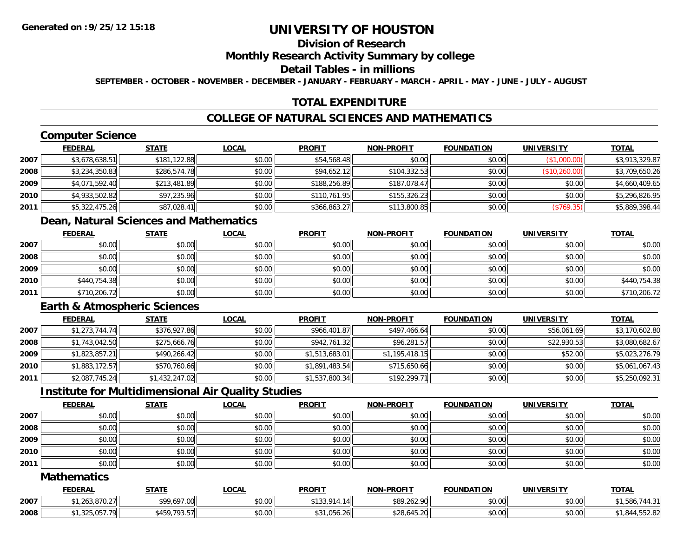# **Division of Research**

#### **Monthly Research Activity Summary by college**

#### **Detail Tables - in millions**

**SEPTEMBER - OCTOBER - NOVEMBER - DECEMBER - JANUARY - FEBRUARY - MARCH - APRIL - MAY - JUNE - JULY - AUGUST**

## **TOTAL EXPENDITURE**

## **COLLEGE OF NATURAL SCIENCES AND MATHEMATICS**

# **Computer Science**

|      | <b>FEDERAL</b> | <b>STATE</b> | <u>LOCAL</u> | <b>PROFIT</b> | <b>NON-PROFIT</b> | <b>FOUNDATION</b> | <b>UNIVERSITY</b> | <b>TOTAL</b>   |
|------|----------------|--------------|--------------|---------------|-------------------|-------------------|-------------------|----------------|
| 2007 | \$3,678,638.51 | \$181,122.88 | \$0.00       | \$54,568.48   | \$0.00            | \$0.00            | (\$1,000.00)      | \$3,913,329.87 |
| 2008 | \$3,234,350.83 | \$286,574.78 | \$0.00       | \$94,652.12   | \$104,332.53      | \$0.00            | (\$10,260.00)     | \$3,709,650.26 |
| 2009 | \$4,071,592.40 | \$213,481.89 | \$0.00       | \$188,256.89  | \$187,078.47      | \$0.00            | \$0.00            | \$4,660,409.65 |
| 2010 | \$4,933,502.82 | \$97,235.96  | \$0.00       | \$110,761.95  | \$155,326.23      | \$0.00            | \$0.00            | \$5,296,826.95 |
| 2011 | \$5,322,475.26 | \$87,028.41  | \$0.00       | \$366,863.27  | \$113,800.85      | \$0.00            | (\$769.35)        | \$5,889,398.44 |

# **Dean, Natural Sciences and Mathematics**

|      | <u>FEDERAL</u> | <b>STATE</b> | <u>LOCAL</u> | <b>PROFIT</b> | <b>NON-PROFIT</b> | <b>FOUNDATION</b> | <b>UNIVERSITY</b> | <b>TOTAL</b> |
|------|----------------|--------------|--------------|---------------|-------------------|-------------------|-------------------|--------------|
| 2007 | \$0.00         | \$0.00       | \$0.00       | \$0.00        | \$0.00            | \$0.00            | \$0.00            | \$0.00       |
| 2008 | \$0.00         | \$0.00       | \$0.00       | \$0.00        | \$0.00            | \$0.00            | \$0.00            | \$0.00       |
| 2009 | \$0.00         | \$0.00       | \$0.00       | \$0.00        | \$0.00            | \$0.00            | \$0.00            | \$0.00       |
| 2010 | \$440,754.38   | \$0.00       | \$0.00       | \$0.00        | \$0.00            | \$0.00            | \$0.00            | \$440,754.38 |
| 2011 | \$710,206.72   | \$0.00       | \$0.00       | \$0.00        | \$0.00            | \$0.00            | \$0.00            | \$710,206.72 |

## **Earth & Atmospheric Sciences**

|      | <b>FEDERAL</b> | <b>STATE</b>   | <b>LOCAL</b> | <b>PROFIT</b>  | <b>NON-PROFIT</b> | <b>FOUNDATION</b> | <b>UNIVERSITY</b> | <b>TOTAL</b>   |
|------|----------------|----------------|--------------|----------------|-------------------|-------------------|-------------------|----------------|
| 2007 | \$1,273,744.74 | \$376,927.86   | \$0.00       | \$966,401.87   | \$497,466.64      | \$0.00            | \$56,061.69       | \$3,170,602.80 |
| 2008 | \$1,743,042.50 | \$275,666.76   | \$0.00       | \$942,761.32   | \$96,281.57       | \$0.00            | \$22,930.53       | \$3,080,682.67 |
| 2009 | \$1,823,857.21 | \$490,266.42   | \$0.00       | \$1,513,683.01 | \$1,195,418.15    | \$0.00            | \$52.00           | \$5,023,276.79 |
| 2010 | \$1,883,172.57 | \$570,760.66   | \$0.00       | \$1,891,483.54 | \$715,650.66      | \$0.00            | \$0.00            | \$5,061,067.43 |
| 2011 | \$2,087,745.24 | \$1,432,247.02 | \$0.00       | \$1,537,800.34 | \$192,299.71      | \$0.00            | \$0.00            | \$5,250,092.31 |

## **Institute for Multidimensional Air Quality Studies**

|      | <b>FEDERAL</b> | <u>STATE</u> | <u>LOCAL</u> | <b>PROFIT</b> | <b>NON-PROFIT</b> | <b>FOUNDATION</b> | <b>UNIVERSITY</b> | <b>TOTAL</b> |
|------|----------------|--------------|--------------|---------------|-------------------|-------------------|-------------------|--------------|
| 2007 | \$0.00         | \$0.00       | \$0.00       | \$0.00        | \$0.00            | \$0.00            | \$0.00            | \$0.00       |
| 2008 | \$0.00         | \$0.00       | \$0.00       | \$0.00        | \$0.00            | \$0.00            | \$0.00            | \$0.00       |
| 2009 | \$0.00         | \$0.00       | \$0.00       | \$0.00        | \$0.00            | \$0.00            | \$0.00            | \$0.00       |
| 2010 | \$0.00         | \$0.00       | \$0.00       | \$0.00        | \$0.00            | \$0.00            | \$0.00            | \$0.00       |
| 2011 | \$0.00         | \$0.00       | \$0.00       | \$0.00        | \$0.00            | \$0.00            | \$0.00            | \$0.00       |

#### **Mathematics**

|      | <b>FEDERAL</b>                                                         | <u>STATE</u>    | LOCAI  | <b>PROFIT</b>                          | <b>NON-PROFIT</b> | <b>FOUNDATION</b> | <b>UNIVERSITY</b> | <b>TOTAL</b>                          |
|------|------------------------------------------------------------------------|-----------------|--------|----------------------------------------|-------------------|-------------------|-------------------|---------------------------------------|
| 2007 | $\sim$ $\sim$ $\sim$ $\sim$<br>$\sim$<br>$^{\star}$<br>, 1,263,870.271 | \$99,697.00     | \$0.00 | $+100$<br>1011<br>14<br>- 14<br>, טעוי | \$89,262.90       | \$0.00            | \$0.00            | , JUU                                 |
| 2008 | 0.57.70<br>**<br>$\cdots$ UJI<br>ت ک تاب سا                            | 793.57<br>\$459 | \$0.00 | $1.056.26$ <sup>1</sup><br>ມມ          | \$28,645.20       | \$0.00            | \$0.00            | O <sub>A</sub><br>.044 ، .<br>.JJZ.OZ |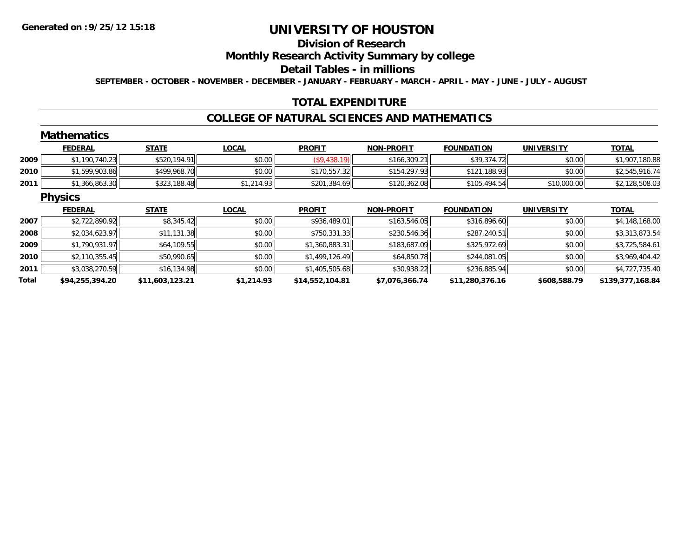## **Division of Research**

## **Monthly Research Activity Summary by college**

#### **Detail Tables - in millions**

**SEPTEMBER - OCTOBER - NOVEMBER - DECEMBER - JANUARY - FEBRUARY - MARCH - APRIL - MAY - JUNE - JULY - AUGUST**

## **TOTAL EXPENDITURE**

#### **COLLEGE OF NATURAL SCIENCES AND MATHEMATICS**

#### **Mathematics**

|      | <b>FEDERAL</b> | <b>STATE</b> | <u>LOCAL</u> | <b>PROFIT</b> | <b>NON-PROFIT</b> | <b>FOUNDATION</b> | UNIVERSITY  | <b>TOTAL</b>   |
|------|----------------|--------------|--------------|---------------|-------------------|-------------------|-------------|----------------|
| 2009 | \$1,190,740.23 | \$520,194.91 | \$0.00       | ,438.19)      | \$166,309.21      | \$39,374.72       | \$0.00      | 1,907,180.88   |
| 2010 | \$1,599,903.86 | \$499,968.70 | \$0.00       | \$170,557.32  | \$154,297.93      | \$121,188.93      | \$0.00      | \$2,545,916.74 |
| 2011 | \$1,366,863.30 | \$323,188.48 | \$1,214.93   | \$201,384.69  | \$120,362.08      | \$105,494.54      | \$10,000.00 | \$2,128,508.03 |

#### **Physics**

|       | <b>FEDERAL</b>  | <b>STATE</b>    | <u>LOCAL</u> | <b>PROFIT</b>   | <b>NON-PROFIT</b> | <b>FOUNDATION</b> | <b>UNIVERSITY</b> | <b>TOTAL</b>     |
|-------|-----------------|-----------------|--------------|-----------------|-------------------|-------------------|-------------------|------------------|
| 2007  | \$2,722,890.92  | \$8,345.42      | \$0.00       | \$936,489.01    | \$163,546.05      | \$316,896.60      | \$0.00            | \$4,148,168.00   |
| 2008  | \$2,034,623.97  | \$11,131.38     | \$0.00       | \$750,331.33    | \$230,546.36      | \$287,240.51      | \$0.00            | \$3,313,873.54   |
| 2009  | \$1,790,931.97  | \$64,109.55     | \$0.00       | \$1,360,883.31  | \$183,687.09      | \$325,972.69      | \$0.00            | \$3,725,584.61   |
| 2010  | \$2,110,355.45  | \$50,990.65     | \$0.00       | \$1,499,126.49  | \$64,850.78       | \$244,081.05      | \$0.00            | \$3,969,404.42   |
| 2011  | \$3,038,270.59  | \$16,134.98     | \$0.00       | \$1,405,505.68  | \$30,938.22       | \$236,885.94      | \$0.00            | \$4,727,735.40   |
| Total | \$94,255,394.20 | \$11,603,123.21 | \$1,214.93   | \$14,552,104.81 | \$7,076,366.74    | \$11,280,376.16   | \$608,588.79      | \$139,377,168.84 |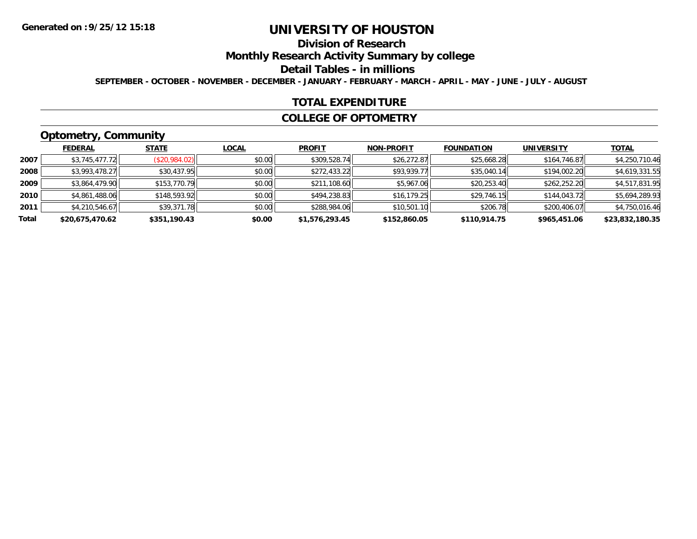# **Division of Research**

**Monthly Research Activity Summary by college**

**Detail Tables - in millions**

**SEPTEMBER - OCTOBER - NOVEMBER - DECEMBER - JANUARY - FEBRUARY - MARCH - APRIL - MAY - JUNE - JULY - AUGUST**

#### **TOTAL EXPENDITURE**

#### **COLLEGE OF OPTOMETRY**

# **Optometry, Community**

|       | .               |               |              |                |                   |                   |                   |                 |
|-------|-----------------|---------------|--------------|----------------|-------------------|-------------------|-------------------|-----------------|
|       | <b>FEDERAL</b>  | <b>STATE</b>  | <b>LOCAL</b> | <b>PROFIT</b>  | <b>NON-PROFIT</b> | <b>FOUNDATION</b> | <b>UNIVERSITY</b> | <u>TOTAL</u>    |
| 2007  | \$3,745,477.72  | (\$20,984.02) | \$0.00       | \$309,528.74   | \$26,272.87       | \$25,668.28       | \$164,746.87      | \$4,250,710.46  |
| 2008  | \$3,993,478.27  | \$30,437.95   | \$0.00       | \$272,433.22   | \$93,939.77       | \$35,040.14       | \$194,002.20      | \$4,619,331.55  |
| 2009  | \$3,864,479.90  | \$153,770.79  | \$0.00       | \$211,108.60   | \$5,967.06        | \$20,253.40       | \$262,252.20      | \$4,517,831.95  |
| 2010  | \$4,861,488.06  | \$148,593.92  | \$0.00       | \$494,238.83   | \$16, 179.25      | \$29,746.15       | \$144,043.72      | \$5,694,289.93  |
| 2011  | \$4,210,546.67  | \$39,371.78   | \$0.00       | \$288,984.06   | \$10,501.10       | \$206.78          | \$200,406.07      | \$4,750,016.46  |
| Total | \$20,675,470.62 | \$351,190.43  | \$0.00       | \$1,576,293.45 | \$152,860.05      | \$110,914.75      | \$965,451.06      | \$23,832,180.35 |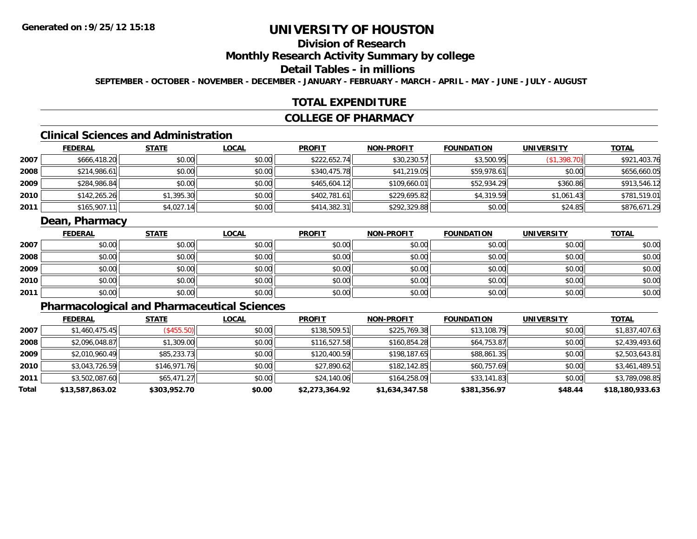# **Division of Research**

## **Monthly Research Activity Summary by college**

## **Detail Tables - in millions**

**SEPTEMBER - OCTOBER - NOVEMBER - DECEMBER - JANUARY - FEBRUARY - MARCH - APRIL - MAY - JUNE - JULY - AUGUST**

#### **TOTAL EXPENDITURE**

#### **COLLEGE OF PHARMACY**

# **Clinical Sciences and Administration**

|      | <b>FEDERAL</b> | <u>STATE</u> | <b>LOCAL</b> | <b>PROFIT</b> | <b>NON-PROFIT</b> | <b>FOUNDATION</b> | <b>UNIVERSITY</b> | <b>TOTAL</b> |
|------|----------------|--------------|--------------|---------------|-------------------|-------------------|-------------------|--------------|
| 2007 | \$666,418.20   | \$0.00       | \$0.00       | \$222,652.74  | \$30,230.57       | \$3,500.95        | (\$1,398.70)      | \$921,403.76 |
| 2008 | \$214,986.61   | \$0.00       | \$0.00       | \$340,475.78  | \$41,219.05       | \$59,978.61       | \$0.00            | \$656,660.05 |
| 2009 | \$284,986.84   | \$0.00       | \$0.00       | \$465,604.12  | \$109,660.01      | \$52,934.29       | \$360.86          | \$913,546.12 |
| 2010 | \$142,265.26   | \$1,395.30   | \$0.00       | \$402,781.61  | \$229,695.82      | \$4,319.59        | \$1,061.43        | \$781,519.01 |
| 2011 | \$165,907.11   | \$4,027.14   | \$0.00       | \$414,382.31  | \$292,329.88      | \$0.00            | \$24.85           | \$876,671.29 |

## **Dean, Pharmacy**

|      | <b>FEDERAL</b> | <b>STATE</b> | <u>LOCAL</u> | <b>PROFIT</b> | <b>NON-PROFIT</b> | <b>FOUNDATION</b> | <b>UNIVERSITY</b> | <b>TOTAL</b> |
|------|----------------|--------------|--------------|---------------|-------------------|-------------------|-------------------|--------------|
| 2007 | \$0.00         | \$0.00       | \$0.00       | \$0.00        | \$0.00            | \$0.00            | \$0.00            | \$0.00       |
| 2008 | \$0.00         | \$0.00       | \$0.00       | \$0.00        | \$0.00            | \$0.00            | \$0.00            | \$0.00       |
| 2009 | \$0.00         | \$0.00       | \$0.00       | \$0.00        | \$0.00            | \$0.00            | \$0.00            | \$0.00       |
| 2010 | \$0.00         | \$0.00       | \$0.00       | \$0.00        | \$0.00            | \$0.00            | \$0.00            | \$0.00       |
| 2011 | \$0.00         | \$0.00       | \$0.00       | \$0.00        | \$0.00            | \$0.00            | \$0.00            | \$0.00       |

# **Pharmacological and Pharmaceutical Sciences**

|       | <b>FEDERAL</b>  | <b>STATE</b> | <b>LOCAL</b> | <b>PROFIT</b>  | <b>NON-PROFIT</b> | <b>FOUNDATION</b> | <b>UNIVERSITY</b> | <b>TOTAL</b>    |
|-------|-----------------|--------------|--------------|----------------|-------------------|-------------------|-------------------|-----------------|
| 2007  | \$1,460,475.45  | (\$455.50)   | \$0.00       | \$138,509.51   | \$225,769.38      | \$13,108.79       | \$0.00            | \$1,837,407.63  |
| 2008  | \$2,096,048.87  | \$1,309.00   | \$0.00       | \$116,527.58   | \$160,854.28      | \$64,753.87       | \$0.00            | \$2,439,493.60  |
| 2009  | \$2,010,960.49  | \$85,233.73  | \$0.00       | \$120,400.59   | \$198,187.65      | \$88,861.35       | \$0.00            | \$2,503,643.81  |
| 2010  | \$3,043,726.59  | \$146,971.76 | \$0.00       | \$27,890.62    | \$182,142.85      | \$60,757.69       | \$0.00            | \$3,461,489.51  |
| 2011  | \$3,502,087.60  | \$65,471.27  | \$0.00       | \$24,140.06    | \$164,258.09      | \$33,141.83       | \$0.00            | \$3,789,098.85  |
| Total | \$13,587,863.02 | \$303,952.70 | \$0.00       | \$2,273,364.92 | \$1,634,347.58    | \$381,356.97      | \$48.44           | \$18,180,933.63 |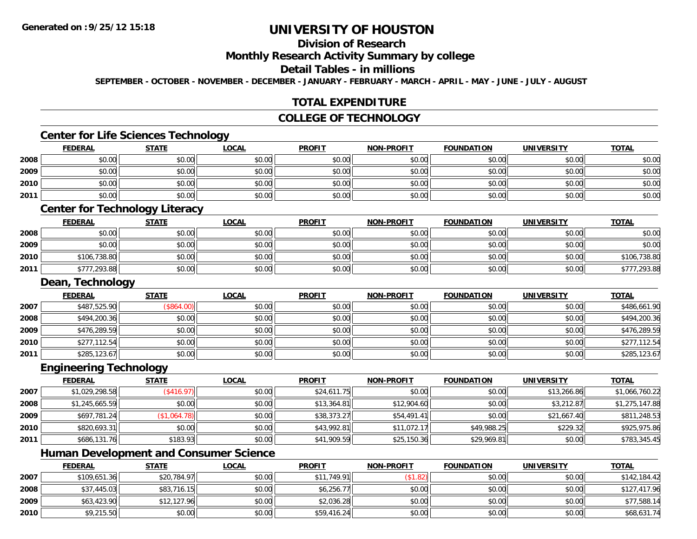# **Division of Research**

#### **Monthly Research Activity Summary by college**

#### **Detail Tables - in millions**

**SEPTEMBER - OCTOBER - NOVEMBER - DECEMBER - JANUARY - FEBRUARY - MARCH - APRIL - MAY - JUNE - JULY - AUGUST**

## **TOTAL EXPENDITURE**

## **COLLEGE OF TECHNOLOGY**

## **Center for Life Sciences Technology**

|      | <b>FEDERAL</b> | <b>STATE</b> | <u>LOCAL</u> | <b>PROFIT</b> | <b>NON-PROFIT</b> | <b>FOUNDATION</b> | <b>UNIVERSITY</b> | <b>TOTAL</b> |
|------|----------------|--------------|--------------|---------------|-------------------|-------------------|-------------------|--------------|
| 2008 | \$0.00         | \$0.00       | \$0.00       | \$0.00        | \$0.00            | \$0.00            | \$0.00            | \$0.00       |
| 2009 | \$0.00         | \$0.00       | \$0.00       | \$0.00        | \$0.00            | \$0.00            | \$0.00            | \$0.00       |
| 2010 | \$0.00         | \$0.00       | \$0.00       | \$0.00        | \$0.00            | \$0.00            | \$0.00            | \$0.00       |
| 2011 | \$0.00         | \$0.00       | \$0.00       | \$0.00        | \$0.00            | \$0.00            | \$0.00            | \$0.00       |
|      | $\sim$         | ___<br>____  |              |               |                   |                   |                   |              |

#### **Center for Technology Literacy**

|      | <u>FEDERAL</u> | STATE  | <u>LOCAL</u> | <b>PROFIT</b> | <b>NON-PROFIT</b> | <b>FOUNDATION</b> | <b>UNIVERSITY</b> | <b>TOTAL</b> |
|------|----------------|--------|--------------|---------------|-------------------|-------------------|-------------------|--------------|
| 2008 | \$0.00         | \$0.00 | \$0.00       | \$0.00        | \$0.00            | \$0.00            | \$0.00            | \$0.00       |
| 2009 | \$0.00         | \$0.00 | \$0.00       | \$0.00        | \$0.00            | \$0.00            | \$0.00            | \$0.00       |
| 2010 | \$106,738.80   | \$0.00 | \$0.00       | \$0.00        | \$0.00            | \$0.00            | \$0.00            | \$106,738.80 |
| 2011 | \$777,293.88   | \$0.00 | \$0.00       | \$0.00        | \$0.00            | \$0.00            | \$0.00            | \$777,293.88 |

#### **Dean, Technology**

|      | <b>FEDERAL</b> | <u>STATE</u> | <u>LOCAL</u> | <b>PROFIT</b> | <b>NON-PROFIT</b> | <b>FOUNDATION</b> | <b>UNIVERSITY</b> | <b>TOTAL</b> |
|------|----------------|--------------|--------------|---------------|-------------------|-------------------|-------------------|--------------|
| 2007 | \$487,525.90   | (\$864.00)   | \$0.00       | \$0.00        | \$0.00            | \$0.00            | \$0.00            | \$486,661.90 |
| 2008 | \$494,200.36   | \$0.00       | \$0.00       | \$0.00        | \$0.00            | \$0.00            | \$0.00            | \$494,200.36 |
| 2009 | \$476,289.59   | \$0.00       | \$0.00       | \$0.00        | \$0.00            | \$0.00            | \$0.00            | \$476,289.59 |
| 2010 | \$277,112.54   | \$0.00       | \$0.00       | \$0.00        | \$0.00            | \$0.00            | \$0.00            | \$277,112.54 |
| 2011 | \$285,123.67   | \$0.00       | \$0.00       | \$0.00        | \$0.00            | \$0.00            | \$0.00            | \$285,123.67 |

#### **Engineering Technology**

|      | <b>FEDERAL</b> | <b>STATE</b>              | <u>LOCAL</u> | <b>PROFIT</b> | <b>NON-PROFIT</b> | <b>FOUNDATION</b> | <b>UNIVERSITY</b> | <b>TOTAL</b>   |
|------|----------------|---------------------------|--------------|---------------|-------------------|-------------------|-------------------|----------------|
| 2007 | \$1,029,298.58 | $($ \$416.97) $\parallel$ | \$0.00       | \$24,611.75   | \$0.00            | \$0.00            | \$13,266.86       | \$1,066,760.22 |
| 2008 | \$1,245,665.59 | \$0.00                    | \$0.00       | \$13,364.81   | \$12,904.60       | \$0.00            | \$3,212.87        | \$1,275,147.88 |
| 2009 | \$697,781.24   | (\$1,064.78)              | \$0.00       | \$38,373.27   | \$54,491.41       | \$0.00            | \$21,667.40       | \$811,248.53   |
| 2010 | \$820,693.31   | \$0.00                    | \$0.00       | \$43,992.81   | \$11,072.17       | \$49,988.25       | \$229.32          | \$925,975.86   |
| 2011 | \$686,131.76   | \$183.93                  | \$0.00       | \$41,909.59   | \$25,150.36       | \$29,969.81       | \$0.00            | \$783,345.45   |

<u> 1980 - Johann Barbara, martxa alemaniar amerikan basar da a</u>

# **Human Development and Consumer Science**

|      | <b>FEDERAL</b> | <u>STATE</u> | <u>LOCAL</u> | <b>PROFIT</b> | <b>NON-PROFIT</b> | <b>FOUNDATION</b> | UNIVERSITY | <b>TOTAL</b> |
|------|----------------|--------------|--------------|---------------|-------------------|-------------------|------------|--------------|
| 2007 | \$109,651.36   | \$20,784.97  | \$0.00       | \$11,749.91   | (\$1.82)          | \$0.00            | \$0.00     | \$142,184.42 |
| 2008 | \$37,445.03    | \$83,716.15  | \$0.00       | \$6,256.77    | \$0.00            | \$0.00            | \$0.00     | \$127,417.96 |
| 2009 | \$63,423.90    | \$12,127.96  | \$0.00       | \$2,036.28    | \$0.00            | \$0.00            | \$0.00     | \$77,588.14  |
| 2010 | \$9,215.50     | \$0.00       | \$0.00       | \$59,416.24   | \$0.00            | \$0.00            | \$0.00     | \$68,631.74  |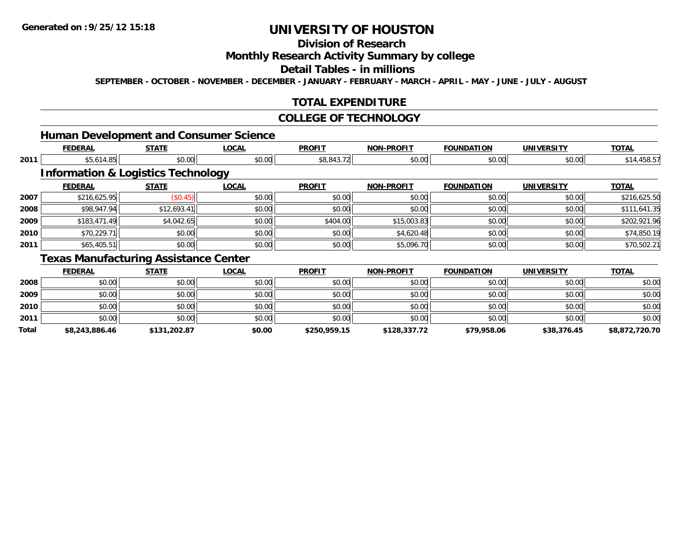# **Division of Research**

## **Monthly Research Activity Summary by college**

#### **Detail Tables - in millions**

**SEPTEMBER - OCTOBER - NOVEMBER - DECEMBER - JANUARY - FEBRUARY - MARCH - APRIL - MAY - JUNE - JULY - AUGUST**

## **TOTAL EXPENDITURE**

#### **COLLEGE OF TECHNOLOGY**

## **Human Development and Consumer Science**

|      | <b>FEDERAL</b> | <b>STATE</b>                                  | <b>LOCAL</b> | <b>PROFIT</b> | <b>NON-PROFIT</b> | <b>FOUNDATION</b> | <b>UNIVERSITY</b> | <b>TOTAL</b> |
|------|----------------|-----------------------------------------------|--------------|---------------|-------------------|-------------------|-------------------|--------------|
| 2011 | \$5,614.85     | \$0.00                                        | \$0.00       | \$8,843.72    | \$0.00            | \$0.00            | \$0.00            | \$14,458.57  |
|      |                | <b>Information &amp; Logistics Technology</b> |              |               |                   |                   |                   |              |
|      | <b>FEDERAL</b> | <b>STATE</b>                                  | <b>LOCAL</b> | <b>PROFIT</b> | <b>NON-PROFIT</b> | <b>FOUNDATION</b> | <b>UNIVERSITY</b> | <b>TOTAL</b> |
| 2007 | \$216,625.95   | (\$0.45)                                      | \$0.00       | \$0.00        | \$0.00            | \$0.00            | \$0.00            | \$216,625.50 |
| 2008 | \$98,947.94    | \$12,693.41                                   | \$0.00       | \$0.00        | \$0.00            | \$0.00            | \$0.00            | \$111,641.35 |
| 2009 | \$183,471.49   | \$4,042.65                                    | \$0.00       | \$404.00      | \$15,003.83       | \$0.00            | \$0.00            | \$202,921.96 |
| 2010 | \$70,229.71    | \$0.00                                        | \$0.00       | \$0.00        | \$4,620.48        | \$0.00            | \$0.00            | \$74,850.19  |
| 2011 | \$65,405.51    | \$0.00                                        | \$0.00       | \$0.00        | \$5,096.70        | \$0.00            | \$0.00            | \$70,502.21  |
|      |                | Toyce Manufacturing Acciotanos Contor         |              |               |                   |                   |                   |              |

#### **Texas Manufacturing Assistance Center**

|       | <u>FEDERAL</u> | <b>STATE</b> | <b>LOCAL</b> | <b>PROFIT</b> | <b>NON-PROFIT</b> | <b>FOUNDATION</b> | <b>UNIVERSITY</b> | <b>TOTAL</b>   |
|-------|----------------|--------------|--------------|---------------|-------------------|-------------------|-------------------|----------------|
| 2008  | \$0.00         | \$0.00       | \$0.00       | \$0.00        | \$0.00            | \$0.00            | \$0.00            | \$0.00         |
| 2009  | \$0.00         | \$0.00       | \$0.00       | \$0.00        | \$0.00            | \$0.00            | \$0.00            | \$0.00         |
| 2010  | \$0.00         | \$0.00       | \$0.00       | \$0.00        | \$0.00            | \$0.00            | \$0.00            | \$0.00         |
| 2011  | \$0.00         | \$0.00       | \$0.00       | \$0.00        | \$0.00            | \$0.00            | \$0.00            | \$0.00         |
| Total | \$8,243,886.46 | \$131,202.87 | \$0.00       | \$250,959.15  | \$128,337.72      | \$79,958.06       | \$38,376.45       | \$8,872,720.70 |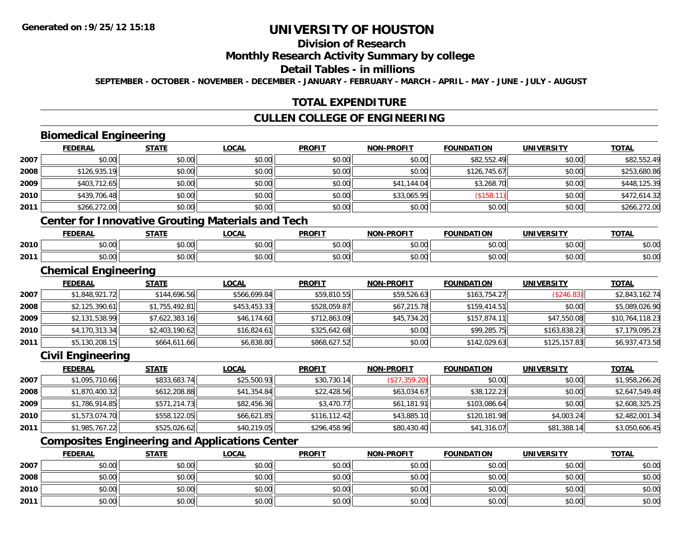# **Division of Research**

### **Monthly Research Activity Summary by college**

#### **Detail Tables - in millions**

**SEPTEMBER - OCTOBER - NOVEMBER - DECEMBER - JANUARY - FEBRUARY - MARCH - APRIL - MAY - JUNE - JULY - AUGUST**

## **TOTAL EXPENDITURE**

## **CULLEN COLLEGE OF ENGINEERING**

# **Biomedical Engineering**

**2010**

**2011**

|      | <b>FEDERAL</b>              | <b>STATE</b>   | <b>LOCAL</b>                                             | <b>PROFIT</b> | <b>NON-PROFIT</b> | <b>FOUNDATION</b> | <b>UNIVERSITY</b> | <b>TOTAL</b>    |
|------|-----------------------------|----------------|----------------------------------------------------------|---------------|-------------------|-------------------|-------------------|-----------------|
| 2007 | \$0.00                      | \$0.00         | \$0.00                                                   | \$0.00        | \$0.00            | \$82,552.49       | \$0.00            | \$82,552.49     |
| 2008 | \$126,935.19                | \$0.00         | \$0.00                                                   | \$0.00        | \$0.00            | \$126,745.67      | \$0.00            | \$253,680.86    |
| 2009 | \$403,712.65                | \$0.00         | \$0.00                                                   | \$0.00        | \$41,144.04       | \$3,268.70        | \$0.00            | \$448,125.39    |
| 2010 | \$439,706.48                | \$0.00         | \$0.00                                                   | \$0.00        | \$33,065.95       | (\$158.11)        | \$0.00            | \$472,614.32    |
| 2011 | \$266,272.00                | \$0.00         | \$0.00                                                   | \$0.00        | \$0.00            | \$0.00            | \$0.00            | \$266,272.00    |
|      |                             |                | <b>Center for Innovative Grouting Materials and Tech</b> |               |                   |                   |                   |                 |
|      | <b>FEDERAL</b>              | <b>STATE</b>   | <b>LOCAL</b>                                             | <b>PROFIT</b> | <b>NON-PROFIT</b> | <b>FOUNDATION</b> | <b>UNIVERSITY</b> | <b>TOTAL</b>    |
| 2010 | \$0.00                      | \$0.00         | \$0.00                                                   | \$0.00        | \$0.00            | \$0.00            | \$0.00            | \$0.00          |
| 2011 | \$0.00                      | \$0.00         | \$0.00                                                   | \$0.00        | \$0.00            | \$0.00            | \$0.00            | \$0.00          |
|      | <b>Chemical Engineering</b> |                |                                                          |               |                   |                   |                   |                 |
|      | <b>FEDERAL</b>              | <b>STATE</b>   | <b>LOCAL</b>                                             | <b>PROFIT</b> | <b>NON-PROFIT</b> | <b>FOUNDATION</b> | <b>UNIVERSITY</b> | <b>TOTAL</b>    |
| 2007 | \$1,848,921.72              | \$144,696.56   | \$566,699.84                                             | \$59,810.55   | \$59,526.63       | \$163,754.27      | (\$246.83)        | \$2,843,162.74  |
| 2008 | \$2,125,390.61              | \$1,755,492.81 | \$453,453.33                                             | \$528,059.87  | \$67,215.78       | \$159,414.51      | \$0.00            | \$5,089,026.90  |
| 2009 | \$2,131,538.99              | \$7,622,383.16 | \$46,174.60                                              | \$712,863.09  | \$45,734.20       | \$157,874.11      | \$47,550.08       | \$10,764,118.23 |
| 2010 | \$4,170,313.34              | \$2,403,190.62 | \$16,824.61                                              | \$325,642.68  | \$0.00            | \$99,285.75       | \$163,838.23      | \$7,179,095.23  |
| 2011 | \$5,130,208.15              | \$664,611.66   | \$6,838.80                                               | \$868,627.52  | \$0.00            | \$142,029.63      | \$125,157.83      | \$6,937,473.58  |
|      | <b>Civil Engineering</b>    |                |                                                          |               |                   |                   |                   |                 |
|      | <b>FEDERAL</b>              | <b>STATE</b>   | <b>LOCAL</b>                                             | <b>PROFIT</b> | <b>NON-PROFIT</b> | <b>FOUNDATION</b> | <b>UNIVERSITY</b> | <b>TOTAL</b>    |
| 2007 | \$1,095,710.66              | \$833,683.74   | \$25,500.93                                              | \$30,730.14   | (\$27,359.20)     | \$0.00            | \$0.00            | \$1,958,266.26  |
| 2008 | \$1,870,400.32              | \$612,208.88   | \$41,354.84                                              | \$22,428.56   | \$63,034.67       | \$38,122.23       | \$0.00            | \$2,647,549.49  |
| 2009 | \$1,786,914.85              | \$571,214.73   | \$82,456.36                                              | \$3,470.77    | \$61,181.91       | \$103,086.64      | \$0.00            | \$2,608,325.25  |

# **Composites Engineering and Applications Center**

|      | <b>FEDERAL</b> | <b>STATE</b> | <u>LOCAL</u> | <b>PROFIT</b> | <b>NON-PROFIT</b> | <b>FOUNDATION</b> | <b>UNIVERSITY</b> | <b>TOTAL</b> |
|------|----------------|--------------|--------------|---------------|-------------------|-------------------|-------------------|--------------|
| 2007 | \$0.00         | \$0.00       | \$0.00       | \$0.00        | \$0.00            | \$0.00            | \$0.00            | \$0.00       |
| 2008 | \$0.00         | \$0.00       | \$0.00       | \$0.00        | \$0.00            | \$0.00            | \$0.00            | \$0.00       |
| 2010 | \$0.00         | \$0.00       | \$0.00       | \$0.00        | \$0.00            | \$0.00            | \$0.00            | \$0.00       |
| 2011 | \$0.00         | \$0.00       | \$0.00       | \$0.00        | \$0.00            | \$0.00            | \$0.00            | \$0.00       |

**0** \$1,573,074.70 \$558,122.05 \$558,122.05 \$66,621.85 \$43,12.42 \$43,885.10 \$43,885.10 \$120,181.98 \$4,003.24 \$2,482,001.34

\$1,985,767.22 \$525,026.62 \$40,219.05 \$296,458.96 \$80,430.40 \$41,316.07 \$81,388.14 \$3,050,606.45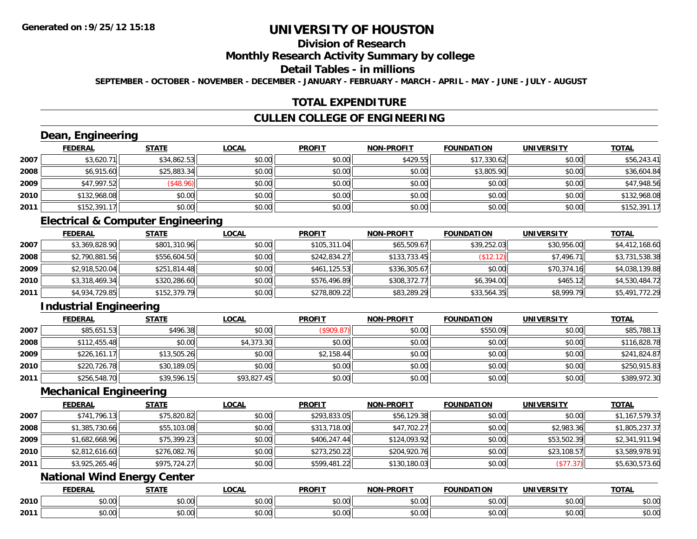# **Division of Research**

#### **Monthly Research Activity Summary by college**

## **Detail Tables - in millions**

**SEPTEMBER - OCTOBER - NOVEMBER - DECEMBER - JANUARY - FEBRUARY - MARCH - APRIL - MAY - JUNE - JULY - AUGUST**

## **TOTAL EXPENDITURE**

## **CULLEN COLLEGE OF ENGINEERING**

# **Dean, Engineering**

|      | <b>FEDERAL</b> | <b>STATE</b>     | <u>LOCAL</u> | <b>PROFIT</b> | <b>NON-PROFIT</b> | <b>FOUNDATION</b> | <b>UNIVERSITY</b> | <b>TOTAL</b> |
|------|----------------|------------------|--------------|---------------|-------------------|-------------------|-------------------|--------------|
| 2007 | \$3,620.71     | \$34,862.53      | \$0.00       | \$0.00        | \$429.55          | \$17,330.62       | \$0.00            | \$56,243.41  |
| 2008 | \$6,915.60     | \$25,883.34      | \$0.00       | \$0.00        | \$0.00            | \$3,805.90        | \$0.00            | \$36,604.84  |
| 2009 | \$47,997.52    | $($ \$48.96) $ $ | \$0.00       | \$0.00        | \$0.00            | \$0.00            | \$0.00            | \$47,948.56  |
| 2010 | \$132,968.08   | \$0.00           | \$0.00       | \$0.00        | \$0.00            | \$0.00            | \$0.00            | \$132,968.08 |
| 2011 | \$152,391.17   | \$0.00           | \$0.00       | \$0.00        | \$0.00            | \$0.00            | \$0.00            | \$152,391.17 |

## **Electrical & Computer Engineering**

|      | <b>FEDERAL</b> | <b>STATE</b> | <b>LOCAL</b> | <b>PROFIT</b> | <b>NON-PROFIT</b> | <b>FOUNDATION</b> | <b>UNIVERSITY</b> | <b>TOTAL</b>   |
|------|----------------|--------------|--------------|---------------|-------------------|-------------------|-------------------|----------------|
| 2007 | \$3,369,828.90 | \$801,310.96 | \$0.00       | \$105,311.04  | \$65,509.67       | \$39,252.03       | \$30,956.00       | \$4,412,168.60 |
| 2008 | \$2,790,881.56 | \$556,604.50 | \$0.00       | \$242,834.27  | \$133,733.45      | (\$12.12)         | \$7,496.71        | \$3,731,538.38 |
| 2009 | \$2,918,520.04 | \$251,814.48 | \$0.00       | \$461.125.53  | \$336,305.67      | \$0.00            | \$70,374.16       | \$4,038,139.88 |
| 2010 | \$3,318,469.34 | \$320,286.60 | \$0.00       | \$576,496.89  | \$308,372.77      | \$6,394.00        | \$465.12          | \$4,530,484.72 |
| 2011 | \$4,934,729.85 | \$152,379.79 | \$0.00       | \$278,809.22  | \$83,289.29       | \$33,564.35       | \$8,999.79        | \$5,491,772.29 |

# **Industrial Engineering**

|      | <u>FEDERAL</u> | <b>STATE</b> | <b>LOCAL</b> | <b>PROFIT</b> | <b>NON-PROFIT</b> | <b>FOUNDATION</b> | <b>UNIVERSITY</b> | <b>TOTAL</b> |
|------|----------------|--------------|--------------|---------------|-------------------|-------------------|-------------------|--------------|
| 2007 | \$85,651.53    | \$496.38     | \$0.00       | (\$909.87)    | \$0.00            | \$550.09          | \$0.00            | \$85,788.13  |
| 2008 | \$112,455.48   | \$0.00       | \$4,373.30   | \$0.00        | \$0.00            | \$0.00            | \$0.00            | \$116,828.78 |
| 2009 | \$226.161.17   | \$13,505.26  | \$0.00       | \$2,158.44    | \$0.00            | \$0.00            | \$0.00            | \$241,824.87 |
| 2010 | \$220,726.78   | \$30,189.05  | \$0.00       | \$0.00        | \$0.00            | \$0.00            | \$0.00            | \$250,915.83 |
| 2011 | \$256,548.70   | \$39,596.15  | \$93,827.45  | \$0.00        | \$0.00            | \$0.00            | \$0.00            | \$389,972.30 |

#### **Mechanical Engineering**

|      | <b>FEDERAL</b> | <b>STATE</b> | <b>LOCAL</b> | <b>PROFIT</b> | <b>NON-PROFIT</b> | <b>FOUNDATION</b> | <b>UNIVERSITY</b> | <b>TOTAL</b>   |
|------|----------------|--------------|--------------|---------------|-------------------|-------------------|-------------------|----------------|
| 2007 | \$741,796.13   | \$75,820.82  | \$0.00       | \$293,833.05  | \$56,129.38       | \$0.00            | \$0.00            | \$1,167,579.37 |
| 2008 | \$1,385,730.66 | \$55,103.08  | \$0.00       | \$313,718.00  | \$47,702.27       | \$0.00            | \$2,983.36        | \$1,805,237.37 |
| 2009 | \$1,682,668.96 | \$75,399.23  | \$0.00       | \$406.247.44  | \$124,093.92      | \$0.00            | \$53,502.39       | \$2,341,911.94 |
| 2010 | \$2,812,616.60 | \$276,082.76 | \$0.00       | \$273,250.22  | \$204,920.76      | \$0.00            | \$23,108.57       | \$3,589,978.91 |
| 2011 | \$3,925,265.46 | \$975,724.27 | \$0.00       | \$599,481.22  | \$130,180.03      | \$0.00            | (\$77.37)         | \$5,630,573.60 |

# **National Wind Energy Center**

|      | <b>FEDERAL</b> | <b>STATE</b>    | LOCAL              | <b>PROFIT</b> | <b>NON-DDOEIT</b> | <b>FOUNDATION</b> | UNIVERSITY            | <b>TOTA</b><br>UINI   |
|------|----------------|-----------------|--------------------|---------------|-------------------|-------------------|-----------------------|-----------------------|
| 2010 | 0000<br>DU.UU  | ሖጣ<br>טט.       | $\sim$ 00<br>JU.UU | 0000<br>JU.UU | 0.00<br>DU.UU     | \$0.00            | 0.001<br><b>DU.UG</b> | 0000<br><b>JU.UU</b>  |
| 2011 | \$0.00         | $\sim$<br>טט.טע | $\sim$ 00<br>JU.UU | 0000<br>PO.OO | 0.00<br>JU.UU     | \$0.00            | 0000<br>JU.UU         | ልስ ሰሰ<br><b>JU.UU</b> |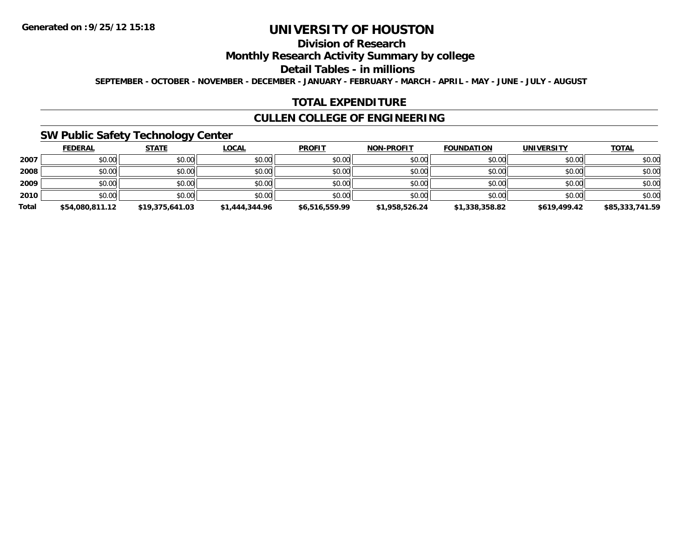# **Division of Research**

## **Monthly Research Activity Summary by college**

#### **Detail Tables - in millions**

**SEPTEMBER - OCTOBER - NOVEMBER - DECEMBER - JANUARY - FEBRUARY - MARCH - APRIL - MAY - JUNE - JULY - AUGUST**

## **TOTAL EXPENDITURE**

## **CULLEN COLLEGE OF ENGINEERING**

## **SW Public Safety Technology Center**

|       | <b>FEDERAL</b>  | <b>STATE</b>    | <b>LOCAL</b>   | <b>PROFIT</b>  | <b>NON-PROFIT</b> | <b>FOUNDATION</b> | <b>UNIVERSITY</b> | <b>TOTAL</b>    |
|-------|-----------------|-----------------|----------------|----------------|-------------------|-------------------|-------------------|-----------------|
| 2007  | \$0.00          | \$0.00          | \$0.00         | \$0.00         | \$0.00            | \$0.00            | \$0.00            | \$0.00          |
| 2008  | \$0.00          | \$0.00          | \$0.00         | \$0.00         | \$0.00            | \$0.00            | \$0.00            | \$0.00          |
| 2009  | \$0.00          | \$0.00          | \$0.00         | \$0.00         | \$0.00            | \$0.00            | \$0.00            | \$0.00          |
| 2010  | \$0.00          | \$0.00          | \$0.00         | \$0.00         | \$0.00            | \$0.00            | \$0.00            | \$0.00          |
| Total | \$54,080,811.12 | \$19,375,641.03 | \$1,444,344.96 | \$6,516,559.99 | \$1,958,526.24    | \$1,338,358.82    | \$619,499.42      | \$85,333,741.59 |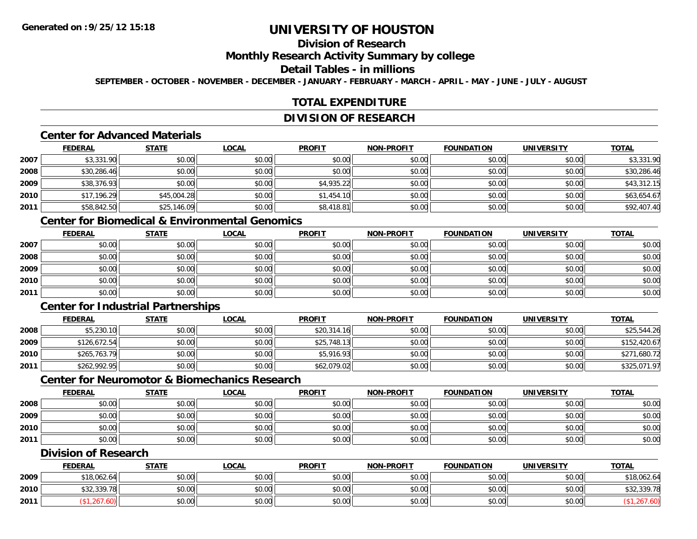# **Division of Research**

#### **Monthly Research Activity Summary by college**

#### **Detail Tables - in millions**

**SEPTEMBER - OCTOBER - NOVEMBER - DECEMBER - JANUARY - FEBRUARY - MARCH - APRIL - MAY - JUNE - JULY - AUGUST**

## **TOTAL EXPENDITURE**

#### **DIVISION OF RESEARCH**

## **Center for Advanced Materials**

|        | <b>FEDERAL</b> | <b>STATE</b> | <b>LOCAL</b> | <b>PROFIT</b> | <b>NON-PROFIT</b> | <b>FOUNDATION</b> | <b>UNIVERSITY</b> | <b>TOTAL</b> |
|--------|----------------|--------------|--------------|---------------|-------------------|-------------------|-------------------|--------------|
| 2007   | \$3,331.90     | \$0.00       | \$0.00       | \$0.00        | \$0.00            | \$0.00            | \$0.00            | \$3,331.90   |
| 2008   | \$30,286.46    | \$0.00       | \$0.00       | \$0.00        | \$0.00            | \$0.00            | \$0.00            | \$30,286.46  |
| 2009   | \$38,376.93    | \$0.00       | \$0.00       | \$4,935.22    | \$0.00            | \$0.00            | \$0.00            | \$43,312.15  |
| ا 2010 | \$17,196.29    | \$45,004.28  | \$0.00       | \$1,454.10    | \$0.00            | \$0.00            | \$0.00            | \$63,654.67  |
| 2011   | \$58,842.50    | \$25,146.09  | \$0.00       | \$8,418.81    | \$0.00            | \$0.00            | \$0.00            | \$92,407.40  |

# **Center for Biomedical & Environmental Genomics**

|      | <u>FEDERAL</u> | <u>STATE</u> | <u>LOCAL</u> | <b>PROFIT</b> | <b>NON-PROFIT</b> | <b>FOUNDATION</b> | <b>UNIVERSITY</b> | <b>TOTAL</b> |
|------|----------------|--------------|--------------|---------------|-------------------|-------------------|-------------------|--------------|
| 2007 | \$0.00         | \$0.00       | \$0.00       | \$0.00        | \$0.00            | \$0.00            | \$0.00            | \$0.00       |
| 2008 | \$0.00         | \$0.00       | \$0.00       | \$0.00        | \$0.00            | \$0.00            | \$0.00            | \$0.00       |
| 2009 | \$0.00         | \$0.00       | \$0.00       | \$0.00        | \$0.00            | \$0.00            | \$0.00            | \$0.00       |
| 2010 | \$0.00         | \$0.00       | \$0.00       | \$0.00        | \$0.00            | \$0.00            | \$0.00            | \$0.00       |
| 2011 | \$0.00         | \$0.00       | \$0.00       | \$0.00        | \$0.00            | \$0.00            | \$0.00            | \$0.00       |

## **Center for Industrial Partnerships**

|      | <b>FEDERAL</b> | STATE  | <u>LOCAL</u> | <b>PROFIT</b> | <b>NON-PROFIT</b> | <b>FOUNDATION</b> | <b>UNIVERSITY</b> | <b>TOTAL</b> |
|------|----------------|--------|--------------|---------------|-------------------|-------------------|-------------------|--------------|
| 2008 | \$5,230.10     | \$0.00 | \$0.00       | \$20,314.16   | \$0.00            | \$0.00            | \$0.00            | \$25,544.26  |
| 2009 | \$126,672.54   | \$0.00 | \$0.00       | \$25,748.13   | \$0.00            | \$0.00            | \$0.00            | \$152,420.67 |
| 2010 | \$265,763.79   | \$0.00 | \$0.00       | \$5,916.93    | \$0.00            | \$0.00            | \$0.00            | \$271,680.72 |
| 2011 | \$262,992.95   | \$0.00 | \$0.00       | \$62,079.02   | \$0.00            | \$0.00            | \$0.00            | \$325,071.97 |

#### **Center for Neuromotor & Biomechanics Research**

|      | <b>FEDERAL</b> | <b>STATE</b> | <u>LOCAL</u> | <b>PROFIT</b> | <b>NON-PROFIT</b> | <b>FOUNDATION</b> | <b>UNIVERSITY</b> | <u>TOTAL</u> |
|------|----------------|--------------|--------------|---------------|-------------------|-------------------|-------------------|--------------|
| 2008 | \$0.00         | \$0.00       | \$0.00       | \$0.00        | \$0.00            | \$0.00            | \$0.00            | \$0.00       |
| 2009 | \$0.00         | \$0.00       | \$0.00       | \$0.00        | \$0.00            | \$0.00            | \$0.00            | \$0.00       |
| 2010 | \$0.00         | \$0.00       | \$0.00       | \$0.00        | \$0.00            | \$0.00            | \$0.00            | \$0.00       |
| 2011 | \$0.00         | \$0.00       | \$0.00       | \$0.00        | \$0.00            | \$0.00            | \$0.00            | \$0.00       |

## **Division of Research**

|      | <b>FEDERAL</b>     | <b>STATE</b> | LOCAL         | <b>PROFIT</b> | <b>NON-PROFIT</b> | <b>FOUNDATION</b> | UNIVERSITY | <b>TOTAL</b> |
|------|--------------------|--------------|---------------|---------------|-------------------|-------------------|------------|--------------|
| 2009 | \$18,062.64        | \$0.00       | 0000<br>DU.UG | \$0.00        | \$0.00            | \$0.00            | \$0.00     | \$18,062.64  |
| 2010 | <b>\$32.330.78</b> | \$0.00       | \$0.00        | \$0.00        | \$0.00            | \$0.00            | \$0.00     | \$32,339.78  |
| 2011 | 7 ت∠.              | \$0.00       | \$0.00        | \$0.00        | \$0.00            | \$0.00            | \$0.00     |              |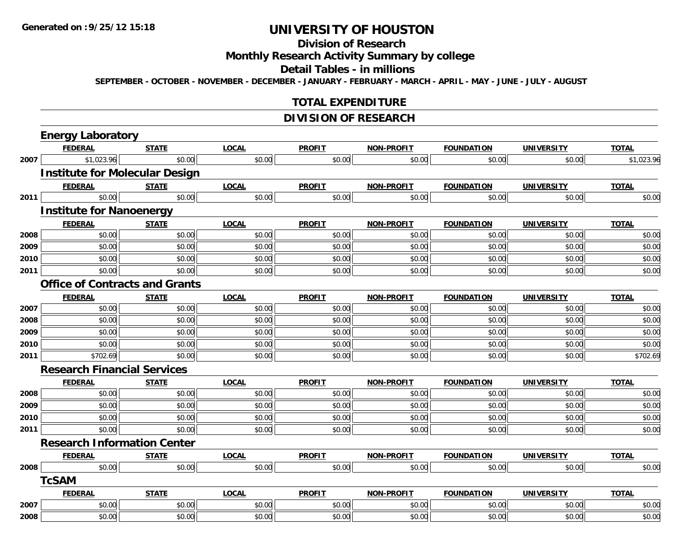# **Division of Research**

**Monthly Research Activity Summary by college**

**Detail Tables - in millions**

**SEPTEMBER - OCTOBER - NOVEMBER - DECEMBER - JANUARY - FEBRUARY - MARCH - APRIL - MAY - JUNE - JULY - AUGUST**

## **TOTAL EXPENDITURE**

## **DIVISION OF RESEARCH**

|      | <b>Energy Laboratory</b>              |              |              |               |                   |                   |                   |              |  |  |
|------|---------------------------------------|--------------|--------------|---------------|-------------------|-------------------|-------------------|--------------|--|--|
|      | <b>FEDERAL</b>                        | <b>STATE</b> | <b>LOCAL</b> | <b>PROFIT</b> | <b>NON-PROFIT</b> | <b>FOUNDATION</b> | <b>UNIVERSITY</b> | <b>TOTAL</b> |  |  |
| 2007 | \$1,023.96                            | \$0.00       | \$0.00       | \$0.00        | \$0.00            | \$0.00            | \$0.00            | \$1,023.96   |  |  |
|      | <b>Institute for Molecular Design</b> |              |              |               |                   |                   |                   |              |  |  |
|      | <b>FEDERAL</b>                        | <b>STATE</b> | <b>LOCAL</b> | <b>PROFIT</b> | <b>NON-PROFIT</b> | <b>FOUNDATION</b> | <b>UNIVERSITY</b> | <b>TOTAL</b> |  |  |
| 2011 | \$0.00                                | \$0.00       | \$0.00       | \$0.00        | \$0.00            | \$0.00            | \$0.00            | \$0.00       |  |  |
|      | <b>Institute for Nanoenergy</b>       |              |              |               |                   |                   |                   |              |  |  |
|      | <b>FEDERAL</b>                        | <b>STATE</b> | <b>LOCAL</b> | <b>PROFIT</b> | <b>NON-PROFIT</b> | <b>FOUNDATION</b> | <b>UNIVERSITY</b> | <b>TOTAL</b> |  |  |
| 2008 | \$0.00                                | \$0.00       | \$0.00       | \$0.00        | \$0.00            | \$0.00            | \$0.00            | \$0.00       |  |  |
| 2009 | \$0.00                                | \$0.00       | \$0.00       | \$0.00        | \$0.00            | \$0.00            | \$0.00            | \$0.00       |  |  |
| 2010 | \$0.00                                | \$0.00       | \$0.00       | \$0.00        | \$0.00            | \$0.00            | \$0.00            | \$0.00       |  |  |
| 2011 | \$0.00                                | \$0.00       | \$0.00       | \$0.00        | \$0.00            | \$0.00            | \$0.00            | \$0.00       |  |  |
|      | <b>Office of Contracts and Grants</b> |              |              |               |                   |                   |                   |              |  |  |
|      | <b>FEDERAL</b>                        | <b>STATE</b> | <b>LOCAL</b> | <b>PROFIT</b> | <b>NON-PROFIT</b> | <b>FOUNDATION</b> | <b>UNIVERSITY</b> | <b>TOTAL</b> |  |  |
| 2007 | \$0.00                                | \$0.00       | \$0.00       | \$0.00        | \$0.00            | \$0.00            | \$0.00            | \$0.00       |  |  |
| 2008 | \$0.00                                | \$0.00       | \$0.00       | \$0.00        | \$0.00            | \$0.00            | \$0.00            | \$0.00       |  |  |
| 2009 | \$0.00                                | \$0.00       | \$0.00       | \$0.00        | \$0.00            | \$0.00            | \$0.00            | \$0.00       |  |  |
| 2010 | \$0.00                                | \$0.00       | \$0.00       | \$0.00        | \$0.00            | \$0.00            | \$0.00            | \$0.00       |  |  |
| 2011 | \$702.69                              | \$0.00       | \$0.00       | \$0.00        | \$0.00            | \$0.00            | \$0.00            | \$702.69     |  |  |
|      | <b>Research Financial Services</b>    |              |              |               |                   |                   |                   |              |  |  |
|      | <b>FEDERAL</b>                        | <b>STATE</b> | <b>LOCAL</b> | <b>PROFIT</b> | <b>NON-PROFIT</b> | <b>FOUNDATION</b> | <b>UNIVERSITY</b> | <b>TOTAL</b> |  |  |
| 2008 | \$0.00                                | \$0.00       | \$0.00       | \$0.00        | \$0.00            | \$0.00            | \$0.00            | \$0.00       |  |  |
| 2009 | \$0.00                                | \$0.00       | \$0.00       | \$0.00        | \$0.00            | \$0.00            | \$0.00            | \$0.00       |  |  |
| 2010 | \$0.00                                | \$0.00       | \$0.00       | \$0.00        | \$0.00            | \$0.00            | \$0.00            | \$0.00       |  |  |
| 2011 | \$0.00                                | \$0.00       | \$0.00       | \$0.00        | \$0.00            | \$0.00            | \$0.00            | \$0.00       |  |  |
|      | <b>Research Information Center</b>    |              |              |               |                   |                   |                   |              |  |  |
|      | <b>FEDERAL</b>                        | <b>STATE</b> | <b>LOCAL</b> | <b>PROFIT</b> | <b>NON-PROFIT</b> | <b>FOUNDATION</b> | <b>UNIVERSITY</b> | <b>TOTAL</b> |  |  |
| 2008 | \$0.00                                | \$0.00       | \$0.00       | \$0.00        | \$0.00            | \$0.00            | \$0.00            | \$0.00       |  |  |
|      | <b>TcSAM</b>                          |              |              |               |                   |                   |                   |              |  |  |
|      | <b>FEDERAL</b>                        | <b>STATE</b> | <b>LOCAL</b> | <b>PROFIT</b> | <b>NON-PROFIT</b> | <b>FOUNDATION</b> | <b>UNIVERSITY</b> | <b>TOTAL</b> |  |  |
| 2007 | \$0.00                                | \$0.00       | \$0.00       | \$0.00        | \$0.00            | \$0.00            | \$0.00            | \$0.00       |  |  |
| 2008 | \$0.00                                | \$0.00       | \$0.00       | \$0.00        | \$0.00            | \$0.00            | \$0.00            | \$0.00       |  |  |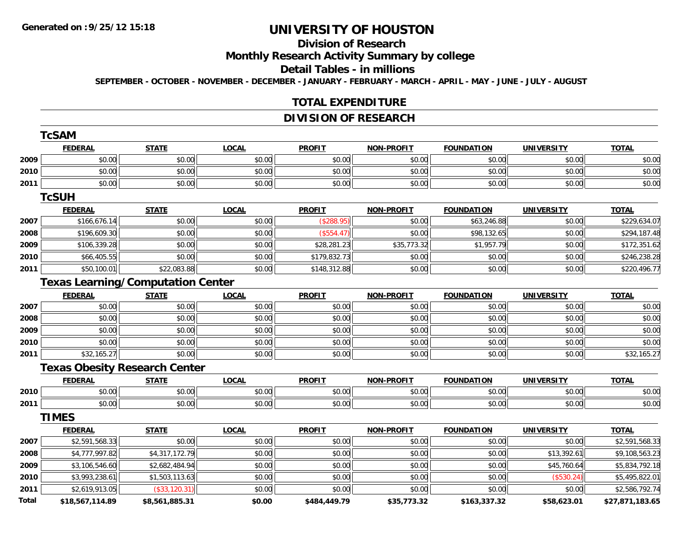# **Division of Research**

#### **Monthly Research Activity Summary by college**

#### **Detail Tables - in millions**

**SEPTEMBER - OCTOBER - NOVEMBER - DECEMBER - JANUARY - FEBRUARY - MARCH - APRIL - MAY - JUNE - JULY - AUGUST**

#### **TOTAL EXPENDITURE**

## **DIVISION OF RESEARCH**

|       | <b>TcSAM</b>                             |                |              |               |                   |                   |                   |                 |
|-------|------------------------------------------|----------------|--------------|---------------|-------------------|-------------------|-------------------|-----------------|
|       | <b>FEDERAL</b>                           | <b>STATE</b>   | <b>LOCAL</b> | <b>PROFIT</b> | <b>NON-PROFIT</b> | <b>FOUNDATION</b> | <b>UNIVERSITY</b> | <b>TOTAL</b>    |
| 2009  | \$0.00                                   | \$0.00         | \$0.00       | \$0.00        | \$0.00            | \$0.00            | \$0.00            | \$0.00          |
| 2010  | \$0.00                                   | \$0.00         | \$0.00       | \$0.00        | \$0.00            | \$0.00            | \$0.00            | \$0.00          |
| 2011  | \$0.00                                   | \$0.00         | \$0.00       | \$0.00        | \$0.00            | \$0.00            | \$0.00            | \$0.00          |
|       | <b>TcSUH</b>                             |                |              |               |                   |                   |                   |                 |
|       | <b>FEDERAL</b>                           | <b>STATE</b>   | <b>LOCAL</b> | <b>PROFIT</b> | <b>NON-PROFIT</b> | <b>FOUNDATION</b> | <b>UNIVERSITY</b> | <b>TOTAL</b>    |
| 2007  | \$166,676.14                             | \$0.00         | \$0.00       | ( \$288.95)   | \$0.00            | \$63,246.88       | \$0.00            | \$229,634.07    |
| 2008  | \$196,609.30                             | \$0.00         | \$0.00       | (\$554.47)    | \$0.00            | \$98,132.65       | \$0.00            | \$294,187.48    |
| 2009  | \$106,339.28                             | \$0.00         | \$0.00       | \$28,281.23   | \$35,773.32       | \$1,957.79        | \$0.00            | \$172,351.62    |
| 2010  | \$66,405.55                              | \$0.00         | \$0.00       | \$179,832.73  | \$0.00            | \$0.00            | \$0.00            | \$246,238.28    |
| 2011  | \$50,100.01                              | \$22,083.88    | \$0.00       | \$148,312.88  | \$0.00            | \$0.00            | \$0.00            | \$220,496.77    |
|       | <b>Texas Learning/Computation Center</b> |                |              |               |                   |                   |                   |                 |
|       | <b>FEDERAL</b>                           | <b>STATE</b>   | <b>LOCAL</b> | <b>PROFIT</b> | <b>NON-PROFIT</b> | <b>FOUNDATION</b> | <b>UNIVERSITY</b> | <b>TOTAL</b>    |
| 2007  | \$0.00                                   | \$0.00         | \$0.00       | \$0.00        | \$0.00            | \$0.00            | \$0.00            | \$0.00          |
| 2008  | \$0.00                                   | \$0.00         | \$0.00       | \$0.00        | \$0.00            | \$0.00            | \$0.00            | \$0.00          |
| 2009  | \$0.00                                   | \$0.00         | \$0.00       | \$0.00        | \$0.00            | \$0.00            | \$0.00            | \$0.00          |
| 2010  | \$0.00                                   | \$0.00         | \$0.00       | \$0.00        | \$0.00            | \$0.00            | \$0.00            | \$0.00          |
| 2011  | \$32,165.27                              | \$0.00         | \$0.00       | \$0.00        | \$0.00            | \$0.00            | \$0.00            | \$32,165.27     |
|       | <b>Texas Obesity Research Center</b>     |                |              |               |                   |                   |                   |                 |
|       | <b>FEDERAL</b>                           | <b>STATE</b>   | <b>LOCAL</b> | <b>PROFIT</b> | <b>NON-PROFIT</b> | <b>FOUNDATION</b> | <b>UNIVERSITY</b> | <b>TOTAL</b>    |
| 2010  | \$0.00                                   | \$0.00         | \$0.00       | \$0.00        | \$0.00            | \$0.00            | \$0.00            | \$0.00          |
| 2011  | \$0.00                                   | \$0.00         | \$0.00       | \$0.00        | \$0.00            | \$0.00            | \$0.00            | \$0.00          |
|       | <b>TIMES</b>                             |                |              |               |                   |                   |                   |                 |
|       | <b>FEDERAL</b>                           | <b>STATE</b>   | <b>LOCAL</b> | <b>PROFIT</b> | <b>NON-PROFIT</b> | <b>FOUNDATION</b> | <b>UNIVERSITY</b> | <b>TOTAL</b>    |
| 2007  | \$2,591,568.33                           | \$0.00         | \$0.00       | \$0.00        | \$0.00            | \$0.00            | \$0.00            | \$2,591,568.33  |
| 2008  | \$4,777,997.82                           | \$4,317,172.79 | \$0.00       | \$0.00        | \$0.00            | \$0.00            | \$13,392.61       | \$9,108,563.23  |
| 2009  | \$3,106,546.60                           | \$2,682,484.94 | \$0.00       | \$0.00        | \$0.00            | \$0.00            | \$45,760.64       | \$5,834,792.18  |
| 2010  | \$3,993,238.61                           | \$1,503,113.63 | \$0.00       | \$0.00        | \$0.00            | \$0.00            | (\$530.24)        | \$5,495,822.01  |
| 2011  | \$2,619,913.05                           | (\$33,120.31)  | \$0.00       | \$0.00        | \$0.00            | \$0.00            | \$0.00            | \$2,586,792.74  |
| Total | \$18,567,114.89                          | \$8,561,885.31 | \$0.00       | \$484,449.79  | \$35,773.32       | \$163,337.32      | \$58,623.01       | \$27,871,183.65 |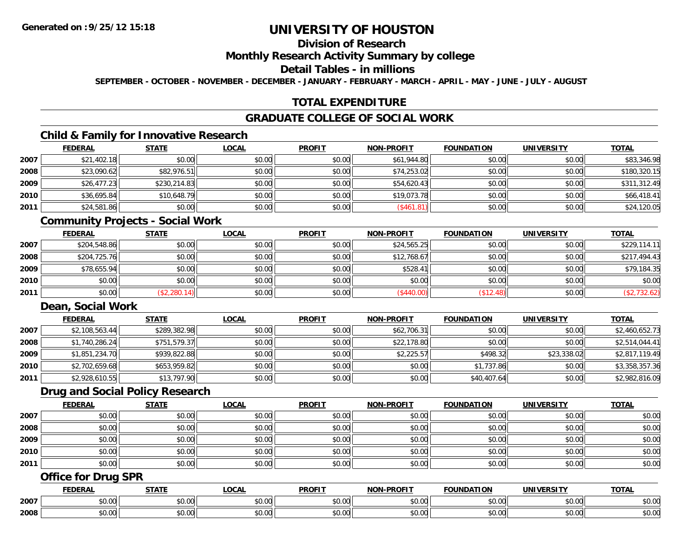# **Division of Research**

#### **Monthly Research Activity Summary by college**

#### **Detail Tables - in millions**

**SEPTEMBER - OCTOBER - NOVEMBER - DECEMBER - JANUARY - FEBRUARY - MARCH - APRIL - MAY - JUNE - JULY - AUGUST**

## **TOTAL EXPENDITURE**

## **GRADUATE COLLEGE OF SOCIAL WORK**

# **Child & Family for Innovative Research**

|      | <b>FEDERAL</b> | <b>STATE</b> | <b>LOCAL</b> | <b>PROFIT</b> | <b>NON-PROFIT</b> | <b>FOUNDATION</b> | <b>UNIVERSITY</b> | <b>TOTAL</b> |
|------|----------------|--------------|--------------|---------------|-------------------|-------------------|-------------------|--------------|
| 2007 | \$21,402.18    | \$0.00       | \$0.00       | \$0.00        | \$61,944.80       | \$0.00            | \$0.00            | \$83,346.98  |
| 2008 | \$23,090.62    | \$82,976.51  | \$0.00       | \$0.00        | \$74,253.02       | \$0.00            | \$0.00            | \$180,320.15 |
| 2009 | \$26,477.23    | \$230,214.83 | \$0.00       | \$0.00        | \$54,620.43       | \$0.00            | \$0.00            | \$311,312.49 |
| 2010 | \$36,695.84    | \$10,648.79  | \$0.00       | \$0.00        | \$19,073.78       | \$0.00            | \$0.00            | \$66,418.41  |
| 2011 | \$24,581.86    | \$0.00       | \$0.00       | \$0.00        | (\$461.81)        | \$0.00            | \$0.00            | \$24,120.05  |

#### **Community Projects - Social Work**

|      | <u>FEDERAL</u> | <u>STATE</u> | <u>LOCAL</u> | <b>PROFIT</b> | <b>NON-PROFIT</b> | <b>FOUNDATION</b> | <b>UNIVERSITY</b> | <b>TOTAL</b> |
|------|----------------|--------------|--------------|---------------|-------------------|-------------------|-------------------|--------------|
| 2007 | \$204,548.86   | \$0.00       | \$0.00       | \$0.00        | \$24,565.25       | \$0.00            | \$0.00            | \$229,114.11 |
| 2008 | \$204,725.76   | \$0.00       | \$0.00       | \$0.00        | \$12,768.67       | \$0.00            | \$0.00            | \$217,494.43 |
| 2009 | \$78,655.94    | \$0.00       | \$0.00       | \$0.00        | \$528.41          | \$0.00            | \$0.00            | \$79,184.35  |
| 2010 | \$0.00         | \$0.00       | \$0.00       | \$0.00        | \$0.00            | \$0.00            | \$0.00            | \$0.00       |
| 2011 | \$0.00         | \$2,280.14)  | \$0.00       | \$0.00        | \$440.00          | \$12.48           | \$0.00            | (\$2,732.62) |

## **Dean, Social Work**

|      | <b>FEDERAL</b> | <b>STATE</b> | <u>LOCAL</u> | <b>PROFIT</b> | <b>NON-PROFIT</b> | <b>FOUNDATION</b> | <b>UNIVERSITY</b> | <b>TOTAL</b>   |
|------|----------------|--------------|--------------|---------------|-------------------|-------------------|-------------------|----------------|
| 2007 | \$2,108,563.44 | \$289,382.98 | \$0.00       | \$0.00        | \$62,706.31       | \$0.00            | \$0.00            | \$2,460,652.73 |
| 2008 | \$1,740,286.24 | \$751,579.37 | \$0.00       | \$0.00        | \$22,178.80       | \$0.00            | \$0.00            | \$2,514,044.41 |
| 2009 | \$1,851,234.70 | \$939,822.88 | \$0.00       | \$0.00        | \$2,225.57        | \$498.32          | \$23,338.02       | \$2,817,119.49 |
| 2010 | \$2,702,659.68 | \$653,959.82 | \$0.00       | \$0.00        | \$0.00            | \$1,737.86        | \$0.00            | \$3,358,357.36 |
| 2011 | \$2,928,610.55 | \$13,797.90  | \$0.00       | \$0.00        | \$0.00            | \$40,407.64       | \$0.00            | \$2,982,816.09 |

#### **Drug and Social Policy Research**

|      | <b>FEDERAL</b> | <b>STATE</b> | <u>LOCAL</u> | <b>PROFIT</b> | <b>NON-PROFIT</b> | <b>FOUNDATION</b> | <b>UNIVERSITY</b> | <b>TOTAL</b> |
|------|----------------|--------------|--------------|---------------|-------------------|-------------------|-------------------|--------------|
| 2007 | \$0.00         | \$0.00       | \$0.00       | \$0.00        | \$0.00            | \$0.00            | \$0.00            | \$0.00       |
| 2008 | \$0.00         | \$0.00       | \$0.00       | \$0.00        | \$0.00            | \$0.00            | \$0.00            | \$0.00       |
| 2009 | \$0.00         | \$0.00       | \$0.00       | \$0.00        | \$0.00            | \$0.00            | \$0.00            | \$0.00       |
| 2010 | \$0.00         | \$0.00       | \$0.00       | \$0.00        | \$0.00            | \$0.00            | \$0.00            | \$0.00       |
| 2011 | \$0.00         | \$0.00       | \$0.00       | \$0.00        | \$0.00            | \$0.00            | \$0.00            | \$0.00       |

## **Office for Drug SPR**

|      | <b>CENEDAI</b><br>-NA | <b>CTATE</b>         | $\sim$ $\sim$ $\sim$<br>. | <b>PROFIT</b>                                         | <b>DDAEIT</b><br><b>NION</b> | $\sim$<br>NΠA<br>10B                   | . <i>.</i><br>JN.    | <b>TOTAL</b>                                          |
|------|-----------------------|----------------------|---------------------------|-------------------------------------------------------|------------------------------|----------------------------------------|----------------------|-------------------------------------------------------|
| 2007 | ۰^<br>30.01           | $\sim$ $\sim$<br>ט.ט | ሶስ ሰሰ<br>vv.vv            | $\uparrow$ $\uparrow$ $\uparrow$<br>pu.uu             | 0.00<br>vv.vv                | $\overline{a}$ $\overline{a}$<br>40.00 | 0000<br><b>PU.UU</b> | $\cdots$<br>JU.UU                                     |
| 2008 | $\sim$<br>ט.ט         | $\sim$ 00<br>ט.טע    | $\sim$ $\sim$<br>JU.UU    | $\mathbf{A} \cap \mathbf{A} \cap \mathbf{A}$<br>JU.UU | 0.00<br>JU.UU                | JU.UU                                  | 0000<br>JU.UU        | $\mathsf{A} \cap \mathsf{A} \cap \mathsf{A}$<br>JU.UU |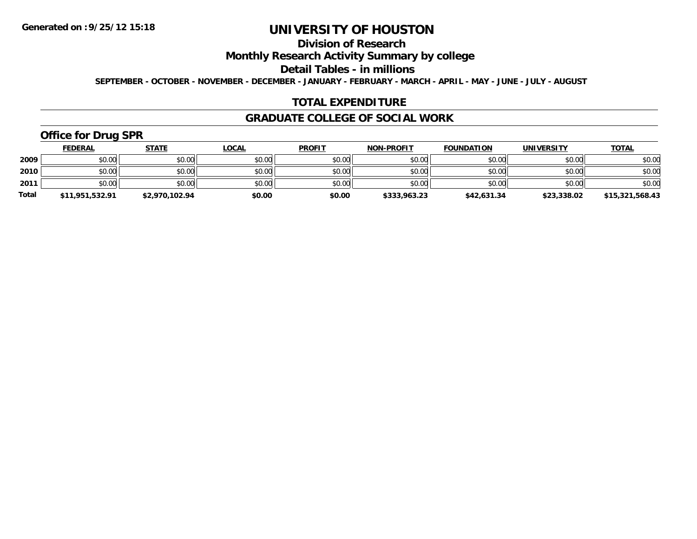# **Division of Research**

**Monthly Research Activity Summary by college**

**Detail Tables - in millions**

**SEPTEMBER - OCTOBER - NOVEMBER - DECEMBER - JANUARY - FEBRUARY - MARCH - APRIL - MAY - JUNE - JULY - AUGUST**

#### **TOTAL EXPENDITURE**

#### **GRADUATE COLLEGE OF SOCIAL WORK**

# **Office for Drug SPR**

|              | <b>FEDERAL</b>  | <b>STATE</b>   | <u>LOCAL</u> | <b>PROFIT</b> | <b>NON-PROFIT</b> | <b>FOUNDATION</b> | <b>UNIVERSITY</b> | <b>TOTAL</b>    |
|--------------|-----------------|----------------|--------------|---------------|-------------------|-------------------|-------------------|-----------------|
| 2009         | \$0.00          | \$0.00         | \$0.00       | \$0.00        | \$0.00            | \$0.00            | \$0.00            | \$0.00          |
| 2010         | \$0.00          | \$0.00         | \$0.00       | \$0.00        | \$0.00            | \$0.00            | \$0.00            | \$0.00          |
| 2011         | \$0.00          | \$0.00         | \$0.00       | \$0.00        | \$0.00            | \$0.00            | \$0.00            | \$0.00          |
| <b>Total</b> | \$11,951,532.91 | \$2,970,102.94 | \$0.00       | \$0.00        | \$333,963.23      | \$42,631.34       | \$23,338.02       | \$15,321,568.43 |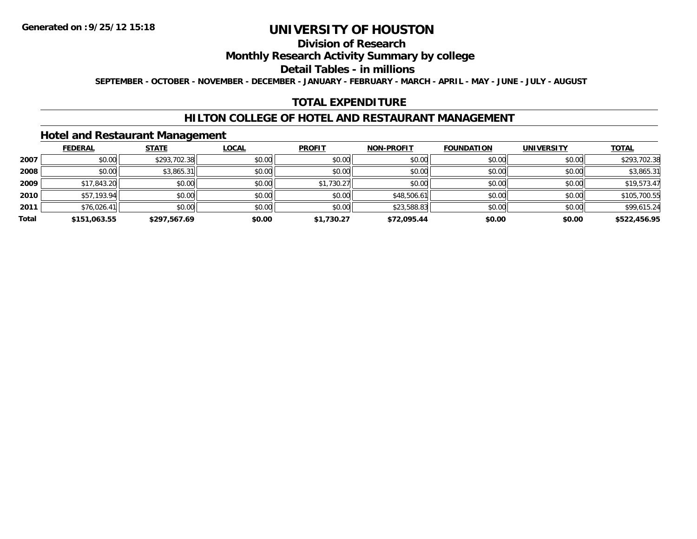## **Division of Research**

## **Monthly Research Activity Summary by college**

#### **Detail Tables - in millions**

**SEPTEMBER - OCTOBER - NOVEMBER - DECEMBER - JANUARY - FEBRUARY - MARCH - APRIL - MAY - JUNE - JULY - AUGUST**

## **TOTAL EXPENDITURE**

#### **HILTON COLLEGE OF HOTEL AND RESTAURANT MANAGEMENT**

## **Hotel and Restaurant Management**

|       | <b>FEDERAL</b> | <b>STATE</b> | <b>LOCAL</b> | <b>PROFIT</b> | <b>NON-PROFIT</b> | <b>FOUNDATION</b> | <b>UNIVERSITY</b> | <b>TOTAL</b> |
|-------|----------------|--------------|--------------|---------------|-------------------|-------------------|-------------------|--------------|
| 2007  | \$0.00         | \$293,702.38 | \$0.00       | \$0.00        | \$0.00            | \$0.00            | \$0.00            | \$293,702.38 |
| 2008  | \$0.00         | \$3,865.31   | \$0.00       | \$0.00        | \$0.00            | \$0.00            | \$0.00            | \$3,865.31   |
| 2009  | \$17,843.20    | \$0.00       | \$0.00       | \$1,730.27    | \$0.00            | \$0.00            | \$0.00            | \$19,573.47  |
| 2010  | \$57,193.94    | \$0.00       | \$0.00       | \$0.00        | \$48,506.61       | \$0.00            | \$0.00            | \$105,700.55 |
| 2011  | \$76,026.41    | \$0.00       | \$0.00       | \$0.00        | \$23,588.83       | \$0.00            | \$0.00            | \$99,615.24  |
| Total | \$151,063.55   | \$297,567.69 | \$0.00       | \$1,730.27    | \$72.095.44       | \$0.00            | \$0.00            | \$522,456.95 |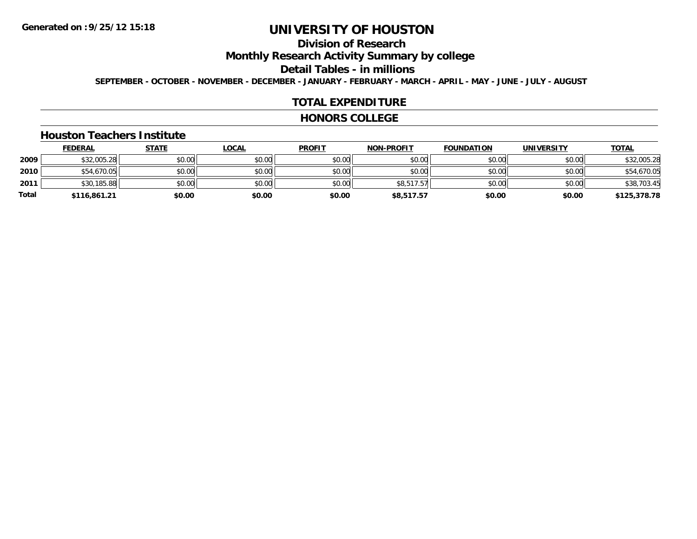# **Division of Research**

**Monthly Research Activity Summary by college**

**Detail Tables - in millions**

**SEPTEMBER - OCTOBER - NOVEMBER - DECEMBER - JANUARY - FEBRUARY - MARCH - APRIL - MAY - JUNE - JULY - AUGUST**

#### **TOTAL EXPENDITURE**

#### **HONORS COLLEGE**

#### **Houston Teachers Institute**

|       | <b>FEDERAL</b> | <u>STATE</u> | <u>LOCAL</u> | <b>PROFIT</b> | <b>NON-PROFIT</b> | <b>FOUNDATION</b> | <b>UNIVERSITY</b> | <b>TOTAL</b> |
|-------|----------------|--------------|--------------|---------------|-------------------|-------------------|-------------------|--------------|
| 2009  | \$32,005.28    | \$0.00       | \$0.00       | \$0.00        | \$0.00            | \$0.00            | \$0.00            | \$32,005.28  |
| 2010  | \$54,670.05    | \$0.00       | \$0.00       | \$0.00        | \$0.00            | \$0.00            | \$0.00            | \$54,670.05  |
| 2011  | \$30,185.88    | \$0.00       | \$0.00       | \$0.00        | \$8,517.57        | \$0.00            | \$0.00            | \$38,703.45  |
| Total | \$116,861.21   | \$0.00       | \$0.00       | \$0.00        | \$8,517.57        | \$0.00            | \$0.00            | \$125,378.78 |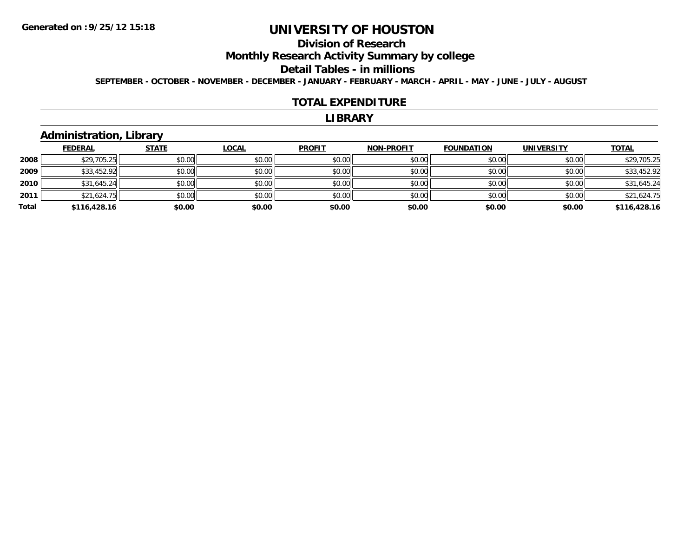# **Division of Research**

**Monthly Research Activity Summary by college**

#### **Detail Tables - in millions**

**SEPTEMBER - OCTOBER - NOVEMBER - DECEMBER - JANUARY - FEBRUARY - MARCH - APRIL - MAY - JUNE - JULY - AUGUST**

#### **TOTAL EXPENDITURE**

#### **LIBRARY**

## **Administration, Library**

|       | <b>FEDERAL</b> | <b>STATE</b> | <u>LOCAL</u> | <b>PROFIT</b> | <b>NON-PROFIT</b> | <b>FOUNDATION</b> | <b>UNIVERSITY</b> | <b>TOTAL</b> |
|-------|----------------|--------------|--------------|---------------|-------------------|-------------------|-------------------|--------------|
| 2008  | \$29,705.25    | \$0.00       | \$0.00       | \$0.00        | \$0.00            | \$0.00            | \$0.00            | \$29,705.25  |
| 2009  | \$33,452.92    | \$0.00       | \$0.00       | \$0.00        | \$0.00            | \$0.00            | \$0.00            | \$33,452.92  |
| 2010  | \$31,645.24    | \$0.00       | \$0.00       | \$0.00        | \$0.00            | \$0.00            | \$0.00            | \$31,645.24  |
| 2011  | \$21,624.75    | \$0.00       | \$0.00       | \$0.00        | \$0.00            | \$0.00            | \$0.00            | \$21,624.75  |
| Total | \$116,428.16   | \$0.00       | \$0.00       | \$0.00        | \$0.00            | \$0.00            | \$0.00            | \$116,428.16 |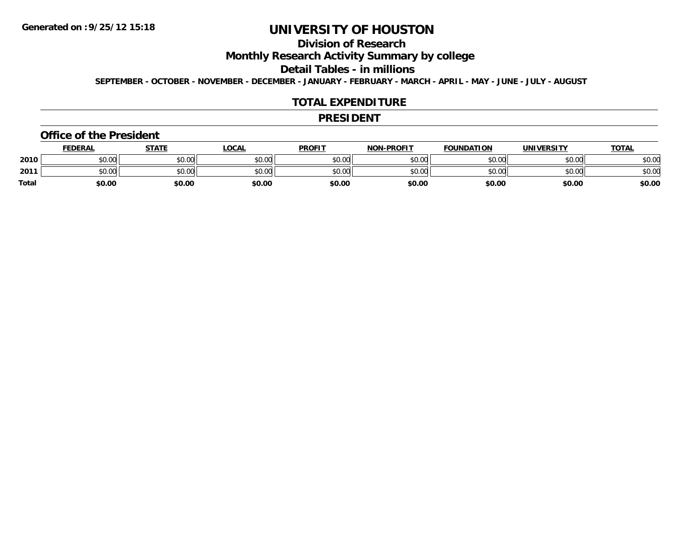# **Division of Research**

**Monthly Research Activity Summary by college**

**Detail Tables - in millions**

**SEPTEMBER - OCTOBER - NOVEMBER - DECEMBER - JANUARY - FEBRUARY - MARCH - APRIL - MAY - JUNE - JULY - AUGUST**

#### **TOTAL EXPENDITURE**

#### **PRESIDENT**

#### **Office of the President**

|              | <b>FEDERAL</b> | <b>STATE</b> | LOCAL  | <b>PROFIT</b> | <b>NON-PROFIT</b> | <b>FOUNDATION</b> | UNIVERSITY | <b>TOTAL</b> |
|--------------|----------------|--------------|--------|---------------|-------------------|-------------------|------------|--------------|
| 2010         | ቀስ ስስ<br>DU.U¢ | \$0.00       | \$0.00 | \$0.00        | \$0.00            | \$0.00            | \$0.00     | \$0.00       |
| 2011         | \$0.00         | \$0.00       | \$0.00 | \$0.00        | \$0.00            | \$0.00            | \$0.00     | \$0.00       |
| <b>Total</b> | \$0.00         | \$0.00       | \$0.00 | \$0.00        | \$0.00            | \$0.00            | \$0.00     | \$0.00       |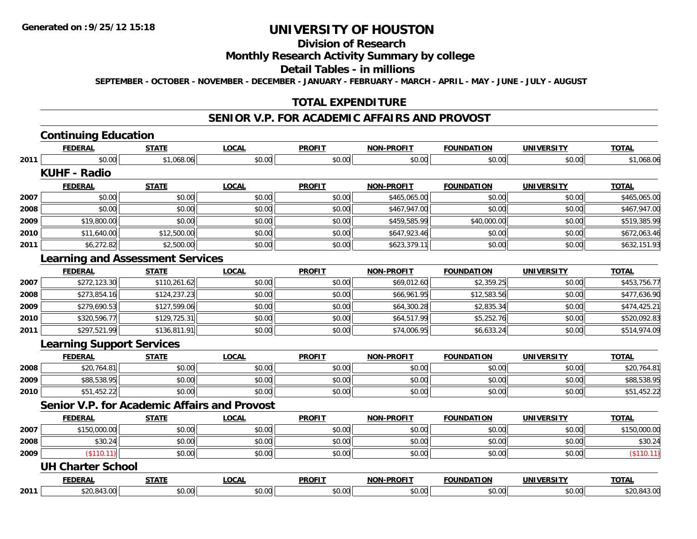# **Division of Research**

#### **Monthly Research Activity Summary by college**

#### **Detail Tables - in millions**

**SEPTEMBER - OCTOBER - NOVEMBER - DECEMBER - JANUARY - FEBRUARY - MARCH - APRIL - MAY - JUNE - JULY - AUGUST**

## **TOTAL EXPENDITURE**

#### **SENIOR V.P. FOR ACADEMIC AFFAIRS AND PROVOST**

# **Continuing Education**

|      | <b>FEDERAL</b>                          | <b>STATE</b> | <b>LOCAL</b>                                 | <b>PROFIT</b> | <b>NON-PROFIT</b> | <b>FOUNDATION</b> | <b>UNIVERSITY</b> | <b>TOTAL</b> |
|------|-----------------------------------------|--------------|----------------------------------------------|---------------|-------------------|-------------------|-------------------|--------------|
| 2011 | \$0.00                                  | \$1,068.06   | \$0.00                                       | \$0.00        | \$0.00            | \$0.00            | \$0.00            | \$1,068.06   |
|      | <b>KUHF - Radio</b>                     |              |                                              |               |                   |                   |                   |              |
|      | <b>FEDERAL</b>                          | <b>STATE</b> | <b>LOCAL</b>                                 | <b>PROFIT</b> | <b>NON-PROFIT</b> | <b>FOUNDATION</b> | <b>UNIVERSITY</b> | <b>TOTAL</b> |
| 2007 | \$0.00                                  | \$0.00       | \$0.00                                       | \$0.00        | \$465,065.00      | \$0.00            | \$0.00            | \$465,065.00 |
| 2008 | \$0.00                                  | \$0.00       | \$0.00                                       | \$0.00        | \$467,947.00      | \$0.00            | \$0.00            | \$467,947.00 |
| 2009 | \$19,800.00                             | \$0.00       | \$0.00                                       | \$0.00        | \$459,585.99      | \$40,000.00       | \$0.00            | \$519,385.99 |
| 2010 | \$11,640.00                             | \$12,500.00  | \$0.00                                       | \$0.00        | \$647,923.46      | \$0.00            | \$0.00            | \$672,063.46 |
| 2011 | \$6,272.82                              | \$2,500.00   | \$0.00                                       | \$0.00        | \$623,379.11      | \$0.00            | \$0.00            | \$632,151.93 |
|      | <b>Learning and Assessment Services</b> |              |                                              |               |                   |                   |                   |              |
|      | <b>FEDERAL</b>                          | <b>STATE</b> | <b>LOCAL</b>                                 | <b>PROFIT</b> | <b>NON-PROFIT</b> | <b>FOUNDATION</b> | <b>UNIVERSITY</b> | <b>TOTAL</b> |
| 2007 | \$272,123.30                            | \$110,261.62 | \$0.00                                       | \$0.00        | \$69,012.60       | \$2,359.25        | \$0.00            | \$453,756.77 |
| 2008 | \$273,854.16                            | \$124,237.23 | \$0.00                                       | \$0.00        | \$66,961.95       | \$12,583.56       | \$0.00            | \$477,636.90 |
| 2009 | \$279,690.53                            | \$127,599.06 | \$0.00                                       | \$0.00        | \$64,300.28       | \$2,835.34        | \$0.00            | \$474,425.21 |
| 2010 | \$320,596.77                            | \$129,725.31 | \$0.00                                       | \$0.00        | \$64,517.99       | \$5,252.76        | \$0.00            | \$520,092.83 |
| 2011 | \$297,521.99                            | \$136,811.91 | \$0.00                                       | \$0.00        | \$74,006.95       | \$6,633.24        | \$0.00            | \$514,974.09 |
|      | <b>Learning Support Services</b>        |              |                                              |               |                   |                   |                   |              |
|      | <b>FEDERAL</b>                          | <b>STATE</b> | <b>LOCAL</b>                                 | <b>PROFIT</b> | <b>NON-PROFIT</b> | <b>FOUNDATION</b> | <b>UNIVERSITY</b> | <b>TOTAL</b> |
| 2008 | \$20,764.81                             | \$0.00       | \$0.00                                       | \$0.00        | \$0.00            | \$0.00            | \$0.00            | \$20,764.81  |
| 2009 | \$88,538.95                             | \$0.00       | \$0.00                                       | \$0.00        | \$0.00            | \$0.00            | \$0.00            | \$88,538.95  |
| 2010 | \$51,452.22                             | \$0.00       | \$0.00                                       | \$0.00        | \$0.00            | \$0.00            | \$0.00            | \$51,452.22  |
|      |                                         |              | Senior V.P. for Academic Affairs and Provost |               |                   |                   |                   |              |
|      | <b>FEDERAL</b>                          | <b>STATE</b> | <b>LOCAL</b>                                 | <b>PROFIT</b> | <b>NON-PROFIT</b> | <b>FOUNDATION</b> | <b>UNIVERSITY</b> | <b>TOTAL</b> |
| 2007 | \$150,000.00                            | \$0.00       | \$0.00                                       | \$0.00        | \$0.00            | \$0.00            | \$0.00            | \$150,000.00 |
| 2008 | \$30.24                                 | \$0.00       | \$0.00                                       | \$0.00        | \$0.00            | \$0.00            | \$0.00            | \$30.24      |
| 2009 | (\$110.11)                              | \$0.00       | \$0.00                                       | \$0.00        | \$0.00            | \$0.00            | \$0.00            | (\$110.11)   |
|      | <b>UH Charter School</b>                |              |                                              |               |                   |                   |                   |              |
|      | <b>FEDERAL</b>                          | <b>STATE</b> | <b>LOCAL</b>                                 | <b>PROFIT</b> | <b>NON-PROFIT</b> | <b>FOUNDATION</b> | <b>UNIVERSITY</b> | <b>TOTAL</b> |
| 2011 | \$20,843.00                             | \$0.00       | \$0.00                                       | \$0.00        | \$0.00            | \$0.00            | \$0.00            | \$20,843.00  |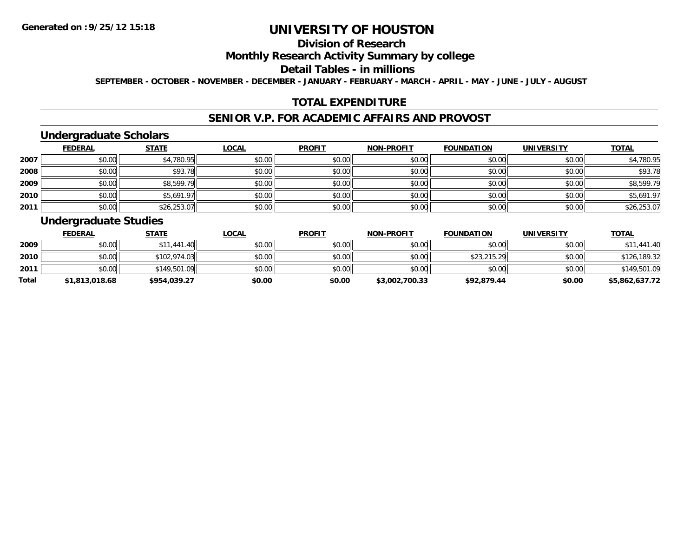## **Division of Research**

## **Monthly Research Activity Summary by college**

#### **Detail Tables - in millions**

**SEPTEMBER - OCTOBER - NOVEMBER - DECEMBER - JANUARY - FEBRUARY - MARCH - APRIL - MAY - JUNE - JULY - AUGUST**

## **TOTAL EXPENDITURE**

#### **SENIOR V.P. FOR ACADEMIC AFFAIRS AND PROVOST**

## **Undergraduate Scholars**

|      | <b>FEDERAL</b> | <b>STATE</b> | <u>LOCAL</u> | <b>PROFIT</b> | <b>NON-PROFIT</b> | <b>FOUNDATION</b> | <b>UNIVERSITY</b> | <b>TOTAL</b> |
|------|----------------|--------------|--------------|---------------|-------------------|-------------------|-------------------|--------------|
| 2007 | \$0.00         | \$4,780.95   | \$0.00       | \$0.00        | \$0.00            | \$0.00            | \$0.00            | \$4,780.95   |
| 2008 | \$0.00         | \$93.78      | \$0.00       | \$0.00        | \$0.00            | \$0.00            | \$0.00            | \$93.78      |
| 2009 | \$0.00         | \$8,599.79   | \$0.00       | \$0.00        | \$0.00            | \$0.00            | \$0.00            | \$8,599.79   |
| 2010 | \$0.00         | \$5,691.97   | \$0.00       | \$0.00        | \$0.00            | \$0.00            | \$0.00            | \$5,691.97   |
| 2011 | \$0.00         | \$26,253.07  | \$0.00       | \$0.00        | \$0.00            | \$0.00            | \$0.00            | \$26,253.07  |

## **Undergraduate Studies**

|              | <b>FEDERAL</b> | <u>STATE</u> | <u>LOCAL</u> | <b>PROFIT</b> | <b>NON-PROFIT</b> | <b>FOUNDATION</b> | UNIVERSITY | <b>TOTAL</b>   |
|--------------|----------------|--------------|--------------|---------------|-------------------|-------------------|------------|----------------|
| 2009         | \$0.00         | \$11,441.40  | \$0.00       | \$0.00        | \$0.00            | \$0.00            | \$0.00     | \$11,441.40    |
| 2010         | \$0.00         | \$102,974.03 | \$0.00       | \$0.00        | \$0.00            | \$23,215.29       | \$0.00     | \$126,189.32   |
| 2011         | \$0.00         | \$149,501.09 | \$0.00       | \$0.00        | \$0.00            | \$0.00            | \$0.00     | \$149,501.09   |
| <b>Total</b> | \$1,813,018.68 | \$954,039.27 | \$0.00       | \$0.00        | \$3,002,700.33    | \$92,879.44       | \$0.00     | \$5,862,637.72 |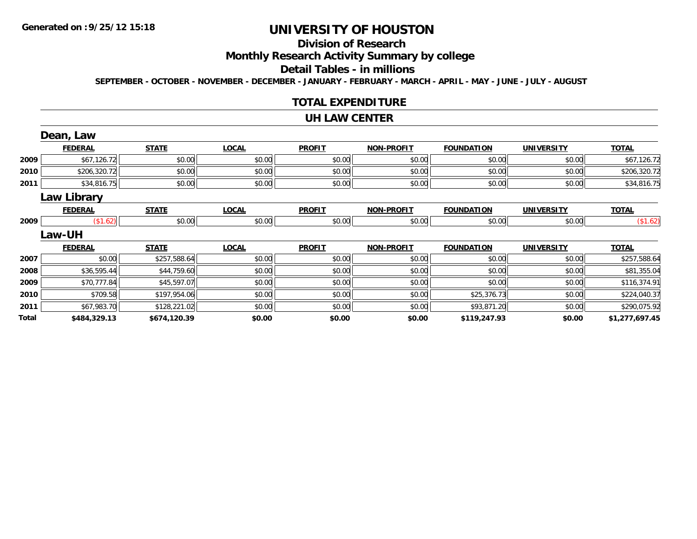# **Division of Research**

# **Monthly Research Activity Summary by college**

#### **Detail Tables - in millions**

**SEPTEMBER - OCTOBER - NOVEMBER - DECEMBER - JANUARY - FEBRUARY - MARCH - APRIL - MAY - JUNE - JULY - AUGUST**

#### **TOTAL EXPENDITURE**

#### **UH LAW CENTER**

|       | Dean, Law          |              |              |               |                   |                   |                   |                |
|-------|--------------------|--------------|--------------|---------------|-------------------|-------------------|-------------------|----------------|
|       | <b>FEDERAL</b>     | <b>STATE</b> | <b>LOCAL</b> | <b>PROFIT</b> | <b>NON-PROFIT</b> | <b>FOUNDATION</b> | <b>UNIVERSITY</b> | <b>TOTAL</b>   |
| 2009  | \$67,126.72        | \$0.00       | \$0.00       | \$0.00        | \$0.00            | \$0.00            | \$0.00            | \$67,126.72    |
| 2010  | \$206,320.72       | \$0.00       | \$0.00       | \$0.00        | \$0.00            | \$0.00            | \$0.00            | \$206,320.72   |
| 2011  | \$34,816.75        | \$0.00       | \$0.00       | \$0.00        | \$0.00            | \$0.00            | \$0.00            | \$34,816.75    |
|       | <b>Law Library</b> |              |              |               |                   |                   |                   |                |
|       | <b>FEDERAL</b>     | <b>STATE</b> | <b>LOCAL</b> | <b>PROFIT</b> | <b>NON-PROFIT</b> | <b>FOUNDATION</b> | <b>UNIVERSITY</b> | <b>TOTAL</b>   |
| 2009  | (\$1.62)           | \$0.00       | \$0.00       | \$0.00        | \$0.00            | \$0.00            | \$0.00            | (\$1.62)       |
|       | Law-UH             |              |              |               |                   |                   |                   |                |
|       | <b>FEDERAL</b>     | <b>STATE</b> | <b>LOCAL</b> | <b>PROFIT</b> | <b>NON-PROFIT</b> | <b>FOUNDATION</b> | <b>UNIVERSITY</b> | <b>TOTAL</b>   |
| 2007  | \$0.00             | \$257,588.64 | \$0.00       | \$0.00        | \$0.00            | \$0.00            | \$0.00            | \$257,588.64   |
| 2008  | \$36,595.44        | \$44,759.60  | \$0.00       | \$0.00        | \$0.00            | \$0.00            | \$0.00            | \$81,355.04    |
| 2009  | \$70,777.84        | \$45,597.07  | \$0.00       | \$0.00        | \$0.00            | \$0.00            | \$0.00            | \$116,374.91   |
| 2010  | \$709.58           | \$197,954.06 | \$0.00       | \$0.00        | \$0.00            | \$25,376.73       | \$0.00            | \$224,040.37   |
| 2011  | \$67,983.70        | \$128,221.02 | \$0.00       | \$0.00        | \$0.00            | \$93,871.20       | \$0.00            | \$290,075.92   |
| Total | \$484,329.13       | \$674,120.39 | \$0.00       | \$0.00        | \$0.00            | \$119,247.93      | \$0.00            | \$1,277,697.45 |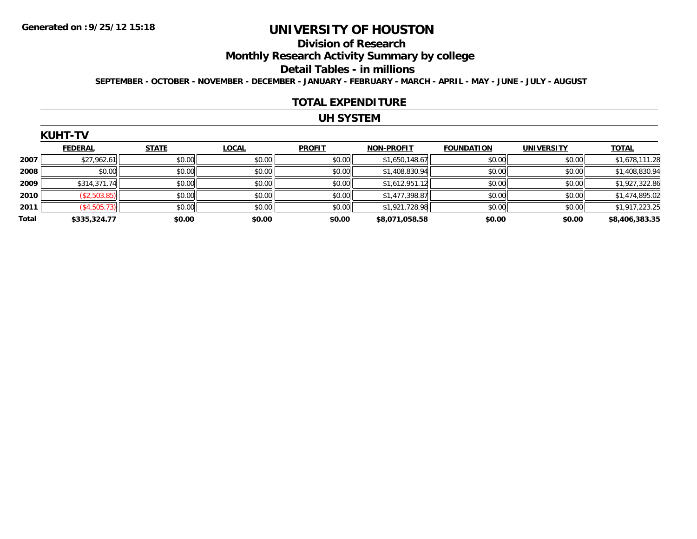#### **Division of Research**

**Monthly Research Activity Summary by college**

#### **Detail Tables - in millions**

**SEPTEMBER - OCTOBER - NOVEMBER - DECEMBER - JANUARY - FEBRUARY - MARCH - APRIL - MAY - JUNE - JULY - AUGUST**

#### **TOTAL EXPENDITURE**

## **UH SYSTEM**

|  | ΙН | r | J |
|--|----|---|---|
|  |    |   |   |

|              | <b>FEDERAL</b> | <b>STATE</b> | LOCAL  | <b>PROFIT</b> | <b>NON-PROFIT</b> | <b>FOUNDATION</b> | <b>UNIVERSITY</b> | <b>TOTAL</b>   |
|--------------|----------------|--------------|--------|---------------|-------------------|-------------------|-------------------|----------------|
| 2007         | \$27,962.61    | \$0.00       | \$0.00 | \$0.00        | \$1,650,148.67    | \$0.00            | \$0.00            | \$1,678,111.28 |
| 2008         | \$0.00         | \$0.00       | \$0.00 | \$0.00        | \$1,408,830.94    | \$0.00            | \$0.00            | \$1,408,830.94 |
| 2009         | \$314,371.74   | \$0.00       | \$0.00 | \$0.00        | \$1,612,951.12    | \$0.00            | \$0.00            | \$1,927,322.86 |
| 2010         | (\$2,503.85)   | \$0.00       | \$0.00 | \$0.00        | \$1,477,398.87    | \$0.00            | \$0.00            | \$1,474,895.02 |
| 2011         | (\$4,505.73)   | \$0.00       | \$0.00 | \$0.00        | \$1,921,728.98    | \$0.00            | \$0.00            | \$1,917,223.25 |
| <b>Total</b> | \$335,324.77   | \$0.00       | \$0.00 | \$0.00        | \$8,071,058.58    | \$0.00            | \$0.00            | \$8,406,383.35 |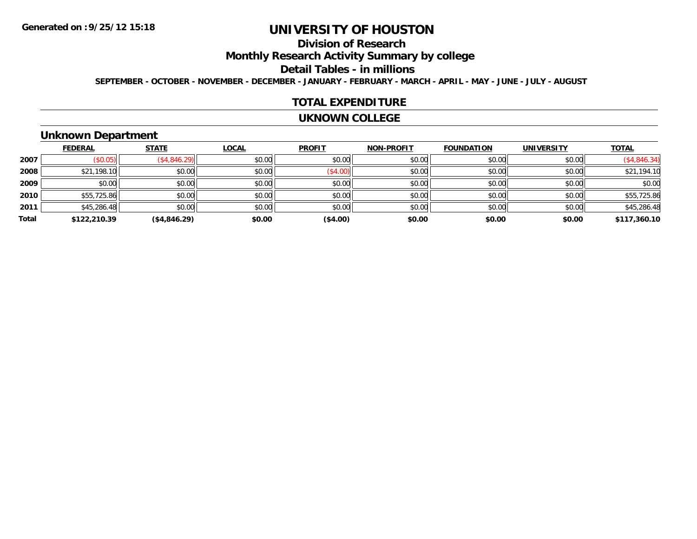# **Division of Research**

**Monthly Research Activity Summary by college**

#### **Detail Tables - in millions**

**SEPTEMBER - OCTOBER - NOVEMBER - DECEMBER - JANUARY - FEBRUARY - MARCH - APRIL - MAY - JUNE - JULY - AUGUST**

#### **TOTAL EXPENDITURE**

#### **UKNOWN COLLEGE**

### **Unknown Department**

|       | <b>FEDERAL</b> | <b>STATE</b> | <b>LOCAL</b> | <b>PROFIT</b> | <b>NON-PROFIT</b> | <b>FOUNDATION</b> | <b>UNIVERSITY</b> | <b>TOTAL</b> |
|-------|----------------|--------------|--------------|---------------|-------------------|-------------------|-------------------|--------------|
| 2007  | \$0.05         | (\$4,846.29) | \$0.00       | \$0.00        | \$0.00            | \$0.00            | \$0.00            | (\$4,846.34) |
| 2008  | \$21,198.10    | \$0.00       | \$0.00       | (\$4.00)      | \$0.00            | \$0.00            | \$0.00            | \$21,194.10  |
| 2009  | \$0.00         | \$0.00       | \$0.00       | \$0.00        | \$0.00            | \$0.00            | \$0.00            | \$0.00       |
| 2010  | \$55,725.86    | \$0.00       | \$0.00       | \$0.00        | \$0.00            | \$0.00            | \$0.00            | \$55,725.86  |
| 2011  | \$45,286.48    | \$0.00       | \$0.00       | \$0.00        | \$0.00            | \$0.00            | \$0.00            | \$45,286.48  |
| Total | \$122,210.39   | (\$4,846.29) | \$0.00       | (\$4.00)      | \$0.00            | \$0.00            | \$0.00            | \$117,360.10 |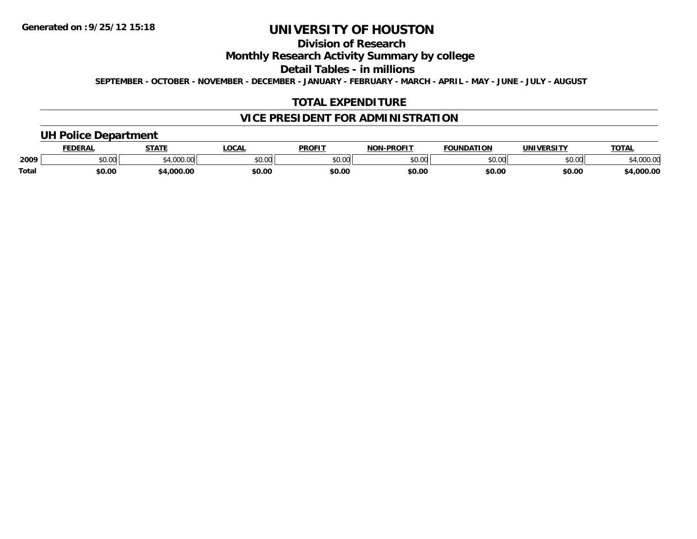# **Division of Research**

## **Monthly Research Activity Summary by college**

**Detail Tables - in millions**

**SEPTEMBER - OCTOBER - NOVEMBER - DECEMBER - JANUARY - FEBRUARY - MARCH - APRIL - MAY - JUNE - JULY - AUGUST**

## **TOTAL EXPENDITURE**

## **VICE PRESIDENT FOR ADMINISTRATION**

## **UH Police Department**

|       | <b>FEDERAI</b> | <b>STATE</b>                     | .OCA               | <b>PROFIT</b> | -PROFIT<br><b>NON</b> | <b>FOUNDATION</b> | <b>UNIVERSITY</b> | TOTA.      |
|-------|----------------|----------------------------------|--------------------|---------------|-----------------------|-------------------|-------------------|------------|
| 2009  | 0000<br>JU.UU  | $\sim$<br>ູູ⊶ ⊤ ,∪∪∪,∪\ <i>⊥</i> | $\sim$ 00<br>DU.UU | \$0.00        | ልስ ሀህ<br>,u.uu        | 0.00٪             | \$0.00            | ,4,000.00  |
| Total | \$0.00         | .000.0                           | \$0.00             | \$0.00        | \$0.00                | \$0.00            | \$0.00            | $+0.00000$ |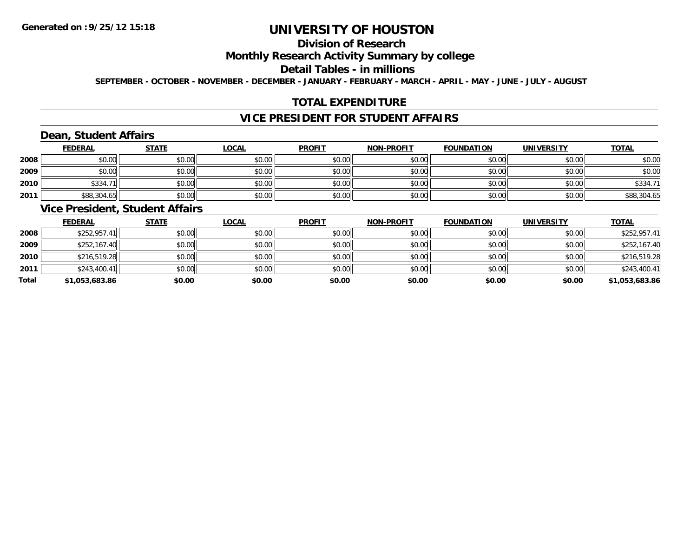# **Division of Research**

#### **Monthly Research Activity Summary by college**

#### **Detail Tables - in millions**

**SEPTEMBER - OCTOBER - NOVEMBER - DECEMBER - JANUARY - FEBRUARY - MARCH - APRIL - MAY - JUNE - JULY - AUGUST**

## **TOTAL EXPENDITURE**

#### **VICE PRESIDENT FOR STUDENT AFFAIRS**

## **Dean, Student Affairs**

|      | <b>FEDERAL</b> | <b>STATE</b> | <u>LOCAL</u> | <b>PROFIT</b> | <b>NON-PROFIT</b> | <b>FOUNDATION</b> | <b>UNIVERSITY</b> | <b>TOTAL</b> |
|------|----------------|--------------|--------------|---------------|-------------------|-------------------|-------------------|--------------|
| 2008 | \$0.00         | \$0.00       | \$0.00       | \$0.00        | \$0.00            | \$0.00            | \$0.00            | \$0.00       |
| 2009 | \$0.00         | \$0.00       | \$0.00       | \$0.00        | \$0.00            | \$0.00            | \$0.00            | \$0.00       |
| 2010 | \$334.71       | \$0.00       | \$0.00       | \$0.00        | \$0.00            | \$0.00            | \$0.00            | \$334.71     |
| 2011 | \$88,304.65    | \$0.00       | \$0.00       | \$0.00        | \$0.00            | \$0.00            | \$0.00            | \$88,304.65  |

#### **Vice President, Student Affairs**

|       | <b>FEDERAL</b> | <u>STATE</u> | <b>LOCAL</b> | <b>PROFIT</b> | <b>NON-PROFIT</b> | <b>FOUNDATION</b> | <b>UNIVERSITY</b> | <b>TOTAL</b>   |
|-------|----------------|--------------|--------------|---------------|-------------------|-------------------|-------------------|----------------|
| 2008  | \$252,957.41   | \$0.00       | \$0.00       | \$0.00        | \$0.00            | \$0.00            | \$0.00            | \$252,957.41   |
| 2009  | \$252,167.40   | \$0.00       | \$0.00       | \$0.00        | \$0.00            | \$0.00            | \$0.00            | \$252,167.40   |
| 2010  | \$216,519.28   | \$0.00       | \$0.00       | \$0.00        | \$0.00            | \$0.00            | \$0.00            | \$216,519.28   |
| 2011  | \$243,400.41   | \$0.00       | \$0.00       | \$0.00        | \$0.00            | \$0.00            | \$0.00            | \$243,400.41   |
| Total | \$1,053,683.86 | \$0.00       | \$0.00       | \$0.00        | \$0.00            | \$0.00            | \$0.00            | \$1,053,683.86 |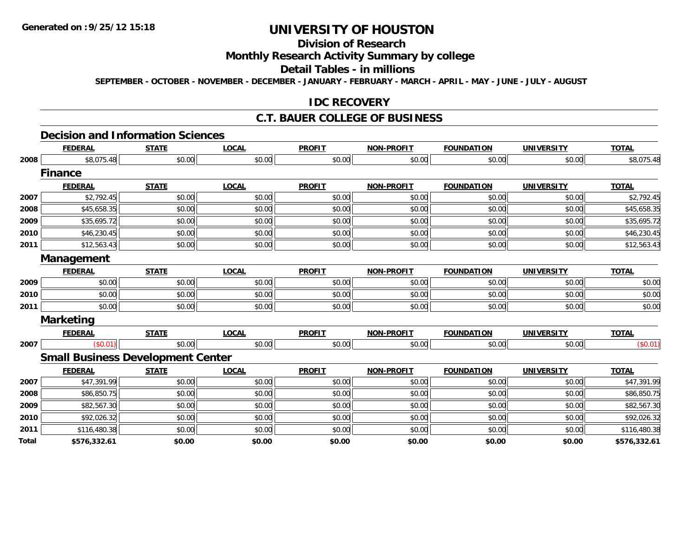# **Division of Research**

## **Monthly Research Activity Summary by college**

#### **Detail Tables - in millions**

**SEPTEMBER - OCTOBER - NOVEMBER - DECEMBER - JANUARY - FEBRUARY - MARCH - APRIL - MAY - JUNE - JULY - AUGUST**

#### **IDC RECOVERY**

# **C.T. BAUER COLLEGE OF BUSINESS**

# **Decision and Information Sciences**

|              | <b>FEDERAL</b>                           | <b>STATE</b> | <b>LOCAL</b> | <b>PROFIT</b> | <b>NON-PROFIT</b> | <b>FOUNDATION</b> | <b>UNIVERSITY</b> | <b>TOTAL</b> |
|--------------|------------------------------------------|--------------|--------------|---------------|-------------------|-------------------|-------------------|--------------|
| 2008         | \$8,075.48                               | \$0.00       | \$0.00       | \$0.00        | \$0.00            | \$0.00            | \$0.00            | \$8,075.48   |
|              | <b>Finance</b>                           |              |              |               |                   |                   |                   |              |
|              | <b>FEDERAL</b>                           | <b>STATE</b> | <b>LOCAL</b> | <b>PROFIT</b> | <b>NON-PROFIT</b> | <b>FOUNDATION</b> | <b>UNIVERSITY</b> | <b>TOTAL</b> |
| 2007         | \$2,792.45                               | \$0.00       | \$0.00       | \$0.00        | \$0.00            | \$0.00            | \$0.00            | \$2,792.45   |
| 2008         | \$45,658.35                              | \$0.00       | \$0.00       | \$0.00        | \$0.00            | \$0.00            | \$0.00            | \$45,658.35  |
| 2009         | \$35,695.72                              | \$0.00       | \$0.00       | \$0.00        | \$0.00            | \$0.00            | \$0.00            | \$35,695.72  |
| 2010         | \$46,230.45                              | \$0.00       | \$0.00       | \$0.00        | \$0.00            | \$0.00            | \$0.00            | \$46,230.45  |
| 2011         | \$12,563.43                              | \$0.00       | \$0.00       | \$0.00        | \$0.00            | \$0.00            | \$0.00            | \$12,563.43  |
|              | Management                               |              |              |               |                   |                   |                   |              |
|              | <b>FEDERAL</b>                           | <b>STATE</b> | <b>LOCAL</b> | <b>PROFIT</b> | <b>NON-PROFIT</b> | <b>FOUNDATION</b> | <b>UNIVERSITY</b> | <b>TOTAL</b> |
| 2009         | \$0.00                                   | \$0.00       | \$0.00       | \$0.00        | \$0.00            | \$0.00            | \$0.00            | \$0.00       |
| 2010         | \$0.00                                   | \$0.00       | \$0.00       | \$0.00        | \$0.00            | \$0.00            | \$0.00            | \$0.00       |
| 2011         | \$0.00                                   | \$0.00       | \$0.00       | \$0.00        | \$0.00            | \$0.00            | \$0.00            | \$0.00       |
|              | <b>Marketing</b>                         |              |              |               |                   |                   |                   |              |
|              | <b>FEDERAL</b>                           | <b>STATE</b> | <b>LOCAL</b> | <b>PROFIT</b> | <b>NON-PROFIT</b> | <b>FOUNDATION</b> | <b>UNIVERSITY</b> | <b>TOTAL</b> |
| 2007         | (\$0.01)                                 | \$0.00       | \$0.00       | \$0.00        | \$0.00            | \$0.00            | \$0.00            | (\$0.01)     |
|              | <b>Small Business Development Center</b> |              |              |               |                   |                   |                   |              |
|              | <b>FEDERAL</b>                           | <b>STATE</b> | <b>LOCAL</b> | <b>PROFIT</b> | <b>NON-PROFIT</b> | <b>FOUNDATION</b> | <b>UNIVERSITY</b> | <b>TOTAL</b> |
| 2007         | \$47,391.99                              | \$0.00       | \$0.00       | \$0.00        | \$0.00            | \$0.00            | \$0.00            | \$47,391.99  |
| 2008         | \$86,850.75                              | \$0.00       | \$0.00       | \$0.00        | \$0.00            | \$0.00            | \$0.00            | \$86,850.75  |
| 2009         | \$82,567.30                              | \$0.00       | \$0.00       | \$0.00        | \$0.00            | \$0.00            | \$0.00            | \$82,567.30  |
| 2010         | \$92,026.32                              | \$0.00       | \$0.00       | \$0.00        | \$0.00            | \$0.00            | \$0.00            | \$92,026.32  |
| 2011         | \$116,480.38                             | \$0.00       | \$0.00       | \$0.00        | \$0.00            | \$0.00            | \$0.00            | \$116,480.38 |
| <b>Total</b> | \$576,332.61                             | \$0.00       | \$0.00       | \$0.00        | \$0.00            | \$0.00            | \$0.00            | \$576,332.61 |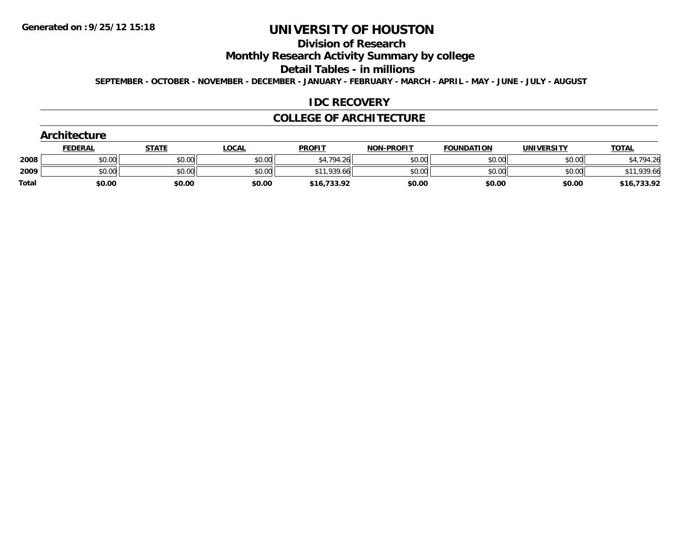# **Division of Research**

**Monthly Research Activity Summary by college**

**Detail Tables - in millions**

**SEPTEMBER - OCTOBER - NOVEMBER - DECEMBER - JANUARY - FEBRUARY - MARCH - APRIL - MAY - JUNE - JULY - AUGUST**

#### **IDC RECOVERY**

#### **COLLEGE OF ARCHITECTURE**

|              | Architecture   |              |              |               |                   |                   |                   |              |  |  |  |
|--------------|----------------|--------------|--------------|---------------|-------------------|-------------------|-------------------|--------------|--|--|--|
|              | <b>FEDERAL</b> | <b>STATE</b> | <u>LOCAL</u> | <b>PROFIT</b> | <b>NON-PROFIT</b> | <b>FOUNDATION</b> | <b>UNIVERSITY</b> | <b>TOTAL</b> |  |  |  |
| 2008         | \$0.00         | \$0.00       | \$0.00       | \$4,794.26    | \$0.00            | \$0.00            | \$0.00            | ,794.26      |  |  |  |
| 2009         | \$0.00         | \$0.00       | \$0.00       | \$11,939.66   | \$0.00            | \$0.00            | \$0.00            | \$11,939.66  |  |  |  |
| <b>Total</b> | \$0.00         | \$0.00       | \$0.00       | \$16,733.92   | \$0.00            | \$0.00            | \$0.00            | \$16,733.92  |  |  |  |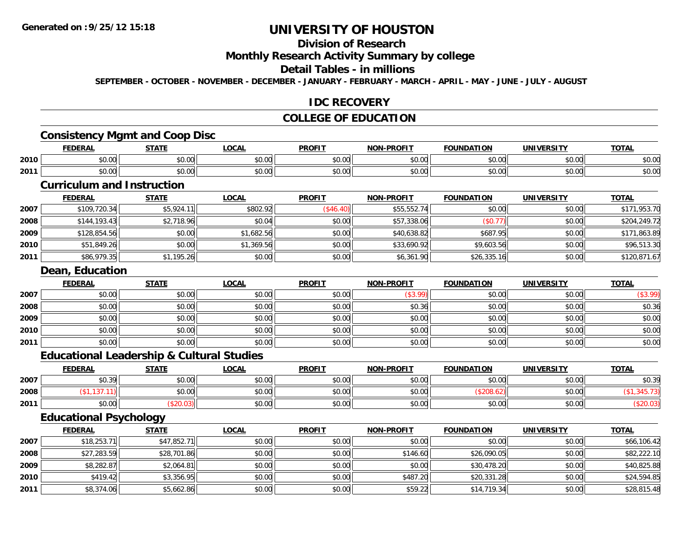# **Division of Research**

#### **Monthly Research Activity Summary by college**

#### **Detail Tables - in millions**

**SEPTEMBER - OCTOBER - NOVEMBER - DECEMBER - JANUARY - FEBRUARY - MARCH - APRIL - MAY - JUNE - JULY - AUGUST**

#### **IDC RECOVERY**

## **COLLEGE OF EDUCATION**

## **Consistency Mgmt and Coop Disc**

|      | `rna<br>╌              | 27.77          | <b>OCAL</b> | <b>PROFIT</b>                  | <b>DDQF17</b><br><b>NION</b> | $\cdots$<br>F∩I<br>NDA<br>ושו            | <b>IBIL</b>               | $T^{\sim}$<br>UIAL |
|------|------------------------|----------------|-------------|--------------------------------|------------------------------|------------------------------------------|---------------------------|--------------------|
| 2010 | $n \cap \neg$<br>DU.UU | ሶስ ሰሰ<br>JU.UU | \$0.00      | 0 <sup>0</sup><br><b>SU.UC</b> | 0000<br>JU.UU                | $\uparrow$ $\uparrow$<br>$\sim$<br>JU.UU | $\sim$ 00<br><b>JU.UU</b> | \$0.00             |
| 2011 | $n \cap \neg$<br>DU.UU | ሶስ ሰሰ<br>JU.UU | \$0.00      | 0000<br><b>SU.UC</b>           | 0000<br>PU.UU                | $\sim$ 00<br>JU.UU                       | $\sim$ 00<br><b>JU.UU</b> | \$0.00             |

## **Curriculum and Instruction**

|      | <b>FEDERAL</b> | <u>STATE</u> | <u>LOCAL</u> | <b>PROFIT</b> | <b>NON-PROFIT</b> | <b>FOUNDATION</b> | <b>UNIVERSITY</b> | <b>TOTAL</b> |
|------|----------------|--------------|--------------|---------------|-------------------|-------------------|-------------------|--------------|
| 2007 | \$109,720.34   | \$5,924.11   | \$802.92     | (\$46.40)     | \$55,552.74       | \$0.00            | \$0.00            | \$171,953.70 |
| 2008 | \$144.193.43   | \$2,718.96   | \$0.04       | \$0.00        | \$57,338.06       | (S0.77)           | \$0.00            | \$204,249.72 |
| 2009 | \$128,854.56   | \$0.00       | \$1,682.56   | \$0.00        | \$40,638.82       | \$687.95          | \$0.00            | \$171,863.89 |
| 2010 | \$51,849.26    | \$0.00       | \$1,369.56   | \$0.00        | \$33,690.92       | \$9,603.56        | \$0.00            | \$96,513.30  |
| 2011 | \$86,979.35    | \$1,195.26   | \$0.00       | \$0.00        | \$6,361.90        | \$26,335.16       | \$0.00            | \$120,871.67 |

## **Dean, Education**

|      | <b>FEDERAL</b> | <b>STATE</b> | <b>LOCAL</b> | <b>PROFIT</b> | <b>NON-PROFIT</b> | <b>FOUNDATION</b> | <b>UNIVERSITY</b> | <b>TOTAL</b> |
|------|----------------|--------------|--------------|---------------|-------------------|-------------------|-------------------|--------------|
| 2007 | \$0.00         | \$0.00       | \$0.00       | \$0.00        | (\$3.99)          | \$0.00            | \$0.00            | (\$3.99)     |
| 2008 | \$0.00         | \$0.00       | \$0.00       | \$0.00        | \$0.36            | \$0.00            | \$0.00            | \$0.36       |
| 2009 | \$0.00         | \$0.00       | \$0.00       | \$0.00        | \$0.00            | \$0.00            | \$0.00            | \$0.00       |
| 2010 | \$0.00         | \$0.00       | \$0.00       | \$0.00        | \$0.00            | \$0.00            | \$0.00            | \$0.00       |
| 2011 | \$0.00         | \$0.00       | \$0.00       | \$0.00        | \$0.00            | \$0.00            | \$0.00            | \$0.00       |

### **Educational Leadership & Cultural Studies**

|      | <b>FEDERAL</b>              | <b>STATE</b>                                            | <b>LOCAL</b>         | <b>PROFIT</b>                                            | <b>NON-PROFIT</b> | <b>FOUNDATION</b> | <b>UNIVERSITY</b> | <b>TOTAL</b> |
|------|-----------------------------|---------------------------------------------------------|----------------------|----------------------------------------------------------|-------------------|-------------------|-------------------|--------------|
| 2007 | $\sim$ $\sim$<br>9 U . J 71 | $\mathfrak{c}\cap\mathfrak{c}\cap\mathfrak{c}$<br>งบ.บบ | 0.00<br>JU.UU        | $\mathfrak{e}\cap\mathfrak{e}\cap$<br>$\psi \cup \ldots$ | \$0.00            | \$0.00            | \$0.00            | \$0.39       |
| 2008 |                             | \$0.00                                                  | 0000<br><b>DU.UU</b> | \$0.00                                                   | \$0.00            |                   | \$0.00            |              |
| 2011 | $\sim$ 00<br>DU.UU          | ט.ט.ט                                                   | \$0.00               | \$0.00                                                   | \$0.00            | \$0.00            | \$0.00            |              |

## **Educational Psychology**

|      | <b>FEDERAL</b> | <u>STATE</u> | <u>LOCAL</u> | <b>PROFIT</b> | <b>NON-PROFIT</b> | <b>FOUNDATION</b> | <b>UNIVERSITY</b> | <b>TOTAL</b> |
|------|----------------|--------------|--------------|---------------|-------------------|-------------------|-------------------|--------------|
| 2007 | \$18,253.71    | \$47,852.71  | \$0.00       | \$0.00        | \$0.00            | \$0.00            | \$0.00            | \$66,106.42  |
| 2008 | \$27,283.59    | \$28,701.86  | \$0.00       | \$0.00        | \$146.60          | \$26,090.05       | \$0.00            | \$82,222.10  |
| 2009 | \$8,282.87     | \$2,064.81   | \$0.00       | \$0.00        | \$0.00            | \$30,478.20       | \$0.00            | \$40,825.88  |
| 2010 | \$419.42       | \$3,356.95   | \$0.00       | \$0.00        | \$487.20          | \$20,331.28       | \$0.00            | \$24,594.85  |
| 2011 | \$8,374.06     | \$5,662.86   | \$0.00       | \$0.00        | \$59.22           | \$14,719.34       | \$0.00            | \$28,815.48  |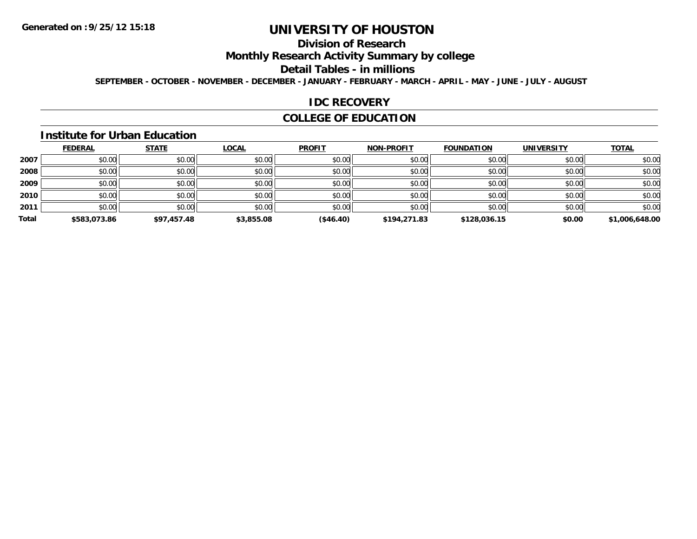# **Division of Research**

**Monthly Research Activity Summary by college**

#### **Detail Tables - in millions**

**SEPTEMBER - OCTOBER - NOVEMBER - DECEMBER - JANUARY - FEBRUARY - MARCH - APRIL - MAY - JUNE - JULY - AUGUST**

#### **IDC RECOVERY**

## **COLLEGE OF EDUCATION**

#### **Institute for Urban Education**

|       | <b>FEDERAL</b> | <b>STATE</b> | <b>LOCAL</b> | <b>PROFIT</b> | <b>NON-PROFIT</b> | <b>FOUNDATION</b> | <b>UNIVERSITY</b> | <b>TOTAL</b>   |
|-------|----------------|--------------|--------------|---------------|-------------------|-------------------|-------------------|----------------|
| 2007  | \$0.00         | \$0.00       | \$0.00       | \$0.00        | \$0.00            | \$0.00            | \$0.00            | \$0.00         |
| 2008  | \$0.00         | \$0.00       | \$0.00       | \$0.00        | \$0.00            | \$0.00            | \$0.00            | \$0.00         |
| 2009  | \$0.00         | \$0.00       | \$0.00       | \$0.00        | \$0.00            | \$0.00            | \$0.00            | \$0.00         |
| 2010  | \$0.00         | \$0.00       | \$0.00       | \$0.00        | \$0.00            | \$0.00            | \$0.00            | \$0.00         |
| 2011  | \$0.00         | \$0.00       | \$0.00       | \$0.00        | \$0.00            | \$0.00            | \$0.00            | \$0.00         |
| Total | \$583,073.86   | \$97,457.48  | \$3,855.08   | (\$46.40)     | \$194,271.83      | \$128,036.15      | \$0.00            | \$1,006,648.00 |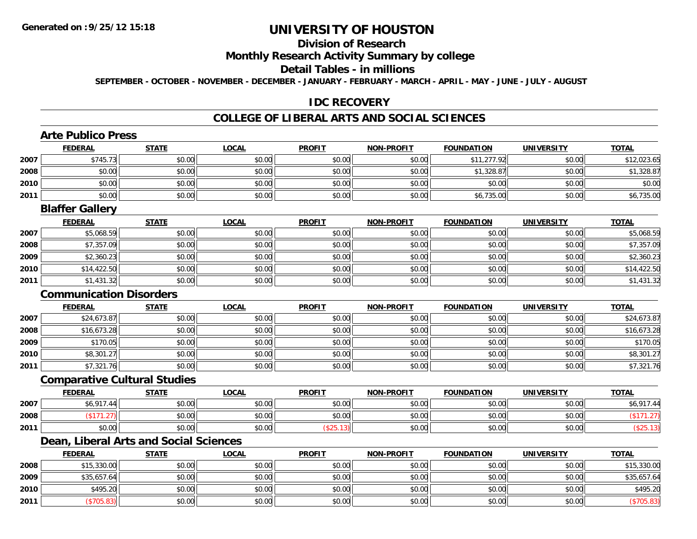# **Division of Research**

## **Monthly Research Activity Summary by college**

#### **Detail Tables - in millions**

**SEPTEMBER - OCTOBER - NOVEMBER - DECEMBER - JANUARY - FEBRUARY - MARCH - APRIL - MAY - JUNE - JULY - AUGUST**

#### **IDC RECOVERY**

#### **COLLEGE OF LIBERAL ARTS AND SOCIAL SCIENCES**

### **Arte Publico Press**

|      | <b>FEDERAL</b>                 | <b>STATE</b>                           | <b>LOCAL</b> | <b>PROFIT</b> | <b>NON-PROFIT</b> | <b>FOUNDATION</b> | <b>UNIVERSITY</b> | <b>TOTAL</b> |
|------|--------------------------------|----------------------------------------|--------------|---------------|-------------------|-------------------|-------------------|--------------|
| 2007 | \$745.73                       | \$0.00                                 | \$0.00       | \$0.00        | \$0.00            | \$11,277.92       | \$0.00            | \$12,023.65  |
| 2008 | \$0.00                         | \$0.00                                 | \$0.00       | \$0.00        | \$0.00            | \$1,328.87        | \$0.00            | \$1,328.87   |
| 2010 | \$0.00                         | \$0.00                                 | \$0.00       | \$0.00        | \$0.00            | \$0.00            | \$0.00            | \$0.00       |
| 2011 | \$0.00                         | \$0.00                                 | \$0.00       | \$0.00        | \$0.00            | \$6,735.00        | \$0.00            | \$6,735.00   |
|      | <b>Blaffer Gallery</b>         |                                        |              |               |                   |                   |                   |              |
|      | <b>FEDERAL</b>                 | <b>STATE</b>                           | <b>LOCAL</b> | <b>PROFIT</b> | <b>NON-PROFIT</b> | <b>FOUNDATION</b> | <b>UNIVERSITY</b> | <b>TOTAL</b> |
| 2007 | \$5,068.59                     | \$0.00                                 | \$0.00       | \$0.00        | \$0.00            | \$0.00            | \$0.00            | \$5,068.59   |
| 2008 | \$7,357.09                     | \$0.00                                 | \$0.00       | \$0.00        | \$0.00            | \$0.00            | \$0.00            | \$7,357.09   |
| 2009 | \$2,360.23                     | \$0.00                                 | \$0.00       | \$0.00        | \$0.00            | \$0.00            | \$0.00            | \$2,360.23   |
| 2010 | \$14,422.50                    | \$0.00                                 | \$0.00       | \$0.00        | \$0.00            | \$0.00            | \$0.00            | \$14,422.50  |
| 2011 | \$1,431.32                     | \$0.00                                 | \$0.00       | \$0.00        | \$0.00            | \$0.00            | \$0.00            | \$1,431.32   |
|      | <b>Communication Disorders</b> |                                        |              |               |                   |                   |                   |              |
|      | <b>FEDERAL</b>                 | <b>STATE</b>                           | <b>LOCAL</b> | <b>PROFIT</b> | <b>NON-PROFIT</b> | <b>FOUNDATION</b> | <b>UNIVERSITY</b> | <b>TOTAL</b> |
| 2007 | \$24,673.87                    | \$0.00                                 | \$0.00       | \$0.00        | \$0.00            | \$0.00            | \$0.00            | \$24,673.87  |
| 2008 | \$16,673.28                    | \$0.00                                 | \$0.00       | \$0.00        | \$0.00            | \$0.00            | \$0.00            | \$16,673.28  |
| 2009 | \$170.05                       | \$0.00                                 | \$0.00       | \$0.00        | \$0.00            | \$0.00            | \$0.00            | \$170.05     |
| 2010 | \$8,301.27                     | \$0.00                                 | \$0.00       | \$0.00        | \$0.00            | \$0.00            | \$0.00            | \$8,301.27   |
| 2011 | \$7,321.76                     | \$0.00                                 | \$0.00       | \$0.00        | \$0.00            | \$0.00            | \$0.00            | \$7,321.76   |
|      |                                | <b>Comparative Cultural Studies</b>    |              |               |                   |                   |                   |              |
|      | <b>FEDERAL</b>                 | <b>STATE</b>                           | <b>LOCAL</b> | <b>PROFIT</b> | <b>NON-PROFIT</b> | <b>FOUNDATION</b> | <b>UNIVERSITY</b> | <b>TOTAL</b> |
| 2007 | \$6,917.44                     | \$0.00                                 | \$0.00       | \$0.00        | \$0.00            | \$0.00            | \$0.00            | \$6,917.44   |
| 2008 | (\$171.27)                     | \$0.00                                 | \$0.00       | \$0.00        | \$0.00            | \$0.00            | \$0.00            | (\$171.27)   |
|      |                                |                                        |              |               |                   |                   |                   |              |
| 2011 | \$0.00                         | \$0.00                                 | \$0.00       | (\$25.13)     | \$0.00            | \$0.00            | \$0.00            | (\$25.13)    |
|      |                                | Dean, Liberal Arts and Social Sciences |              |               |                   |                   |                   |              |

|      | <b>FEDERAL</b> | <u>SIAIL</u> | <u>LUUAL</u> | PRUFII | <b>NUN-PRUFII</b> | <b>FUUNDATIUN</b> | UNIVERSIIY | <u>IUIAL</u> |
|------|----------------|--------------|--------------|--------|-------------------|-------------------|------------|--------------|
| 2008 | \$15,330.00    | \$0.00       | \$0.00       | \$0.00 | \$0.00            | \$0.00            | \$0.00     | \$15,330.00  |
| 2009 | \$35,657.64    | \$0.00       | \$0.00       | \$0.00 | \$0.00            | \$0.00            | \$0.00     | \$35,657.64  |
| 2010 | \$495.20       | \$0.00       | \$0.00       | \$0.00 | \$0.00            | \$0.00            | \$0.00     | \$495.20     |
| 2011 | \$705.83)      | \$0.00       | \$0.00       | \$0.00 | \$0.00            | \$0.00            | \$0.00     | \$705.83)    |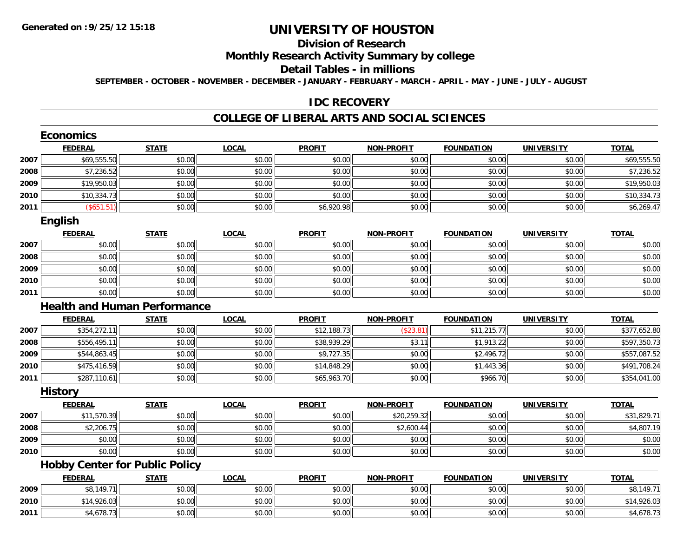# **Division of Research**

## **Monthly Research Activity Summary by college**

#### **Detail Tables - in millions**

**SEPTEMBER - OCTOBER - NOVEMBER - DECEMBER - JANUARY - FEBRUARY - MARCH - APRIL - MAY - JUNE - JULY - AUGUST**

#### **IDC RECOVERY**

#### **COLLEGE OF LIBERAL ARTS AND SOCIAL SCIENCES**

|      | <b>Economics</b>                      |              |              |               |                   |                   |                   |              |
|------|---------------------------------------|--------------|--------------|---------------|-------------------|-------------------|-------------------|--------------|
|      | <b>FEDERAL</b>                        | <b>STATE</b> | <b>LOCAL</b> | <b>PROFIT</b> | <b>NON-PROFIT</b> | <b>FOUNDATION</b> | <b>UNIVERSITY</b> | <b>TOTAL</b> |
| 2007 | \$69,555.50                           | \$0.00       | \$0.00       | \$0.00        | \$0.00            | \$0.00            | \$0.00            | \$69,555.50  |
| 2008 | \$7,236.52                            | \$0.00       | \$0.00       | \$0.00        | \$0.00            | \$0.00            | \$0.00            | \$7,236.52   |
| 2009 | \$19,950.03                           | \$0.00       | \$0.00       | \$0.00        | \$0.00            | \$0.00            | \$0.00            | \$19,950.03  |
| 2010 | \$10,334.73                           | \$0.00       | \$0.00       | \$0.00        | \$0.00            | \$0.00            | \$0.00            | \$10,334.73  |
| 2011 | (\$651.51)                            | \$0.00       | \$0.00       | \$6,920.98    | \$0.00            | \$0.00            | \$0.00            | \$6,269.47   |
|      | <b>English</b>                        |              |              |               |                   |                   |                   |              |
|      | <b>FEDERAL</b>                        | <b>STATE</b> | <b>LOCAL</b> | <b>PROFIT</b> | <b>NON-PROFIT</b> | <b>FOUNDATION</b> | <b>UNIVERSITY</b> | <b>TOTAL</b> |
| 2007 | \$0.00                                | \$0.00       | \$0.00       | \$0.00        | \$0.00            | \$0.00            | \$0.00            | \$0.00       |
| 2008 | \$0.00                                | \$0.00       | \$0.00       | \$0.00        | \$0.00            | \$0.00            | \$0.00            | \$0.00       |
| 2009 | \$0.00                                | \$0.00       | \$0.00       | \$0.00        | \$0.00            | \$0.00            | \$0.00            | \$0.00       |
| 2010 | \$0.00                                | \$0.00       | \$0.00       | \$0.00        | \$0.00            | \$0.00            | \$0.00            | \$0.00       |
| 2011 | \$0.00                                | \$0.00       | \$0.00       | \$0.00        | \$0.00            | \$0.00            | \$0.00            | \$0.00       |
|      | <b>Health and Human Performance</b>   |              |              |               |                   |                   |                   |              |
|      | <b>FEDERAL</b>                        | <b>STATE</b> | <b>LOCAL</b> | <b>PROFIT</b> | <b>NON-PROFIT</b> | <b>FOUNDATION</b> | <b>UNIVERSITY</b> | <b>TOTAL</b> |
| 2007 | \$354,272.11                          | \$0.00       | \$0.00       | \$12,188.73   | (\$23.81)         | \$11,215.77       | \$0.00            | \$377,652.80 |
| 2008 | \$556,495.11                          | \$0.00       | \$0.00       | \$38,939.29   | \$3.11            | \$1,913.22        | \$0.00            | \$597,350.73 |
| 2009 | \$544,863.45                          | \$0.00       | \$0.00       | \$9,727.35    | \$0.00            | \$2,496.72        | \$0.00            | \$557,087.52 |
| 2010 | \$475,416.59                          | \$0.00       | \$0.00       | \$14,848.29   | \$0.00            | \$1,443.36        | \$0.00            | \$491,708.24 |
| 2011 | \$287,110.61                          | \$0.00       | \$0.00       | \$65,963.70   | \$0.00            | \$966.70          | \$0.00            | \$354,041.00 |
|      | <b>History</b>                        |              |              |               |                   |                   |                   |              |
|      | <b>FEDERAL</b>                        | <b>STATE</b> | <b>LOCAL</b> | <b>PROFIT</b> | <b>NON-PROFIT</b> | <b>FOUNDATION</b> | <b>UNIVERSITY</b> | <b>TOTAL</b> |
| 2007 | \$11,570.39                           | \$0.00       | \$0.00       | \$0.00        | \$20,259.32       | \$0.00            | \$0.00            | \$31,829.71  |
| 2008 | \$2,206.75                            | \$0.00       | \$0.00       | \$0.00        | \$2,600.44        | \$0.00            | \$0.00            | \$4,807.19   |
| 2009 | \$0.00                                | \$0.00       | \$0.00       | \$0.00        | \$0.00            | \$0.00            | \$0.00            | \$0.00       |
| 2010 | \$0.00                                | \$0.00       | \$0.00       | \$0.00        | \$0.00            | \$0.00            | \$0.00            | \$0.00       |
|      | <b>Hobby Center for Public Policy</b> |              |              |               |                   |                   |                   |              |
|      | <b>FEDERAL</b>                        | <b>STATE</b> | <b>LOCAL</b> | <b>PROFIT</b> | <b>NON-PROFIT</b> | <b>FOUNDATION</b> | <b>UNIVERSITY</b> | <b>TOTAL</b> |
| 2009 | \$8,149.71                            | \$0.00       | \$0.00       | \$0.00        | \$0.00            | \$0.00            | \$0.00            | \$8,149.71   |
| 2010 | \$14,926.03                           | \$0.00       | \$0.00       | \$0.00        | \$0.00            | \$0.00            | \$0.00            | \$14,926.03  |
| 2011 | \$4,678.73                            | \$0.00       | \$0.00       | \$0.00        | \$0.00            | \$0.00            | \$0.00            | \$4,678.73   |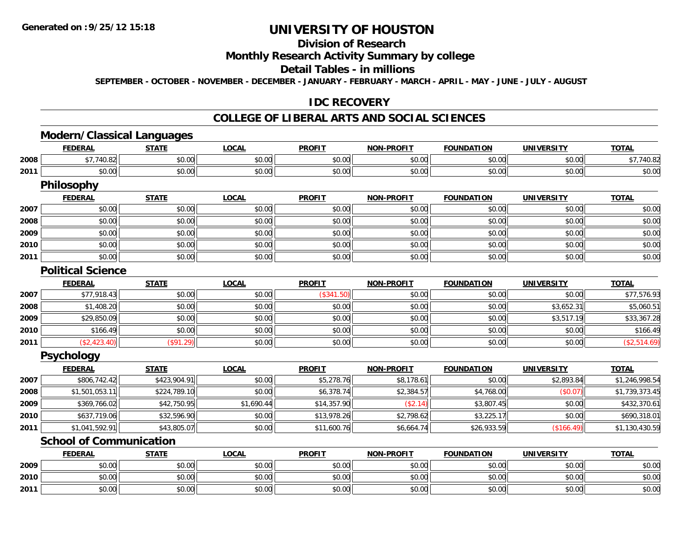**2010**

**2011**

# **UNIVERSITY OF HOUSTON**

# **Division of Research**

## **Monthly Research Activity Summary by college**

## **Detail Tables - in millions**

**SEPTEMBER - OCTOBER - NOVEMBER - DECEMBER - JANUARY - FEBRUARY - MARCH - APRIL - MAY - JUNE - JULY - AUGUST**

### **IDC RECOVERY**

#### **COLLEGE OF LIBERAL ARTS AND SOCIAL SCIENCES**

# **Modern/Classical Languages**

|      | <b>FEDERAL</b>                 | <b>STATE</b> | <b>LOCAL</b> | <b>PROFIT</b> | <b>NON-PROFIT</b> | <b>FOUNDATION</b> | <b>UNIVERSITY</b> | <b>TOTAL</b>   |
|------|--------------------------------|--------------|--------------|---------------|-------------------|-------------------|-------------------|----------------|
| 2008 | \$7,740.82                     | \$0.00       | \$0.00       | \$0.00        | \$0.00            | \$0.00            | \$0.00            | \$7,740.82     |
| 2011 | \$0.00                         | \$0.00       | \$0.00       | \$0.00        | \$0.00            | \$0.00            | \$0.00            | \$0.00         |
|      | Philosophy                     |              |              |               |                   |                   |                   |                |
|      | <b>FEDERAL</b>                 | <b>STATE</b> | <b>LOCAL</b> | <b>PROFIT</b> | <b>NON-PROFIT</b> | <b>FOUNDATION</b> | <b>UNIVERSITY</b> | <b>TOTAL</b>   |
| 2007 | \$0.00                         | \$0.00       | \$0.00       | \$0.00        | \$0.00            | \$0.00            | \$0.00            | \$0.00         |
| 2008 | \$0.00                         | \$0.00       | \$0.00       | \$0.00        | \$0.00            | \$0.00            | \$0.00            | \$0.00         |
| 2009 | \$0.00                         | \$0.00       | \$0.00       | \$0.00        | \$0.00            | \$0.00            | \$0.00            | \$0.00         |
| 2010 | \$0.00                         | \$0.00       | \$0.00       | \$0.00        | \$0.00            | \$0.00            | \$0.00            | \$0.00         |
| 2011 | \$0.00                         | \$0.00       | \$0.00       | \$0.00        | \$0.00            | \$0.00            | \$0.00            | \$0.00         |
|      | <b>Political Science</b>       |              |              |               |                   |                   |                   |                |
|      | <b>FEDERAL</b>                 | <b>STATE</b> | <b>LOCAL</b> | <b>PROFIT</b> | <b>NON-PROFIT</b> | <b>FOUNDATION</b> | <b>UNIVERSITY</b> | <b>TOTAL</b>   |
| 2007 | \$77,918.43                    | \$0.00       | \$0.00       | (\$341.50)    | \$0.00            | \$0.00            | \$0.00            | \$77,576.93    |
| 2008 | \$1,408.20                     | \$0.00       | \$0.00       | \$0.00        | \$0.00            | \$0.00            | \$3,652.31        | \$5,060.51     |
| 2009 | \$29,850.09                    | \$0.00       | \$0.00       | \$0.00        | \$0.00            | \$0.00            | \$3,517.19        | \$33,367.28    |
| 2010 | \$166.49                       | \$0.00       | \$0.00       | \$0.00        | \$0.00            | \$0.00            | \$0.00            | \$166.49       |
| 2011 | (\$2,423.40)                   | (\$91.29)    | \$0.00       | \$0.00        | \$0.00            | \$0.00            | \$0.00            | (\$2,514.69)   |
|      | <b>Psychology</b>              |              |              |               |                   |                   |                   |                |
|      | <b>FEDERAL</b>                 | <b>STATE</b> | <b>LOCAL</b> | <b>PROFIT</b> | <b>NON-PROFIT</b> | <b>FOUNDATION</b> | <b>UNIVERSITY</b> | <b>TOTAL</b>   |
| 2007 | \$806,742.42                   | \$423,904.91 | \$0.00       | \$5,278.76    | \$8,178.61        | \$0.00            | \$2,893.84        | \$1,246,998.54 |
| 2008 | \$1,501,053.11                 | \$224,789.10 | \$0.00       | \$6,378.74    | \$2,384.57        | \$4,768.00        | (\$0.07)          | \$1,739,373.45 |
| 2009 | \$369,766.02                   | \$42,750.95  | \$1,690.44   | \$14,357.90   | (\$2.14)          | \$3,807.45        | \$0.00            | \$432,370.61   |
| 2010 | \$637,719.06                   | \$32,596.90  | \$0.00       | \$13,978.26   | \$2,798.62        | \$3,225.17        | \$0.00            | \$690,318.01   |
| 2011 | \$1,041,592.91                 | \$43,805.07  | \$0.00       | \$11,600.76   | \$6,664.74        | \$26,933.59       | (\$166.49)        | \$1,130,430.59 |
|      | <b>School of Communication</b> |              |              |               |                   |                   |                   |                |
|      | <b>FEDERAL</b>                 | <b>STATE</b> | <b>LOCAL</b> | <b>PROFIT</b> | <b>NON-PROFIT</b> | <b>FOUNDATION</b> | <b>UNIVERSITY</b> | <b>TOTAL</b>   |
| 2009 | \$0.00                         | \$0.00       | \$0.00       | \$0.00        | \$0.00            | \$0.00            | \$0.00            | \$0.00         |

0 \$0.00 \$0.00 \$0.00 \$0.00 \$0.00 \$0.00 \$0.00 \$0.00 \$0.00 \$0.00 \$0.00 \$0.00 \$0.00 \$0.00 \$0.00 \$0.00 \$0.00 \$0.00

\$0.00 \$0.00 \$0.00 \$0.00 \$0.00 \$0.00 \$0.00 \$0.00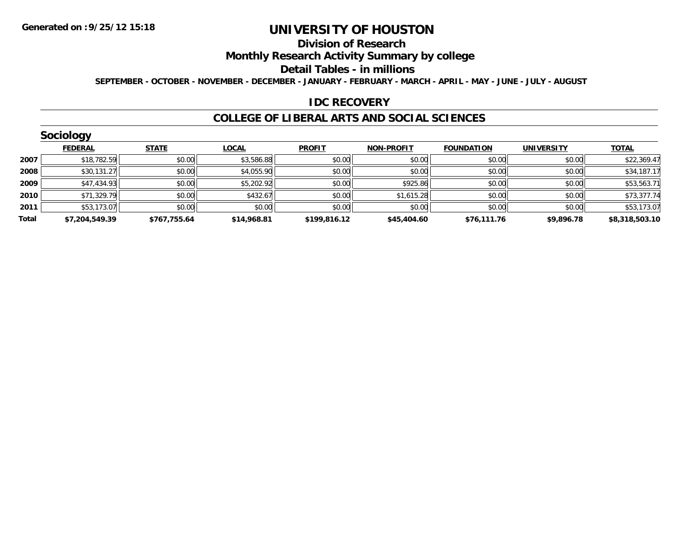#### **Division of Research**

## **Monthly Research Activity Summary by college**

#### **Detail Tables - in millions**

**SEPTEMBER - OCTOBER - NOVEMBER - DECEMBER - JANUARY - FEBRUARY - MARCH - APRIL - MAY - JUNE - JULY - AUGUST**

#### **IDC RECOVERY**

#### **COLLEGE OF LIBERAL ARTS AND SOCIAL SCIENCES**

|       | Sociology      |              |              |               |                   |                   |                   |                |  |  |  |  |  |
|-------|----------------|--------------|--------------|---------------|-------------------|-------------------|-------------------|----------------|--|--|--|--|--|
|       | <b>FEDERAL</b> | <b>STATE</b> | <b>LOCAL</b> | <b>PROFIT</b> | <b>NON-PROFIT</b> | <b>FOUNDATION</b> | <b>UNIVERSITY</b> | <b>TOTAL</b>   |  |  |  |  |  |
| 2007  | \$18,782.59    | \$0.00       | \$3,586.88   | \$0.00        | \$0.00            | \$0.00            | \$0.00            | \$22,369.47    |  |  |  |  |  |
| 2008  | \$30,131.27    | \$0.00       | \$4,055.90   | \$0.00        | \$0.00            | \$0.00            | \$0.00            | \$34,187.17    |  |  |  |  |  |
| 2009  | \$47,434.93    | \$0.00       | \$5,202.92   | \$0.00        | \$925.86          | \$0.00            | \$0.00            | \$53,563.71    |  |  |  |  |  |
| 2010  | \$71,329.79    | \$0.00       | \$432.67     | \$0.00        | \$1,615.28        | \$0.00            | \$0.00            | \$73,377.74    |  |  |  |  |  |
| 2011  | \$53,173.07    | \$0.00       | \$0.00       | \$0.00        | \$0.00            | \$0.00            | \$0.00            | \$53,173.07    |  |  |  |  |  |
| Total | \$7,204,549.39 | \$767,755.64 | \$14,968.81  | \$199,816.12  | \$45,404.60       | \$76,111.76       | \$9,896.78        | \$8,318,503.10 |  |  |  |  |  |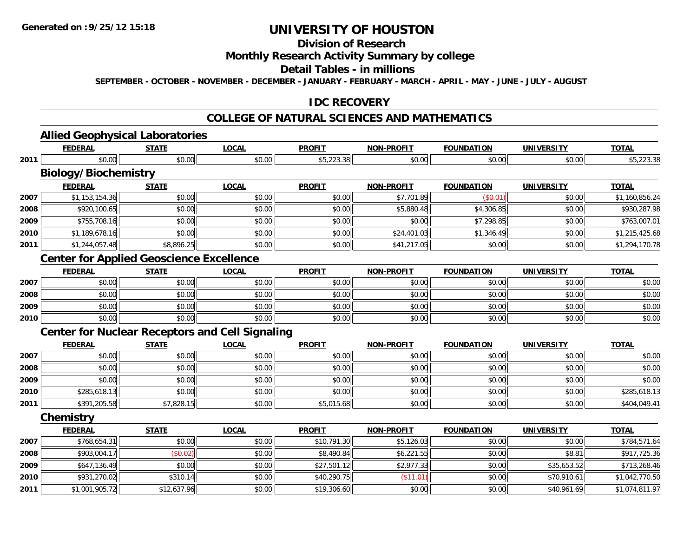**2011**

# **UNIVERSITY OF HOUSTON**

## **Division of Research**

## **Monthly Research Activity Summary by college**

#### **Detail Tables - in millions**

**SEPTEMBER - OCTOBER - NOVEMBER - DECEMBER - JANUARY - FEBRUARY - MARCH - APRIL - MAY - JUNE - JULY - AUGUST**

### **IDC RECOVERY**

#### **COLLEGE OF NATURAL SCIENCES AND MATHEMATICS**

# **Allied Geophysical Laboratories**

|      | <b>FEDERAL</b>              | <b>STATE</b>                                           | <b>LOCAL</b> | <b>PROFIT</b> | <b>NON-PROFIT</b> | <b>FOUNDATION</b> | <b>UNIVERSITY</b> | <b>TOTAL</b>   |
|------|-----------------------------|--------------------------------------------------------|--------------|---------------|-------------------|-------------------|-------------------|----------------|
| 2011 | \$0.00                      | \$0.00                                                 | \$0.00       | \$5,223.38    | \$0.00            | \$0.00            | \$0.00            | \$5,223.38     |
|      | <b>Biology/Biochemistry</b> |                                                        |              |               |                   |                   |                   |                |
|      | <b>FEDERAL</b>              | <b>STATE</b>                                           | <b>LOCAL</b> | <b>PROFIT</b> | <b>NON-PROFIT</b> | <b>FOUNDATION</b> | <b>UNIVERSITY</b> | <b>TOTAL</b>   |
| 2007 | \$1,153,154.36              | \$0.00                                                 | \$0.00       | \$0.00        | \$7,701.89        | (\$0.01)          | \$0.00            | \$1,160,856.24 |
| 2008 | \$920,100.65                | \$0.00                                                 | \$0.00       | \$0.00        | \$5,880.48        | \$4,306.85        | \$0.00            | \$930,287.98   |
| 2009 | \$755,708.16                | \$0.00                                                 | \$0.00       | \$0.00        | \$0.00            | \$7,298.85        | \$0.00            | \$763,007.01   |
| 2010 | \$1,189,678.16              | \$0.00                                                 | \$0.00       | \$0.00        | \$24,401.03       | \$1,346.49        | \$0.00            | \$1,215,425.68 |
| 2011 | \$1,244,057.48              | \$8,896.25                                             | \$0.00       | \$0.00        | \$41,217.05       | \$0.00            | \$0.00            | \$1,294,170.78 |
|      |                             | <b>Center for Applied Geoscience Excellence</b>        |              |               |                   |                   |                   |                |
|      | <b>FEDERAL</b>              | <b>STATE</b>                                           | <b>LOCAL</b> | <b>PROFIT</b> | <b>NON-PROFIT</b> | <b>FOUNDATION</b> | <b>UNIVERSITY</b> | <b>TOTAL</b>   |
| 2007 | \$0.00                      | \$0.00                                                 | \$0.00       | \$0.00        | \$0.00            | \$0.00            | \$0.00            | \$0.00         |
| 2008 | \$0.00                      | \$0.00                                                 | \$0.00       | \$0.00        | \$0.00            | \$0.00            | \$0.00            | \$0.00         |
| 2009 | \$0.00                      | \$0.00                                                 | \$0.00       | \$0.00        | \$0.00            | \$0.00            | \$0.00            | \$0.00         |
| 2010 | \$0.00                      | \$0.00                                                 | \$0.00       | \$0.00        | \$0.00            | \$0.00            | \$0.00            | \$0.00         |
|      |                             | <b>Center for Nuclear Receptors and Cell Signaling</b> |              |               |                   |                   |                   |                |
|      | <b>FEDERAL</b>              | <b>STATE</b>                                           | <b>LOCAL</b> | <b>PROFIT</b> | <b>NON-PROFIT</b> | <b>FOUNDATION</b> | <b>UNIVERSITY</b> | <b>TOTAL</b>   |
| 2007 | \$0.00                      | \$0.00                                                 | \$0.00       | \$0.00        | \$0.00            | \$0.00            | \$0.00            | \$0.00         |
| 2008 | \$0.00                      | \$0.00                                                 | \$0.00       | \$0.00        | \$0.00            | \$0.00            | \$0.00            | \$0.00         |
| 2009 | \$0.00                      | \$0.00                                                 | \$0.00       | \$0.00        | \$0.00            | \$0.00            | \$0.00            | \$0.00         |
| 2010 | \$285,618.13                | \$0.00                                                 | \$0.00       | \$0.00        | \$0.00            | \$0.00            | \$0.00            | \$285,618.13   |
| 2011 | \$391,205.58                | \$7,828.15                                             | \$0.00       | \$5,015.68    | \$0.00            | \$0.00            | \$0.00            | \$404,049.41   |
|      | Chemistry                   |                                                        |              |               |                   |                   |                   |                |
|      | <b>FEDERAL</b>              | <b>STATE</b>                                           | <b>LOCAL</b> | <b>PROFIT</b> | <b>NON-PROFIT</b> | <b>FOUNDATION</b> | <b>UNIVERSITY</b> | <b>TOTAL</b>   |
| 2007 | \$768,654.31                | \$0.00                                                 | \$0.00       | \$10,791.30   | \$5,126.03        | \$0.00            | \$0.00            | \$784,571.64   |
| 2008 | \$903,004.17                | (\$0.02)                                               | \$0.00       | \$8,490.84    | \$6,221.55        | \$0.00            | \$8.81            | \$917,725.36   |
| 2009 | \$647,136.49                | \$0.00                                                 | \$0.00       | \$27,501.12   | \$2,977.33        | \$0.00            | \$35,653.52       | \$713,268.46   |
| 2010 | \$931,270.02                | \$310.14                                               | \$0.00       | \$40,290.75   | (\$11.01)         | \$0.00            | \$70,910.61       | \$1,042,770.50 |

\$1,001,905.72 \$12,637.96 \$0.00 \$19,306.60 \$0.00 \$0.00 \$40,961.69 \$1,074,811.97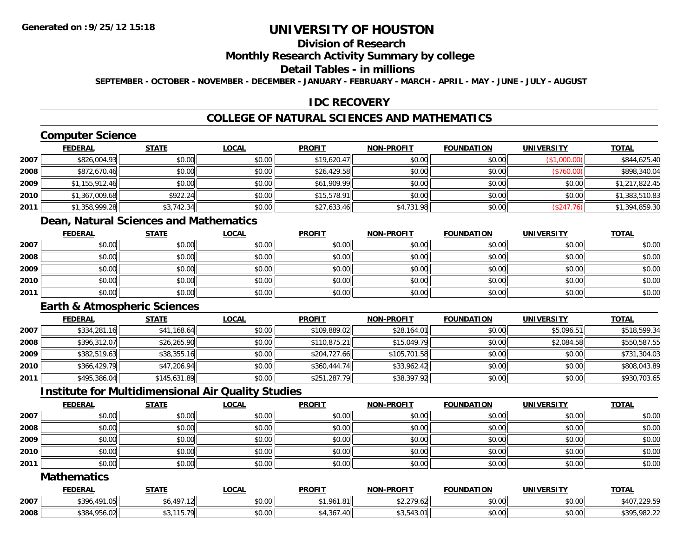# **Division of Research**

#### **Monthly Research Activity Summary by college**

#### **Detail Tables - in millions**

**SEPTEMBER - OCTOBER - NOVEMBER - DECEMBER - JANUARY - FEBRUARY - MARCH - APRIL - MAY - JUNE - JULY - AUGUST**

## **IDC RECOVERY**

# **COLLEGE OF NATURAL SCIENCES AND MATHEMATICS**

# **Computer Science**

|      | <b>FEDERAL</b> | <b>STATE</b> | <u>LOCAL</u> | <b>PROFIT</b> | <b>NON-PROFIT</b> | <b>FOUNDATION</b> | <b>UNIVERSITY</b> | <b>TOTAL</b>   |
|------|----------------|--------------|--------------|---------------|-------------------|-------------------|-------------------|----------------|
| 2007 | \$826,004.93   | \$0.00       | \$0.00       | \$19,620.47   | \$0.00            | \$0.00            | (\$1,000.00)      | \$844,625.40   |
| 2008 | \$872,670.46   | \$0.00       | \$0.00       | \$26,429.58   | \$0.00            | \$0.00            | (\$760.00)        | \$898,340.04   |
| 2009 | \$1,155,912.46 | \$0.00       | \$0.00       | \$61,909.99   | \$0.00            | \$0.00            | \$0.00            | \$1,217,822.45 |
| 2010 | \$1,367,009.68 | \$922.24     | \$0.00       | \$15,578.91   | \$0.00            | \$0.00            | \$0.00            | \$1,383,510.83 |
| 2011 | \$1,358,999.28 | \$3,742.34   | \$0.00       | \$27,633.46   | \$4,731.98        | \$0.00            | (\$247.76)        | \$1,394,859.30 |

# **Dean, Natural Sciences and Mathematics**

|      | <b>FEDERAL</b> | <b>STATE</b> | <b>LOCAL</b> | <b>PROFIT</b> | <b>NON-PROFIT</b> | <b>FOUNDATION</b> | <b>UNIVERSITY</b> | <b>TOTAL</b> |
|------|----------------|--------------|--------------|---------------|-------------------|-------------------|-------------------|--------------|
| 2007 | \$0.00         | \$0.00       | \$0.00       | \$0.00        | \$0.00            | \$0.00            | \$0.00            | \$0.00       |
| 2008 | \$0.00         | \$0.00       | \$0.00       | \$0.00        | \$0.00            | \$0.00            | \$0.00            | \$0.00       |
| 2009 | \$0.00         | \$0.00       | \$0.00       | \$0.00        | \$0.00            | \$0.00            | \$0.00            | \$0.00       |
| 2010 | \$0.00         | \$0.00       | \$0.00       | \$0.00        | \$0.00            | \$0.00            | \$0.00            | \$0.00       |
| 2011 | \$0.00         | \$0.00       | \$0.00       | \$0.00        | \$0.00            | \$0.00            | \$0.00            | \$0.00       |

## **Earth & Atmospheric Sciences**

|      | <b>FEDERAL</b> | <b>STATE</b> | <u>LOCAL</u> | <b>PROFIT</b> | <b>NON-PROFIT</b> | <b>FOUNDATION</b> | <b>UNIVERSITY</b> | <b>TOTAL</b> |
|------|----------------|--------------|--------------|---------------|-------------------|-------------------|-------------------|--------------|
| 2007 | \$334,281.16   | \$41,168.64  | \$0.00       | \$109,889.02  | \$28,164.01       | \$0.00            | \$5,096.51        | \$518,599.34 |
| 2008 | \$396,312.07   | \$26,265.90  | \$0.00       | \$110,875.21  | \$15,049.79       | \$0.00            | \$2,084.58        | \$550,587.55 |
| 2009 | \$382,519.63   | \$38,355.16  | \$0.00       | \$204,727.66  | \$105,701.58      | \$0.00            | \$0.00            | \$731,304.03 |
| 2010 | \$366,429.79   | \$47,206.94  | \$0.00       | \$360,444.74  | \$33,962.42       | \$0.00            | \$0.00            | \$808,043.89 |
| 2011 | \$495,386.04   | \$145,631.89 | \$0.00       | \$251,287.79  | \$38,397.92       | \$0.00            | \$0.00            | \$930,703.65 |

## **Institute for Multidimensional Air Quality Studies**

|      | <b>FEDERAL</b> | <u>STATE</u> | <u>LOCAL</u> | <b>PROFIT</b> | <b>NON-PROFIT</b> | <b>FOUNDATION</b> | <b>UNIVERSITY</b> | <b>TOTAL</b> |
|------|----------------|--------------|--------------|---------------|-------------------|-------------------|-------------------|--------------|
| 2007 | \$0.00         | \$0.00       | \$0.00       | \$0.00        | \$0.00            | \$0.00            | \$0.00            | \$0.00       |
| 2008 | \$0.00         | \$0.00       | \$0.00       | \$0.00        | \$0.00            | \$0.00            | \$0.00            | \$0.00       |
| 2009 | \$0.00         | \$0.00       | \$0.00       | \$0.00        | \$0.00            | \$0.00            | \$0.00            | \$0.00       |
| 2010 | \$0.00         | \$0.00       | \$0.00       | \$0.00        | \$0.00            | \$0.00            | \$0.00            | \$0.00       |
| 2011 | \$0.00         | \$0.00       | \$0.00       | \$0.00        | \$0.00            | \$0.00            | \$0.00            | \$0.00       |

### **Mathematics**

|      | <b>FEDERAL</b>                              | <b>STATE</b> | <b>LOCAL</b>                 | <b>PROFIT</b> | <b>NON-PROFIT</b>               | <b>FOUNDATION</b> | <b>UNIVERSITY</b> | <b>TOTAL</b>            |
|------|---------------------------------------------|--------------|------------------------------|---------------|---------------------------------|-------------------|-------------------|-------------------------|
| 2007 | $\sim$ $1010^{-1}$<br>\$306<br>. U<br>ט / ט | \$6,497      | ስ ለሰ<br>PU.UU                | \$1,961.81    | 0.220<br><u>, u</u><br>. 7.0211 | \$0.00            | \$0.00            | 2225<br>\$40.<br>5.427. |
| 2008 | \$384,956<br>$\sim$<br>900.UZ               | 2257<br>.    | <b>ተገ</b><br>$\cap$<br>JU.UU | .367          | $AD$ $A2$ $DA$                  | \$0.00            | \$0.00            | \$395,982.22            |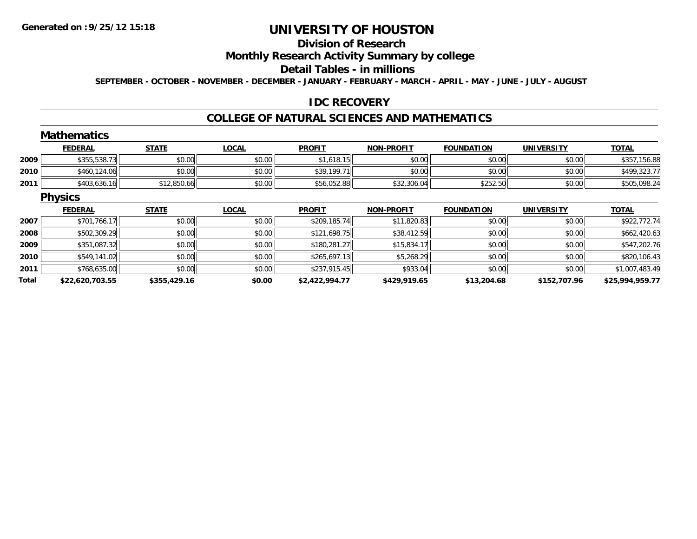#### **Division of Research**

#### **Monthly Research Activity Summary by college**

### **Detail Tables - in millions**

**SEPTEMBER - OCTOBER - NOVEMBER - DECEMBER - JANUARY - FEBRUARY - MARCH - APRIL - MAY - JUNE - JULY - AUGUST**

### **IDC RECOVERY**

### **COLLEGE OF NATURAL SCIENCES AND MATHEMATICS**

#### **MathematicsFEDERAL STATE LOCAL PROFIT NON-PROFIT FOUNDATION UNIVERSITY TOTALTOTAL 20099** \$355,538.73 \$0.00 \$0.00 \$0.00 \$0.00 \$0.00 \$1,618.15 \$1,618.15 \$0.00 \$0.00 \$0.00 \$0.00 \$0.00 \$357,156.88 **2010**0 \$460,124.06 \$100,00 \$0.00 \$0.00 \$0.00 \$0.00 \$0.00 \$39,199.71 \$0.00 \$0.00 \$0.00 \$0.00 \$0.00 \$499,323.77 **2011** \$403,636.16 \$12,850.66 \$0.00 \$56,052.88 \$32,306.04 \$252.50 \$0.00 \$505,098.24 **Physics FEDERAL STATE LOCAL PROFIT NON-PROFIT FOUNDATION UNIVERSITY TOTALTOTAL 20077** \$701,766.17 \$0.00 \$0.00 \$0.00 \$0.00 \$0.00 \$209,185.74 \$11,820.83 \$11,820.83 \$0.00 \$0.00 \$0.00 \$922,772.74 **2008**8 \$502,309.29 \$0.00 \$0.00 \$0.00 \$0.00 \$121,698.75 \$38,412.59 \$38,412.59 \$0.00 \$0.00 \$0.00 \$662,420.63 **20099** \$351,087.32 \$0.00 \$0.00 \$0.00 \$0.00 \$0.00 \$180,281.27 \$15,834.17 \$15,834.17 \$0.00 \$0.00 \$0.00 \$547,202.76 **2010** \$549,141.02 \$0.00 \$0.00 \$265,697.13 \$5,268.29 \$0.00 \$0.00 \$820,106.43 **2011** \$768,635.00 \$0.00 \$0.00 \$237,915.45 \$933.04 \$0.00 \$0.00 \$1,007,483.49 **Total\$22,620,703.55 \$355,429.16 \$0.00 \$2,422,994.77 \$429,919.65 \$13,204.68 \$152,707.96 \$25,994,959.77**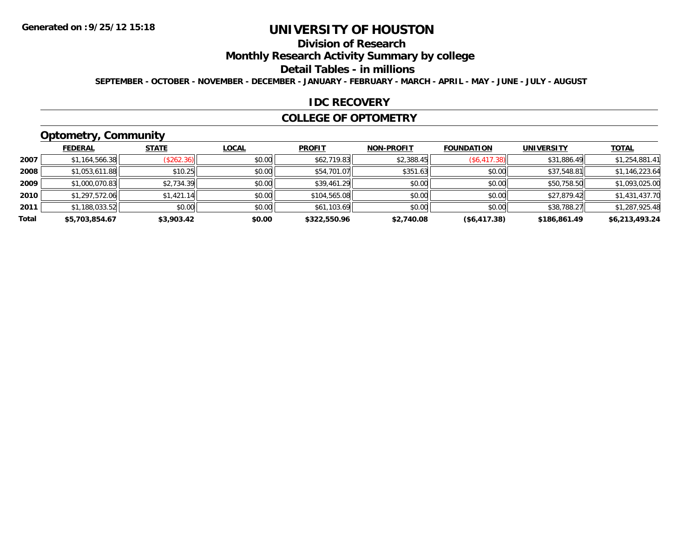# **Division of Research**

**Monthly Research Activity Summary by college**

#### **Detail Tables - in millions**

**SEPTEMBER - OCTOBER - NOVEMBER - DECEMBER - JANUARY - FEBRUARY - MARCH - APRIL - MAY - JUNE - JULY - AUGUST**

#### **IDC RECOVERY**

#### **COLLEGE OF OPTOMETRY**

# **Optometry, Community**

|       | .              |              |              |               |                   |                   |                   |                |
|-------|----------------|--------------|--------------|---------------|-------------------|-------------------|-------------------|----------------|
|       | <b>FEDERAL</b> | <b>STATE</b> | <b>LOCAL</b> | <b>PROFIT</b> | <b>NON-PROFIT</b> | <b>FOUNDATION</b> | <b>UNIVERSITY</b> | <b>TOTAL</b>   |
| 2007  | \$1,164,566.38 | (\$262.36)   | \$0.00       | \$62,719.83   | \$2,388.45        | $(\$6,417.38)$    | \$31,886.49       | \$1,254,881.41 |
| 2008  | \$1,053,611.88 | \$10.25      | \$0.00       | \$54,701.07   | \$351.63          | \$0.00            | \$37,548.81       | \$1,146,223.64 |
| 2009  | \$1,000,070.83 | \$2,734.39   | \$0.00       | \$39,461.29   | \$0.00            | \$0.00            | \$50,758.50       | \$1,093,025.00 |
| 2010  | \$1,297,572.06 | \$1,421.14   | \$0.00       | \$104,565.08  | \$0.00            | \$0.00            | \$27,879.42       | \$1,431,437.70 |
| 2011  | \$1,188,033.52 | \$0.00       | \$0.00       | \$61,103.69   | \$0.00            | \$0.00            | \$38,788.27       | \$1,287,925.48 |
| Total | \$5,703,854.67 | \$3,903.42   | \$0.00       | \$322,550.96  | \$2,740.08        | (\$6,417.38)      | \$186,861.49      | \$6,213,493.24 |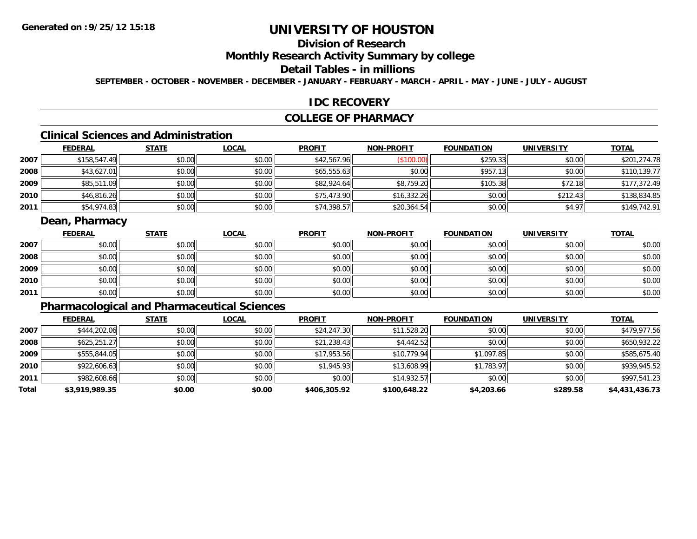# **Division of Research**

## **Monthly Research Activity Summary by college**

## **Detail Tables - in millions**

**SEPTEMBER - OCTOBER - NOVEMBER - DECEMBER - JANUARY - FEBRUARY - MARCH - APRIL - MAY - JUNE - JULY - AUGUST**

#### **IDC RECOVERY**

### **COLLEGE OF PHARMACY**

# **Clinical Sciences and Administration**

|      | <b>FEDERAL</b> | <b>STATE</b> | <b>LOCAL</b> | <b>PROFIT</b> | <b>NON-PROFIT</b> | <b>FOUNDATION</b> | <b>UNIVERSITY</b> | <b>TOTAL</b> |
|------|----------------|--------------|--------------|---------------|-------------------|-------------------|-------------------|--------------|
| 2007 | \$158,547.49   | \$0.00       | \$0.00       | \$42,567.96   | (\$100.00)        | \$259.33          | \$0.00            | \$201,274.78 |
| 2008 | \$43,627.01    | \$0.00       | \$0.00       | \$65,555.63   | \$0.00            | \$957.13          | \$0.00            | \$110,139.77 |
| 2009 | \$85,511.09    | \$0.00       | \$0.00       | \$82,924.64   | \$8,759.20        | \$105.38          | \$72.18           | \$177,372.49 |
| 2010 | \$46,816.26    | \$0.00       | \$0.00       | \$75,473.90   | \$16,332.26       | \$0.00            | \$212.43          | \$138,834.85 |
| 2011 | \$54,974.83    | \$0.00       | \$0.00       | \$74,398.57   | \$20,364.54       | \$0.00            | \$4.97            | \$149,742.91 |

## **Dean, Pharmacy**

|      | <b>FEDERAL</b> | <b>STATE</b> | <u>LOCAL</u> | <b>PROFIT</b> | <b>NON-PROFIT</b> | <b>FOUNDATION</b> | <b>UNIVERSITY</b> | <b>TOTAL</b> |
|------|----------------|--------------|--------------|---------------|-------------------|-------------------|-------------------|--------------|
| 2007 | \$0.00         | \$0.00       | \$0.00       | \$0.00        | \$0.00            | \$0.00            | \$0.00            | \$0.00       |
| 2008 | \$0.00         | \$0.00       | \$0.00       | \$0.00        | \$0.00            | \$0.00            | \$0.00            | \$0.00       |
| 2009 | \$0.00         | \$0.00       | \$0.00       | \$0.00        | \$0.00            | \$0.00            | \$0.00            | \$0.00       |
| 2010 | \$0.00         | \$0.00       | \$0.00       | \$0.00        | \$0.00            | \$0.00            | \$0.00            | \$0.00       |
| 2011 | \$0.00         | \$0.00       | \$0.00       | \$0.00        | \$0.00            | \$0.00            | \$0.00            | \$0.00       |

# **Pharmacological and Pharmaceutical Sciences**

|       | <b>FEDERAL</b> | <b>STATE</b> | <b>LOCAL</b> | <b>PROFIT</b> | <b>NON-PROFIT</b> | <b>FOUNDATION</b> | <b>UNIVERSITY</b> | <u>TOTAL</u>   |
|-------|----------------|--------------|--------------|---------------|-------------------|-------------------|-------------------|----------------|
| 2007  | \$444,202.06   | \$0.00       | \$0.00       | \$24,247.30   | \$11,528.20       | \$0.00            | \$0.00            | \$479,977.56   |
| 2008  | \$625,251.27   | \$0.00       | \$0.00       | \$21,238.43   | \$4,442.52        | \$0.00            | \$0.00            | \$650,932.22   |
| 2009  | \$555,844.05   | \$0.00       | \$0.00       | \$17,953.56   | \$10,779.94       | \$1,097.85        | \$0.00            | \$585,675.40   |
| 2010  | \$922,606.63   | \$0.00       | \$0.00       | \$1,945.93    | \$13,608.99       | \$1,783.97        | \$0.00            | \$939,945.52   |
| 2011  | \$982,608.66   | \$0.00       | \$0.00       | \$0.00        | \$14,932.57       | \$0.00            | \$0.00            | \$997,541.23   |
| Total | \$3,919,989.35 | \$0.00       | \$0.00       | \$406,305.92  | \$100,648.22      | \$4,203.66        | \$289.58          | \$4,431,436.73 |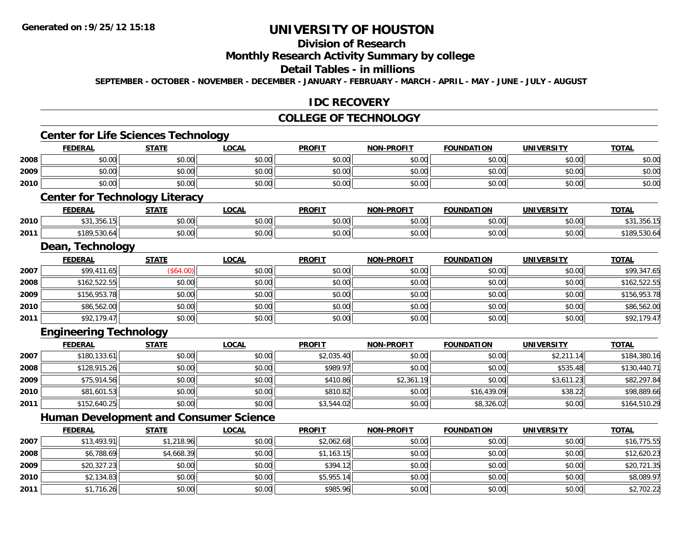**2010**

**2011**

# **UNIVERSITY OF HOUSTON**

### **Division of Research**

#### **Monthly Research Activity Summary by college**

#### **Detail Tables - in millions**

**SEPTEMBER - OCTOBER - NOVEMBER - DECEMBER - JANUARY - FEBRUARY - MARCH - APRIL - MAY - JUNE - JULY - AUGUST**

### **IDC RECOVERY**

#### **COLLEGE OF TECHNOLOGY**

#### **Center for Life Sciences Technology FEDERAL STATE LOCAL PROFIT NON-PROFIT FOUNDATION UNIVERSITY TOTALTOTAL 2008**8 \$0.00 \$0.00 \$0.00 \$0.00 \$0.00 \$0.00 \$0.00 \$0.00 \$0.00 \$0.00 \$0.00 \$0.00 \$0.00 \$0.00 \$0.00 \$0.00 \$0.00 \$0.00 **2009** \$0.00 \$0.00 \$0.00 \$0.00 \$0.00 \$0.00 \$0.00 \$0.00 **2010** $\, \mathsf{0} \, \vert \qquad \qquad \mathsf{0.00} \vert \qquad \qquad \mathsf{0.00} \vert \qquad \qquad \mathsf{0.00} \vert \qquad \qquad \mathsf{0.00} \vert \qquad \qquad \mathsf{0.00} \vert \qquad \qquad \mathsf{0.00} \vert \qquad \qquad \mathsf{0.00} \vert \qquad \qquad \mathsf{0.00} \vert \qquad \qquad \mathsf{0.00} \vert \qquad \qquad \mathsf{0.00} \vert \qquad \qquad \mathsf{0.01} \vert \qquad \qquad \mathsf{0.01} \vert \qquad \$ **Center for Technology Literacy FEDERAL STATE LOCAL PROFIT NON-PROFIT FOUNDATION UNIVERSITY TOTAL2010** $\textsf{[0]} \quad \textsf{[0]} \quad \textsf{[0]} \quad \textsf{[0]} \quad \textsf{[0]} \quad \textsf{[0]} \quad \textsf{[0]} \quad \textsf{[0]} \quad \textsf{[0]} \quad \textsf{[0]} \quad \textsf{[0]} \quad \textsf{[0]} \quad \textsf{[0]} \quad \textsf{[0]} \quad \textsf{[0]} \quad \textsf{[0]} \quad \textsf{[0]} \quad \textsf{[0]} \quad \textsf{[0]} \quad \textsf{[0]} \quad \textsf{[0]} \quad \textsf{[0]} \quad \textsf{[0]} \quad \textsf{[0]} \quad \textsf{$ **2011**1 \$189,530.64 \$0.00 \$0.00 \$0.00 \$0.00 \$0.00 \$0.00 \$0.00 \$0.00 \$0.00 \$0.00 \$189,530.64 **Dean, Technology FEDERAL STATE LOCAL PROFIT NON-PROFIT FOUNDATION UNIVERSITY TOTAL2007**7 | \$99,411.65|| (\$64.00)| \$0.00|| \$0.00|| \$0.00|| \$0.00|| \$0.00|| \$0.00|| \$99,347.65 **2008**8 \$162,522.55 \$162,522.55 \$0.00 \$0.00 \$0.00 \$0.00 \$0.00 \$0.00 \$0.00 \$0.00 \$162,522.55 **2009** \$156,953.78 \$0.00 \$0.00 \$0.00 \$0.00 \$0.00 \$0.00 \$156,953.78 **2010**0 \$86,562.00 \$0.00 \$0.00 \$0.00 \$0.00 \$0.00 \$0.00 \$0.00 \$0.00 \$0.00 \$0.00 \$0.00 \$0.00 \$0.00 \$86,562.00 **2011**1 \$92,179.47 \$0.00 \$0.00 \$0.00 \$0.00 \$0.00 \$0.00 \$0.00 \$0.00 \$0.00 \$0.00 \$0.00 \$0.00 \$92,179.47 **Engineering Technology FEDERAL STATE LOCAL PROFIT NON-PROFIT FOUNDATION UNIVERSITY TOTAL2007** \$180,133.61 \$0.00 \$0.00 \$2,035.40 \$0.00 \$0.00 \$2,211.14 \$184,380.16 **2008**8 \$128,915.26 \$0.00 \$0.00 \$0.00 \$0.00 \$0.00 \$989.97 \$0.00 \$0.00 \$0.00 \$0.00 \$535.48 \$535.48 \$130,440.71 **2009**9 \$10.00 \$75,914.56 \$0.00 \$0.00 \$0.00 \$0.00 \$0.00 \$410.86 \$410.86 \$2,361.19 \$0.00 \$3,611.23 \$82,297.84 **2010** \$81,601.53 \$0.00 \$0.00 \$810.82 \$0.00 \$16,439.09 \$38.22 \$98,889.66 **2011** $\texttt{[1]} \quad \texttt{[1]} \quad \texttt{[1]} \quad \texttt{[1]} \quad \texttt{[1]} \quad \texttt{[1]} \quad \texttt{[1]} \quad \texttt{[1]} \quad \texttt{[1]} \quad \texttt{[1]} \quad \texttt{[1]} \quad \texttt{[1]} \quad \texttt{[1]} \quad \texttt{[1]} \quad \texttt{[1]} \quad \texttt{[1]} \quad \texttt{[1]} \quad \texttt{[1]} \quad \texttt{[1]} \quad \texttt{[1]} \quad \texttt{[1]} \quad \texttt{[1]} \quad \texttt{[1]} \quad \texttt{[1]} \quad \texttt{$ **Human Development and Consumer Science FEDERAL STATE LOCAL PROFIT NON-PROFIT FOUNDATION UNIVERSITY TOTAL2007** \$13,493.91 \$1,218.96 \$0.00 \$2,062.68 \$0.00 \$0.00 \$0.00 \$16,775.55 **2008**8 \$6,788.69 \$4,668.39 \$4,668.39 \$0.00 \$1,163.15 \$1,163.15 \$0.00 \$0.00 \$0.00 \$0.00 \$12,620.23 **2009**9 \$20,327.23|| \$0.00| \$0.00|| \$394.12|| \$0.00| \$0.00| \$0.00|| \$20,721.35

\$2,134.83 \$0.00 \$0.00 \$5,955.14 \$0.00 \$0.00 \$0.00 \$8,089.97

\$1,716.26 \$0.00 \$0.00 \$985.96 \$0.00 \$0.00 \$0.00 \$2,702.22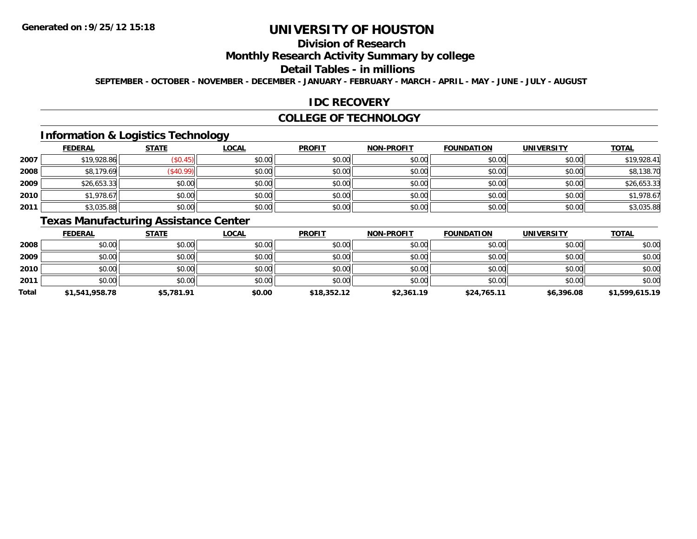# **Division of Research**

## **Monthly Research Activity Summary by college**

#### **Detail Tables - in millions**

**SEPTEMBER - OCTOBER - NOVEMBER - DECEMBER - JANUARY - FEBRUARY - MARCH - APRIL - MAY - JUNE - JULY - AUGUST**

## **IDC RECOVERY**

#### **COLLEGE OF TECHNOLOGY**

## **Information & Logistics Technology**

|      | <b>FEDERAL</b> | <b>STATE</b> | <b>LOCAL</b> | <b>PROFIT</b> | NON-PROFIT | <b>FOUNDATION</b> | <b>UNIVERSITY</b> | <b>TOTAL</b> |
|------|----------------|--------------|--------------|---------------|------------|-------------------|-------------------|--------------|
| 2007 | \$19,928.86    | \$0.45)      | \$0.00       | \$0.00        | \$0.00     | \$0.00            | \$0.00            | \$19,928.41  |
| 2008 | \$8,179.69     | \$40.99      | \$0.00       | \$0.00        | \$0.00     | \$0.00            | \$0.00            | \$8,138.70   |
| 2009 | \$26,653.33    | \$0.00       | \$0.00       | \$0.00        | \$0.00     | \$0.00            | \$0.00            | \$26,653.33  |
| 2010 | \$1,978.67     | \$0.00       | \$0.00       | \$0.00        | \$0.00     | \$0.00            | \$0.00            | \$1,978.67   |
| 2011 | \$3,035.88     | \$0.00       | \$0.00       | \$0.00        | \$0.00     | \$0.00            | \$0.00            | \$3,035.88   |

# **Texas Manufacturing Assistance Center**

|       | <b>FEDERAL</b> | <b>STATE</b> | <u>LOCAL</u> | <b>PROFIT</b> | <b>NON-PROFIT</b> | <b>FOUNDATION</b> | <b>UNIVERSITY</b> | <b>TOTAL</b>   |
|-------|----------------|--------------|--------------|---------------|-------------------|-------------------|-------------------|----------------|
| 2008  | \$0.00         | \$0.00       | \$0.00       | \$0.00        | \$0.00            | \$0.00            | \$0.00            | \$0.00         |
| 2009  | \$0.00         | \$0.00       | \$0.00       | \$0.00        | \$0.00            | \$0.00            | \$0.00            | \$0.00         |
| 2010  | \$0.00         | \$0.00       | \$0.00       | \$0.00        | \$0.00            | \$0.00            | \$0.00            | \$0.00         |
| 2011  | \$0.00         | \$0.00       | \$0.00       | \$0.00        | \$0.00            | \$0.00            | \$0.00            | \$0.00         |
| Total | \$1,541,958.78 | \$5,781.91   | \$0.00       | \$18,352.12   | \$2,361.19        | \$24,765.11       | \$6,396.08        | \$1,599,615.19 |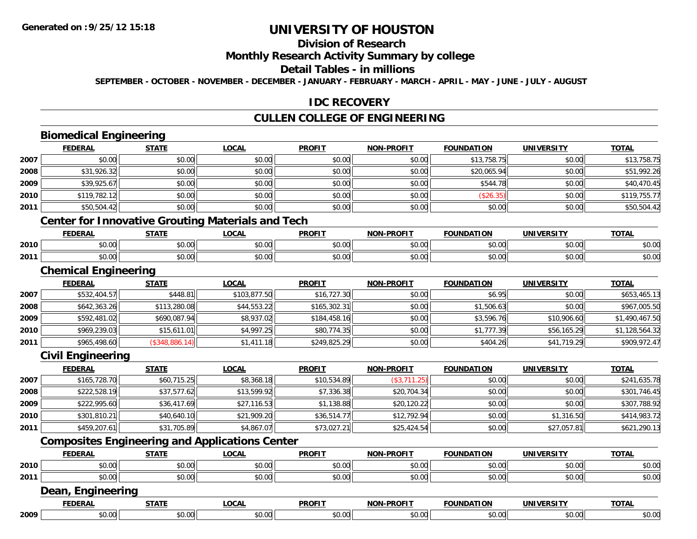# **Division of Research**

#### **Monthly Research Activity Summary by college**

## **Detail Tables - in millions**

**SEPTEMBER - OCTOBER - NOVEMBER - DECEMBER - JANUARY - FEBRUARY - MARCH - APRIL - MAY - JUNE - JULY - AUGUST**

#### **IDC RECOVERY**

# **CULLEN COLLEGE OF ENGINEERING**

# **Biomedical Engineering**

|      | <b>FEDERAL</b>                                           | <b>STATE</b>   | <b>LOCAL</b> | <b>PROFIT</b> | <b>NON-PROFIT</b> | <b>FOUNDATION</b> | <b>UNIVERSITY</b> | <b>TOTAL</b>   |
|------|----------------------------------------------------------|----------------|--------------|---------------|-------------------|-------------------|-------------------|----------------|
| 2007 | \$0.00                                                   | \$0.00         | \$0.00       | \$0.00        | \$0.00            | \$13,758.75       | \$0.00            | \$13,758.75    |
| 2008 | \$31,926.32                                              | \$0.00         | \$0.00       | \$0.00        | \$0.00            | \$20,065.94       | \$0.00            | \$51,992.26    |
| 2009 | \$39,925.67                                              | \$0.00         | \$0.00       | \$0.00        | \$0.00            | \$544.78          | \$0.00            | \$40,470.45    |
| 2010 | \$119,782.12                                             | \$0.00         | \$0.00       | \$0.00        | \$0.00            | (\$26.35)         | \$0.00            | \$119,755.77   |
| 2011 | \$50,504.42                                              | \$0.00         | \$0.00       | \$0.00        | \$0.00            | \$0.00            | \$0.00            | \$50,504.42    |
|      | <b>Center for Innovative Grouting Materials and Tech</b> |                |              |               |                   |                   |                   |                |
|      | <b>FEDERAL</b>                                           | <b>STATE</b>   | <b>LOCAL</b> | <b>PROFIT</b> | <b>NON-PROFIT</b> | <b>FOUNDATION</b> | <b>UNIVERSITY</b> | <b>TOTAL</b>   |
| 2010 | \$0.00                                                   | \$0.00         | \$0.00       | \$0.00        | \$0.00            | \$0.00            | \$0.00            | \$0.00         |
| 2011 | \$0.00                                                   | \$0.00         | \$0.00       | \$0.00        | \$0.00            | \$0.00            | \$0.00            | \$0.00         |
|      | <b>Chemical Engineering</b>                              |                |              |               |                   |                   |                   |                |
|      | <b>FEDERAL</b>                                           | <b>STATE</b>   | <b>LOCAL</b> | <b>PROFIT</b> | <b>NON-PROFIT</b> | <b>FOUNDATION</b> | <b>UNIVERSITY</b> | <b>TOTAL</b>   |
| 2007 | \$532,404.57                                             | \$448.81       | \$103,877.50 | \$16,727.30   | \$0.00            | \$6.95            | \$0.00            | \$653,465.13   |
| 2008 | \$642,363.26                                             | \$113,280.08   | \$44,553.22  | \$165,302.31  | \$0.00            | \$1,506.63        | \$0.00            | \$967,005.50   |
| 2009 | \$592,481.02                                             | \$690,087.94   | \$8,937.02   | \$184,458.16  | \$0.00            | \$3,596.76        | \$10,906.60       | \$1,490,467.50 |
| 2010 | \$969,239.03                                             | \$15,611.01    | \$4,997.25   | \$80,774.35   | \$0.00            | \$1,777.39        | \$56,165.29       | \$1,128,564.32 |
| 2011 | \$965,498.60                                             | (\$348,886.14) | \$1,411.18   | \$249,825.29  | \$0.00            | \$404.26          | \$41,719.29       | \$909,972.47   |
|      | <b>Civil Engineering</b>                                 |                |              |               |                   |                   |                   |                |
|      | <b>FEDERAL</b>                                           | <b>STATE</b>   | <b>LOCAL</b> | <b>PROFIT</b> | <b>NON-PROFIT</b> | <b>FOUNDATION</b> | <b>UNIVERSITY</b> | <b>TOTAL</b>   |
| 2007 | \$165,728.70                                             | \$60,715.25    | \$8,368.18   | \$10,534.89   | (\$3,711.25)      | \$0.00            | \$0.00            | \$241,635.78   |
| 2008 | \$222,528.19                                             | \$37,577.62    | \$13,599.92  | \$7,336.38    | \$20,704.34       | \$0.00            | \$0.00            | \$301,746.45   |
| 2009 | \$222,995.60                                             | \$36,417.69    | \$27,116.53  | \$1,138.88    | \$20,120.22       | \$0.00            | \$0.00            | \$307,788.92   |
| 2010 | \$301,810.21                                             | \$40,640.10    | \$21,909.20  | \$36,514.77   | \$12,792.94       | \$0.00            | \$1,316.50        | \$414,983.72   |
| 2011 | \$459,207.61                                             | \$31,705.89    | \$4,867.07   | \$73,027.21   | \$25,424.54       | \$0.00            | \$27,057.81       | \$621,290.13   |
|      | <b>Composites Engineering and Applications Center</b>    |                |              |               |                   |                   |                   |                |
|      | <b>FEDERAL</b>                                           | <b>STATE</b>   | <b>LOCAL</b> | <b>PROFIT</b> | <b>NON-PROFIT</b> | <b>FOUNDATION</b> | <b>UNIVERSITY</b> | <b>TOTAL</b>   |
| 2010 | \$0.00                                                   | \$0.00         | \$0.00       | \$0.00        | \$0.00            | \$0.00            | \$0.00            | \$0.00         |
| 2011 | \$0.00                                                   | \$0.00         | \$0.00       | \$0.00        | \$0.00            | \$0.00            | \$0.00            | \$0.00         |
|      | Dean, Engineering                                        |                |              |               |                   |                   |                   |                |
|      | <b>FEDERAL</b>                                           | <b>STATE</b>   | <b>LOCAL</b> | <b>PROFIT</b> | <b>NON-PROFIT</b> | <b>FOUNDATION</b> | <b>UNIVERSITY</b> | <b>TOTAL</b>   |
| 2009 | \$0.00                                                   | \$0.00         | \$0.00       | \$0.00        | \$0.00            | \$0.00            | \$0.00            | \$0.00         |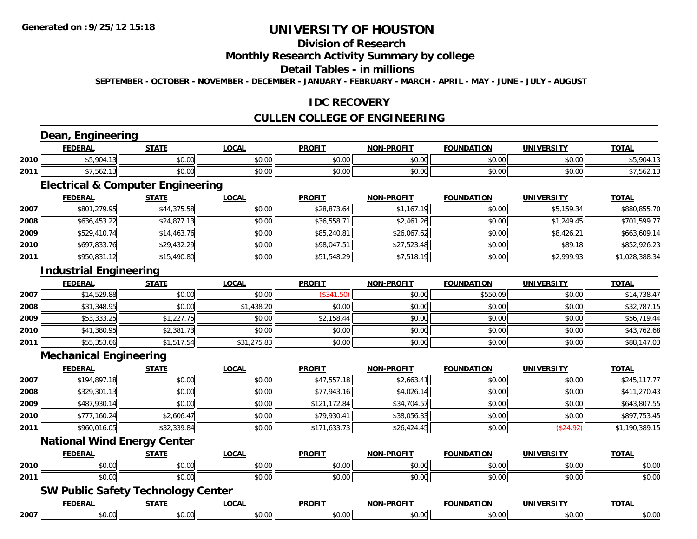# **Division of Research**

#### **Monthly Research Activity Summary by college**

#### **Detail Tables - in millions**

**SEPTEMBER - OCTOBER - NOVEMBER - DECEMBER - JANUARY - FEBRUARY - MARCH - APRIL - MAY - JUNE - JULY - AUGUST**

## **IDC RECOVERY**

# **CULLEN COLLEGE OF ENGINEERING**

## **Dean, Engineering**

|      | <b>ERAI</b>         | 27.77          | <b>OCAL</b>        | <b>PROFIT</b> | <b>M-PROF!</b><br>NON                  | וסו<br>DА              | IINIVE             | <b>TOTA</b> |
|------|---------------------|----------------|--------------------|---------------|----------------------------------------|------------------------|--------------------|-------------|
| 2010 | 45.901<br>7 U       | ሶስ ሰሰ<br>JU.UU | $\sim$ 00<br>vu.vu | 0000<br>vv.v  | $\sim$ 00<br>pu.uu                     | $\sim$ $\sim$<br>vv.vv | 0000<br>vv.vv      |             |
| 2011 | $- - - - -$<br>∠סכ. | 0000<br>vu.uu  | 0000<br>vv.vv      | 0000<br>vv.v  | $\mathbb{R}^n$ $\mathbb{R}^n$<br>vv.vv | $\sim$ 00<br>vv.vv     | $\sim$ 00<br>vu.vu |             |

<u> 1989 - Andrea Station Barbara, amerikan personal (h. 1989).</u>

<u> 1980 - Johann Barbara, martxa amerikan bashkar (</u>

# **Electrical & Computer Engineering**

|      | <b>FEDERAL</b> | <u>STATE</u> | <u>LOCAL</u> | <b>PROFIT</b> | <b>NON-PROFIT</b> | <b>FOUNDATION</b> | <b>UNIVERSITY</b> | <u>TOTAL</u>   |
|------|----------------|--------------|--------------|---------------|-------------------|-------------------|-------------------|----------------|
| 2007 | \$801,279.95   | \$44,375.58  | \$0.00       | \$28,873.64   | \$1,167.19        | \$0.00            | \$5,159.34        | \$880,855.70   |
| 2008 | \$636,453.22   | \$24,877.13  | \$0.00       | \$36,558.71   | \$2,461.26        | \$0.00            | \$1,249.45        | \$701,599.77   |
| 2009 | \$529,410.74   | \$14,463.76  | \$0.00       | \$85,240.81   | \$26,067.62       | \$0.00            | \$8,426.21        | \$663,609.14   |
| 2010 | \$697,833.76   | \$29,432.29  | \$0.00       | \$98,047.51   | \$27,523.48       | \$0.00            | \$89.18           | \$852,926.23   |
| 2011 | \$950,831.12   | \$15,490.80  | \$0.00       | \$51,548.29   | \$7,518.19        | \$0.00            | \$2,999.93        | \$1,028,388.34 |

#### **Industrial Engineering**

|      | <b>FEDERAL</b> | <b>STATE</b> | <u>LOCAL</u> | <b>PROFIT</b> | <b>NON-PROFIT</b> | <b>FOUNDATION</b> | <b>UNIVERSITY</b> | <b>TOTAL</b> |
|------|----------------|--------------|--------------|---------------|-------------------|-------------------|-------------------|--------------|
| 2007 | \$14,529.88    | \$0.00       | \$0.00       | \$341.50      | \$0.00            | \$550.09          | \$0.00            | \$14,738.47  |
| 2008 | \$31,348.95    | \$0.00       | \$1,438.20   | \$0.00        | \$0.00            | \$0.00            | \$0.00            | \$32,787.15  |
| 2009 | \$53,333.25    | \$1,227.75   | \$0.00       | \$2,158.44    | \$0.00            | \$0.00            | \$0.00            | \$56,719.44  |
| 2010 | \$41,380.95    | \$2,381.73   | \$0.00       | \$0.00        | \$0.00            | \$0.00            | \$0.00            | \$43,762.68  |
| 2011 | \$55,353.66    | \$1,517.54   | \$31,275.83  | \$0.00        | \$0.00            | \$0.00            | \$0.00            | \$88,147.03  |

#### **Mechanical Engineering**

|      | <b>FEDERAL</b> | <b>STATE</b> | <u>LOCAL</u> | <b>PROFIT</b> | <b>NON-PROFIT</b> | <b>FOUNDATION</b> | <b>UNIVERSITY</b> | <b>TOTAL</b>   |
|------|----------------|--------------|--------------|---------------|-------------------|-------------------|-------------------|----------------|
| 2007 | \$194,897.18   | \$0.00       | \$0.00       | \$47,557.18   | \$2,663.41        | \$0.00            | \$0.00            | \$245,117.77   |
| 2008 | \$329,301.13   | \$0.00       | \$0.00       | \$77,943.16   | \$4,026.14        | \$0.00            | \$0.00            | \$411,270.43   |
| 2009 | \$487,930.14   | \$0.00       | \$0.00       | \$121,172.84  | \$34,704.57       | \$0.00            | \$0.00            | \$643,807.55   |
| 2010 | \$777,160.24   | \$2,606.47   | \$0.00       | \$79.930.41   | \$38,056.33       | \$0.00            | \$0.00            | \$897,753.45   |
| 2011 | \$960,016.05   | \$32,339.84  | \$0.00       | \$171,633.73  | \$26,424.45       | \$0.00            | (\$24.92)         | \$1,190,389.15 |

## **National Wind Energy Center**

|      | <b>FEDERAL</b> | <b>CTATE</b><br>1. H   | .OCAI          | <b>PROFIT</b> | <b>-PROFIT</b><br><b>NION</b> | <b>FOUNDATION</b> | UNIVERSITY          | <b>TOTAL</b> |
|------|----------------|------------------------|----------------|---------------|-------------------------------|-------------------|---------------------|--------------|
| 2010 | 0000<br>טט.טע  | $\overline{a}$<br>וטט. | ሐሴ ሰሰ<br>JU.UU | 50.00         | $\sim$ $\sim$<br>JU.UL        | 0000<br>∪.∪∪      | $\sim$ 00<br>J.UUII | \$0.00       |
| 2011 | 0000<br>ט.טע   | $\sim$ 00<br>וטטוע     | ሶስ ሰሰ<br>JU.UU | \$0.00        | \$0.00                        | \$0.00            | \$0.00              | \$0.00       |

<u> 1989 - Johann Stoff, deutscher Stoffen und der Stoffen und der Stoffen und der Stoffen und der Stoffen und der</u>

#### **SW Public Safety Technology Center**

|      | <b>EENEDA</b>           | -----                 | $\sim$ $\sim$ $\sim$<br>ותי | <b>DDAEL</b> | .<br>הרוח | "NDA.      | 11                 | .<br>$\mathbf{v}$ |
|------|-------------------------|-----------------------|-----------------------------|--------------|-----------|------------|--------------------|-------------------|
| 2007 | 0 <sup>0</sup><br>JU.UV | $\sim$ $\sim$<br>ט.טע |                             |              | $\sim$    | $\sim$ 0.0 | $\sim$ 00<br>vv.vv | 0.00<br>JU.UU     |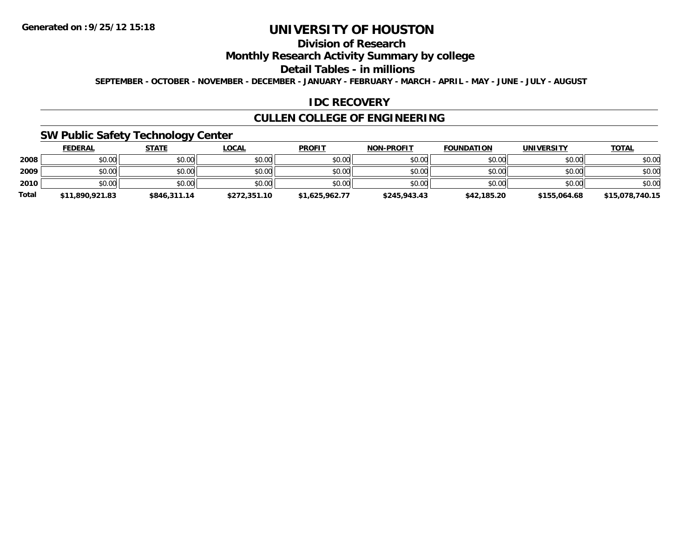# **Division of Research**

## **Monthly Research Activity Summary by college**

#### **Detail Tables - in millions**

**SEPTEMBER - OCTOBER - NOVEMBER - DECEMBER - JANUARY - FEBRUARY - MARCH - APRIL - MAY - JUNE - JULY - AUGUST**

## **IDC RECOVERY**

## **CULLEN COLLEGE OF ENGINEERING**

## **SW Public Safety Technology Center**

|              | <b>FEDERAL</b>  | <b>STATE</b> | <u>LOCAL</u> | <b>PROFIT</b>  | <b>NON-PROFIT</b> | <b>FOUNDATION</b> | <b>UNIVERSITY</b> | <b>TOTAL</b>    |
|--------------|-----------------|--------------|--------------|----------------|-------------------|-------------------|-------------------|-----------------|
| 2008         | \$0.00          | \$0.00       | \$0.00       | \$0.00         | \$0.00            | \$0.00            | \$0.00            | \$0.00          |
| 2009         | \$0.00          | \$0.00       | \$0.00       | \$0.00         | \$0.00            | \$0.00            | \$0.00            | \$0.00          |
| 2010         | \$0.00          | \$0.00       | \$0.00       | \$0.00         | \$0.00            | \$0.00            | \$0.00            | \$0.00          |
| <b>Total</b> | \$11,890,921.83 | \$846,311.14 | \$272,351.10 | \$1,625,962.77 | \$245,943.43      | \$42,185.20       | \$155,064.68      | \$15,078,740.15 |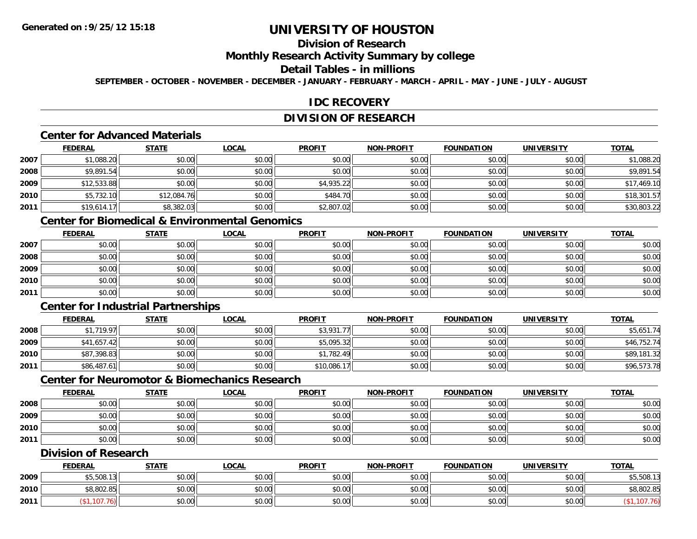# **Division of Research**

# **Monthly Research Activity Summary by college**

#### **Detail Tables - in millions**

**SEPTEMBER - OCTOBER - NOVEMBER - DECEMBER - JANUARY - FEBRUARY - MARCH - APRIL - MAY - JUNE - JULY - AUGUST**

## **IDC RECOVERY**

# **DIVISION OF RESEARCH**

## **Center for Advanced Materials**

|      | <b>FEDERAL</b> | <b>STATE</b> | <u>LOCAL</u> | <b>PROFIT</b> | <b>NON-PROFIT</b> | <b>FOUNDATION</b> | <b>UNIVERSITY</b> | <b>TOTAL</b> |
|------|----------------|--------------|--------------|---------------|-------------------|-------------------|-------------------|--------------|
| 2007 | \$1,088.20     | \$0.00       | \$0.00       | \$0.00        | \$0.00            | \$0.00            | \$0.00            | \$1,088.20   |
| 2008 | \$9,891.54     | \$0.00       | \$0.00       | \$0.00        | \$0.00            | \$0.00            | \$0.00            | \$9,891.54   |
| 2009 | \$12,533.88    | \$0.00       | \$0.00       | \$4,935.22    | \$0.00            | \$0.00            | \$0.00            | \$17,469.10  |
| 2010 | \$5,732.10     | \$12,084.76  | \$0.00       | \$484.70      | \$0.00            | \$0.00            | \$0.00            | \$18,301.57  |
| 2011 | \$19,614.1     | \$8,382.03   | \$0.00       | \$2,807.02    | \$0.00            | \$0.00            | \$0.00            | \$30,803.22  |

# **Center for Biomedical & Environmental Genomics**

|      | <u>FEDERAL</u> | <u>STATE</u> | <u>LOCAL</u> | <b>PROFIT</b> | <b>NON-PROFIT</b> | <b>FOUNDATION</b> | <b>UNIVERSITY</b> | <b>TOTAL</b> |
|------|----------------|--------------|--------------|---------------|-------------------|-------------------|-------------------|--------------|
| 2007 | \$0.00         | \$0.00       | \$0.00       | \$0.00        | \$0.00            | \$0.00            | \$0.00            | \$0.00       |
| 2008 | \$0.00         | \$0.00       | \$0.00       | \$0.00        | \$0.00            | \$0.00            | \$0.00            | \$0.00       |
| 2009 | \$0.00         | \$0.00       | \$0.00       | \$0.00        | \$0.00            | \$0.00            | \$0.00            | \$0.00       |
| 2010 | \$0.00         | \$0.00       | \$0.00       | \$0.00        | \$0.00            | \$0.00            | \$0.00            | \$0.00       |
| 2011 | \$0.00         | \$0.00       | \$0.00       | \$0.00        | \$0.00            | \$0.00            | \$0.00            | \$0.00       |

## **Center for Industrial Partnerships**

|      | <b>FEDERAL</b> | <u>STATE</u> | <b>LOCAL</b> | <b>PROFIT</b> | <b>NON-PROFIT</b> | <b>FOUNDATION</b> | <b>UNIVERSITY</b> | <b>TOTAL</b> |
|------|----------------|--------------|--------------|---------------|-------------------|-------------------|-------------------|--------------|
| 2008 | \$1,719.97     | \$0.00       | \$0.00       | \$3,931.      | \$0.00            | \$0.00            | \$0.00            | \$5,651.74   |
| 2009 | \$41,657.42    | \$0.00       | \$0.00       | \$5.095.32    | \$0.00            | \$0.00            | \$0.00            | \$46,752.74  |
| 2010 | \$87,398.83    | \$0.00       | \$0.00       | \$1,782.49    | \$0.00            | \$0.00            | \$0.00            | \$89,181.32  |
| 2011 | \$86,487.61    | \$0.00       | \$0.00       | \$10,086.17   | \$0.00            | \$0.00            | \$0.00            | \$96,573.78  |

## **Center for Neuromotor & Biomechanics Research**

|      | <b>FEDERAL</b> | <b>STATE</b> | <u>LOCAL</u> | <b>PROFIT</b> | <b>NON-PROFIT</b> | <b>FOUNDATION</b> | <b>UNIVERSITY</b> | <b>TOTAL</b> |
|------|----------------|--------------|--------------|---------------|-------------------|-------------------|-------------------|--------------|
| 2008 | \$0.00         | \$0.00       | \$0.00       | \$0.00        | \$0.00            | \$0.00            | \$0.00            | \$0.00       |
| 2009 | \$0.00         | \$0.00       | \$0.00       | \$0.00        | \$0.00            | \$0.00            | \$0.00            | \$0.00       |
| 2010 | \$0.00         | \$0.00       | \$0.00       | \$0.00        | \$0.00            | \$0.00            | \$0.00            | \$0.00       |
| 2011 | \$0.00         | \$0.00       | \$0.00       | \$0.00        | \$0.00            | \$0.00            | \$0.00            | \$0.00       |

## **Division of Research**

|      | <b>FEDERAL</b>       | <b>STATE</b> | <b>LOCAL</b>  | <b>PROFIT</b> | <b>NON-PROFIT</b> | <b>FOUNDATION</b> | <b>UNIVERSITY</b> | <u>TOTAL</u>          |
|------|----------------------|--------------|---------------|---------------|-------------------|-------------------|-------------------|-----------------------|
| 2009 | $$5$ 508 1<br>JUU.I. | \$0.00       | 0.00<br>ง∪.∪บ | \$0.00        | \$0.00            | \$0.00            | \$0.00            | $AT$ FOO 1<br>,800,04 |
| 2010 | \$8,802.85           | \$0.00       | \$0.00        | \$0.00        | \$0.00            | \$0.00            | \$0.00            | \$8,802.85            |
| 2011 |                      | \$0.00       | \$0.00        | \$0.00        | \$0.00            | \$0.00            | \$0.00            |                       |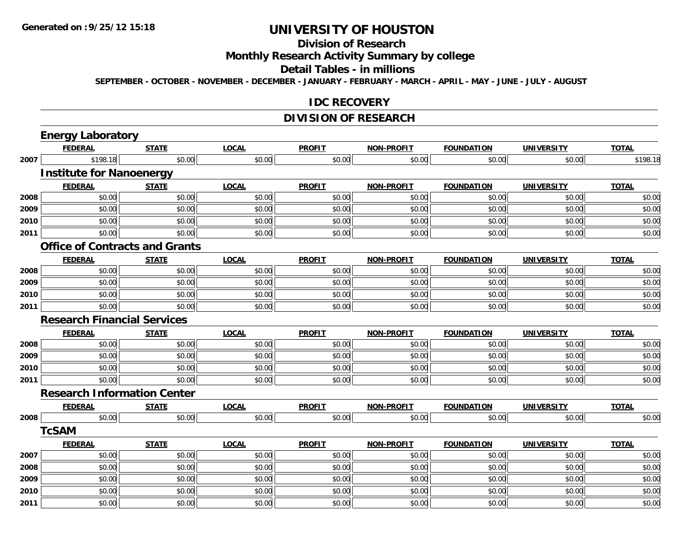# **Division of Research**

**Monthly Research Activity Summary by college**

#### **Detail Tables - in millions**

**SEPTEMBER - OCTOBER - NOVEMBER - DECEMBER - JANUARY - FEBRUARY - MARCH - APRIL - MAY - JUNE - JULY - AUGUST**

#### **IDC RECOVERY**

## **DIVISION OF RESEARCH**

|      | <b>Energy Laboratory</b>           |                                       |              |               |                   |                   |                   |              |
|------|------------------------------------|---------------------------------------|--------------|---------------|-------------------|-------------------|-------------------|--------------|
|      | <b>FEDERAL</b>                     | <b>STATE</b>                          | <b>LOCAL</b> | <b>PROFIT</b> | <b>NON-PROFIT</b> | <b>FOUNDATION</b> | <b>UNIVERSITY</b> | <b>TOTAL</b> |
| 2007 | \$198.18                           | \$0.00                                | \$0.00       | \$0.00        | \$0.00            | \$0.00            | \$0.00            | \$198.18     |
|      | <b>Institute for Nanoenergy</b>    |                                       |              |               |                   |                   |                   |              |
|      | <b>FEDERAL</b>                     | <b>STATE</b>                          | <b>LOCAL</b> | <b>PROFIT</b> | <b>NON-PROFIT</b> | <b>FOUNDATION</b> | <b>UNIVERSITY</b> | <b>TOTAL</b> |
| 2008 | \$0.00                             | \$0.00                                | \$0.00       | \$0.00        | \$0.00            | \$0.00            | \$0.00            | \$0.00       |
| 2009 | \$0.00                             | \$0.00                                | \$0.00       | \$0.00        | \$0.00            | \$0.00            | \$0.00            | \$0.00       |
| 2010 | \$0.00                             | \$0.00                                | \$0.00       | \$0.00        | \$0.00            | \$0.00            | \$0.00            | \$0.00       |
| 2011 | \$0.00                             | \$0.00                                | \$0.00       | \$0.00        | \$0.00            | \$0.00            | \$0.00            | \$0.00       |
|      |                                    | <b>Office of Contracts and Grants</b> |              |               |                   |                   |                   |              |
|      | <b>FEDERAL</b>                     | <b>STATE</b>                          | <b>LOCAL</b> | <b>PROFIT</b> | <b>NON-PROFIT</b> | <b>FOUNDATION</b> | <b>UNIVERSITY</b> | <b>TOTAL</b> |
| 2008 | \$0.00                             | \$0.00                                | \$0.00       | \$0.00        | \$0.00            | \$0.00            | \$0.00            | \$0.00       |
| 2009 | \$0.00                             | \$0.00                                | \$0.00       | \$0.00        | \$0.00            | \$0.00            | \$0.00            | \$0.00       |
| 2010 | \$0.00                             | \$0.00                                | \$0.00       | \$0.00        | \$0.00            | \$0.00            | \$0.00            | \$0.00       |
| 2011 | \$0.00                             | \$0.00                                | \$0.00       | \$0.00        | \$0.00            | \$0.00            | \$0.00            | \$0.00       |
|      | <b>Research Financial Services</b> |                                       |              |               |                   |                   |                   |              |
|      | <b>FEDERAL</b>                     | <b>STATE</b>                          | <b>LOCAL</b> | <b>PROFIT</b> | <b>NON-PROFIT</b> | <b>FOUNDATION</b> | <b>UNIVERSITY</b> | <b>TOTAL</b> |
| 2008 | \$0.00                             | \$0.00                                | \$0.00       | \$0.00        | \$0.00            | \$0.00            | \$0.00            | \$0.00       |
| 2009 | \$0.00                             | \$0.00                                | \$0.00       | \$0.00        | \$0.00            | \$0.00            | \$0.00            | \$0.00       |
| 2010 | \$0.00                             | \$0.00                                | \$0.00       | \$0.00        | \$0.00            | \$0.00            | \$0.00            | \$0.00       |
| 2011 | \$0.00                             | \$0.00                                | \$0.00       | \$0.00        | \$0.00            | \$0.00            | \$0.00            | \$0.00       |
|      | <b>Research Information Center</b> |                                       |              |               |                   |                   |                   |              |
|      | <b>FEDERAL</b>                     | <b>STATE</b>                          | <b>LOCAL</b> | <b>PROFIT</b> | <b>NON-PROFIT</b> | <b>FOUNDATION</b> | <b>UNIVERSITY</b> | <b>TOTAL</b> |
| 2008 | \$0.00                             | \$0.00                                | \$0.00       | \$0.00        | \$0.00            | \$0.00            | \$0.00            | \$0.00       |
|      | <b>TcSAM</b>                       |                                       |              |               |                   |                   |                   |              |
|      | <b>FEDERAL</b>                     | <b>STATE</b>                          | <b>LOCAL</b> | <b>PROFIT</b> | <b>NON-PROFIT</b> | <b>FOUNDATION</b> | <b>UNIVERSITY</b> | <b>TOTAL</b> |
| 2007 | \$0.00                             | \$0.00                                | \$0.00       | \$0.00        | \$0.00            | \$0.00            | \$0.00            | \$0.00       |
| 2008 | \$0.00                             | \$0.00                                | \$0.00       | \$0.00        | \$0.00            | \$0.00            | \$0.00            | \$0.00       |
| 2009 | \$0.00                             | \$0.00                                | \$0.00       | \$0.00        | \$0.00            | \$0.00            | \$0.00            | \$0.00       |
| 2010 | \$0.00                             | \$0.00                                | \$0.00       | \$0.00        | \$0.00            | \$0.00            | \$0.00            | \$0.00       |
| 2011 | \$0.00                             | \$0.00                                | \$0.00       | \$0.00        | \$0.00            | \$0.00            | \$0.00            | \$0.00       |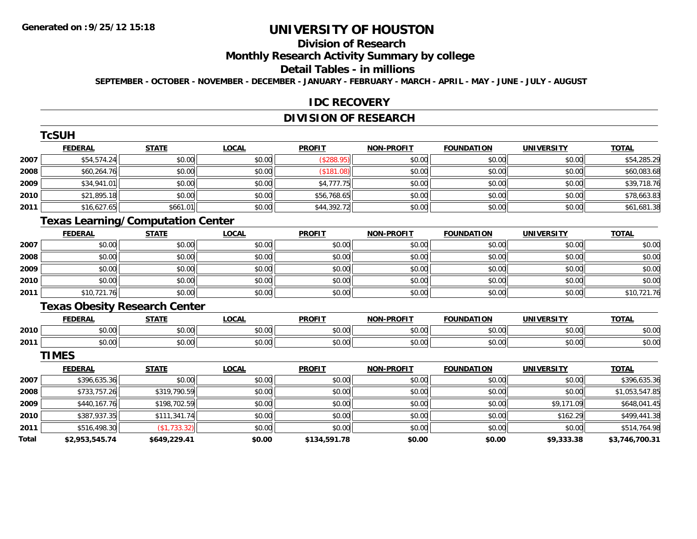# **Division of Research**

# **Monthly Research Activity Summary by college**

#### **Detail Tables - in millions**

**SEPTEMBER - OCTOBER - NOVEMBER - DECEMBER - JANUARY - FEBRUARY - MARCH - APRIL - MAY - JUNE - JULY - AUGUST**

#### **IDC RECOVERY**

## **DIVISION OF RESEARCH**

|       | TcSUH                                    |              |              |               |                   |                   |                   |                |
|-------|------------------------------------------|--------------|--------------|---------------|-------------------|-------------------|-------------------|----------------|
|       | <b>FEDERAL</b>                           | <b>STATE</b> | <b>LOCAL</b> | <b>PROFIT</b> | <b>NON-PROFIT</b> | <b>FOUNDATION</b> | <b>UNIVERSITY</b> | <b>TOTAL</b>   |
| 2007  | \$54,574.24                              | \$0.00       | \$0.00       | (\$288.95)    | \$0.00            | \$0.00            | \$0.00            | \$54,285.29    |
| 2008  | \$60,264.76                              | \$0.00       | \$0.00       | (\$181.08)    | \$0.00            | \$0.00            | \$0.00            | \$60,083.68    |
| 2009  | \$34,941.01                              | \$0.00       | \$0.00       | \$4,777.75    | \$0.00            | \$0.00            | \$0.00            | \$39,718.76    |
| 2010  | \$21,895.18                              | \$0.00       | \$0.00       | \$56,768.65   | \$0.00            | \$0.00            | \$0.00            | \$78,663.83    |
| 2011  | \$16,627.65                              | \$661.01     | \$0.00       | \$44,392.72   | \$0.00            | \$0.00            | \$0.00            | \$61,681.38    |
|       | <b>Texas Learning/Computation Center</b> |              |              |               |                   |                   |                   |                |
|       | <b>FEDERAL</b>                           | <b>STATE</b> | <b>LOCAL</b> | <b>PROFIT</b> | <b>NON-PROFIT</b> | <b>FOUNDATION</b> | <b>UNIVERSITY</b> | <b>TOTAL</b>   |
| 2007  | \$0.00                                   | \$0.00       | \$0.00       | \$0.00        | \$0.00            | \$0.00            | \$0.00            | \$0.00         |
| 2008  | \$0.00                                   | \$0.00       | \$0.00       | \$0.00        | \$0.00            | \$0.00            | \$0.00            | \$0.00         |
| 2009  | \$0.00                                   | \$0.00       | \$0.00       | \$0.00        | \$0.00            | \$0.00            | \$0.00            | \$0.00         |
| 2010  | \$0.00                                   | \$0.00       | \$0.00       | \$0.00        | \$0.00            | \$0.00            | \$0.00            | \$0.00         |
| 2011  | \$10,721.76                              | \$0.00       | \$0.00       | \$0.00        | \$0.00            | \$0.00            | \$0.00            | \$10,721.76    |
|       | <b>Texas Obesity Research Center</b>     |              |              |               |                   |                   |                   |                |
|       | <b>FEDERAL</b>                           | <b>STATE</b> | <b>LOCAL</b> | <b>PROFIT</b> | <b>NON-PROFIT</b> | <b>FOUNDATION</b> | <b>UNIVERSITY</b> | <b>TOTAL</b>   |
| 2010  | \$0.00                                   | \$0.00       | \$0.00       | \$0.00        | \$0.00            | \$0.00            | \$0.00            | \$0.00         |
| 2011  | \$0.00                                   | \$0.00       | \$0.00       | \$0.00        | \$0.00            | \$0.00            | \$0.00            | \$0.00         |
|       | <b>TIMES</b>                             |              |              |               |                   |                   |                   |                |
|       | <b>FEDERAL</b>                           | <b>STATE</b> | <b>LOCAL</b> | <b>PROFIT</b> | <b>NON-PROFIT</b> | <b>FOUNDATION</b> | <b>UNIVERSITY</b> | <b>TOTAL</b>   |
| 2007  | \$396,635.36                             | \$0.00       | \$0.00       | \$0.00        | \$0.00            | \$0.00            | \$0.00            | \$396,635.36   |
| 2008  | \$733,757.26                             | \$319,790.59 | \$0.00       | \$0.00        | \$0.00            | \$0.00            | \$0.00            | \$1,053,547.85 |
| 2009  | \$440,167.76                             | \$198,702.59 | \$0.00       | \$0.00        | \$0.00            | \$0.00            | \$9,171.09        | \$648,041.45   |
| 2010  | \$387,937.35                             | \$111,341.74 | \$0.00       | \$0.00        | \$0.00            | \$0.00            | \$162.29          | \$499,441.38   |
| 2011  | \$516,498.30                             | (\$1,733.32) | \$0.00       | \$0.00        | \$0.00            | \$0.00            | \$0.00            | \$514,764.98   |
| Total | \$2,953,545.74                           | \$649,229.41 | \$0.00       | \$134,591.78  | \$0.00            | \$0.00            | \$9,333.38        | \$3,746,700.31 |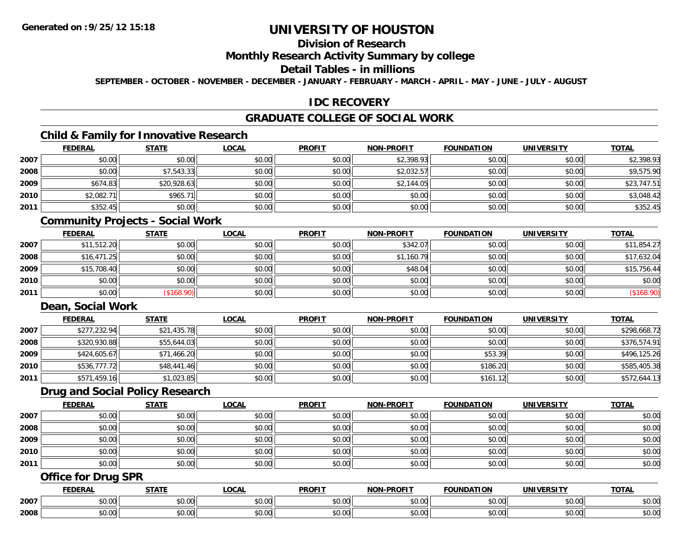# **Division of Research**

#### **Monthly Research Activity Summary by college**

#### **Detail Tables - in millions**

**SEPTEMBER - OCTOBER - NOVEMBER - DECEMBER - JANUARY - FEBRUARY - MARCH - APRIL - MAY - JUNE - JULY - AUGUST**

#### **IDC RECOVERY**

# **GRADUATE COLLEGE OF SOCIAL WORK**

# **Child & Family for Innovative Research**

|      | <b>FEDERAL</b> | <b>STATE</b> | <b>LOCAL</b> | <b>PROFIT</b> | <b>NON-PROFIT</b> | <b>FOUNDATION</b> | <b>UNIVERSITY</b> | <b>TOTAL</b> |
|------|----------------|--------------|--------------|---------------|-------------------|-------------------|-------------------|--------------|
| 2007 | \$0.00         | \$0.00       | \$0.00       | \$0.00        | \$2,398.93        | \$0.00            | \$0.00            | \$2,398.93   |
| 2008 | \$0.00         | \$7,543.33   | \$0.00       | \$0.00        | \$2,032.57        | \$0.00            | \$0.00            | \$9,575.90   |
| 2009 | \$674.83       | \$20,928.63  | \$0.00       | \$0.00        | \$2,144.05        | \$0.00            | \$0.00            | \$23,747.51  |
| 2010 | \$2,082.71     | \$965.71     | \$0.00       | \$0.00        | \$0.00            | \$0.00            | \$0.00            | \$3,048.42   |
| 2011 | \$352.45       | \$0.00       | \$0.00       | \$0.00        | \$0.00            | \$0.00            | \$0.00            | \$352.45     |

#### **Community Projects - Social Work**

|      | <u>FEDERAL</u> | <u>STATE</u>  | <u>LOCAL</u> | <b>PROFIT</b> | NON-PROFIT | <b>FOUNDATION</b> | <b>UNIVERSITY</b> | <b>TOTAL</b> |
|------|----------------|---------------|--------------|---------------|------------|-------------------|-------------------|--------------|
| 2007 | \$11,512.20    | \$0.00        | \$0.00       | \$0.00        | \$342.07   | \$0.00            | \$0.00            | \$11,854.27  |
| 2008 | \$16,471.25    | \$0.00        | \$0.00       | \$0.00        | \$1,160.79 | \$0.00            | \$0.00            | \$17,632.04  |
| 2009 | \$15,708.40    | \$0.00        | \$0.00       | \$0.00        | \$48.04    | \$0.00            | \$0.00            | \$15,756.44  |
| 2010 | \$0.00         | \$0.00        | \$0.00       | \$0.00        | \$0.00     | \$0.00            | \$0.00            | \$0.00       |
| 2011 | \$0.00         | $($ \$168.90) | \$0.00       | \$0.00        | \$0.00     | \$0.00            | \$0.00            | (\$168.90)   |

## **Dean, Social Work**

|      | <b>FEDERAL</b> | <b>STATE</b> | <u>LOCAL</u> | <b>PROFIT</b> | <b>NON-PROFIT</b> | <b>FOUNDATION</b> | <b>UNIVERSITY</b> | <b>TOTAL</b> |
|------|----------------|--------------|--------------|---------------|-------------------|-------------------|-------------------|--------------|
| 2007 | \$277,232.94   | \$21,435.78  | \$0.00       | \$0.00        | \$0.00            | \$0.00            | \$0.00            | \$298,668.72 |
| 2008 | \$320,930.88   | \$55,644.03  | \$0.00       | \$0.00        | \$0.00            | \$0.00            | \$0.00            | \$376,574.91 |
| 2009 | \$424,605.67   | \$71,466.20  | \$0.00       | \$0.00        | \$0.00            | \$53.39           | \$0.00            | \$496,125.26 |
| 2010 | \$536,777.72   | \$48,441.46  | \$0.00       | \$0.00        | \$0.00            | \$186.20          | \$0.00            | \$585,405.38 |
| 2011 | \$571,459.16   | \$1,023.85   | \$0.00       | \$0.00        | \$0.00            | \$161.12          | \$0.00            | \$572,644.13 |

### **Drug and Social Policy Research**

|      | <b>FEDERAL</b> | <b>STATE</b> | <u>LOCAL</u> | <b>PROFIT</b> | <b>NON-PROFIT</b> | <b>FOUNDATION</b> | <b>UNIVERSITY</b> | <b>TOTAL</b> |
|------|----------------|--------------|--------------|---------------|-------------------|-------------------|-------------------|--------------|
| 2007 | \$0.00         | \$0.00       | \$0.00       | \$0.00        | \$0.00            | \$0.00            | \$0.00            | \$0.00       |
| 2008 | \$0.00         | \$0.00       | \$0.00       | \$0.00        | \$0.00            | \$0.00            | \$0.00            | \$0.00       |
| 2009 | \$0.00         | \$0.00       | \$0.00       | \$0.00        | \$0.00            | \$0.00            | \$0.00            | \$0.00       |
| 2010 | \$0.00         | \$0.00       | \$0.00       | \$0.00        | \$0.00            | \$0.00            | \$0.00            | \$0.00       |
| 2011 | \$0.00         | \$0.00       | \$0.00       | \$0.00        | \$0.00            | \$0.00            | \$0.00            | \$0.00       |

## **Office for Drug SPR**

|      | <b>FEBER!</b><br>-n.e | $- - - -$                         | .OCAI                                      | <b>PROFIT</b>                 | <b>LDDOFIT</b><br><b>NON</b> | <b>INDA</b> | - IV. J'      | <b>TOTAL</b>                   |
|------|-----------------------|-----------------------------------|--------------------------------------------|-------------------------------|------------------------------|-------------|---------------|--------------------------------|
| 2007 | $\sim$ 00<br>ิ ∪ ∪ ∪  | $\sim$<br>$\sim$ $\sim$<br>90. UU | $\mathsf{A} \cap \mathsf{A} \cap$<br>PU.UU | $\sim$ $\sim$ $\sim$<br>pu.uu | \$0.00                       | JU.UU       | 0.00<br>vv.vv | 0000<br>\$U.UU                 |
| 2008 | ง∪.∪บ                 | $\uparrow$ $\uparrow$<br>ט.ט      | $\sim$ 00<br>PO.OO                         | $\sim$ 00<br>JU.UU            | \$0.00                       | vv.         | 0.00<br>JU.UU | 0 <sup>0</sup><br><b>JU.UU</b> |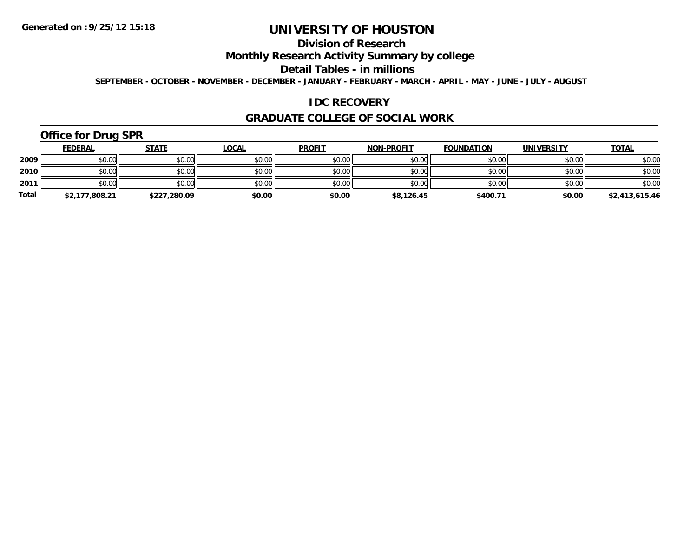# **Division of Research**

## **Monthly Research Activity Summary by college**

#### **Detail Tables - in millions**

**SEPTEMBER - OCTOBER - NOVEMBER - DECEMBER - JANUARY - FEBRUARY - MARCH - APRIL - MAY - JUNE - JULY - AUGUST**

#### **IDC RECOVERY**

#### **GRADUATE COLLEGE OF SOCIAL WORK**

# **Office for Drug SPR**

|              | <b>FEDERAL</b> | <u>STATE</u> | <u>LOCAL</u> | <b>PROFIT</b> | <b>NON-PROFIT</b> | <b>FOUNDATION</b> | <b>UNIVERSITY</b> | <b>TOTAL</b>   |
|--------------|----------------|--------------|--------------|---------------|-------------------|-------------------|-------------------|----------------|
| 2009         | \$0.00         | \$0.00       | \$0.00       | \$0.00        | \$0.00            | \$0.00            | \$0.00            | \$0.00         |
| 2010         | \$0.00         | \$0.00       | \$0.00       | \$0.00        | \$0.00            | \$0.00            | \$0.00            | \$0.00         |
| 2011         | \$0.00         | \$0.00       | \$0.00       | \$0.00        | \$0.00            | \$0.00            | \$0.00            | \$0.00         |
| <b>Total</b> | \$2,177,808.21 | \$227,280.09 | \$0.00       | \$0.00        | \$8,126.45        | \$400.71          | \$0.00            | \$2,413,615.46 |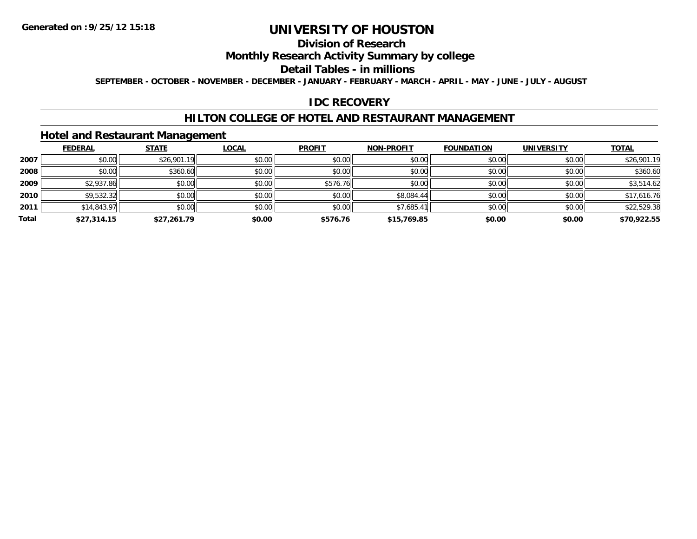# **Division of Research**

## **Monthly Research Activity Summary by college**

#### **Detail Tables - in millions**

**SEPTEMBER - OCTOBER - NOVEMBER - DECEMBER - JANUARY - FEBRUARY - MARCH - APRIL - MAY - JUNE - JULY - AUGUST**

#### **IDC RECOVERY**

#### **HILTON COLLEGE OF HOTEL AND RESTAURANT MANAGEMENT**

### **Hotel and Restaurant Management**

|       | <b>FEDERAL</b> | <b>STATE</b> | <b>LOCAL</b> | <b>PROFIT</b> | <b>NON-PROFIT</b> | <b>FOUNDATION</b> | <b>UNIVERSITY</b> | <b>TOTAL</b> |
|-------|----------------|--------------|--------------|---------------|-------------------|-------------------|-------------------|--------------|
| 2007  | \$0.00         | \$26,901.19  | \$0.00       | \$0.00        | \$0.00            | \$0.00            | \$0.00            | \$26,901.19  |
| 2008  | \$0.00         | \$360.60     | \$0.00       | \$0.00        | \$0.00            | \$0.00            | \$0.00            | \$360.60     |
| 2009  | \$2,937.86     | \$0.00       | \$0.00       | \$576.76      | \$0.00            | \$0.00            | \$0.00            | \$3,514.62   |
| 2010  | \$9,532.32     | \$0.00       | \$0.00       | \$0.00        | \$8,084.44        | \$0.00            | \$0.00            | \$17,616.76  |
| 2011  | \$14,843.97    | \$0.00       | \$0.00       | \$0.00        | \$7,685.41        | \$0.00            | \$0.00            | \$22,529.38  |
| Total | \$27,314.15    | \$27,261.79  | \$0.00       | \$576.76      | \$15,769.85       | \$0.00            | \$0.00            | \$70,922.55  |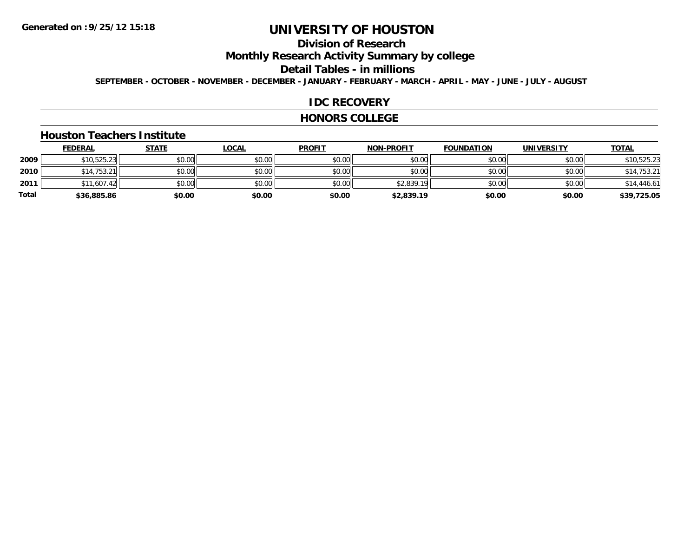# **Division of Research**

**Monthly Research Activity Summary by college**

#### **Detail Tables - in millions**

**SEPTEMBER - OCTOBER - NOVEMBER - DECEMBER - JANUARY - FEBRUARY - MARCH - APRIL - MAY - JUNE - JULY - AUGUST**

#### **IDC RECOVERY**

#### **HONORS COLLEGE**

#### **Houston Teachers Institute**

|       | <b>FEDERAL</b> | <u>STATE</u> | <b>LOCAL</b> | <b>PROFIT</b> | <b>NON-PROFIT</b> | <b>FOUNDATION</b> | <b>UNIVERSITY</b> | <b>TOTAL</b> |
|-------|----------------|--------------|--------------|---------------|-------------------|-------------------|-------------------|--------------|
| 2009  | \$10,525.23    | \$0.00       | \$0.00       | \$0.00        | \$0.00            | \$0.00            | \$0.00            | \$10,525.23  |
| 2010  | \$14,753.21    | \$0.00       | \$0.00       | \$0.00        | \$0.00            | \$0.00            | \$0.00            | \$14,753.21  |
| 2011  | \$11,607.42    | \$0.00       | \$0.00       | \$0.00        | \$2,839.19        | \$0.00            | \$0.00            | \$14,446.61  |
| Total | \$36,885.86    | \$0.00       | \$0.00       | \$0.00        | \$2,839.19        | \$0.00            | \$0.00            | \$39,725.05  |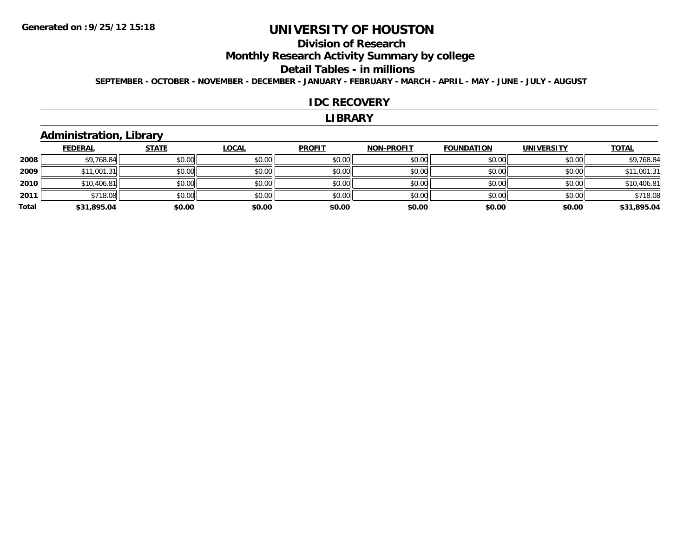# **Division of Research**

**Monthly Research Activity Summary by college**

#### **Detail Tables - in millions**

**SEPTEMBER - OCTOBER - NOVEMBER - DECEMBER - JANUARY - FEBRUARY - MARCH - APRIL - MAY - JUNE - JULY - AUGUST**

#### **IDC RECOVERY**

#### **LIBRARY**

## **Administration, Library**

|       | <b>FEDERAL</b> | <b>STATE</b> | <b>LOCAL</b> | <b>PROFIT</b> | <b>NON-PROFIT</b> | <b>FOUNDATION</b> | <b>UNIVERSITY</b> | <b>TOTAL</b> |
|-------|----------------|--------------|--------------|---------------|-------------------|-------------------|-------------------|--------------|
| 2008  | \$9,768.84     | \$0.00       | \$0.00       | \$0.00        | \$0.00            | \$0.00            | \$0.00            | \$9,768.84   |
| 2009  | \$11,001.31    | \$0.00       | \$0.00       | \$0.00        | \$0.00            | \$0.00            | \$0.00            | \$11,001.31  |
| 2010  | \$10,406.81    | \$0.00       | \$0.00       | \$0.00        | \$0.00            | \$0.00            | \$0.00            | \$10,406.81  |
| 2011  | \$718.08       | \$0.00       | \$0.00       | \$0.00        | \$0.00            | \$0.00            | \$0.00            | \$718.08     |
| Total | \$31,895.04    | \$0.00       | \$0.00       | \$0.00        | \$0.00            | \$0.00            | \$0.00            | \$31,895.04  |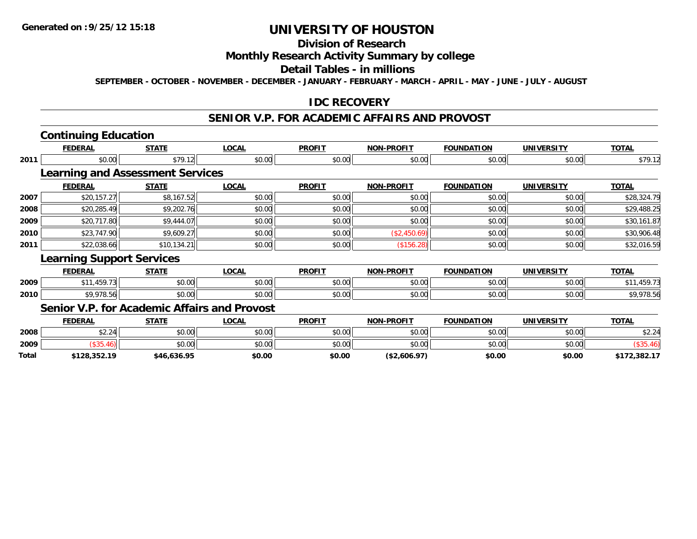## **Division of Research**

#### **Monthly Research Activity Summary by college**

#### **Detail Tables - in millions**

**SEPTEMBER - OCTOBER - NOVEMBER - DECEMBER - JANUARY - FEBRUARY - MARCH - APRIL - MAY - JUNE - JULY - AUGUST**

## **IDC RECOVERY**

## **SENIOR V.P. FOR ACADEMIC AFFAIRS AND PROVOST**

# **Continuing Education**

**Total**

|      | <b>FEDERAL</b>                               | <b>STATE</b> | <b>LOCAL</b> | <b>PROFIT</b> | <b>NON-PROFIT</b> | <b>FOUNDATION</b> | <b>UNIVERSITY</b> | <b>TOTAL</b> |
|------|----------------------------------------------|--------------|--------------|---------------|-------------------|-------------------|-------------------|--------------|
| 2011 | \$0.00                                       | \$79.12      | \$0.00       | \$0.00        | \$0.00            | \$0.00            | \$0.00            | \$79.12      |
|      | <b>Learning and Assessment Services</b>      |              |              |               |                   |                   |                   |              |
|      | <b>FEDERAL</b>                               | <b>STATE</b> | <b>LOCAL</b> | <b>PROFIT</b> | <b>NON-PROFIT</b> | <b>FOUNDATION</b> | <b>UNIVERSITY</b> | <b>TOTAL</b> |
| 2007 | \$20,157.27                                  | \$8,167.52   | \$0.00       | \$0.00        | \$0.00            | \$0.00            | \$0.00            | \$28,324.79  |
| 2008 | \$20,285.49                                  | \$9,202.76   | \$0.00       | \$0.00        | \$0.00            | \$0.00            | \$0.00            | \$29,488.25  |
| 2009 | \$20,717.80                                  | \$9,444.07   | \$0.00       | \$0.00        | \$0.00            | \$0.00            | \$0.00            | \$30,161.87  |
| 2010 | \$23,747.90                                  | \$9,609.27   | \$0.00       | \$0.00        | (\$2,450.69)      | \$0.00            | \$0.00            | \$30,906.48  |
| 2011 | \$22,038.66                                  | \$10,134.21  | \$0.00       | \$0.00        | (\$156.28)        | \$0.00            | \$0.00            | \$32,016.59  |
|      | <b>Learning Support Services</b>             |              |              |               |                   |                   |                   |              |
|      | <b>FEDERAL</b>                               | <b>STATE</b> | <b>LOCAL</b> | <b>PROFIT</b> | <b>NON-PROFIT</b> | <b>FOUNDATION</b> | <b>UNIVERSITY</b> | <b>TOTAL</b> |
| 2009 | \$11,459.73                                  | \$0.00       | \$0.00       | \$0.00        | \$0.00            | \$0.00            | \$0.00            | \$11,459.73  |
| 2010 | \$9,978.56                                   | \$0.00       | \$0.00       | \$0.00        | \$0.00            | \$0.00            | \$0.00            | \$9,978.56   |
|      | Senior V.P. for Academic Affairs and Provost |              |              |               |                   |                   |                   |              |
|      | <b>FEDERAL</b>                               | <b>STATE</b> | <b>LOCAL</b> | <b>PROFIT</b> | <b>NON-PROFIT</b> | <b>FOUNDATION</b> | <b>UNIVERSITY</b> | <b>TOTAL</b> |
| 2008 | \$2.24                                       | \$0.00       | \$0.00       | \$0.00        | \$0.00            | \$0.00            | \$0.00            | \$2.24       |
| 2009 | (\$35.46)                                    | \$0.00       | \$0.00       | \$0.00        | \$0.00            | \$0.00            | \$0.00            | (\$35.46)    |

 $\bm{9} \parallel \text{S} = \left( \text{\text{S35.46}} \right) \parallel \text{S} = \text{S} = \text{S} = \text{S} = \text{S} = \text{S} = \text{S} = \text{S} = \text{S} = \text{S} = \text{S} = \text{S} = \text{S} = \text{S} = \text{S} = \text{S} = \text{S} = \text{S} = \text{S} = \text{S} = \text{S} = \text{S} = \text{S} = \text{S} = \text{S} = \text{S} = \text{S} = \text{S} = \text{S} = \text{S} = \text{S} = \$ 

**\$128,352.19 \$46,636.95 \$0.00 \$0.00 (\$2,606.97) \$0.00 \$0.00 \$172,382.17**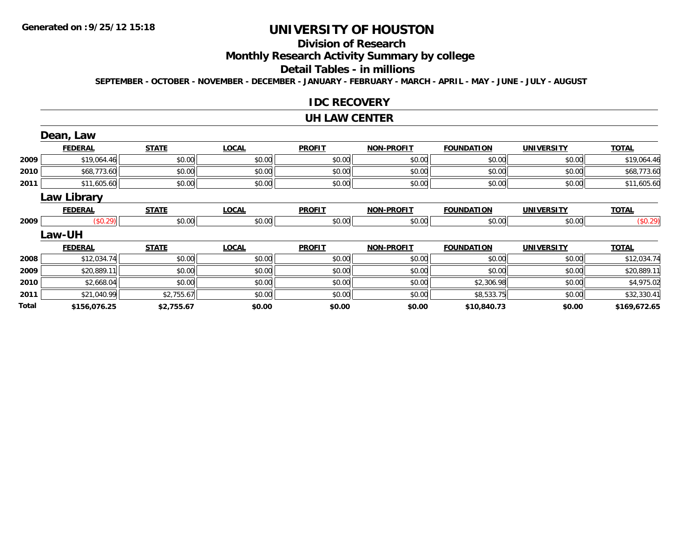#### **Division of Research**

**Monthly Research Activity Summary by college**

#### **Detail Tables - in millions**

**SEPTEMBER - OCTOBER - NOVEMBER - DECEMBER - JANUARY - FEBRUARY - MARCH - APRIL - MAY - JUNE - JULY - AUGUST**

#### **IDC RECOVERY**

#### **UH LAW CENTER**

|       | Dean, Law      |              |              |               |                   |                   |                   |              |
|-------|----------------|--------------|--------------|---------------|-------------------|-------------------|-------------------|--------------|
|       | <b>FEDERAL</b> | <b>STATE</b> | <b>LOCAL</b> | <b>PROFIT</b> | <b>NON-PROFIT</b> | <b>FOUNDATION</b> | <b>UNIVERSITY</b> | <b>TOTAL</b> |
| 2009  | \$19,064.46    | \$0.00       | \$0.00       | \$0.00        | \$0.00            | \$0.00            | \$0.00            | \$19,064.46  |
| 2010  | \$68,773.60    | \$0.00       | \$0.00       | \$0.00        | \$0.00            | \$0.00            | \$0.00            | \$68,773.60  |
| 2011  | \$11,605.60    | \$0.00       | \$0.00       | \$0.00        | \$0.00            | \$0.00            | \$0.00            | \$11,605.60  |
|       | Law Library    |              |              |               |                   |                   |                   |              |
|       | <b>FEDERAL</b> | <b>STATE</b> | <b>LOCAL</b> | <b>PROFIT</b> | <b>NON-PROFIT</b> | <b>FOUNDATION</b> | <b>UNIVERSITY</b> | <b>TOTAL</b> |
| 2009  | (\$0.29)       | \$0.00       | \$0.00       | \$0.00        | \$0.00            | \$0.00            | \$0.00            | (\$0.29)     |
|       | Law-UH         |              |              |               |                   |                   |                   |              |
|       | <b>FEDERAL</b> | <b>STATE</b> | <b>LOCAL</b> | <b>PROFIT</b> | <b>NON-PROFIT</b> | <b>FOUNDATION</b> | <b>UNIVERSITY</b> | <b>TOTAL</b> |
| 2008  | \$12,034.74    | \$0.00       | \$0.00       | \$0.00        | \$0.00            | \$0.00            | \$0.00            | \$12,034.74  |
| 2009  | \$20,889.11    | \$0.00       | \$0.00       | \$0.00        | \$0.00            | \$0.00            | \$0.00            | \$20,889.11  |
| 2010  | \$2,668.04     | \$0.00       | \$0.00       | \$0.00        | \$0.00            | \$2,306.98        | \$0.00            | \$4,975.02   |
| 2011  | \$21,040.99    | \$2,755.67   | \$0.00       | \$0.00        | \$0.00            | \$8,533.75        | \$0.00            | \$32,330.41  |
| Total | \$156,076.25   | \$2,755.67   | \$0.00       | \$0.00        | \$0.00            | \$10,840.73       | \$0.00            | \$169,672.65 |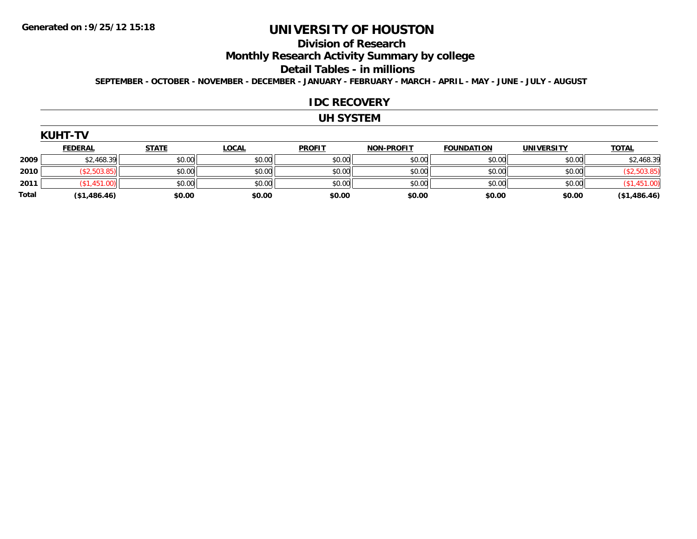#### **Division of Research**

**Monthly Research Activity Summary by college**

#### **Detail Tables - in millions**

**SEPTEMBER - OCTOBER - NOVEMBER - DECEMBER - JANUARY - FEBRUARY - MARCH - APRIL - MAY - JUNE - JULY - AUGUST**

#### **IDC RECOVERY**

## **UH SYSTEM**

| UHT<br>ζl<br>I<br>r |  |
|---------------------|--|
|---------------------|--|

|       | <b>FEDERAL</b> | <b>STATE</b> | <b>LOCAL</b> | <b>PROFIT</b> | <b>NON-PROFIT</b> | <b>FOUNDATION</b> | <b>UNIVERSITY</b> | <b>TOTAL</b> |
|-------|----------------|--------------|--------------|---------------|-------------------|-------------------|-------------------|--------------|
| 2009  | \$2,468.39     | \$0.00       | \$0.00       | \$0.00        | \$0.00            | \$0.00            | \$0.00            | \$2,468.39   |
| 2010  | \$2,503.85)    | \$0.00       | \$0.00       | \$0.00        | \$0.00            | \$0.00            | \$0.00            |              |
| 2011  | 1.00)<br>1.451 | \$0.00       | \$0.00       | \$0.00        | \$0.00            | \$0.00            | \$0.00            |              |
| Total | (\$1,486.46)   | \$0.00       | \$0.00       | \$0.00        | \$0.00            | \$0.00            | \$0.00            | (\$1,486.46) |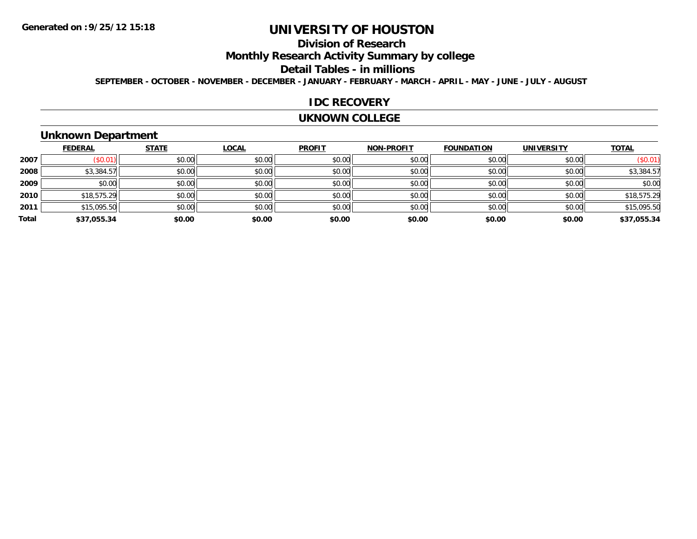# **Division of Research**

**Monthly Research Activity Summary by college**

#### **Detail Tables - in millions**

**SEPTEMBER - OCTOBER - NOVEMBER - DECEMBER - JANUARY - FEBRUARY - MARCH - APRIL - MAY - JUNE - JULY - AUGUST**

#### **IDC RECOVERY**

#### **UKNOWN COLLEGE**

## **Unknown Department**

|       | <b>FEDERAL</b> | <b>STATE</b> | <b>LOCAL</b> | <b>PROFIT</b> | <b>NON-PROFIT</b> | <b>FOUNDATION</b> | <b>UNIVERSITY</b> | <b>TOTAL</b> |
|-------|----------------|--------------|--------------|---------------|-------------------|-------------------|-------------------|--------------|
| 2007  | (S0.01)        | \$0.00       | \$0.00       | \$0.00        | \$0.00            | \$0.00            | \$0.00            | (\$0.01)     |
| 2008  | \$3,384.57     | \$0.00       | \$0.00       | \$0.00        | \$0.00            | \$0.00            | \$0.00            | \$3,384.57   |
| 2009  | \$0.00         | \$0.00       | \$0.00       | \$0.00        | \$0.00            | \$0.00            | \$0.00            | \$0.00       |
| 2010  | \$18,575.29    | \$0.00       | \$0.00       | \$0.00        | \$0.00            | \$0.00            | \$0.00            | \$18,575.29  |
| 2011  | \$15,095.50    | \$0.00       | \$0.00       | \$0.00        | \$0.00            | \$0.00            | \$0.00            | \$15,095.50  |
| Total | \$37,055.34    | \$0.00       | \$0.00       | \$0.00        | \$0.00            | \$0.00            | \$0.00            | \$37,055.34  |